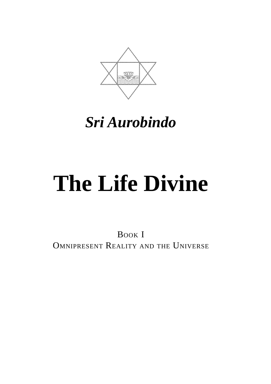

# *Sri Aurobindo*

# **The Life Divine**

BOOK I OMNIPRESENT REALITY AND THE UNIVERSE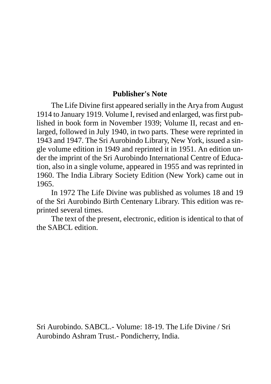#### **Publisher's Note**

The Life Divine first appeared serially in the Arya from August 1914 to January 1919. Volume I, revised and enlarged, was first published in book form in November 1939; Volume II, recast and enlarged, followed in July 1940, in two parts. These were reprinted in 1943 and 1947. The Sri Aurobindo Library, New York, issued a single volume edition in 1949 and reprinted it in 1951. An edition under the imprint of the Sri Aurobindo International Centre of Education, also in a single volume, appeared in 1955 and was reprinted in 1960. The India Library Society Edition (New York) came out in 1965.

In 1972 The Life Divine was published as volumes 18 and 19 of the Sri Aurobindo Birth Centenary Library. This edition was reprinted several times.

The text of the present, electronic, edition is identical to that of the SABCL edition.

Sri Aurobindo. SABCL.- Volume: 18-19. The Life Divine / Sri Aurobindo Ashram Trust.- Pondicherry, India.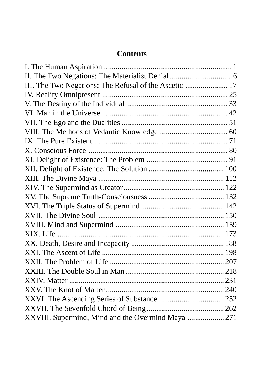### **Contents**

| III. The Two Negations: The Refusal of the Ascetic  17 |  |
|--------------------------------------------------------|--|
|                                                        |  |
|                                                        |  |
|                                                        |  |
|                                                        |  |
|                                                        |  |
|                                                        |  |
|                                                        |  |
|                                                        |  |
|                                                        |  |
|                                                        |  |
|                                                        |  |
|                                                        |  |
|                                                        |  |
|                                                        |  |
|                                                        |  |
|                                                        |  |
|                                                        |  |
|                                                        |  |
|                                                        |  |
|                                                        |  |
|                                                        |  |
|                                                        |  |
|                                                        |  |
|                                                        |  |
| XXVIII. Supermind, Mind and the Overmind Maya  271     |  |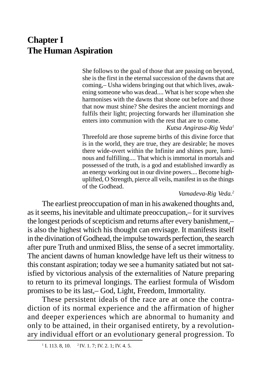## **Chapter I The Human Aspiration**

She follows to the goal of those that are passing on beyond, she is the first in the eternal succession of the dawns that are coming,– Usha widens bringing out that which lives, awakening someone who was dead.... What is her scope when she harmonises with the dawns that shone out before and those that now must shine? She desires the ancient mornings and fulfils their light; projecting forwards her illumination she enters into communion with the rest that are to come.

#### *Kutsa Angirasa-Rig Veda1*

Threefold are those supreme births of this divine force that is in the world, they are true, they are desirable; he moves there wide-overt within the Infinite and shines pure, luminous and fulfilling.... That which is immortal in mortals and possessed of the truth, is a god and established inwardly as an energy working out in our divine powers.... Become highuplifted, O Strength, pierce all veils, manifest in us the things of the Godhead.

#### *Vamadeva-Rig Veda.2*

The earliest preoccupation of man in his awakened thoughts and, as it seems, his inevitable and ultimate preoccupation,– for it survives the longest periods of scepticism and returns after every banishment,– is also the highest which his thought can envisage. It manifests itself in the divination of Godhead, the impulse towards perfection, the search after pure Truth and unmixed Bliss, the sense of a secret immortality. The ancient dawns of human knowledge have left us their witness to this constant aspiration; today we see a humanity satiated but not satisfied by victorious analysis of the externalities of Nature preparing to return to its primeval longings. The earliest formula of Wisdom promises to be its last,– God, Light, Freedom, Immortality.

These persistent ideals of the race are at once the contradiction of its normal experience and the affirmation of higher and deeper experiences which are abnormal to humanity and only to be attained, in their organised entirety, by a revolutionary individual effort or an evolutionary general progression. To

<sup>&</sup>lt;sup>1</sup> I. 113. 8, 10. <sup>2</sup> IV. 1. 7; IV. 2. 1; IV. 4. 5.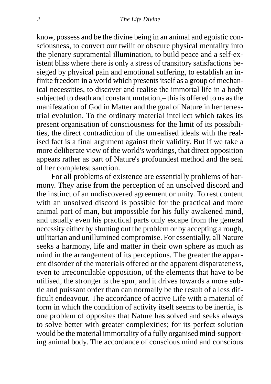know, possess and be the divine being in an animal and egoistic consciousness, to convert our twilit or obscure physical mentality into the plenary supramental illumination, to build peace and a self-existent bliss where there is only a stress of transitory satisfactions besieged by physical pain and emotional suffering, to establish an infinite freedom in a world which presents itself as a group of mechanical necessities, to discover and realise the immortal life in a body subjected to death and constant mutation,– this is offered to us as the manifestation of God in Matter and the goal of Nature in her terrestrial evolution. To the ordinary material intellect which takes its present organisation of consciousness for the limit of its possibilities, the direct contradiction of the unrealised ideals with the realised fact is a final argument against their validity. But if we take a more deliberate view of the world's workings, that direct opposition appears rather as part of Nature's profoundest method and the seal of her completest sanction.

For all problems of existence are essentially problems of harmony. They arise from the perception of an unsolved discord and the instinct of an undiscovered agreement or unity. To rest content with an unsolved discord is possible for the practical and more animal part of man, but impossible for his fully awakened mind, and usually even his practical parts only escape from the general necessity either by shutting out the problem or by accepting a rough, utilitarian and unillumined compromise. For essentially, all Nature seeks a harmony, life and matter in their own sphere as much as mind in the arrangement of its perceptions. The greater the apparent disorder of the materials offered or the apparent disparateness, even to irreconcilable opposition, of the elements that have to be utilised, the stronger is the spur, and it drives towards a more subtle and puissant order than can normally be the result of a less difficult endeavour. The accordance of active Life with a material of form in which the condition of activity itself seems to be inertia, is one problem of opposites that Nature has solved and seeks always to solve better with greater complexities; for its perfect solution would be the material immortality of a fully organised mind-supporting animal body. The accordance of conscious mind and conscious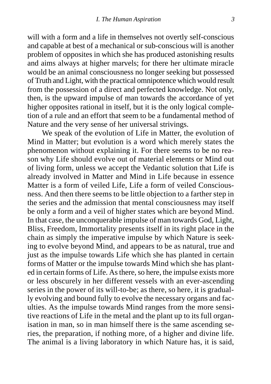will with a form and a life in themselves not overtly self-conscious and capable at best of a mechanical or sub-conscious will is another problem of opposites in which she has produced astonishing results and aims always at higher marvels; for there her ultimate miracle would be an animal consciousness no longer seeking but possessed of Truth and Light, with the practical omnipotence which would result from the possession of a direct and perfected knowledge. Not only, then, is the upward impulse of man towards the accordance of yet higher opposites rational in itself, but it is the only logical completion of a rule and an effort that seem to be a fundamental method of Nature and the very sense of her universal strivings.

We speak of the evolution of Life in Matter, the evolution of Mind in Matter; but evolution is a word which merely states the phenomenon without explaining it. For there seems to be no reason why Life should evolve out of material elements or Mind out of living form, unless we accept the Vedantic solution that Life is already involved in Matter and Mind in Life because in essence Matter is a form of veiled Life, Life a form of veiled Consciousness. And then there seems to be little objection to a farther step in the series and the admission that mental consciousness may itself be only a form and a veil of higher states which are beyond Mind. In that case, the unconquerable impulse of man towards God, Light, Bliss, Freedom, Immortality presents itself in its right place in the chain as simply the imperative impulse by which Nature is seeking to evolve beyond Mind, and appears to be as natural, true and just as the impulse towards Life which she has planted in certain forms of Matter or the impulse towards Mind which she has planted in certain forms of Life. As there, so here, the impulse exists more or less obscurely in her different vessels with an ever-ascending series in the power of its will-to-be; as there, so here, it is gradually evolving and bound fully to evolve the necessary organs and faculties. As the impulse towards Mind ranges from the more sensitive reactions of Life in the metal and the plant up to its full organisation in man, so in man himself there is the same ascending series, the preparation, if nothing more, of a higher and divine life. The animal is a living laboratory in which Nature has, it is said,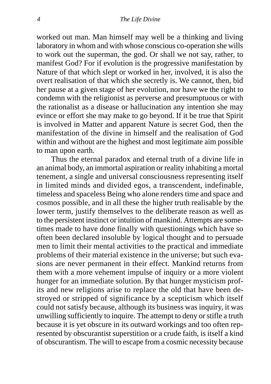worked out man. Man himself may well be a thinking and living laboratory in whom and with whose conscious co-operation she wills to work out the superman, the god. Or shall we not say, rather, to manifest God? For if evolution is the progressive manifestation by Nature of that which slept or worked in her, involved, it is also the overt realisation of that which she secretly is. We cannot, then, bid her pause at a given stage of her evolution, nor have we the right to condemn with the religionist as perverse and presumptuous or with the rationalist as a disease or hallucination any intention she may evince or effort she may make to go beyond. If it be true that Spirit is involved in Matter and apparent Nature is secret God, then the manifestation of the divine in himself and the realisation of God within and without are the highest and most legitimate aim possible to man upon earth.

Thus the eternal paradox and eternal truth of a divine life in an animal body, an immortal aspiration or reality inhabiting a mortal tenement, a single and universal consciousness representing itself in limited minds and divided egos, a transcendent, indefinable, timeless and spaceless Being who alone renders time and space and cosmos possible, and in all these the higher truth realisable by the lower term, justify themselves to the deliberate reason as well as to the persistent instinct or intuition of mankind. Attempts are sometimes made to have done finally with questionings which have so often been declared insoluble by logical thought and to persuade men to limit their mental activities to the practical and immediate problems of their material existence in the universe; but such evasions are never permanent in their effect. Mankind returns from them with a more vehement impulse of inquiry or a more violent hunger for an immediate solution. By that hunger mysticism profits and new religions arise to replace the old that have been destroyed or stripped of significance by a scepticism which itself could not satisfy because, although its business was inquiry, it was unwilling sufficiently to inquire. The attempt to deny or stifle a truth because it is yet obscure in its outward workings and too often represented by obscurantist superstition or a crude faith, is itself a kind of obscurantism. The will to escape from a cosmic necessity because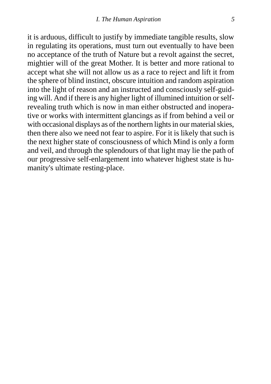it is arduous, difficult to justify by immediate tangible results, slow in regulating its operations, must turn out eventually to have been no acceptance of the truth of Nature but a revolt against the secret, mightier will of the great Mother. It is better and more rational to accept what she will not allow us as a race to reject and lift it from the sphere of blind instinct, obscure intuition and random aspiration into the light of reason and an instructed and consciously self-guiding will. And if there is any higher light of illumined intuition or selfrevealing truth which is now in man either obstructed and inoperative or works with intermittent glancings as if from behind a veil or with occasional displays as of the northern lights in our material skies, then there also we need not fear to aspire. For it is likely that such is the next higher state of consciousness of which Mind is only a form and veil, and through the splendours of that light may lie the path of our progressive self-enlargement into whatever highest state is humanity's ultimate resting-place.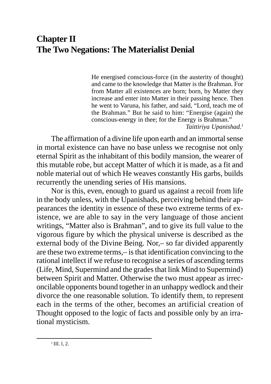# **Chapter II The Two Negations: The Materialist Denial**

He energised conscious-force (in the austerity of thought) and came to the knowledge that Matter is the Brahman. For from Matter all existences are born; born, by Matter they increase and enter into Matter in their passing hence. Then he went to Varuna, his father, and said, "Lord, teach me of the Brahman." But he said to him: "Energise (again) the conscious-energy in thee; for the Energy is Brahman." *Taittiriya Upanishad.1*

The affirmation of a divine life upon earth and an immortal sense in mortal existence can have no base unless we recognise not only eternal Spirit as the inhabitant of this bodily mansion, the wearer of this mutable robe, but accept Matter of which it is made, as a fit and noble material out of which He weaves constantly His garbs, builds recurrently the unending series of His mansions.

Nor is this, even, enough to guard us against a recoil from life in the body unless, with the Upanishads, perceiving behind their appearances the identity in essence of these two extreme terms of existence, we are able to say in the very language of those ancient writings, "Matter also is Brahman", and to give its full value to the vigorous figure by which the physical universe is described as the external body of the Divine Being. Nor,– so far divided apparently are these two extreme terms,– is that identification convincing to the rational intellect if we refuse to recognise a series of ascending terms (Life, Mind, Supermind and the grades that link Mind to Supermind) between Spirit and Matter. Otherwise the two must appear as irreconcilable opponents bound together in an unhappy wedlock and their divorce the one reasonable solution. To identify them, to represent each in the terms of the other, becomes an artificial creation of Thought opposed to the logic of facts and possible only by an irrational mysticism.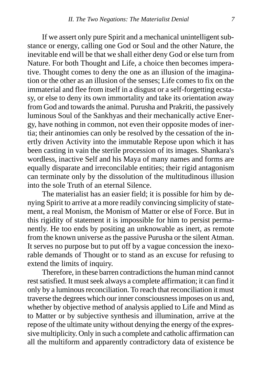If we assert only pure Spirit and a mechanical unintelligent substance or energy, calling one God or Soul and the other Nature, the inevitable end will be that we shall either deny God or else turn from Nature. For both Thought and Life, a choice then becomes imperative. Thought comes to deny the one as an illusion of the imagination or the other as an illusion of the senses; Life comes to fix on the immaterial and flee from itself in a disgust or a self-forgetting ecstasy, or else to deny its own immortality and take its orientation away from God and towards the animal. Purusha and Prakriti, the passively luminous Soul of the Sankhyas and their mechanically active Energy, have nothing in common, not even their opposite modes of inertia; their antinomies can only be resolved by the cessation of the inertly driven Activity into the immutable Repose upon which it has been casting in vain the sterile procession of its images. Shankara's wordless, inactive Self and his Maya of many names and forms are equally disparate and irreconcilable entities; their rigid antagonism can terminate only by the dissolution of the multitudinous illusion into the sole Truth of an eternal Silence.

The materialist has an easier field; it is possible for him by denying Spirit to arrive at a more readily convincing simplicity of statement, a real Monism, the Monism of Matter or else of Force. But in this rigidity of statement it is impossible for him to persist permanently. He too ends by positing an unknowable as inert, as remote from the known universe as the passive Purusha or the silent Atman. It serves no purpose but to put off by a vague concession the inexorable demands of Thought or to stand as an excuse for refusing to extend the limits of inquiry.

Therefore, in these barren contradictions the human mind cannot rest satisfied. It must seek always a complete affirmation; it can find it only by a luminous reconciliation. To reach that reconciliation it must traverse the degrees which our inner consciousness imposes on us and, whether by objective method of analysis applied to Life and Mind as to Matter or by subjective synthesis and illumination, arrive at the repose of the ultimate unity without denying the energy of the expressive multiplicity. Only in such a complete and catholic affirmation can all the multiform and apparently contradictory data of existence be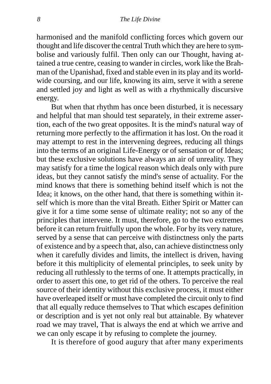harmonised and the manifold conflicting forces which govern our thought and life discover the central Truth which they are here to symbolise and variously fulfil. Then only can our Thought, having attained a true centre, ceasing to wander in circles, work like the Brahman of the Upanishad, fixed and stable even in its play and its worldwide coursing, and our life, knowing its aim, serve it with a serene and settled joy and light as well as with a rhythmically discursive energy.

But when that rhythm has once been disturbed, it is necessary and helpful that man should test separately, in their extreme assertion, each of the two great opposites. It is the mind's natural way of returning more perfectly to the affirmation it has lost. On the road it may attempt to rest in the intervening degrees, reducing all things into the terms of an original Life-Energy or of sensation or of Ideas; but these exclusive solutions have always an air of unreality. They may satisfy for a time the logical reason which deals only with pure ideas, but they cannot satisfy the mind's sense of actuality. For the mind knows that there is something behind itself which is not the Idea; it knows, on the other hand, that there is something within itself which is more than the vital Breath. Either Spirit or Matter can give it for a time some sense of ultimate reality; not so any of the principles that intervene. It must, therefore, go to the two extremes before it can return fruitfully upon the whole. For by its very nature, served by a sense that can perceive with distinctness only the parts of existence and by a speech that, also, can achieve distinctness only when it carefully divides and limits, the intellect is driven, having before it this multiplicity of elemental principles, to seek unity by reducing all ruthlessly to the terms of one. It attempts practically, in order to assert this one, to get rid of the others. To perceive the real source of their identity without this exclusive process, it must either have overleaped itself or must have completed the circuit only to find that all equally reduce themselves to That which escapes definition or description and is yet not only real but attainable. By whatever road we may travel, That is always the end at which we arrive and we can only escape it by refusing to complete the journey.

It is therefore of good augury that after many experiments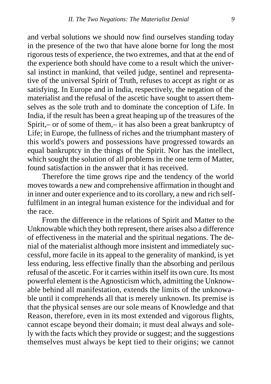and verbal solutions we should now find ourselves standing today in the presence of the two that have alone borne for long the most rigorous tests of experience, the two extremes, and that at the end of the experience both should have come to a result which the universal instinct in mankind, that veiled judge, sentinel and representative of the universal Spirit of Truth, refuses to accept as right or as satisfying. In Europe and in India, respectively, the negation of the materialist and the refusal of the ascetic have sought to assert themselves as the sole truth and to dominate the conception of Life. In India, if the result has been a great heaping up of the treasures of the Spirit,– or of some of them,– it has also been a great bankruptcy of Life; in Europe, the fullness of riches and the triumphant mastery of this world's powers and possessions have progressed towards an equal bankruptcy in the things of the Spirit. Nor has the intellect, which sought the solution of all problems in the one term of Matter, found satisfaction in the answer that it has received.

Therefore the time grows ripe and the tendency of the world moves towards a new and comprehensive affirmation in thought and in inner and outer experience and to its corollary, a new and rich selffulfilment in an integral human existence for the individual and for the race.

From the difference in the relations of Spirit and Matter to the Unknowable which they both represent, there arises also a difference of effectiveness in the material and the spiritual negations. The denial of the materialist although more insistent and immediately successful, more facile in its appeal to the generality of mankind, is yet less enduring, less effective finally than the absorbing and perilous refusal of the ascetic. For it carries within itself its own cure. Its most powerful element is the Agnosticism which, admitting the Unknowable behind all manifestation, extends the limits of the unknowable until it comprehends all that is merely unknown. Its premise is that the physical senses are our sole means of Knowledge and that Reason, therefore, even in its most extended and vigorous flights, cannot escape beyond their domain; it must deal always and solely with the facts which they provide or suggest; and the suggestions themselves must always be kept tied to their origins; we cannot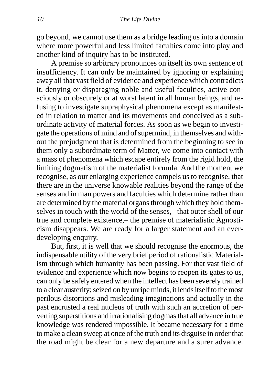go beyond, we cannot use them as a bridge leading us into a domain where more powerful and less limited faculties come into play and another kind of inquiry has to be instituted.

A premise so arbitrary pronounces on itself its own sentence of insufficiency. It can only be maintained by ignoring or explaining away all that vast field of evidence and experience which contradicts it, denying or disparaging noble and useful faculties, active consciously or obscurely or at worst latent in all human beings, and refusing to investigate supraphysical phenomena except as manifested in relation to matter and its movements and conceived as a subordinate activity of material forces. As soon as we begin to investigate the operations of mind and of supermind, in themselves and without the prejudgment that is determined from the beginning to see in them only a subordinate term of Matter, we come into contact with a mass of phenomena which escape entirely from the rigid hold, the limiting dogmatism of the materialist formula. And the moment we recognise, as our enlarging experience compels us to recognise, that there are in the universe knowable realities beyond the range of the senses and in man powers and faculties which determine rather than are determined by the material organs through which they hold themselves in touch with the world of the senses,– that outer shell of our true and complete existence,– the premise of materialistic Agnosticism disappears. We are ready for a larger statement and an everdeveloping enquiry.

But, first, it is well that we should recognise the enormous, the indispensable utility of the very brief period of rationalistic Materialism through which humanity has been passing. For that vast field of evidence and experience which now begins to reopen its gates to us, can only be safely entered when the intellect has been severely trained to a clear austerity; seized on by unripe minds, it lends itself to the most perilous distortions and misleading imaginations and actually in the past encrusted a real nucleus of truth with such an accretion of perverting superstitions and irrationalising dogmas that all advance in true knowledge was rendered impossible. It became necessary for a time to make a clean sweep at once of the truth and its disguise in order that the road might be clear for a new departure and a surer advance.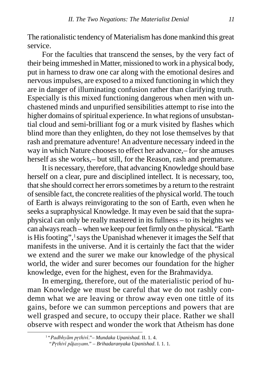The rationalistic tendency of Materialism has done mankind this great service.

For the faculties that transcend the senses, by the very fact of their being immeshed in Matter, missioned to work in a physical body, put in harness to draw one car along with the emotional desires and nervous impulses, are exposed to a mixed functioning in which they are in danger of illuminating confusion rather than clarifying truth. Especially is this mixed functioning dangerous when men with unchastened minds and unpurified sensibilities attempt to rise into the higher domains of spiritual experience. In what regions of unsubstantial cloud and semi-brilliant fog or a murk visited by flashes which blind more than they enlighten, do they not lose themselves by that rash and premature adventure! An adventure necessary indeed in the way in which Nature chooses to effect her advance,– for she amuses herself as she works,– but still, for the Reason, rash and premature.

It is necessary, therefore, that advancing Knowledge should base herself on a clear, pure and disciplined intellect. It is necessary, too, that she should correct her errors sometimes by a return to the restraint of sensible fact, the concrete realities of the physical world. The touch of Earth is always reinvigorating to the son of Earth, even when he seeks a supraphysical Knowledge. It may even be said that the supraphysical can only be really mastered in its fullness – to its heights we can always reach – when we keep our feet firmly on the physical. "Earth is His footing",<sup>1</sup> says the Upanishad whenever it images the Self that manifests in the universe. And it is certainly the fact that the wider we extend and the surer we make our knowledge of the physical world, the wider and surer becomes our foundation for the higher knowledge, even for the highest, even for the Brahmavidya.

In emerging, therefore, out of the materialistic period of human Knowledge we must be careful that we do not rashly condemn what we are leaving or throw away even one tittle of its gains, before we can summon perceptions and powers that are well grasped and secure, to occupy their place. Rather we shall observe with respect and wonder the work that Atheism has done

<sup>&</sup>lt;sup>1</sup>"Padbhyām prthivī." - Mundaka Upanishad. II. 1. 4.

<sup>&</sup>quot;Prthivī pājasyam." – Brihadaranyaka Upanishad. I. 1. 1.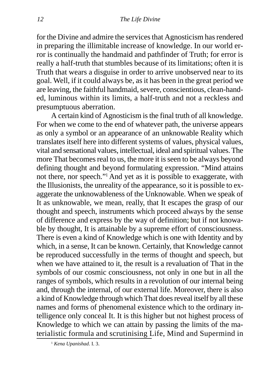for the Divine and admire the services that Agnosticism has rendered in preparing the illimitable increase of knowledge. In our world error is continually the handmaid and pathfinder of Truth; for error is really a half-truth that stumbles because of its limitations; often it is Truth that wears a disguise in order to arrive unobserved near to its goal. Well, if it could always be, as it has been in the great period we are leaving, the faithful handmaid, severe, conscientious, clean-handed, luminous within its limits, a half-truth and not a reckless and presumptuous aberration.

A certain kind of Agnosticism is the final truth of all knowledge. For when we come to the end of whatever path, the universe appears as only a symbol or an appearance of an unknowable Reality which translates itself here into different systems of values, physical values, vital and sensational values, intellectual, ideal and spiritual values. The more That becomes real to us, the more it is seen to be always beyond defining thought and beyond formulating expression. "Mind attains not there, nor speech."1 And yet as it is possible to exaggerate, with the Illusionists, the unreality of the appearance, so it is possible to exaggerate the unknowableness of the Unknowable. When we speak of It as unknowable, we mean, really, that It escapes the grasp of our thought and speech, instruments which proceed always by the sense of difference and express by the way of definition; but if not knowable by thought, It is attainable by a supreme effort of consciousness. There is even a kind of Knowledge which is one with Identity and by which, in a sense, It can be known. Certainly, that Knowledge cannot be reproduced successfully in the terms of thought and speech, but when we have attained to it, the result is a revaluation of That in the symbols of our cosmic consciousness, not only in one but in all the ranges of symbols, which results in a revolution of our internal being and, through the internal, of our external life. Moreover, there is also a kind of Knowledge through which That does reveal itself by all these names and forms of phenomenal existence which to the ordinary intelligence only conceal It. It is this higher but not highest process of Knowledge to which we can attain by passing the limits of the materialistic formula and scrutinising Life, Mind and Supermind in

<sup>1</sup> *Kena Upanishad*. I. 3.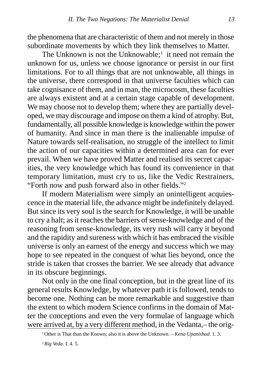the phenomena that are characteristic of them and not merely in those subordinate movements by which they link themselves to Matter.

The Unknown is not the Unknowable;<sup>1</sup> it need not remain the unknown for us, unless we choose ignorance or persist in our first limitations. For to all things that are not unknowable, all things in the universe, there correspond in that universe faculties which can take cognisance of them, and in man, the microcosm, these faculties are always existent and at a certain stage capable of development. We may choose not to develop them; where they are partially developed, we may discourage and impose on them a kind of atrophy. But, fundamentally, all possible knowledge is knowledge within the power of humanity. And since in man there is the inalienable impulse of Nature towards self-realisation, no struggle of the intellect to limit the action of our capacities within a determined area can for ever prevail. When we have proved Matter and realised its secret capacities, the very knowledge which has found its convenience in that temporary limitation, must cry to us, like the Vedic Restrainers, "Forth now and push forward also in other fields."2

If modern Materialism were simply an unintelligent acquiescence in the material life, the advance might be indefinitely delayed. But since its very soul is the search for Knowledge, it will be unable to cry a halt; as it reaches the barriers of sense-knowledge and of the reasoning from sense-knowledge, its very rush will carry it beyond and the rapidity and sureness with which it has embraced the visible universe is only an earnest of the energy and success which we may hope to see repeated in the conquest of what lies beyond, once the stride is taken that crosses the barrier. We see already that advance in its obscure beginnings.

Not only in the one final conception, but in the great line of its general results Knowledge, by whatever path it is followed, tends to become one. Nothing can be more remarkable and suggestive than the extent to which modern Science confirms in the domain of Matter the conceptions and even the very formulae of language which were arrived at, by a very different method, in the Vedanta,– the orig-

<sup>1</sup> Other is That than the Known; also it is above the Unknown. – *Kena Upanishad*. 1. 3.

<sup>2</sup>*Rig Veda*. I. 4. 5.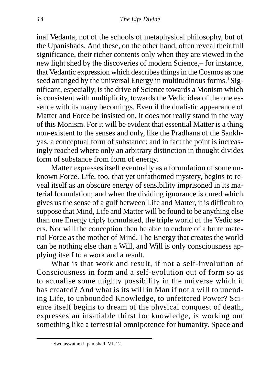inal Vedanta, not of the schools of metaphysical philosophy, but of the Upanishads. And these, on the other hand, often reveal their full significance, their richer contents only when they are viewed in the new light shed by the discoveries of modern Science,– for instance, that Vedantic expression which describes things in the Cosmos as one seed arranged by the universal Energy in multitudinous forms.<sup>1</sup> Significant, especially, is the drive of Science towards a Monism which is consistent with multiplicity, towards the Vedic idea of the one essence with its many becomings. Even if the dualistic appearance of Matter and Force be insisted on, it does not really stand in the way of this Monism. For it will be evident that essential Matter is a thing non-existent to the senses and only, like the Pradhana of the Sankhyas, a conceptual form of substance; and in fact the point is increasingly reached where only an arbitrary distinction in thought divides form of substance from form of energy.

Matter expresses itself eventually as a formulation of some unknown Force. Life, too, that yet unfathomed mystery, begins to reveal itself as an obscure energy of sensibility imprisoned in its material formulation; and when the dividing ignorance is cured which gives us the sense of a gulf between Life and Matter, it is difficult to suppose that Mind, Life and Matter will be found to be anything else than one Energy triply formulated, the triple world of the Vedic seers. Nor will the conception then be able to endure of a brute material Force as the mother of Mind. The Energy that creates the world can be nothing else than a Will, and Will is only consciousness applying itself to a work and a result.

What is that work and result, if not a self-involution of Consciousness in form and a self-evolution out of form so as to actualise some mighty possibility in the universe which it has created? And what is its will in Man if not a will to unending Life, to unbounded Knowledge, to unfettered Power? Science itself begins to dream of the physical conquest of death, expresses an insatiable thirst for knowledge, is working out something like a terrestrial omnipotence for humanity. Space and

<sup>&</sup>lt;sup>1</sup> Swetaswatara Upanishad. VI. 12.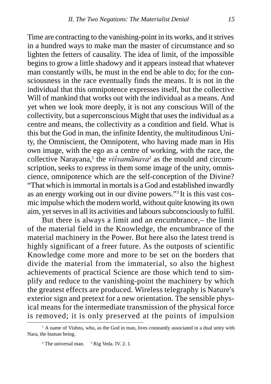Time are contracting to the vanishing-point in its works, and it strives in a hundred ways to make man the master of circumstance and so lighten the fetters of causality. The idea of limit, of the impossible begins to grow a little shadowy and it appears instead that whatever man constantly wills, he must in the end be able to do; for the consciousness in the race eventually finds the means. It is not in the individual that this omnipotence expresses itself, but the collective Will of mankind that works out with the individual as a means. And yet when we look more deeply, it is not any conscious Will of the collectivity, but a superconscious Might that uses the individual as a centre and means, the collectivity as a condition and field. What is this but the God in man, the infinite Identity, the multitudinous Unity, the Omniscient, the Omnipotent, who having made man in His own image, with the ego as a centre of working, with the race, the collective Narayana,<sup>1</sup> the *viśvamānava*<sup>2</sup> as the mould and circumscription, seeks to express in them some image of the unity, omniscience, omnipotence which are the self-conception of the Divine? "That which is immortal in mortals is a God and established inwardly as an energy working out in our divine powers."3 It is this vast cosmic impulse which the modern world, without quite knowing its own aim, yet serves in all its activities and labours subconsciously to fulfil.

But there is always a limit and an encumbrance,– the limit of the material field in the Knowledge, the encumbrance of the material machinery in the Power. But here also the latest trend is highly significant of a freer future. As the outposts of scientific Knowledge come more and more to be set on the borders that divide the material from the immaterial, so also the highest achievements of practical Science are those which tend to simplify and reduce to the vanishing-point the machinery by which the greatest effects are produced. Wireless telegraphy is Nature's exterior sign and pretext for a new orientation. The sensible physical means for the intermediate transmission of the physical force is removed; it is only preserved at the points of impulsion

<sup>&</sup>lt;sup>1</sup> A name of Vishnu, who, as the God in man, lives constantly associated in a dual unity with Nara, the human being.

<sup>&</sup>lt;sup>2</sup> The universal man.  $3$  Rig Veda. IV. 2. 1.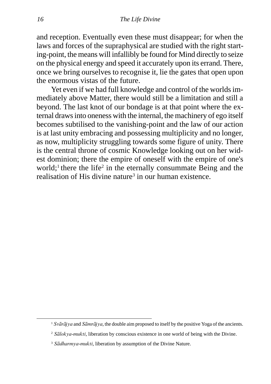and reception. Eventually even these must disappear; for when the laws and forces of the supraphysical are studied with the right starting-point, the means will infallibly be found for Mind directly to seize on the physical energy and speed it accurately upon its errand. There, once we bring ourselves to recognise it, lie the gates that open upon the enormous vistas of the future.

Yet even if we had full knowledge and control of the worlds immediately above Matter, there would still be a limitation and still a beyond. The last knot of our bondage is at that point where the external draws into oneness with the internal, the machinery of ego itself becomes subtilised to the vanishing-point and the law of our action is at last unity embracing and possessing multiplicity and no longer, as now, multiplicity struggling towards some figure of unity. There is the central throne of cosmic Knowledge looking out on her widest dominion; there the empire of oneself with the empire of one's world;<sup>1</sup> there the life<sup>2</sup> in the eternally consummate Being and the realisation of His divine nature<sup>3</sup> in our human existence.

<sup>&</sup>lt;sup>1</sup> Svārājya and Sāmrājya, the double aim proposed to itself by the positive Yoga of the ancients.

 $2$  S $\bar{a}$ lokya-mukti, liberation by conscious existence in one world of being with the Divine.

 $3$  S $\bar{a}$ dharmya-mukti, liberation by assumption of the Divine Nature.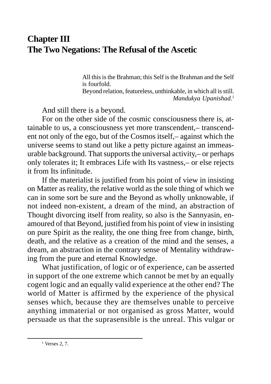# **Chapter III The Two Negations: The Refusal of the Ascetic**

All this is the Brahman; this Self is the Brahman and the Self is fourfold.

Beyond relation, featureless, unthinkable, in which all is still. *Mandukya Upanishad.1*

And still there is a beyond.

For on the other side of the cosmic consciousness there is, attainable to us, a consciousness yet more transcendent,– transcendent not only of the ego, but of the Cosmos itself,– against which the universe seems to stand out like a petty picture against an immeasurable background. That supports the universal activity,– or perhaps only tolerates it; It embraces Life with Its vastness,– or else rejects it from Its infinitude.

If the materialist is justified from his point of view in insisting on Matter as reality, the relative world as the sole thing of which we can in some sort be sure and the Beyond as wholly unknowable, if not indeed non-existent, a dream of the mind, an abstraction of Thought divorcing itself from reality, so also is the Sannyasin, enamoured of that Beyond, justified from his point of view in insisting on pure Spirit as the reality, the one thing free from change, birth, death, and the relative as a creation of the mind and the senses, a dream, an abstraction in the contrary sense of Mentality withdrawing from the pure and eternal Knowledge.

What justification, of logic or of experience, can be asserted in support of the one extreme which cannot be met by an equally cogent logic and an equally valid experience at the other end? The world of Matter is affirmed by the experience of the physical senses which, because they are themselves unable to perceive anything immaterial or not organised as gross Matter, would persuade us that the suprasensible is the unreal. This vulgar or

<sup>1</sup> Verses 2, 7.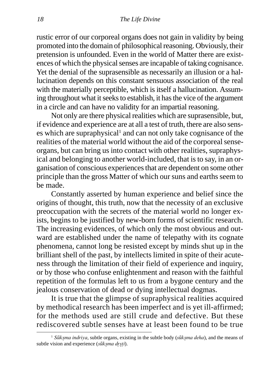rustic error of our corporeal organs does not gain in validity by being promoted into the domain of philosophical reasoning. Obviously, their pretension is unfounded. Even in the world of Matter there are existences of which the physical senses are incapable of taking cognisance. Yet the denial of the suprasensible as necessarily an illusion or a hallucination depends on this constant sensuous association of the real with the materially perceptible, which is itself a hallucination. Assuming throughout what it seeks to establish, it has the vice of the argument in a circle and can have no validity for an impartial reasoning.

Not only are there physical realities which are suprasensible, but, if evidence and experience are at all a test of truth, there are also senses which are supraphysical<sup>1</sup> and can not only take cognisance of the realities of the material world without the aid of the corporeal senseorgans, but can bring us into contact with other realities, supraphysical and belonging to another world-included, that is to say, in an organisation of conscious experiences that are dependent on some other principle than the gross Matter of which our suns and earths seem to be made.

Constantly asserted by human experience and belief since the origins of thought, this truth, now that the necessity of an exclusive preoccupation with the secrets of the material world no longer exists, begins to be justified by new-born forms of scientific research. The increasing evidences, of which only the most obvious and outward are established under the name of telepathy with its cognate phenomena, cannot long be resisted except by minds shut up in the brilliant shell of the past, by intellects limited in spite of their acuteness through the limitation of their field of experience and inquiry, or by those who confuse enlightenment and reason with the faithful repetition of the formulas left to us from a bygone century and the jealous conservation of dead or dying intellectual dogmas.

It is true that the glimpse of supraphysical realities acquired by methodical research has been imperfect and is yet ill-affirmed; for the methods used are still crude and defective. But these rediscovered subtle senses have at least been found to be true

<sup>&</sup>lt;sup>1</sup> Sūksma indriya, subtle organs, existing in the subtle body (sūksma deha), and the means of subtle vision and experience (sūksma drsti).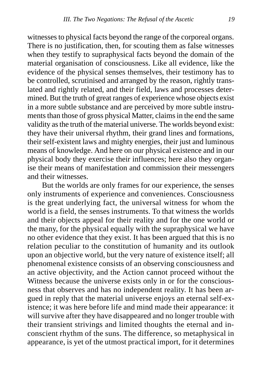witnesses to physical facts beyond the range of the corporeal organs. There is no justification, then, for scouting them as false witnesses when they testify to supraphysical facts beyond the domain of the material organisation of consciousness. Like all evidence, like the evidence of the physical senses themselves, their testimony has to be controlled, scrutinised and arranged by the reason, rightly translated and rightly related, and their field, laws and processes determined. But the truth of great ranges of experience whose objects exist in a more subtle substance and are perceived by more subtle instruments than those of gross physical Matter, claims in the end the same validity as the truth of the material universe. The worlds beyond exist: they have their universal rhythm, their grand lines and formations, their self-existent laws and mighty energies, their just and luminous means of knowledge. And here on our physical existence and in our physical body they exercise their influences; here also they organise their means of manifestation and commission their messengers and their witnesses.

But the worlds are only frames for our experience, the senses only instruments of experience and conveniences. Consciousness is the great underlying fact, the universal witness for whom the world is a field, the senses instruments. To that witness the worlds and their objects appeal for their reality and for the one world or the many, for the physical equally with the supraphysical we have no other evidence that they exist. It has been argued that this is no relation peculiar to the constitution of humanity and its outlook upon an objective world, but the very nature of existence itself; all phenomenal existence consists of an observing consciousness and an active objectivity, and the Action cannot proceed without the Witness because the universe exists only in or for the consciousness that observes and has no independent reality. It has been argued in reply that the material universe enjoys an eternal self-existence; it was here before life and mind made their appearance: it will survive after they have disappeared and no longer trouble with their transient strivings and limited thoughts the eternal and inconscient rhythm of the suns. The difference, so metaphysical in appearance, is yet of the utmost practical import, for it determines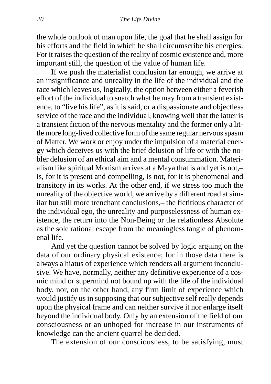the whole outlook of man upon life, the goal that he shall assign for his efforts and the field in which he shall circumscribe his energies. For it raises the question of the reality of cosmic existence and, more important still, the question of the value of human life.

If we push the materialist conclusion far enough, we arrive at an insignificance and unreality in the life of the individual and the race which leaves us, logically, the option between either a feverish effort of the individual to snatch what he may from a transient existence, to "live his life", as it is said, or a dispassionate and objectless service of the race and the individual, knowing well that the latter is a transient fiction of the nervous mentality and the former only a little more long-lived collective form of the same regular nervous spasm of Matter. We work or enjoy under the impulsion of a material energy which deceives us with the brief delusion of life or with the nobler delusion of an ethical aim and a mental consummation. Materialism like spiritual Monism arrives at a Maya that is and yet is not,– is, for it is present and compelling, is not, for it is phenomenal and transitory in its works. At the other end, if we stress too much the unreality of the objective world, we arrive by a different road at similar but still more trenchant conclusions,– the fictitious character of the individual ego, the unreality and purposelessness of human existence, the return into the Non-Being or the relationless Absolute as the sole rational escape from the meaningless tangle of phenomenal life.

And yet the question cannot be solved by logic arguing on the data of our ordinary physical existence; for in those data there is always a hiatus of experience which renders all argument inconclusive. We have, normally, neither any definitive experience of a cosmic mind or supermind not bound up with the life of the individual body, nor, on the other hand, any firm limit of experience which would justify us in supposing that our subjective self really depends upon the physical frame and can neither survive it nor enlarge itself beyond the individual body. Only by an extension of the field of our consciousness or an unhoped-for increase in our instruments of knowledge can the ancient quarrel be decided.

The extension of our consciousness, to be satisfying, must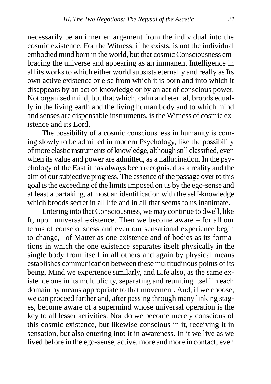necessarily be an inner enlargement from the individual into the cosmic existence. For the Witness, if he exists, is not the individual embodied mind born in the world, but that cosmic Consciousness embracing the universe and appearing as an immanent Intelligence in all its works to which either world subsists eternally and really as Its own active existence or else from which it is born and into which it disappears by an act of knowledge or by an act of conscious power. Not organised mind, but that which, calm and eternal, broods equally in the living earth and the living human body and to which mind and senses are dispensable instruments, is the Witness of cosmic existence and its Lord.

The possibility of a cosmic consciousness in humanity is coming slowly to be admitted in modern Psychology, like the possibility of more elastic instruments of knowledge, although still classified, even when its value and power are admitted, as a hallucination. In the psychology of the East it has always been recognised as a reality and the aim of our subjective progress. The essence of the passage over to this goal is the exceeding of the limits imposed on us by the ego-sense and at least a partaking, at most an identification with the self-knowledge which broods secret in all life and in all that seems to us inanimate.

Entering into that Consciousness, we may continue to dwell, like It, upon universal existence. Then we become aware – for all our terms of consciousness and even our sensational experience begin to change,– of Matter as one existence and of bodies as its formations in which the one existence separates itself physically in the single body from itself in all others and again by physical means establishes communication between these multitudinous points of its being. Mind we experience similarly, and Life also, as the same existence one in its multiplicity, separating and reuniting itself in each domain by means appropriate to that movement. And, if we choose, we can proceed farther and, after passing through many linking stages, become aware of a supermind whose universal operation is the key to all lesser activities. Nor do we become merely conscious of this cosmic existence, but likewise conscious in it, receiving it in sensation, but also entering into it in awareness. In it we live as we lived before in the ego-sense, active, more and more in contact, even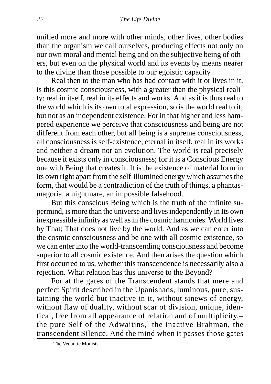unified more and more with other minds, other lives, other bodies than the organism we call ourselves, producing effects not only on our own moral and mental being and on the subjective being of others, but even on the physical world and its events by means nearer to the divine than those possible to our egoistic capacity.

Real then to the man who has had contact with it or lives in it, is this cosmic consciousness, with a greater than the physical reality; real in itself, real in its effects and works. And as it is thus real to the world which is its own total expression, so is the world real to it; but not as an independent existence. For in that higher and less hampered experience we perceive that consciousness and being are not different from each other, but all being is a supreme consciousness, all consciousness is self-existence, eternal in itself, real in its works and neither a dream nor an evolution. The world is real precisely because it exists only in consciousness; for it is a Conscious Energy one with Being that creates it. It is the existence of material form in its own right apart from the self-illumined energy which assumes the form, that would be a contradiction of the truth of things, a phantasmagoria, a nightmare, an impossible falsehood.

But this conscious Being which is the truth of the infinite supermind, is more than the universe and lives independently in Its own inexpressible infinity as well as in the cosmic harmonies. World lives by That; That does not live by the world. And as we can enter into the cosmic consciousness and be one with all cosmic existence, so we can enter into the world-transcending consciousness and become superior to all cosmic existence. And then arises the question which first occurred to us, whether this transcendence is necessarily also a rejection. What relation has this universe to the Beyond?

For at the gates of the Transcendent stands that mere and perfect Spirit described in the Upanishads, luminous, pure, sustaining the world but inactive in it, without sinews of energy, without flaw of duality, without scar of division, unique, identical, free from all appearance of relation and of multiplicity,– the pure Self of the Adwaitins, $<sup>1</sup>$  the inactive Brahman, the</sup> transcendent Silence. And the mind when it passes those gates

<sup>&</sup>lt;sup>1</sup> The Vedantic Monists.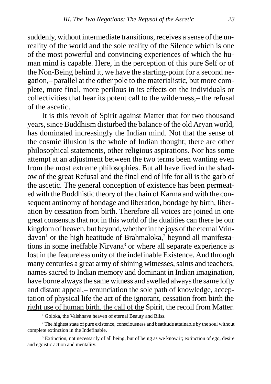suddenly, without intermediate transitions, receives a sense of the unreality of the world and the sole reality of the Silence which is one of the most powerful and convincing experiences of which the human mind is capable. Here, in the perception of this pure Self or of the Non-Being behind it, we have the starting-point for a second negation,– parallel at the other pole to the materialistic, but more complete, more final, more perilous in its effects on the individuals or collectivities that hear its potent call to the wilderness,– the refusal of the ascetic.

It is this revolt of Spirit against Matter that for two thousand years, since Buddhism disturbed the balance of the old Aryan world, has dominated increasingly the Indian mind. Not that the sense of the cosmic illusion is the whole of Indian thought; there are other philosophical statements, other religious aspirations. Nor has some attempt at an adjustment between the two terms been wanting even from the most extreme philosophies. But all have lived in the shadow of the great Refusal and the final end of life for all is the garb of the ascetic. The general conception of existence has been permeated with the Buddhistic theory of the chain of Karma and with the consequent antinomy of bondage and liberation, bondage by birth, liberation by cessation from birth. Therefore all voices are joined in one great consensus that not in this world of the dualities can there be our kingdom of heaven, but beyond, whether in the joys of the eternal Vrindavan<sup>1</sup> or the high beatitude of Brahmaloka,<sup>2</sup> beyond all manifestations in some ineffable Nirvana<sup>3</sup> or where all separate experience is lost in the featureless unity of the indefinable Existence. And through many centuries a great army of shining witnesses, saints and teachers, names sacred to Indian memory and dominant in Indian imagination, have borne always the same witness and swelled always the same lofty and distant appeal,– renunciation the sole path of knowledge, acceptation of physical life the act of the ignorant, cessation from birth the right use of human birth, the call of the Spirit, the recoil from Matter.

<sup>&</sup>lt;sup>1</sup> Goloka, the Vaishnava heaven of eternal Beauty and Bliss.

<sup>&</sup>lt;sup>2</sup> The highest state of pure existence, consciousness and beatitude attainable by the soul without complete extinction in the Indefinable.

<sup>&</sup>lt;sup>3</sup> Extinction, not necessarily of all being, but of being as we know it; extinction of ego, desire and egoistic action and mentality.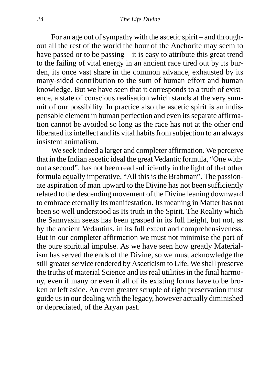For an age out of sympathy with the ascetic spirit – and throughout all the rest of the world the hour of the Anchorite may seem to have passed or to be passing – it is easy to attribute this great trend to the failing of vital energy in an ancient race tired out by its burden, its once vast share in the common advance, exhausted by its many-sided contribution to the sum of human effort and human knowledge. But we have seen that it corresponds to a truth of existence, a state of conscious realisation which stands at the very summit of our possibility. In practice also the ascetic spirit is an indispensable element in human perfection and even its separate affirmation cannot be avoided so long as the race has not at the other end liberated its intellect and its vital habits from subjection to an always insistent animalism.

We seek indeed a larger and completer affirmation. We perceive that in the Indian ascetic ideal the great Vedantic formula, "One without a second", has not been read sufficiently in the light of that other formula equally imperative, "All this is the Brahman". The passionate aspiration of man upward to the Divine has not been sufficiently related to the descending movement of the Divine leaning downward to embrace eternally Its manifestation. Its meaning in Matter has not been so well understood as Its truth in the Spirit. The Reality which the Sannyasin seeks has been grasped in its full height, but not, as by the ancient Vedantins, in its full extent and comprehensiveness. But in our completer affirmation we must not minimise the part of the pure spiritual impulse. As we have seen how greatly Materialism has served the ends of the Divine, so we must acknowledge the still greater service rendered by Asceticism to Life. We shall preserve the truths of material Science and its real utilities in the final harmony, even if many or even if all of its existing forms have to be broken or left aside. An even greater scruple of right preservation must guide us in our dealing with the legacy, however actually diminished or depreciated, of the Aryan past.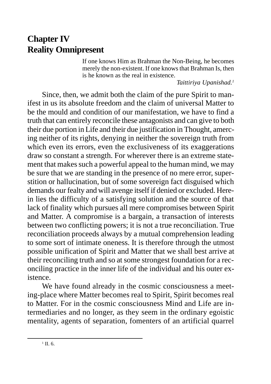# **Chapter IV Reality Omnipresent**

If one knows Him as Brahman the Non-Being, he becomes merely the non-existent. If one knows that Brahman Is, then is he known as the real in existence.

*Taittiriya Upanishad.1*

Since, then, we admit both the claim of the pure Spirit to manifest in us its absolute freedom and the claim of universal Matter to be the mould and condition of our manifestation, we have to find a truth that can entirely reconcile these antagonists and can give to both their due portion in Life and their due justification in Thought, amercing neither of its rights, denying in neither the sovereign truth from which even its errors, even the exclusiveness of its exaggerations draw so constant a strength. For wherever there is an extreme statement that makes such a powerful appeal to the human mind, we may be sure that we are standing in the presence of no mere error, superstition or hallucination, but of some sovereign fact disguised which demands our fealty and will avenge itself if denied or excluded. Herein lies the difficulty of a satisfying solution and the source of that lack of finality which pursues all mere compromises between Spirit and Matter. A compromise is a bargain, a transaction of interests between two conflicting powers; it is not a true reconciliation. True reconciliation proceeds always by a mutual comprehension leading to some sort of intimate oneness. It is therefore through the utmost possible unification of Spirit and Matter that we shall best arrive at their reconciling truth and so at some strongest foundation for a reconciling practice in the inner life of the individual and his outer existence.

We have found already in the cosmic consciousness a meeting-place where Matter becomes real to Spirit, Spirit becomes real to Matter. For in the cosmic consciousness Mind and Life are intermediaries and no longer, as they seem in the ordinary egoistic mentality, agents of separation, fomenters of an artificial quarrel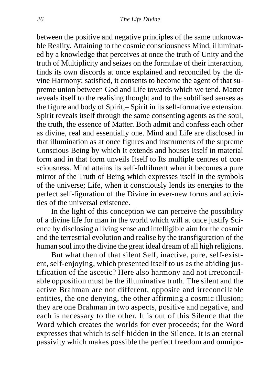between the positive and negative principles of the same unknowable Reality. Attaining to the cosmic consciousness Mind, illuminated by a knowledge that perceives at once the truth of Unity and the truth of Multiplicity and seizes on the formulae of their interaction, finds its own discords at once explained and reconciled by the divine Harmony; satisfied, it consents to become the agent of that supreme union between God and Life towards which we tend. Matter reveals itself to the realising thought and to the subtilised senses as the figure and body of Spirit,– Spirit in its self-formative extension. Spirit reveals itself through the same consenting agents as the soul, the truth, the essence of Matter. Both admit and confess each other as divine, real and essentially one. Mind and Life are disclosed in that illumination as at once figures and instruments of the supreme Conscious Being by which It extends and houses Itself in material form and in that form unveils Itself to Its multiple centres of consciousness. Mind attains its self-fulfilment when it becomes a pure mirror of the Truth of Being which expresses itself in the symbols of the universe; Life, when it consciously lends its energies to the perfect self-figuration of the Divine in ever-new forms and activities of the universal existence.

In the light of this conception we can perceive the possibility of a divine life for man in the world which will at once justify Science by disclosing a living sense and intelligible aim for the cosmic and the terrestrial evolution and realise by the transfiguration of the human soul into the divine the great ideal dream of all high religions.

But what then of that silent Self, inactive, pure, self-existent, self-enjoying, which presented itself to us as the abiding justification of the ascetic? Here also harmony and not irreconcilable opposition must be the illuminative truth. The silent and the active Brahman are not different, opposite and irreconcilable entities, the one denying, the other affirming a cosmic illusion; they are one Brahman in two aspects, positive and negative, and each is necessary to the other. It is out of this Silence that the Word which creates the worlds for ever proceeds; for the Word expresses that which is self-hidden in the Silence. It is an eternal passivity which makes possible the perfect freedom and omnipo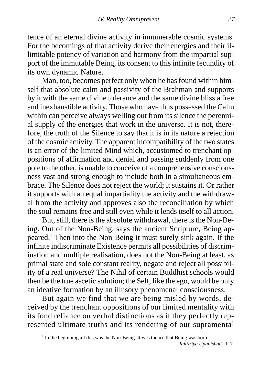tence of an eternal divine activity in innumerable cosmic systems. For the becomings of that activity derive their energies and their illimitable potency of variation and harmony from the impartial support of the immutable Being, its consent to this infinite fecundity of its own dynamic Nature.

Man, too, becomes perfect only when he has found within himself that absolute calm and passivity of the Brahman and supports by it with the same divine tolerance and the same divine bliss a free and inexhaustible activity. Those who have thus possessed the Calm within can perceive always welling out from its silence the perennial supply of the energies that work in the universe. It is not, therefore, the truth of the Silence to say that it is in its nature a rejection of the cosmic activity. The apparent incompatibility of the two states is an error of the limited Mind which, accustomed to trenchant oppositions of affirmation and denial and passing suddenly from one pole to the other, is unable to conceive of a comprehensive consciousness vast and strong enough to include both in a simultaneous embrace. The Silence does not reject the world; it sustains it. Or rather it supports with an equal impartiality the activity and the withdrawal from the activity and approves also the reconciliation by which the soul remains free and still even while it lends itself to all action.

But, still, there is the absolute withdrawal, there is the Non-Being. Out of the Non-Being, says the ancient Scripture, Being appeared.<sup>1</sup> Then into the Non-Being it must surely sink again. If the infinite indiscriminate Existence permits all possibilities of discrimination and multiple realisation, does not the Non-Being at least, as primal state and sole constant reality, negate and reject all possibility of a real universe? The Nihil of certain Buddhist schools would then be the true ascetic solution; the Self, like the ego, would be only an ideative formation by an illusory phenomenal consciousness.

But again we find that we are being misled by words, deceived by the trenchant oppositions of our limited mentality with its fond reliance on verbal distinctions as if they perfectly represented ultimate truths and its rendering of our supramental

<sup>&</sup>lt;sup>1</sup> In the beginning all this was the Non-Being. It was thence that Being was born.

<sup>–</sup>*Taittiriya Upanishad*. II. 7.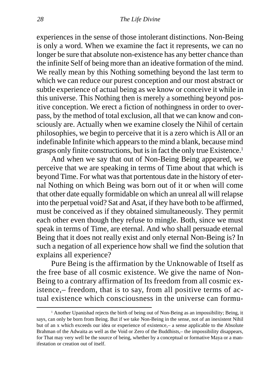experiences in the sense of those intolerant distinctions. Non-Being is only a word. When we examine the fact it represents, we can no longer be sure that absolute non-existence has any better chance than the infinite Self of being more than an ideative formation of the mind. We really mean by this Nothing something beyond the last term to which we can reduce our purest conception and our most abstract or subtle experience of actual being as we know or conceive it while in this universe. This Nothing then is merely a something beyond positive conception. We erect a fiction of nothingness in order to overpass, by the method of total exclusion, all that we can know and consciously are. Actually when we examine closely the Nihil of certain philosophies, we begin to perceive that it is a zero which is All or an indefinable Infinite which appears to the mind a blank, because mind grasps only finite constructions, but is in fact the only true Existence.1

And when we say that out of Non-Being Being appeared, we perceive that we are speaking in terms of Time about that which is beyond Time. For what was that portentous date in the history of eternal Nothing on which Being was born out of it or when will come that other date equally formidable on which an unreal all will relapse into the perpetual void? Sat and Asat, if they have both to be affirmed, must be conceived as if they obtained simultaneously. They permit each other even though they refuse to mingle. Both, since we must speak in terms of Time, are eternal. And who shall persuade eternal Being that it does not really exist and only eternal Non-Being is? In such a negation of all experience how shall we find the solution that explains all experience?

Pure Being is the affirmation by the Unknowable of Itself as the free base of all cosmic existence. We give the name of Non-Being to a contrary affirmation of Its freedom from all cosmic existence,– freedom, that is to say, from all positive terms of actual existence which consciousness in the universe can formu-

<sup>1</sup> Another Upanishad rejects the birth of being out of Non-Being as an impossibility; Being, it says, can only be born from Being. But if we take Non-Being in the sense, not of an inexistent Nihil but of an x which exceeds our idea or experience of existence,– a sense applicable to the Absolute Brahman of the Adwaita as well as the Void or Zero of the Buddhists,– the impossibility disappears, for That may very well be the source of being, whether by a conceptual or formative Maya or a manifestation or creation out of itself.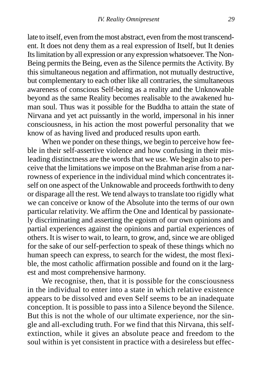late to itself, even from the most abstract, even from the most transcendent. It does not deny them as a real expression of Itself, but It denies Its limitation by all expression or any expression whatsoever. The Non-Being permits the Being, even as the Silence permits the Activity. By this simultaneous negation and affirmation, not mutually destructive, but complementary to each other like all contraries, the simultaneous awareness of conscious Self-being as a reality and the Unknowable beyond as the same Reality becomes realisable to the awakened human soul. Thus was it possible for the Buddha to attain the state of Nirvana and yet act puissantly in the world, impersonal in his inner consciousness, in his action the most powerful personality that we know of as having lived and produced results upon earth.

When we ponder on these things, we begin to perceive how feeble in their self-assertive violence and how confusing in their misleading distinctness are the words that we use. We begin also to perceive that the limitations we impose on the Brahman arise from a narrowness of experience in the individual mind which concentrates itself on one aspect of the Unknowable and proceeds forthwith to deny or disparage all the rest. We tend always to translate too rigidly what we can conceive or know of the Absolute into the terms of our own particular relativity. We affirm the One and Identical by passionately discriminating and asserting the egoism of our own opinions and partial experiences against the opinions and partial experiences of others. It is wiser to wait, to learn, to grow, and, since we are obliged for the sake of our self-perfection to speak of these things which no human speech can express, to search for the widest, the most flexible, the most catholic affirmation possible and found on it the largest and most comprehensive harmony.

We recognise, then, that it is possible for the consciousness in the individual to enter into a state in which relative existence appears to be dissolved and even Self seems to be an inadequate conception. It is possible to pass into a Silence beyond the Silence. But this is not the whole of our ultimate experience, nor the single and all-excluding truth. For we find that this Nirvana, this selfextinction, while it gives an absolute peace and freedom to the soul within is yet consistent in practice with a desireless but effec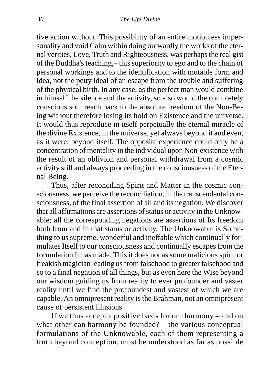tive action without. This possibility of an entire motionless impersonality and void Calm within doing outwardly the works of the eternal verities, Love, Truth and Righteousness, was perhaps the real gist of the Buddha's teaching,– this superiority to ego and to the chain of personal workings and to the identification with mutable form and idea, not the petty ideal of an escape from the trouble and suffering of the physical birth. In any case, as the perfect man would combine in himself the silence and the activity, so also would the completely conscious soul reach back to the absolute freedom of the Non-Being without therefore losing its hold on Existence and the universe. It would thus reproduce in itself perpetually the eternal miracle of the divine Existence, in the universe, yet always beyond it and even, as it were, beyond itself. The opposite experience could only be a concentration of mentality in the individual upon Non-existence with the result of an oblivion and personal withdrawal from a cosmic activity still and always proceeding in the consciousness of the Eternal Being.

Thus, after reconciling Spirit and Matter in the cosmic consciousness, we perceive the reconciliation, in the transcendental consciousness, of the final assertion of all and its negation. We discover that all affirmations are assertions of status or activity in the Unknowable; all the corresponding negations are assertions of Its freedom both from and in that status or activity. The Unknowable is Something to us supreme, wonderful and ineffable which continually formulates Itself to our consciousness and continually escapes from the formulation It has made. This it does not as some malicious spirit or freakish magician leading us from falsehood to greater falsehood and so to a final negation of all things, but as even here the Wise beyond our wisdom guiding us from reality to ever profounder and vaster reality until we find the profoundest and vastest of which we are capable. An omnipresent reality is the Brahman, not an omnipresent cause of persistent illusions.

If we thus accept a positive basis for our harmony – and on what other can harmony be founded? – the various conceptual formulations of the Unknowable, each of them representing a truth beyond conception, must be understood as far as possible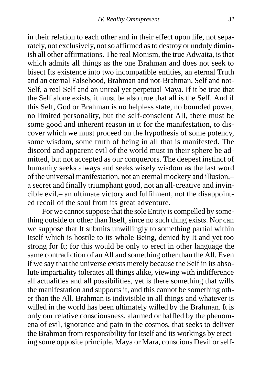in their relation to each other and in their effect upon life, not separately, not exclusively, not so affirmed as to destroy or unduly diminish all other affirmations. The real Monism, the true Adwaita, is that which admits all things as the one Brahman and does not seek to bisect Its existence into two incompatible entities, an eternal Truth and an eternal Falsehood, Brahman and not-Brahman, Self and not-Self, a real Self and an unreal yet perpetual Maya. If it be true that the Self alone exists, it must be also true that all is the Self. And if this Self, God or Brahman is no helpless state, no bounded power, no limited personality, but the self-conscient All, there must be some good and inherent reason in it for the manifestation, to discover which we must proceed on the hypothesis of some potency, some wisdom, some truth of being in all that is manifested. The discord and apparent evil of the world must in their sphere be admitted, but not accepted as our conquerors. The deepest instinct of humanity seeks always and seeks wisely wisdom as the last word of the universal manifestation, not an eternal mockery and illusion,– a secret and finally triumphant good, not an all-creative and invincible evil,– an ultimate victory and fulfilment, not the disappointed recoil of the soul from its great adventure.

For we cannot suppose that the sole Entity is compelled by something outside or other than Itself, since no such thing exists. Nor can we suppose that It submits unwillingly to something partial within Itself which is hostile to its whole Being, denied by It and yet too strong for It; for this would be only to erect in other language the same contradiction of an All and something other than the All. Even if we say that the universe exists merely because the Self in its absolute impartiality tolerates all things alike, viewing with indifference all actualities and all possibilities, yet is there something that wills the manifestation and supports it, and this cannot be something other than the All. Brahman is indivisible in all things and whatever is willed in the world has been ultimately willed by the Brahman. It is only our relative consciousness, alarmed or baffled by the phenomena of evil, ignorance and pain in the cosmos, that seeks to deliver the Brahman from responsibility for Itself and its workings by erecting some opposite principle, Maya or Mara, conscious Devil or self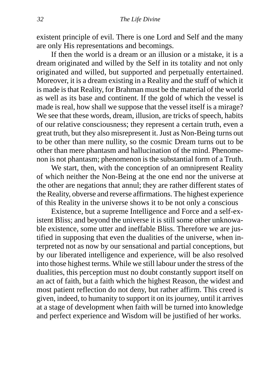existent principle of evil. There is one Lord and Self and the many are only His representations and becomings.

If then the world is a dream or an illusion or a mistake, it is a dream originated and willed by the Self in its totality and not only originated and willed, but supported and perpetually entertained. Moreover, it is a dream existing in a Reality and the stuff of which it is made is that Reality, for Brahman must be the material of the world as well as its base and continent. If the gold of which the vessel is made is real, how shall we suppose that the vessel itself is a mirage? We see that these words, dream, illusion, are tricks of speech, habits of our relative consciousness; they represent a certain truth, even a great truth, but they also misrepresent it. Just as Non-Being turns out to be other than mere nullity, so the cosmic Dream turns out to be other than mere phantasm and hallucination of the mind. Phenomenon is not phantasm; phenomenon is the substantial form of a Truth.

We start, then, with the conception of an omnipresent Reality of which neither the Non-Being at the one end nor the universe at the other are negations that annul; they are rather different states of the Reality, obverse and reverse affirmations. The highest experience of this Reality in the universe shows it to be not only a conscious

Existence, but a supreme Intelligence and Force and a self-existent Bliss; and beyond the universe it is still some other unknowable existence, some utter and ineffable Bliss. Therefore we are justified in supposing that even the dualities of the universe, when interpreted not as now by our sensational and partial conceptions, but by our liberated intelligence and experience, will be also resolved into those highest terms. While we still labour under the stress of the dualities, this perception must no doubt constantly support itself on an act of faith, but a faith which the highest Reason, the widest and most patient reflection do not deny, but rather affirm. This creed is given, indeed, to humanity to support it on its journey, until it arrives at a stage of development when faith will be turned into knowledge and perfect experience and Wisdom will be justified of her works.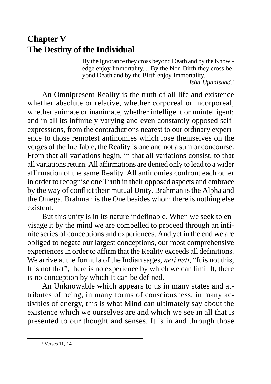## **Chapter V The Destiny of the Individual**

By the Ignorance they cross beyond Death and by the Knowledge enjoy Immortality.... By the Non-Birth they cross beyond Death and by the Birth enjoy Immortality.

*Isha Upanishad.1*

An Omnipresent Reality is the truth of all life and existence whether absolute or relative, whether corporeal or incorporeal, whether animate or inanimate, whether intelligent or unintelligent; and in all its infinitely varying and even constantly opposed selfexpressions, from the contradictions nearest to our ordinary experience to those remotest antinomies which lose themselves on the verges of the Ineffable, the Reality is one and not a sum or concourse. From that all variations begin, in that all variations consist, to that all variations return. All affirmations are denied only to lead to a wider affirmation of the same Reality. All antinomies confront each other in order to recognise one Truth in their opposed aspects and embrace by the way of conflict their mutual Unity. Brahman is the Alpha and the Omega. Brahman is the One besides whom there is nothing else existent.

But this unity is in its nature indefinable. When we seek to envisage it by the mind we are compelled to proceed through an infinite series of conceptions and experiences. And yet in the end we are obliged to negate our largest conceptions, our most comprehensive experiences in order to affirm that the Reality exceeds all definitions. We arrive at the formula of the Indian sages, *neti neti*, "It is not this, It is not that", there is no experience by which we can limit It, there is no conception by which It can be defined.

An Unknowable which appears to us in many states and attributes of being, in many forms of consciousness, in many activities of energy, this is what Mind can ultimately say about the existence which we ourselves are and which we see in all that is presented to our thought and senses. It is in and through those

<sup>&</sup>lt;sup>1</sup> Verses 11, 14.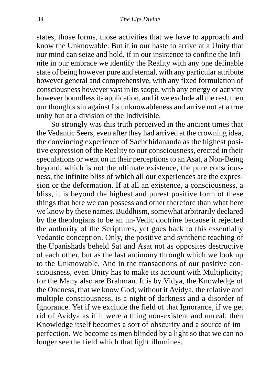states, those forms, those activities that we have to approach and know the Unknowable. But if in our haste to arrive at a Unity that our mind can seize and hold, if in our insistence to confine the Infinite in our embrace we identify the Reality with any one definable state of being however pure and eternal, with any particular attribute however general and comprehensive, with any fixed formulation of consciousness however vast in its scope, with any energy or activity however boundless its application, and if we exclude all the rest, then our thoughts sin against Its unknowableness and arrive not at a true unity but at a division of the Indivisible.

So strongly was this truth perceived in the ancient times that the Vedantic Seers, even after they had arrived at the crowning idea, the convincing experience of Sachchidananda as the highest positive expression of the Reality to our consciousness, erected in their speculations or went on in their perceptions to an Asat, a Non-Being beyond, which is not the ultimate existence, the pure consciousness, the infinite bliss of which all our experiences are the expression or the deformation. If at all an existence, a consciousness, a bliss, it is beyond the highest and purest positive form of these things that here we can possess and other therefore than what here we know by these names. Buddhism, somewhat arbitrarily declared by the theologians to be an un-Vedic doctrine because it rejected the authority of the Scriptures, yet goes back to this essentially Vedantic conception. Only, the positive and synthetic teaching of the Upanishads beheld Sat and Asat not as opposites destructive of each other, but as the last antinomy through which we look up to the Unknowable. And in the transactions of our positive consciousness, even Unity has to make its account with Multiplicity; for the Many also are Brahman. It is by Vidya, the Knowledge of the Oneness, that we know God; without it Avidya, the relative and multiple consciousness, is a night of darkness and a disorder of Ignorance. Yet if we exclude the field of that Ignorance, if we get rid of Avidya as if it were a thing non-existent and unreal, then Knowledge itself becomes a sort of obscurity and a source of imperfection. We become as men blinded by a light so that we can no longer see the field which that light illumines.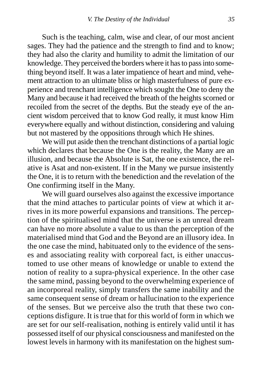Such is the teaching, calm, wise and clear, of our most ancient sages. They had the patience and the strength to find and to know; they had also the clarity and humility to admit the limitation of our knowledge. They perceived the borders where it has to pass into something beyond itself. It was a later impatience of heart and mind, vehement attraction to an ultimate bliss or high masterfulness of pure experience and trenchant intelligence which sought the One to deny the Many and because it had received the breath of the heights scorned or recoiled from the secret of the depths. But the steady eye of the ancient wisdom perceived that to know God really, it must know Him everywhere equally and without distinction, considering and valuing but not mastered by the oppositions through which He shines.

We will put aside then the trenchant distinctions of a partial logic which declares that because the One is the reality, the Many are an illusion, and because the Absolute is Sat, the one existence, the relative is Asat and non-existent. If in the Many we pursue insistently the One, it is to return with the benediction and the revelation of the One confirming itself in the Many.

We will guard ourselves also against the excessive importance that the mind attaches to particular points of view at which it arrives in its more powerful expansions and transitions. The perception of the spiritualised mind that the universe is an unreal dream can have no more absolute a value to us than the perception of the materialised mind that God and the Beyond are an illusory idea. In the one case the mind, habituated only to the evidence of the senses and associating reality with corporeal fact, is either unaccustomed to use other means of knowledge or unable to extend the notion of reality to a supra-physical experience. In the other case the same mind, passing beyond to the overwhelming experience of an incorporeal reality, simply transfers the same inability and the same consequent sense of dream or hallucination to the experience of the senses. But we perceive also the truth that these two conceptions disfigure. It is true that for this world of form in which we are set for our self-realisation, nothing is entirely valid until it has possessed itself of our physical consciousness and manifested on the lowest levels in harmony with its manifestation on the highest sum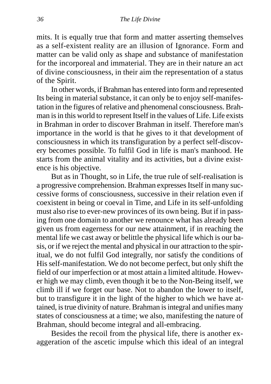mits. It is equally true that form and matter asserting themselves as a self-existent reality are an illusion of Ignorance. Form and matter can be valid only as shape and substance of manifestation for the incorporeal and immaterial. They are in their nature an act of divine consciousness, in their aim the representation of a status of the Spirit.

In other words, if Brahman has entered into form and represented Its being in material substance, it can only be to enjoy self-manifestation in the figures of relative and phenomenal consciousness. Brahman is in this world to represent Itself in the values of Life. Life exists in Brahman in order to discover Brahman in itself. Therefore man's importance in the world is that he gives to it that development of consciousness in which its transfiguration by a perfect self-discovery becomes possible. To fulfil God in life is man's manhood. He starts from the animal vitality and its activities, but a divine existence is his objective.

But as in Thought, so in Life, the true rule of self-realisation is a progressive comprehension. Brahman expresses Itself in many successive forms of consciousness, successive in their relation even if coexistent in being or coeval in Time, and Life in its self-unfolding must also rise to ever-new provinces of its own being. But if in passing from one domain to another we renounce what has already been given us from eagerness for our new attainment, if in reaching the mental life we cast away or belittle the physical life which is our basis, or if we reject the mental and physical in our attraction to the spiritual, we do not fulfil God integrally, nor satisfy the conditions of His self-manifestation. We do not become perfect, but only shift the field of our imperfection or at most attain a limited altitude. However high we may climb, even though it be to the Non-Being itself, we climb ill if we forget our base. Not to abandon the lower to itself, but to transfigure it in the light of the higher to which we have attained, is true divinity of nature. Brahman is integral and unifies many states of consciousness at a time; we also, manifesting the nature of Brahman, should become integral and all-embracing.

Besides the recoil from the physical life, there is another exaggeration of the ascetic impulse which this ideal of an integral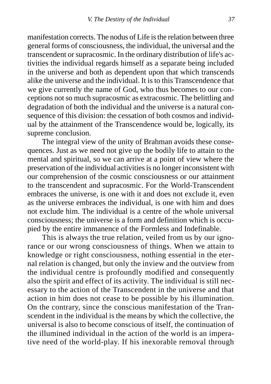manifestation corrects. The nodus of Life is the relation between three general forms of consciousness, the individual, the universal and the transcendent or supracosmic. In the ordinary distribution of life's activities the individual regards himself as a separate being included in the universe and both as dependent upon that which transcends alike the universe and the individual. It is to this Transcendence that we give currently the name of God, who thus becomes to our conceptions not so much supracosmic as extracosmic. The belittling and degradation of both the individual and the universe is a natural consequence of this division: the cessation of both cosmos and individual by the attainment of the Transcendence would be, logically, its supreme conclusion.

The integral view of the unity of Brahman avoids these consequences. Just as we need not give up the bodily life to attain to the mental and spiritual, so we can arrive at a point of view where the preservation of the individual activities is no longer inconsistent with our comprehension of the cosmic consciousness or our attainment to the transcendent and supracosmic. For the World-Transcendent embraces the universe, is one with it and does not exclude it, even as the universe embraces the individual, is one with him and does not exclude him. The individual is a centre of the whole universal consciousness; the universe is a form and definition which is occupied by the entire immanence of the Formless and Indefinable.

This is always the true relation, veiled from us by our ignorance or our wrong consciousness of things. When we attain to knowledge or right consciousness, nothing essential in the eternal relation is changed, but only the inview and the outview from the individual centre is profoundly modified and consequently also the spirit and effect of its activity. The individual is still necessary to the action of the Transcendent in the universe and that action in him does not cease to be possible by his illumination. On the contrary, since the conscious manifestation of the Transcendent in the individual is the means by which the collective, the universal is also to become conscious of itself, the continuation of the illumined individual in the action of the world is an imperative need of the world-play. If his inexorable removal through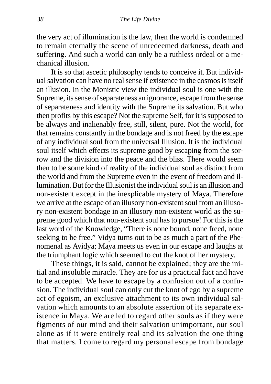the very act of illumination is the law, then the world is condemned to remain eternally the scene of unredeemed darkness, death and suffering. And such a world can only be a ruthless ordeal or a mechanical illusion.

It is so that ascetic philosophy tends to conceive it. But individual salvation can have no real sense if existence in the cosmos is itself an illusion. In the Monistic view the individual soul is one with the Supreme, its sense of separateness an ignorance, escape from the sense of separateness and identity with the Supreme its salvation. But who then profits by this escape? Not the supreme Self, for it is supposed to be always and inalienably free, still, silent, pure. Not the world, for that remains constantly in the bondage and is not freed by the escape of any individual soul from the universal Illusion. It is the individual soul itself which effects its supreme good by escaping from the sorrow and the division into the peace and the bliss. There would seem then to be some kind of reality of the individual soul as distinct from the world and from the Supreme even in the event of freedom and illumination. But for the Illusionist the individual soul is an illusion and non-existent except in the inexplicable mystery of Maya. Therefore we arrive at the escape of an illusory non-existent soul from an illusory non-existent bondage in an illusory non-existent world as the supreme good which that non-existent soul has to pursue! For this is the last word of the Knowledge, "There is none bound, none freed, none seeking to be free." Vidya turns out to be as much a part of the Phenomenal as Avidya; Maya meets us even in our escape and laughs at the triumphant logic which seemed to cut the knot of her mystery.

These things, it is said, cannot be explained; they are the initial and insoluble miracle. They are for us a practical fact and have to be accepted. We have to escape by a confusion out of a confusion. The individual soul can only cut the knot of ego by a supreme act of egoism, an exclusive attachment to its own individual salvation which amounts to an absolute assertion of its separate existence in Maya. We are led to regard other souls as if they were figments of our mind and their salvation unimportant, our soul alone as if it were entirely real and its salvation the one thing that matters. I come to regard my personal escape from bondage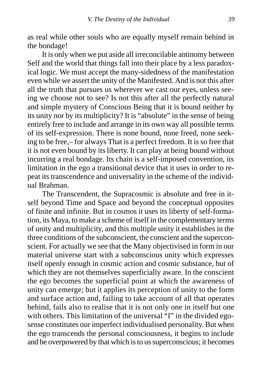as real while other souls who are equally myself remain behind in the bondage!

It is only when we put aside all irreconcilable antinomy between Self and the world that things fall into their place by a less paradoxical logic. We must accept the many-sidedness of the manifestation even while we assert the unity of the Manifested. And is not this after all the truth that pursues us wherever we cast our eyes, unless seeing we choose not to see? Is not this after all the perfectly natural and simple mystery of Conscious Being that it is bound neither by its unity nor by its multiplicity? It is "absolute" in the sense of being entirely free to include and arrange in its own way all possible terms of its self-expression. There is none bound, none freed, none seeking to be free,– for always That is a perfect freedom. It is so free that it is not even bound by its liberty. It can play at being bound without incurring a real bondage. Its chain is a self-imposed convention, its limitation in the ego a transitional device that it uses in order to repeat its transcendence and universality in the scheme of the individual Brahman.

The Transcendent, the Supracosmic is absolute and free in itself beyond Time and Space and beyond the conceptual opposites of finite and infinite. But in cosmos it uses its liberty of self-formation, its Maya, to make a scheme of itself in the complementary terms of unity and multiplicity, and this multiple unity it establishes in the three conditions of the subconscient, the conscient and the superconscient. For actually we see that the Many objectivised in form in our material universe start with a subconscious unity which expresses itself openly enough in cosmic action and cosmic substance, but of which they are not themselves superficially aware. In the conscient the ego becomes the superficial point at which the awareness of unity can emerge; but it applies its perception of unity to the form and surface action and, failing to take account of all that operates behind, fails also to realise that it is not only one in itself but one with others. This limitation of the universal "I" in the divided egosense constitutes our imperfect individualised personality. But when the ego transcends the personal consciousness, it begins to include and be overpowered by that which is to us superconscious; it becomes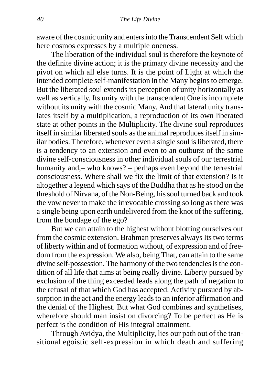aware of the cosmic unity and enters into the Transcendent Self which here cosmos expresses by a multiple oneness.

The liberation of the individual soul is therefore the keynote of the definite divine action; it is the primary divine necessity and the pivot on which all else turns. It is the point of Light at which the intended complete self-manifestation in the Many begins to emerge. But the liberated soul extends its perception of unity horizontally as well as vertically. Its unity with the transcendent One is incomplete without its unity with the cosmic Many. And that lateral unity translates itself by a multiplication, a reproduction of its own liberated state at other points in the Multiplicity. The divine soul reproduces itself in similar liberated souls as the animal reproduces itself in similar bodies. Therefore, whenever even a single soul is liberated, there is a tendency to an extension and even to an outburst of the same divine self-consciousness in other individual souls of our terrestrial humanity and,– who knows? – perhaps even beyond the terrestrial consciousness. Where shall we fix the limit of that extension? Is it altogether a legend which says of the Buddha that as he stood on the threshold of Nirvana, of the Non-Being, his soul turned back and took the vow never to make the irrevocable crossing so long as there was a single being upon earth undelivered from the knot of the suffering, from the bondage of the ego?

But we can attain to the highest without blotting ourselves out from the cosmic extension. Brahman preserves always Its two terms of liberty within and of formation without, of expression and of freedom from the expression. We also, being That, can attain to the same divine self-possession. The harmony of the two tendencies is the condition of all life that aims at being really divine. Liberty pursued by exclusion of the thing exceeded leads along the path of negation to the refusal of that which God has accepted. Activity pursued by absorption in the act and the energy leads to an inferior affirmation and the denial of the Highest. But what God combines and synthetises, wherefore should man insist on divorcing? To be perfect as He is perfect is the condition of His integral attainment.

Through Avidya, the Multiplicity, lies our path out of the transitional egoistic self-expression in which death and suffering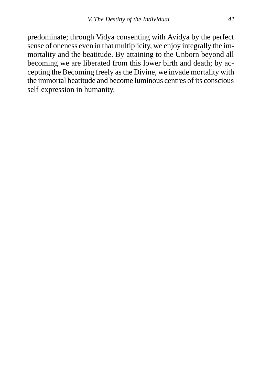predominate; through Vidya consenting with Avidya by the perfect sense of oneness even in that multiplicity, we enjoy integrally the immortality and the beatitude. By attaining to the Unborn beyond all becoming we are liberated from this lower birth and death; by accepting the Becoming freely as the Divine, we invade mortality with the immortal beatitude and become luminous centres of its conscious self-expression in humanity.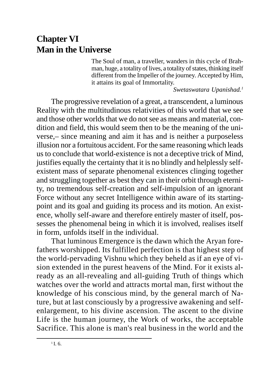## **Chapter VI Man in the Universe**

The Soul of man, a traveller, wanders in this cycle of Brahman, huge, a totality of lives, a totality of states, thinking itself different from the Impeller of the journey. Accepted by Him, it attains its goal of Immortality.

*Swetaswatara Upanishad.1*

The progressive revelation of a great, a transcendent, a luminous Reality with the multitudinous relativities of this world that we see and those other worlds that we do not see as means and material, condition and field, this would seem then to be the meaning of the universe,– since meaning and aim it has and is neither a purposeless illusion nor a fortuitous accident. For the same reasoning which leads us to conclude that world-existence is not a deceptive trick of Mind, justifies equally the certainty that it is no blindly and helplessly selfexistent mass of separate phenomenal existences clinging together and struggling together as best they can in their orbit through eternity, no tremendous self-creation and self-impulsion of an ignorant Force without any secret Intelligence within aware of its startingpoint and its goal and guiding its process and its motion. An existence, wholly self-aware and therefore entirely master of itself, possesses the phenomenal being in which it is involved, realises itself in form, unfolds itself in the individual.

That luminous Emergence is the dawn which the Aryan forefathers worshipped. Its fulfilled perfection is that highest step of the world-pervading Vishnu which they beheld as if an eye of vision extended in the purest heavens of the Mind. For it exists already as an all-revealing and all-guiding Truth of things which watches over the world and attracts mortal man, first without the knowledge of his conscious mind, by the general march of Nature, but at last consciously by a progressive awakening and selfenlargement, to his divine ascension. The ascent to the divine Life is the human journey, the Work of works, the acceptable Sacrifice. This alone is man's real business in the world and the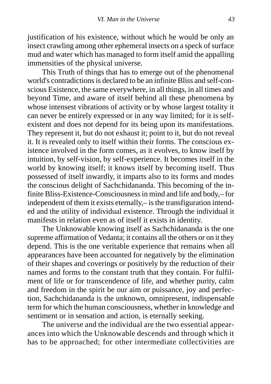justification of his existence, without which he would be only an insect crawling among other ephemeral insects on a speck of surface mud and water which has managed to form itself amid the appalling immensities of the physical universe.

This Truth of things that has to emerge out of the phenomenal world's contradictions is declared to be an infinite Bliss and self-conscious Existence, the same everywhere, in all things, in all times and beyond Time, and aware of itself behind all these phenomena by whose intensest vibrations of activity or by whose largest totality it can never be entirely expressed or in any way limited; for it is selfexistent and does not depend for its being upon its manifestations. They represent it, but do not exhaust it; point to it, but do not reveal it. It is revealed only to itself within their forms. The conscious existence involved in the form comes, as it evolves, to know itself by intuition, by self-vision, by self-experience. It becomes itself in the world by knowing itself; it knows itself by becoming itself. Thus possessed of itself inwardly, it imparts also to its forms and modes the conscious delight of Sachchidananda. This becoming of the infinite Bliss-Existence-Consciousness in mind and life and body,– for independent of them it exists eternally,– is the transfiguration intended and the utility of individual existence. Through the individual it manifests in relation even as of itself it exists in identity.

The Unknowable knowing itself as Sachchidananda is the one supreme affirmation of Vedanta; it contains all the others or on it they depend. This is the one veritable experience that remains when all appearances have been accounted for negatively by the elimination of their shapes and coverings or positively by the reduction of their names and forms to the constant truth that they contain. For fulfilment of life or for transcendence of life, and whether purity, calm and freedom in the spirit be our aim or puissance, joy and perfection, Sachchidananda is the unknown, omnipresent, indispensable term for which the human consciousness, whether in knowledge and sentiment or in sensation and action, is eternally seeking.

The universe and the individual are the two essential appearances into which the Unknowable descends and through which it has to be approached; for other intermediate collectivities are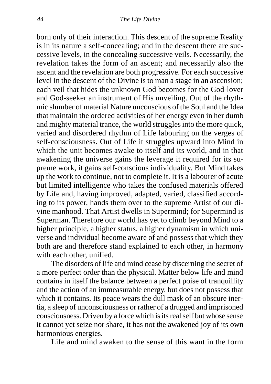born only of their interaction. This descent of the supreme Reality is in its nature a self-concealing; and in the descent there are successive levels, in the concealing successive veils. Necessarily, the revelation takes the form of an ascent; and necessarily also the ascent and the revelation are both progressive. For each successive level in the descent of the Divine is to man a stage in an ascension; each veil that hides the unknown God becomes for the God-lover and God-seeker an instrument of His unveiling. Out of the rhythmic slumber of material Nature unconscious of the Soul and the Idea that maintain the ordered activities of her energy even in her dumb and mighty material trance, the world struggles into the more quick, varied and disordered rhythm of Life labouring on the verges of self-consciousness. Out of Life it struggles upward into Mind in which the unit becomes awake to itself and its world, and in that awakening the universe gains the leverage it required for its supreme work, it gains self-conscious individuality. But Mind takes up the work to continue, not to complete it. It is a labourer of acute but limited intelligence who takes the confused materials offered by Life and, having improved, adapted, varied, classified according to its power, hands them over to the supreme Artist of our divine manhood. That Artist dwells in Supermind; for Supermind is Superman. Therefore our world has yet to climb beyond Mind to a higher principle, a higher status, a higher dynamism in which universe and individual become aware of and possess that which they both are and therefore stand explained to each other, in harmony with each other, unified.

The disorders of life and mind cease by discerning the secret of a more perfect order than the physical. Matter below life and mind contains in itself the balance between a perfect poise of tranquillity and the action of an immeasurable energy, but does not possess that which it contains. Its peace wears the dull mask of an obscure inertia, a sleep of unconsciousness or rather of a drugged and imprisoned consciousness. Driven by a force which is its real self but whose sense it cannot yet seize nor share, it has not the awakened joy of its own harmonious energies.

Life and mind awaken to the sense of this want in the form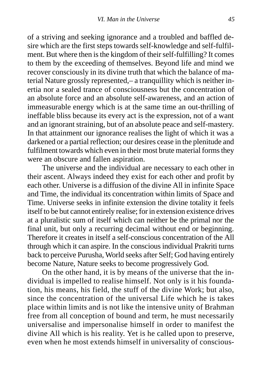of a striving and seeking ignorance and a troubled and baffled desire which are the first steps towards self-knowledge and self-fulfilment. But where then is the kingdom of their self-fulfilling? It comes to them by the exceeding of themselves. Beyond life and mind we recover consciously in its divine truth that which the balance of material Nature grossly represented,– a tranquillity which is neither inertia nor a sealed trance of consciousness but the concentration of an absolute force and an absolute self-awareness, and an action of immeasurable energy which is at the same time an out-thrilling of ineffable bliss because its every act is the expression, not of a want and an ignorant straining, but of an absolute peace and self-mastery. In that attainment our ignorance realises the light of which it was a darkened or a partial reflection; our desires cease in the plenitude and fulfilment towards which even in their most brute material forms they were an obscure and fallen aspiration.

The universe and the individual are necessary to each other in their ascent. Always indeed they exist for each other and profit by each other. Universe is a diffusion of the divine All in infinite Space and Time, the individual its concentration within limits of Space and Time. Universe seeks in infinite extension the divine totality it feels itself to be but cannot entirely realise; for in extension existence drives at a pluralistic sum of itself which can neither be the primal nor the final unit, but only a recurring decimal without end or beginning. Therefore it creates in itself a self-conscious concentration of the All through which it can aspire. In the conscious individual Prakriti turns back to perceive Purusha, World seeks after Self; God having entirely become Nature, Nature seeks to become progressively God.

On the other hand, it is by means of the universe that the individual is impelled to realise himself. Not only is it his foundation, his means, his field, the stuff of the divine Work; but also, since the concentration of the universal Life which he is takes place within limits and is not like the intensive unity of Brahman free from all conception of bound and term, he must necessarily universalise and impersonalise himself in order to manifest the divine All which is his reality. Yet is he called upon to preserve, even when he most extends himself in universality of conscious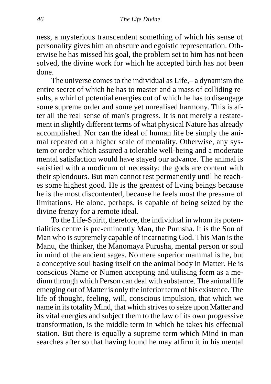ness, a mysterious transcendent something of which his sense of personality gives him an obscure and egoistic representation. Otherwise he has missed his goal, the problem set to him has not been solved, the divine work for which he accepted birth has not been done.

The universe comes to the individual as Life,– a dynamism the entire secret of which he has to master and a mass of colliding results, a whirl of potential energies out of which he has to disengage some supreme order and some yet unrealised harmony. This is after all the real sense of man's progress. It is not merely a restatement in slightly different terms of what physical Nature has already accomplished. Nor can the ideal of human life be simply the animal repeated on a higher scale of mentality. Otherwise, any system or order which assured a tolerable well-being and a moderate mental satisfaction would have stayed our advance. The animal is satisfied with a modicum of necessity; the gods are content with their splendours. But man cannot rest permanently until he reaches some highest good. He is the greatest of living beings because he is the most discontented, because he feels most the pressure of limitations. He alone, perhaps, is capable of being seized by the divine frenzy for a remote ideal.

To the Life-Spirit, therefore, the individual in whom its potentialities centre is pre-eminently Man, the Purusha. It is the Son of Man who is supremely capable of incarnating God. This Man is the Manu, the thinker, the Manomaya Purusha, mental person or soul in mind of the ancient sages. No mere superior mammal is he, but a conceptive soul basing itself on the animal body in Matter. He is conscious Name or Numen accepting and utilising form as a medium through which Person can deal with substance. The animal life emerging out of Matter is only the inferior term of his existence. The life of thought, feeling, will, conscious impulsion, that which we name in its totality Mind, that which strives to seize upon Matter and its vital energies and subject them to the law of its own progressive transformation, is the middle term in which he takes his effectual station. But there is equally a supreme term which Mind in man searches after so that having found he may affirm it in his mental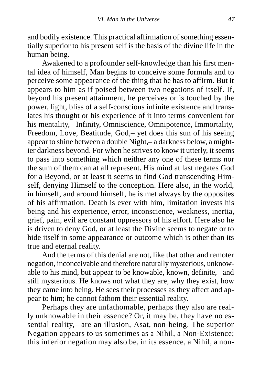and bodily existence. This practical affirmation of something essentially superior to his present self is the basis of the divine life in the human being.

Awakened to a profounder self-knowledge than his first mental idea of himself, Man begins to conceive some formula and to perceive some appearance of the thing that he has to affirm. But it appears to him as if poised between two negations of itself. If, beyond his present attainment, he perceives or is touched by the power, light, bliss of a self-conscious infinite existence and translates his thought or his experience of it into terms convenient for his mentality,– Infinity, Omniscience, Omnipotence, Immortality, Freedom, Love, Beatitude, God,– yet does this sun of his seeing appear to shine between a double Night,– a darkness below, a mightier darkness beyond. For when he strives to know it utterly, it seems to pass into something which neither any one of these terms nor the sum of them can at all represent. His mind at last negates God for a Beyond, or at least it seems to find God transcending Himself, denying Himself to the conception. Here also, in the world, in himself, and around himself, he is met always by the opposites of his affirmation. Death is ever with him, limitation invests his being and his experience, error, inconscience, weakness, inertia, grief, pain, evil are constant oppressors of his effort. Here also he is driven to deny God, or at least the Divine seems to negate or to hide itself in some appearance or outcome which is other than its true and eternal reality.

And the terms of this denial are not, like that other and remoter negation, inconceivable and therefore naturally mysterious, unknowable to his mind, but appear to be knowable, known, definite,– and still mysterious. He knows not what they are, why they exist, how they came into being. He sees their processes as they affect and appear to him; he cannot fathom their essential reality.

Perhaps they are unfathomable, perhaps they also are really unknowable in their essence? Or, it may be, they have no essential reality,– are an illusion, Asat, non-being. The superior Negation appears to us sometimes as a Nihil, a Non-Existence; this inferior negation may also be, in its essence, a Nihil, a non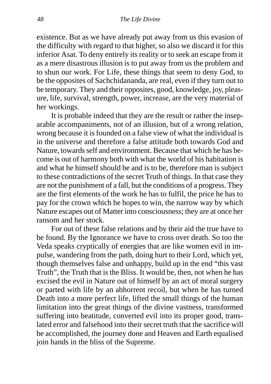existence. But as we have already put away from us this evasion of the difficulty with regard to that higher, so also we discard it for this inferior Asat. To deny entirely its reality or to seek an escape from it as a mere disastrous illusion is to put away from us the problem and to shun our work. For Life, these things that seem to deny God, to be the opposites of Sachchidananda, are real, even if they turn out to be temporary. They and their opposites, good, knowledge, joy, pleasure, life, survival, strength, power, increase, are the very material of her workings.

It is probable indeed that they are the result or rather the inseparable accompaniments, not of an illusion, but of a wrong relation, wrong because it is founded on a false view of what the individual is in the universe and therefore a false attitude both towards God and Nature, towards self and environment. Because that which he has become is out of harmony both with what the world of his habitation is and what he himself should be and is to be, therefore man is subject to these contradictions of the secret Truth of things. In that case they are not the punishment of a fall, but the conditions of a progress. They are the first elements of the work he has to fulfil, the price he has to pay for the crown which he hopes to win, the narrow way by which Nature escapes out of Matter into consciousness; they are at once her ransom and her stock.

For out of these false relations and by their aid the true have to be found. By the Ignorance we have to cross over death. So too the Veda speaks cryptically of energies that are like women evil in impulse, wandering from the path, doing hurt to their Lord, which yet, though themselves false and unhappy, build up in the end "this vast Truth", the Truth that is the Bliss. It would be, then, not when he has excised the evil in Nature out of himself by an act of moral surgery or parted with life by an abhorrent recoil, but when he has turned Death into a more perfect life, lifted the small things of the human limitation into the great things of the divine vastness, transformed suffering into beatitude, converted evil into its proper good, translated error and falsehood into their secret truth that the sacrifice will be accomplished, the journey done and Heaven and Earth equalised join hands in the bliss of the Supreme.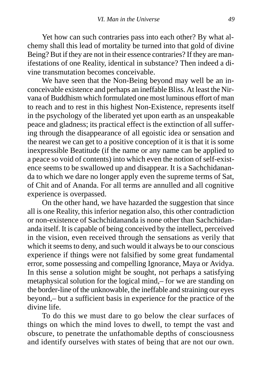Yet how can such contraries pass into each other? By what alchemy shall this lead of mortality be turned into that gold of divine Being? But if they are not in their essence contraries? If they are manifestations of one Reality, identical in substance? Then indeed a divine transmutation becomes conceivable.

We have seen that the Non-Being beyond may well be an inconceivable existence and perhaps an ineffable Bliss. At least the Nirvana of Buddhism which formulated one most luminous effort of man to reach and to rest in this highest Non-Existence, represents itself in the psychology of the liberated yet upon earth as an unspeakable peace and gladness; its practical effect is the extinction of all suffering through the disappearance of all egoistic idea or sensation and the nearest we can get to a positive conception of it is that it is some inexpressible Beatitude (if the name or any name can be applied to a peace so void of contents) into which even the notion of self-existence seems to be swallowed up and disappear. It is a Sachchidananda to which we dare no longer apply even the supreme terms of Sat, of Chit and of Ananda. For all terms are annulled and all cognitive experience is overpassed.

On the other hand, we have hazarded the suggestion that since all is one Reality, this inferior negation also, this other contradiction or non-existence of Sachchidananda is none other than Sachchidananda itself. It is capable of being conceived by the intellect, perceived in the vision, even received through the sensations as verily that which it seems to deny, and such would it always be to our conscious experience if things were not falsified by some great fundamental error, some possessing and compelling Ignorance, Maya or Avidya. In this sense a solution might be sought, not perhaps a satisfying metaphysical solution for the logical mind,– for we are standing on the border-line of the unknowable, the ineffable and straining our eyes beyond,– but a sufficient basis in experience for the practice of the divine life.

To do this we must dare to go below the clear surfaces of things on which the mind loves to dwell, to tempt the vast and obscure, to penetrate the unfathomable depths of consciousness and identify ourselves with states of being that are not our own.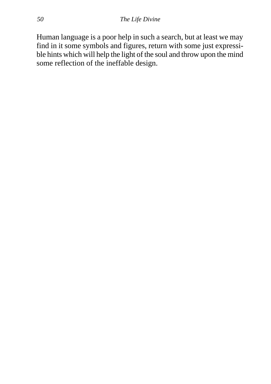Human language is a poor help in such a search, but at least we may find in it some symbols and figures, return with some just expressible hints which will help the light of the soul and throw upon the mind some reflection of the ineffable design.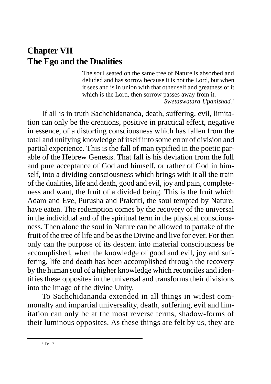## **Chapter VII The Ego and the Dualities**

The soul seated on the same tree of Nature is absorbed and deluded and has sorrow because it is not the Lord, but when it sees and is in union with that other self and greatness of it which is the Lord, then sorrow passes away from it. *Swetaswatara Upanishad.1*

If all is in truth Sachchidananda, death, suffering, evil, limitation can only be the creations, positive in practical effect, negative in essence, of a distorting consciousness which has fallen from the total and unifying knowledge of itself into some error of division and partial experience. This is the fall of man typified in the poetic parable of the Hebrew Genesis. That fall is his deviation from the full and pure acceptance of God and himself, or rather of God in himself, into a dividing consciousness which brings with it all the train of the dualities, life and death, good and evil, joy and pain, completeness and want, the fruit of a divided being. This is the fruit which Adam and Eve, Purusha and Prakriti, the soul tempted by Nature, have eaten. The redemption comes by the recovery of the universal in the individual and of the spiritual term in the physical consciousness. Then alone the soul in Nature can be allowed to partake of the fruit of the tree of life and be as the Divine and live for ever. For then only can the purpose of its descent into material consciousness be accomplished, when the knowledge of good and evil, joy and suffering, life and death has been accomplished through the recovery by the human soul of a higher knowledge which reconciles and identifies these opposites in the universal and transforms their divisions into the image of the divine Unity.

To Sachchidananda extended in all things in widest commonalty and impartial universality, death, suffering, evil and limitation can only be at the most reverse terms, shadow-forms of their luminous opposites. As these things are felt by us, they are

<sup>&</sup>lt;sup>1</sup> IV. 7.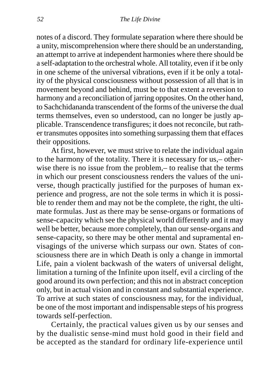notes of a discord. They formulate separation where there should be a unity, miscomprehension where there should be an understanding, an attempt to arrive at independent harmonies where there should be a self-adaptation to the orchestral whole. All totality, even if it be only in one scheme of the universal vibrations, even if it be only a totality of the physical consciousness without possession of all that is in movement beyond and behind, must be to that extent a reversion to harmony and a reconciliation of jarring opposites. On the other hand, to Sachchidananda transcendent of the forms of the universe the dual terms themselves, even so understood, can no longer be justly applicable. Transcendence transfigures; it does not reconcile, but rather transmutes opposites into something surpassing them that effaces their oppositions.

At first, however, we must strive to relate the individual again to the harmony of the totality. There it is necessary for us,– otherwise there is no issue from the problem,– to realise that the terms in which our present consciousness renders the values of the universe, though practically justified for the purposes of human experience and progress, are not the sole terms in which it is possible to render them and may not be the complete, the right, the ultimate formulas. Just as there may be sense-organs or formations of sense-capacity which see the physical world differently and it may well be better, because more completely, than our sense-organs and sense-capacity, so there may be other mental and supramental envisagings of the universe which surpass our own. States of consciousness there are in which Death is only a change in immortal Life, pain a violent backwash of the waters of universal delight, limitation a turning of the Infinite upon itself, evil a circling of the good around its own perfection; and this not in abstract conception only, but in actual vision and in constant and substantial experience. To arrive at such states of consciousness may, for the individual, be one of the most important and indispensable steps of his progress towards self-perfection.

Certainly, the practical values given us by our senses and by the dualistic sense-mind must hold good in their field and be accepted as the standard for ordinary life-experience until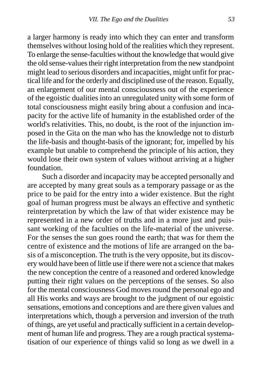a larger harmony is ready into which they can enter and transform themselves without losing hold of the realities which they represent. To enlarge the sense-faculties without the knowledge that would give the old sense-values their right interpretation from the new standpoint might lead to serious disorders and incapacities, might unfit for practical life and for the orderly and disciplined use of the reason. Equally, an enlargement of our mental consciousness out of the experience of the egoistic dualities into an unregulated unity with some form of total consciousness might easily bring about a confusion and incapacity for the active life of humanity in the established order of the world's relativities. This, no doubt, is the root of the injunction imposed in the Gita on the man who has the knowledge not to disturb the life-basis and thought-basis of the ignorant; for, impelled by his example but unable to comprehend the principle of his action, they would lose their own system of values without arriving at a higher foundation.

Such a disorder and incapacity may be accepted personally and are accepted by many great souls as a temporary passage or as the price to be paid for the entry into a wider existence. But the right goal of human progress must be always an effective and synthetic reinterpretation by which the law of that wider existence may be represented in a new order of truths and in a more just and puissant working of the faculties on the life-material of the universe. For the senses the sun goes round the earth; that was for them the centre of existence and the motions of life are arranged on the basis of a misconception. The truth is the very opposite, but its discovery would have been of little use if there were not a science that makes the new conception the centre of a reasoned and ordered knowledge putting their right values on the perceptions of the senses. So also for the mental consciousness God moves round the personal ego and all His works and ways are brought to the judgment of our egoistic sensations, emotions and conceptions and are there given values and interpretations which, though a perversion and inversion of the truth of things, are yet useful and practically sufficient in a certain development of human life and progress. They are a rough practical systematisation of our experience of things valid so long as we dwell in a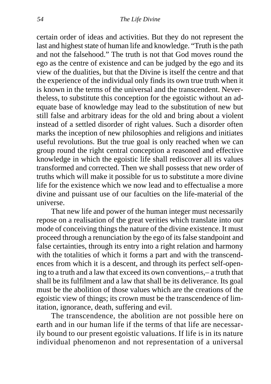certain order of ideas and activities. But they do not represent the last and highest state of human life and knowledge. "Truth is the path and not the falsehood." The truth is not that God moves round the ego as the centre of existence and can be judged by the ego and its view of the dualities, but that the Divine is itself the centre and that the experience of the individual only finds its own true truth when it is known in the terms of the universal and the transcendent. Nevertheless, to substitute this conception for the egoistic without an adequate base of knowledge may lead to the substitution of new but still false and arbitrary ideas for the old and bring about a violent instead of a settled disorder of right values. Such a disorder often marks the inception of new philosophies and religions and initiates useful revolutions. But the true goal is only reached when we can group round the right central conception a reasoned and effective knowledge in which the egoistic life shall rediscover all its values transformed and corrected. Then we shall possess that new order of truths which will make it possible for us to substitute a more divine life for the existence which we now lead and to effectualise a more divine and puissant use of our faculties on the life-material of the universe.

That new life and power of the human integer must necessarily repose on a realisation of the great verities which translate into our mode of conceiving things the nature of the divine existence. It must proceed through a renunciation by the ego of its false standpoint and false certainties, through its entry into a right relation and harmony with the totalities of which it forms a part and with the transcendences from which it is a descent, and through its perfect self-opening to a truth and a law that exceed its own conventions,– a truth that shall be its fulfilment and a law that shall be its deliverance. Its goal must be the abolition of those values which are the creations of the egoistic view of things; its crown must be the transcendence of limitation, ignorance, death, suffering and evil.

The transcendence, the abolition are not possible here on earth and in our human life if the terms of that life are necessarily bound to our present egoistic valuations. If life is in its nature individual phenomenon and not representation of a universal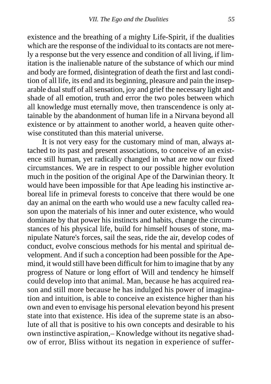existence and the breathing of a mighty Life-Spirit, if the dualities which are the response of the individual to its contacts are not merely a response but the very essence and condition of all living, if limitation is the inalienable nature of the substance of which our mind and body are formed, disintegration of death the first and last condition of all life, its end and its beginning, pleasure and pain the inseparable dual stuff of all sensation, joy and grief the necessary light and shade of all emotion, truth and error the two poles between which all knowledge must eternally move, then transcendence is only attainable by the abandonment of human life in a Nirvana beyond all existence or by attainment to another world, a heaven quite otherwise constituted than this material universe.

It is not very easy for the customary mind of man, always attached to its past and present associations, to conceive of an existence still human, yet radically changed in what are now our fixed circumstances. We are in respect to our possible higher evolution much in the position of the original Ape of the Darwinian theory. It would have been impossible for that Ape leading his instinctive arboreal life in primeval forests to conceive that there would be one day an animal on the earth who would use a new faculty called reason upon the materials of his inner and outer existence, who would dominate by that power his instincts and habits, change the circumstances of his physical life, build for himself houses of stone, manipulate Nature's forces, sail the seas, ride the air, develop codes of conduct, evolve conscious methods for his mental and spiritual development. And if such a conception had been possible for the Apemind, it would still have been difficult for him to imagine that by any progress of Nature or long effort of Will and tendency he himself could develop into that animal. Man, because he has acquired reason and still more because he has indulged his power of imagination and intuition, is able to conceive an existence higher than his own and even to envisage his personal elevation beyond his present state into that existence. His idea of the supreme state is an absolute of all that is positive to his own concepts and desirable to his own instinctive aspiration,– Knowledge without its negative shadow of error, Bliss without its negation in experience of suffer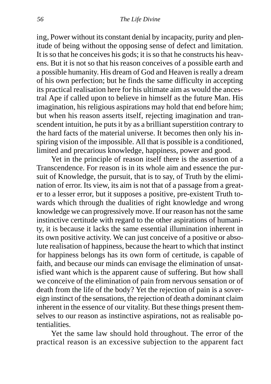ing, Power without its constant denial by incapacity, purity and plenitude of being without the opposing sense of defect and limitation. It is so that he conceives his gods; it is so that he constructs his heavens. But it is not so that his reason conceives of a possible earth and a possible humanity. His dream of God and Heaven is really a dream of his own perfection; but he finds the same difficulty in accepting its practical realisation here for his ultimate aim as would the ancestral Ape if called upon to believe in himself as the future Man. His imagination, his religious aspirations may hold that end before him; but when his reason asserts itself, rejecting imagination and transcendent intuition, he puts it by as a brilliant superstition contrary to the hard facts of the material universe. It becomes then only his inspiring vision of the impossible. All that is possible is a conditioned, limited and precarious knowledge, happiness, power and good.

Yet in the principle of reason itself there is the assertion of a Transcendence. For reason is in its whole aim and essence the pursuit of Knowledge, the pursuit, that is to say, of Truth by the elimination of error. Its view, its aim is not that of a passage from a greater to a lesser error, but it supposes a positive, pre-existent Truth towards which through the dualities of right knowledge and wrong knowledge we can progressively move. If our reason has not the same instinctive certitude with regard to the other aspirations of humanity, it is because it lacks the same essential illumination inherent in its own positive activity. We can just conceive of a positive or absolute realisation of happiness, because the heart to which that instinct for happiness belongs has its own form of certitude, is capable of faith, and because our minds can envisage the elimination of unsatisfied want which is the apparent cause of suffering. But how shall we conceive of the elimination of pain from nervous sensation or of death from the life of the body? Yet the rejection of pain is a sovereign instinct of the sensations, the rejection of death a dominant claim inherent in the essence of our vitality. But these things present themselves to our reason as instinctive aspirations, not as realisable potentialities.

Yet the same law should hold throughout. The error of the practical reason is an excessive subjection to the apparent fact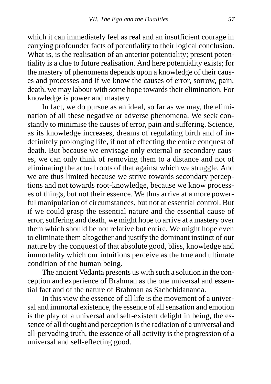which it can immediately feel as real and an insufficient courage in carrying profounder facts of potentiality to their logical conclusion. What is, is the realisation of an anterior potentiality; present potentiality is a clue to future realisation. And here potentiality exists; for the mastery of phenomena depends upon a knowledge of their causes and processes and if we know the causes of error, sorrow, pain, death, we may labour with some hope towards their elimination. For knowledge is power and mastery.

In fact, we do pursue as an ideal, so far as we may, the elimination of all these negative or adverse phenomena. We seek constantly to minimise the causes of error, pain and suffering. Science, as its knowledge increases, dreams of regulating birth and of indefinitely prolonging life, if not of effecting the entire conquest of death. But because we envisage only external or secondary causes, we can only think of removing them to a distance and not of eliminating the actual roots of that against which we struggle. And we are thus limited because we strive towards secondary perceptions and not towards root-knowledge, because we know processes of things, but not their essence. We thus arrive at a more powerful manipulation of circumstances, but not at essential control. But if we could grasp the essential nature and the essential cause of error, suffering and death, we might hope to arrive at a mastery over them which should be not relative but entire. We might hope even to eliminate them altogether and justify the dominant instinct of our nature by the conquest of that absolute good, bliss, knowledge and immortality which our intuitions perceive as the true and ultimate condition of the human being.

The ancient Vedanta presents us with such a solution in the conception and experience of Brahman as the one universal and essential fact and of the nature of Brahman as Sachchidananda.

In this view the essence of all life is the movement of a universal and immortal existence, the essence of all sensation and emotion is the play of a universal and self-existent delight in being, the essence of all thought and perception is the radiation of a universal and all-pervading truth, the essence of all activity is the progression of a universal and self-effecting good.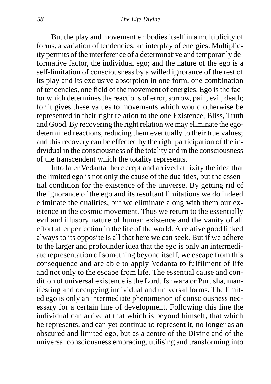But the play and movement embodies itself in a multiplicity of forms, a variation of tendencies, an interplay of energies. Multiplicity permits of the interference of a determinative and temporarily deformative factor, the individual ego; and the nature of the ego is a self-limitation of consciousness by a willed ignorance of the rest of its play and its exclusive absorption in one form, one combination of tendencies, one field of the movement of energies. Ego is the factor which determines the reactions of error, sorrow, pain, evil, death; for it gives these values to movements which would otherwise be represented in their right relation to the one Existence, Bliss, Truth and Good. By recovering the right relation we may eliminate the egodetermined reactions, reducing them eventually to their true values; and this recovery can be effected by the right participation of the individual in the consciousness of the totality and in the consciousness of the transcendent which the totality represents.

Into later Vedanta there crept and arrived at fixity the idea that the limited ego is not only the cause of the dualities, but the essential condition for the existence of the universe. By getting rid of the ignorance of the ego and its resultant limitations we do indeed eliminate the dualities, but we eliminate along with them our existence in the cosmic movement. Thus we return to the essentially evil and illusory nature of human existence and the vanity of all effort after perfection in the life of the world. A relative good linked always to its opposite is all that here we can seek. But if we adhere to the larger and profounder idea that the ego is only an intermediate representation of something beyond itself, we escape from this consequence and are able to apply Vedanta to fulfilment of life and not only to the escape from life. The essential cause and condition of universal existence is the Lord, Ishwara or Purusha, manifesting and occupying individual and universal forms. The limited ego is only an intermediate phenomenon of consciousness necessary for a certain line of development. Following this line the individual can arrive at that which is beyond himself, that which he represents, and can yet continue to represent it, no longer as an obscured and limited ego, but as a centre of the Divine and of the universal consciousness embracing, utilising and transforming into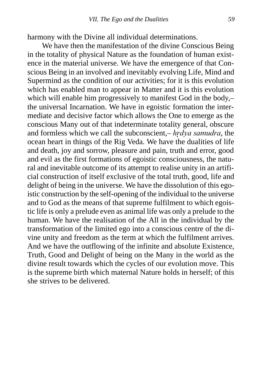harmony with the Divine all individual determinations.

We have then the manifestation of the divine Conscious Being in the totality of physical Nature as the foundation of human existence in the material universe. We have the emergence of that Conscious Being in an involved and inevitably evolving Life, Mind and Supermind as the condition of our activities; for it is this evolution which has enabled man to appear in Matter and it is this evolution which will enable him progressively to manifest God in the body,– the universal Incarnation. We have in egoistic formation the intermediate and decisive factor which allows the One to emerge as the conscious Many out of that indeterminate totality general, obscure and formless which we call the subconscient,–  $hrdva$  samudra, the ocean heart in things of the Rig Veda. We have the dualities of life and death, joy and sorrow, pleasure and pain, truth and error, good and evil as the first formations of egoistic consciousness, the natural and inevitable outcome of its attempt to realise unity in an artificial construction of itself exclusive of the total truth, good, life and delight of being in the universe. We have the dissolution of this egoistic construction by the self-opening of the individual to the universe and to God as the means of that supreme fulfilment to which egoistic life is only a prelude even as animal life was only a prelude to the human. We have the realisation of the All in the individual by the transformation of the limited ego into a conscious centre of the divine unity and freedom as the term at which the fulfilment arrives. And we have the outflowing of the infinite and absolute Existence, Truth, Good and Delight of being on the Many in the world as the divine result towards which the cycles of our evolution move. This is the supreme birth which maternal Nature holds in herself; of this she strives to be delivered.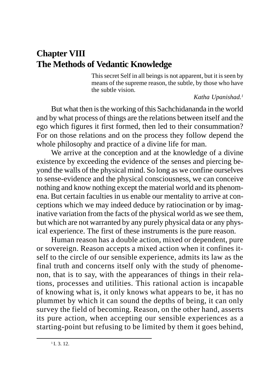## **Chapter VIII The Methods of Vedantic Knowledge**

This secret Self in all beings is not apparent, but it is seen by means of the supreme reason, the subtle, by those who have the subtle vision.

*Katha Upanishad.1*

But what then is the working of this Sachchidananda in the world and by what process of things are the relations between itself and the ego which figures it first formed, then led to their consummation? For on those relations and on the process they follow depend the whole philosophy and practice of a divine life for man.

We arrive at the conception and at the knowledge of a divine existence by exceeding the evidence of the senses and piercing beyond the walls of the physical mind. So long as we confine ourselves to sense-evidence and the physical consciousness, we can conceive nothing and know nothing except the material world and its phenomena. But certain faculties in us enable our mentality to arrive at conceptions which we may indeed deduce by ratiocination or by imaginative variation from the facts of the physical world as we see them, but which are not warranted by any purely physical data or any physical experience. The first of these instruments is the pure reason.

Human reason has a double action, mixed or dependent, pure or sovereign. Reason accepts a mixed action when it confines itself to the circle of our sensible experience, admits its law as the final truth and concerns itself only with the study of phenomenon, that is to say, with the appearances of things in their relations, processes and utilities. This rational action is incapable of knowing what is, it only knows what appears to be, it has no plummet by which it can sound the depths of being, it can only survey the field of becoming. Reason, on the other hand, asserts its pure action, when accepting our sensible experiences as a starting-point but refusing to be limited by them it goes behind,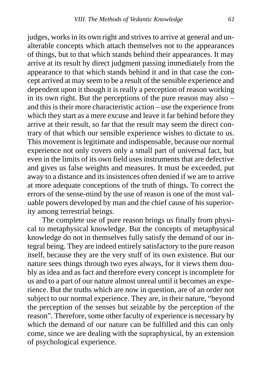judges, works in its own right and strives to arrive at general and unalterable concepts which attach themselves not to the appearances of things, but to that which stands behind their appearances. It may arrive at its result by direct judgment passing immediately from the appearance to that which stands behind it and in that case the concept arrived at may seem to be a result of the sensible experience and dependent upon it though it is really a perception of reason working in its own right. But the perceptions of the pure reason may also – and this is their more characteristic action – use the experience from which they start as a mere excuse and leave it far behind before they arrive at their result, so far that the result may seem the direct contrary of that which our sensible experience wishes to dictate to us. This movement is legitimate and indispensable, because our normal experience not only covers only a small part of universal fact, but even in the limits of its own field uses instruments that are defective and gives us false weights and measures. It must be exceeded, put away to a distance and its insistences often denied if we are to arrive at more adequate conceptions of the truth of things. To correct the errors of the sense-mind by the use of reason is one of the most valuable powers developed by man and the chief cause of his superiority among terrestrial beings.

The complete use of pure reason brings us finally from physical to metaphysical knowledge. But the concepts of metaphysical knowledge do not in themselves fully satisfy the demand of our integral being. They are indeed entirely satisfactory to the pure reason itself, because they are the very stuff of its own existence. But our nature sees things through two eyes always, for it views them doubly as idea and as fact and therefore every concept is incomplete for us and to a part of our nature almost unreal until it becomes an experience. But the truths which are now in question, are of an order not subject to our normal experience. They are, in their nature, "beyond the perception of the senses but seizable by the perception of the reason". Therefore, some other faculty of experience is necessary by which the demand of our nature can be fulfilled and this can only come, since we are dealing with the supraphysical, by an extension of psychological experience.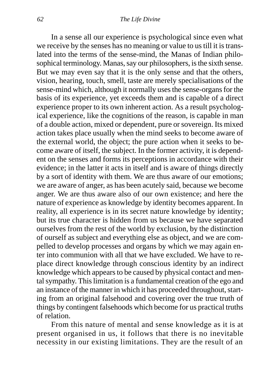In a sense all our experience is psychological since even what we receive by the senses has no meaning or value to us till it is translated into the terms of the sense-mind, the Manas of Indian philosophical terminology. Manas, say our philosophers, is the sixth sense. But we may even say that it is the only sense and that the others, vision, hearing, touch, smell, taste are merely specialisations of the sense-mind which, although it normally uses the sense-organs for the basis of its experience, yet exceeds them and is capable of a direct experience proper to its own inherent action. As a result psychological experience, like the cognitions of the reason, is capable in man of a double action, mixed or dependent, pure or sovereign. Its mixed action takes place usually when the mind seeks to become aware of the external world, the object; the pure action when it seeks to become aware of itself, the subject. In the former activity, it is dependent on the senses and forms its perceptions in accordance with their evidence; in the latter it acts in itself and is aware of things directly by a sort of identity with them. We are thus aware of our emotions; we are aware of anger, as has been acutely said, because we become anger. We are thus aware also of our own existence; and here the nature of experience as knowledge by identity becomes apparent. In reality, all experience is in its secret nature knowledge by identity; but its true character is hidden from us because we have separated ourselves from the rest of the world by exclusion, by the distinction of ourself as subject and everything else as object, and we are compelled to develop processes and organs by which we may again enter into communion with all that we have excluded. We have to replace direct knowledge through conscious identity by an indirect knowledge which appears to be caused by physical contact and mental sympathy. This limitation is a fundamental creation of the ego and an instance of the manner in which it has proceeded throughout, starting from an original falsehood and covering over the true truth of things by contingent falsehoods which become for us practical truths of relation.

From this nature of mental and sense knowledge as it is at present organised in us, it follows that there is no inevitable necessity in our existing limitations. They are the result of an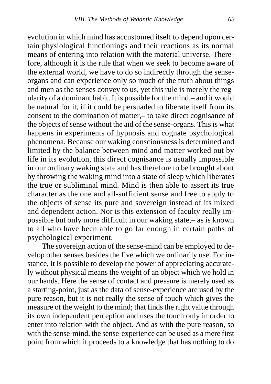evolution in which mind has accustomed itself to depend upon certain physiological functionings and their reactions as its normal means of entering into relation with the material universe. Therefore, although it is the rule that when we seek to become aware of the external world, we have to do so indirectly through the senseorgans and can experience only so much of the truth about things and men as the senses convey to us, yet this rule is merely the regularity of a dominant habit. It is possible for the mind,– and it would be natural for it, if it could be persuaded to liberate itself from its consent to the domination of matter,– to take direct cognisance of the objects of sense without the aid of the sense-organs. This is what happens in experiments of hypnosis and cognate psychological phenomena. Because our waking consciousness is determined and limited by the balance between mind and matter worked out by life in its evolution, this direct cognisance is usually impossible in our ordinary waking state and has therefore to be brought about by throwing the waking mind into a state of sleep which liberates the true or subliminal mind. Mind is then able to assert its true character as the one and all-sufficient sense and free to apply to the objects of sense its pure and sovereign instead of its mixed and dependent action. Nor is this extension of faculty really impossible but only more difficult in our waking state,– as is known to all who have been able to go far enough in certain paths of psychological experiment.

The sovereign action of the sense-mind can be employed to develop other senses besides the five which we ordinarily use. For instance, it is possible to develop the power of appreciating accurately without physical means the weight of an object which we hold in our hands. Here the sense of contact and pressure is merely used as a starting-point, just as the data of sense-experience are used by the pure reason, but it is not really the sense of touch which gives the measure of the weight to the mind; that finds the right value through its own independent perception and uses the touch only in order to enter into relation with the object. And as with the pure reason, so with the sense-mind, the sense-experience can be used as a mere first point from which it proceeds to a knowledge that has nothing to do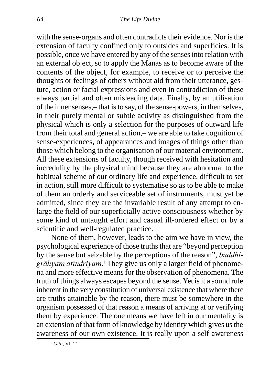with the sense-organs and often contradicts their evidence. Nor is the extension of faculty confined only to outsides and superficies. It is possible, once we have entered by any of the senses into relation with an external object, so to apply the Manas as to become aware of the contents of the object, for example, to receive or to perceive the thoughts or feelings of others without aid from their utterance, gesture, action or facial expressions and even in contradiction of these always partial and often misleading data. Finally, by an utilisation of the inner senses,– that is to say, of the sense-powers, in themselves, in their purely mental or subtle activity as distinguished from the physical which is only a selection for the purposes of outward life from their total and general action,– we are able to take cognition of sense-experiences, of appearances and images of things other than those which belong to the organisation of our material environment. All these extensions of faculty, though received with hesitation and incredulity by the physical mind because they are abnormal to the habitual scheme of our ordinary life and experience, difficult to set in action, still more difficult to systematise so as to be able to make of them an orderly and serviceable set of instruments, must yet be admitted, since they are the invariable result of any attempt to enlarge the field of our superficially active consciousness whether by some kind of untaught effort and casual ill-ordered effect or by a scientific and well-regulated practice.

None of them, however, leads to the aim we have in view, the psychological experience of those truths that are "beyond perception by the sense but seizable by the perceptions of the reason", buddhigrāhyam atīndriyam.<sup>1</sup> They give us only a larger field of phenomena and more effective means for the observation of phenomena. The truth of things always escapes beyond the sense. Yet is it a sound rule inherent in the very constitution of universal existence that where there are truths attainable by the reason, there must be somewhere in the organism possessed of that reason a means of arriving at or verifying them by experience. The one means we have left in our mentality is an extension of that form of knowledge by identity which gives us the awareness of our own existence. It is really upon a self-awareness

<sup>1</sup> *Gita*, VI. 21.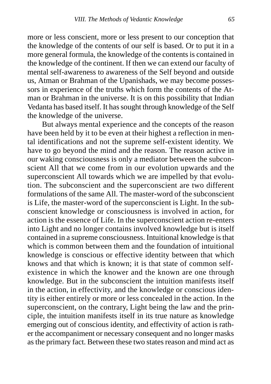more or less conscient, more or less present to our conception that the knowledge of the contents of our self is based. Or to put it in a more general formula, the knowledge of the contents is contained in the knowledge of the continent. If then we can extend our faculty of mental self-awareness to awareness of the Self beyond and outside us, Atman or Brahman of the Upanishads, we may become possessors in experience of the truths which form the contents of the Atman or Brahman in the universe. It is on this possibility that Indian Vedanta has based itself. It has sought through knowledge of the Self the knowledge of the universe.

But always mental experience and the concepts of the reason have been held by it to be even at their highest a reflection in mental identifications and not the supreme self-existent identity. We have to go beyond the mind and the reason. The reason active in our waking consciousness is only a mediator between the subconscient All that we come from in our evolution upwards and the superconscient All towards which we are impelled by that evolution. The subconscient and the superconscient are two different formulations of the same All. The master-word of the subconscient is Life, the master-word of the superconscient is Light. In the subconscient knowledge or consciousness is involved in action, for action is the essence of Life. In the superconscient action re-enters into Light and no longer contains involved knowledge but is itself contained in a supreme consciousness. Intuitional knowledge is that which is common between them and the foundation of intuitional knowledge is conscious or effective identity between that which knows and that which is known; it is that state of common selfexistence in which the knower and the known are one through knowledge. But in the subconscient the intuition manifests itself in the action, in effectivity, and the knowledge or conscious identity is either entirely or more or less concealed in the action. In the superconscient, on the contrary, Light being the law and the principle, the intuition manifests itself in its true nature as knowledge emerging out of conscious identity, and effectivity of action is rather the accompaniment or necessary consequent and no longer masks as the primary fact. Between these two states reason and mind act as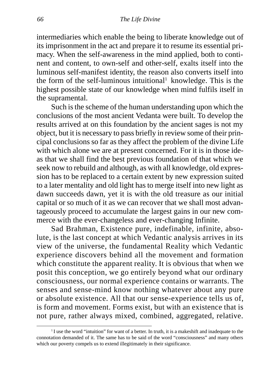intermediaries which enable the being to liberate knowledge out of its imprisonment in the act and prepare it to resume its essential primacy. When the self-awareness in the mind applied, both to continent and content, to own-self and other-self, exalts itself into the luminous self-manifest identity, the reason also converts itself into the form of the self-luminous intuitional<sup>1</sup> knowledge. This is the highest possible state of our knowledge when mind fulfils itself in the supramental.

Such is the scheme of the human understanding upon which the conclusions of the most ancient Vedanta were built. To develop the results arrived at on this foundation by the ancient sages is not my object, but it is necessary to pass briefly in review some of their principal conclusions so far as they affect the problem of the divine Life with which alone we are at present concerned. For it is in those ideas that we shall find the best previous foundation of that which we seek now to rebuild and although, as with all knowledge, old expression has to be replaced to a certain extent by new expression suited to a later mentality and old light has to merge itself into new light as dawn succeeds dawn, yet it is with the old treasure as our initial capital or so much of it as we can recover that we shall most advantageously proceed to accumulate the largest gains in our new commerce with the ever-changeless and ever-changing Infinite.

Sad Brahman, Existence pure, indefinable, infinite, absolute, is the last concept at which Vedantic analysis arrives in its view of the universe, the fundamental Reality which Vedantic experience discovers behind all the movement and formation which constitute the apparent reality. It is obvious that when we posit this conception, we go entirely beyond what our ordinary consciousness, our normal experience contains or warrants. The senses and sense-mind know nothing whatever about any pure or absolute existence. All that our sense-experience tells us of, is form and movement. Forms exist, but with an existence that is not pure, rather always mixed, combined, aggregated, relative.

 $1$  I use the word "intuition" for want of a better. In truth, it is a makeshift and inadequate to the connotation demanded of it. The same has to be said of the word "consciousness" and many others which our poverty compels us to extend illegitimately in their significance.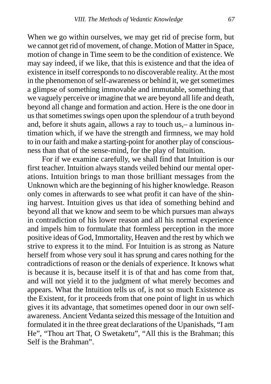When we go within ourselves, we may get rid of precise form, but we cannot get rid of movement, of change. Motion of Matter in Space, motion of change in Time seem to be the condition of existence. We may say indeed, if we like, that this is existence and that the idea of existence in itself corresponds to no discoverable reality. At the most in the phenomenon of self-awareness or behind it, we get sometimes a glimpse of something immovable and immutable, something that we vaguely perceive or imagine that we are beyond all life and death, beyond all change and formation and action. Here is the one door in us that sometimes swings open upon the splendour of a truth beyond and, before it shuts again, allows a ray to touch us,– a luminous intimation which, if we have the strength and firmness, we may hold to in our faith and make a starting-point for another play of consciousness than that of the sense-mind, for the play of Intuition.

For if we examine carefully, we shall find that Intuition is our first teacher. Intuition always stands veiled behind our mental operations. Intuition brings to man those brilliant messages from the Unknown which are the beginning of his higher knowledge. Reason only comes in afterwards to see what profit it can have of the shining harvest. Intuition gives us that idea of something behind and beyond all that we know and seem to be which pursues man always in contradiction of his lower reason and all his normal experience and impels him to formulate that formless perception in the more positive ideas of God, Immortality, Heaven and the rest by which we strive to express it to the mind. For Intuition is as strong as Nature herself from whose very soul it has sprung and cares nothing for the contradictions of reason or the denials of experience. It knows what is because it is, because itself it is of that and has come from that, and will not yield it to the judgment of what merely becomes and appears. What the Intuition tells us of, is not so much Existence as the Existent, for it proceeds from that one point of light in us which gives it its advantage, that sometimes opened door in our own selfawareness. Ancient Vedanta seized this message of the Intuition and formulated it in the three great declarations of the Upanishads, "I am He", "Thou art That, O Swetaketu", "All this is the Brahman; this Self is the Brahman".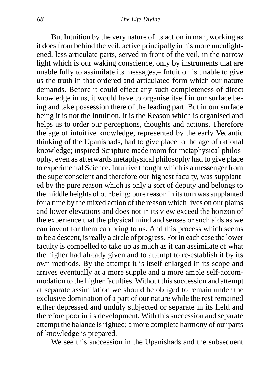But Intuition by the very nature of its action in man, working as it does from behind the veil, active principally in his more unenlightened, less articulate parts, served in front of the veil, in the narrow light which is our waking conscience, only by instruments that are unable fully to assimilate its messages,– Intuition is unable to give us the truth in that ordered and articulated form which our nature demands. Before it could effect any such completeness of direct knowledge in us, it would have to organise itself in our surface being and take possession there of the leading part. But in our surface being it is not the Intuition, it is the Reason which is organised and helps us to order our perceptions, thoughts and actions. Therefore the age of intuitive knowledge, represented by the early Vedantic thinking of the Upanishads, had to give place to the age of rational knowledge; inspired Scripture made room for metaphysical philosophy, even as afterwards metaphysical philosophy had to give place to experimental Science. Intuitive thought which is a messenger from the superconscient and therefore our highest faculty, was supplanted by the pure reason which is only a sort of deputy and belongs to the middle heights of our being; pure reason in its turn was supplanted for a time by the mixed action of the reason which lives on our plains and lower elevations and does not in its view exceed the horizon of the experience that the physical mind and senses or such aids as we can invent for them can bring to us. And this process which seems to be a descent, is really a circle of progress. For in each case the lower faculty is compelled to take up as much as it can assimilate of what the higher had already given and to attempt to re-establish it by its own methods. By the attempt it is itself enlarged in its scope and arrives eventually at a more supple and a more ample self-accommodation to the higher faculties. Without this succession and attempt at separate assimilation we should be obliged to remain under the exclusive domination of a part of our nature while the rest remained either depressed and unduly subjected or separate in its field and therefore poor in its development. With this succession and separate attempt the balance is righted; a more complete harmony of our parts of knowledge is prepared.

We see this succession in the Upanishads and the subsequent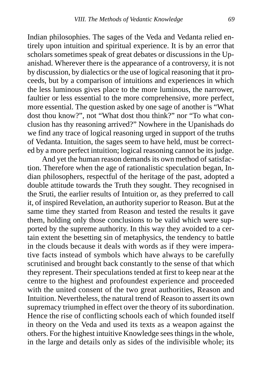Indian philosophies. The sages of the Veda and Vedanta relied entirely upon intuition and spiritual experience. It is by an error that scholars sometimes speak of great debates or discussions in the Upanishad. Wherever there is the appearance of a controversy, it is not by discussion, by dialectics or the use of logical reasoning that it proceeds, but by a comparison of intuitions and experiences in which the less luminous gives place to the more luminous, the narrower, faultier or less essential to the more comprehensive, more perfect, more essential. The question asked by one sage of another is "What dost thou know?", not "What dost thou think?" nor "To what conclusion has thy reasoning arrived?" Nowhere in the Upanishads do we find any trace of logical reasoning urged in support of the truths of Vedanta. Intuition, the sages seem to have held, must be corrected by a more perfect intuition; logical reasoning cannot be its judge.

And yet the human reason demands its own method of satisfaction. Therefore when the age of rationalistic speculation began, Indian philosophers, respectful of the heritage of the past, adopted a double attitude towards the Truth they sought. They recognised in the Sruti, the earlier results of Intuition or, as they preferred to call it, of inspired Revelation, an authority superior to Reason. But at the same time they started from Reason and tested the results it gave them, holding only those conclusions to be valid which were supported by the supreme authority. In this way they avoided to a certain extent the besetting sin of metaphysics, the tendency to battle in the clouds because it deals with words as if they were imperative facts instead of symbols which have always to be carefully scrutinised and brought back constantly to the sense of that which they represent. Their speculations tended at first to keep near at the centre to the highest and profoundest experience and proceeded with the united consent of the two great authorities, Reason and Intuition. Nevertheless, the natural trend of Reason to assert its own supremacy triumphed in effect over the theory of its subordination. Hence the rise of conflicting schools each of which founded itself in theory on the Veda and used its texts as a weapon against the others. For the highest intuitive Knowledge sees things in the whole, in the large and details only as sides of the indivisible whole; its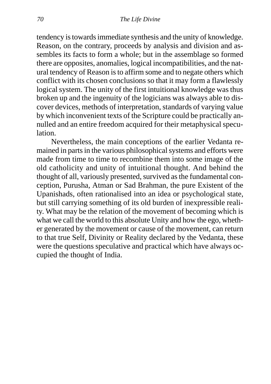tendency is towards immediate synthesis and the unity of knowledge. Reason, on the contrary, proceeds by analysis and division and assembles its facts to form a whole; but in the assemblage so formed there are opposites, anomalies, logical incompatibilities, and the natural tendency of Reason is to affirm some and to negate others which conflict with its chosen conclusions so that it may form a flawlessly logical system. The unity of the first intuitional knowledge was thus broken up and the ingenuity of the logicians was always able to discover devices, methods of interpretation, standards of varying value by which inconvenient texts of the Scripture could be practically annulled and an entire freedom acquired for their metaphysical speculation.

Nevertheless, the main conceptions of the earlier Vedanta remained in parts in the various philosophical systems and efforts were made from time to time to recombine them into some image of the old catholicity and unity of intuitional thought. And behind the thought of all, variously presented, survived as the fundamental conception, Purusha, Atman or Sad Brahman, the pure Existent of the Upanishads, often rationalised into an idea or psychological state, but still carrying something of its old burden of inexpressible reality. What may be the relation of the movement of becoming which is what we call the world to this absolute Unity and how the ego, whether generated by the movement or cause of the movement, can return to that true Self, Divinity or Reality declared by the Vedanta, these were the questions speculative and practical which have always occupied the thought of India.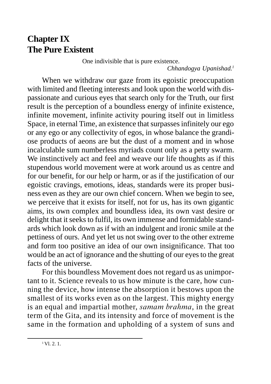# **Chapter IX The Pure Existent**

One indivisible that is pure existence. *Chhandogya Upanishad.1*

When we withdraw our gaze from its egoistic preoccupation with limited and fleeting interests and look upon the world with dispassionate and curious eyes that search only for the Truth, our first result is the perception of a boundless energy of infinite existence, infinite movement, infinite activity pouring itself out in limitless Space, in eternal Time, an existence that surpasses infinitely our ego or any ego or any collectivity of egos, in whose balance the grandiose products of aeons are but the dust of a moment and in whose incalculable sum numberless myriads count only as a petty swarm. We instinctively act and feel and weave our life thoughts as if this stupendous world movement were at work around us as centre and for our benefit, for our help or harm, or as if the justification of our egoistic cravings, emotions, ideas, standards were its proper business even as they are our own chief concern. When we begin to see, we perceive that it exists for itself, not for us, has its own gigantic aims, its own complex and boundless idea, its own vast desire or delight that it seeks to fulfil, its own immense and formidable standards which look down as if with an indulgent and ironic smile at the pettiness of ours. And yet let us not swing over to the other extreme and form too positive an idea of our own insignificance. That too would be an act of ignorance and the shutting of our eyes to the great facts of the universe.

For this boundless Movement does not regard us as unimportant to it. Science reveals to us how minute is the care, how cunning the device, how intense the absorption it bestows upon the smallest of its works even as on the largest. This mighty energy is an equal and impartial mother, samam brahma, in the great term of the Gita, and its intensity and force of movement is the same in the formation and upholding of a system of suns and

<sup>1</sup> Vl. 2. 1.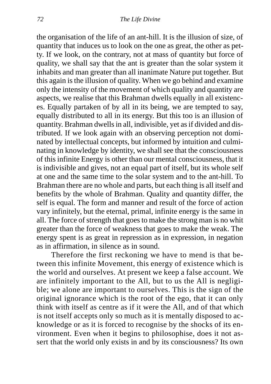the organisation of the life of an ant-hill. It is the illusion of size, of quantity that induces us to look on the one as great, the other as petty. If we look, on the contrary, not at mass of quantity but force of quality, we shall say that the ant is greater than the solar system it inhabits and man greater than all inanimate Nature put together. But this again is the illusion of quality. When we go behind and examine only the intensity of the movement of which quality and quantity are aspects, we realise that this Brahman dwells equally in all existences. Equally partaken of by all in its being, we are tempted to say, equally distributed to all in its energy. But this too is an illusion of quantity. Brahman dwells in all, indivisible, yet as if divided and distributed. If we look again with an observing perception not dominated by intellectual concepts, but informed by intuition and culminating in knowledge by identity, we shall see that the consciousness of this infinite Energy is other than our mental consciousness, that it is indivisible and gives, not an equal part of itself, but its whole self at one and the same time to the solar system and to the ant-hill. To Brahman there are no whole and parts, but each thing is all itself and benefits by the whole of Brahman. Quality and quantity differ, the self is equal. The form and manner and result of the force of action vary infinitely, but the eternal, primal, infinite energy is the same in all. The force of strength that goes to make the strong man is no whit greater than the force of weakness that goes to make the weak. The energy spent is as great in repression as in expression, in negation as in affirmation, in silence as in sound.

Therefore the first reckoning we have to mend is that between this infinite Movement, this energy of existence which is the world and ourselves. At present we keep a false account. We are infinitely important to the All, but to us the All is negligible; we alone are important to ourselves. This is the sign of the original ignorance which is the root of the ego, that it can only think with itself as centre as if it were the All, and of that which is not itself accepts only so much as it is mentally disposed to acknowledge or as it is forced to recognise by the shocks of its environment. Even when it begins to philosophise, does it not assert that the world only exists in and by its consciousness? Its own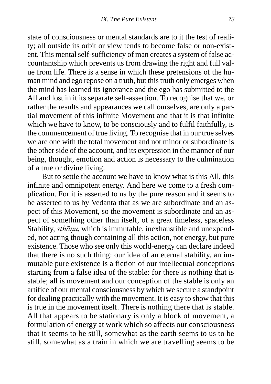state of consciousness or mental standards are to it the test of reality; all outside its orbit or view tends to become false or non-existent. This mental self-sufficiency of man creates a system of false accountantship which prevents us from drawing the right and full value from life. There is a sense in which these pretensions of the human mind and ego repose on a truth, but this truth only emerges when the mind has learned its ignorance and the ego has submitted to the All and lost in it its separate self-assertion. To recognise that we, or rather the results and appearances we call ourselves, are only a partial movement of this infinite Movement and that it is that infinite which we have to know, to be consciously and to fulfil faithfully, is the commencement of true living. To recognise that in our true selves we are one with the total movement and not minor or subordinate is the other side of the account, and its expression in the manner of our being, thought, emotion and action is necessary to the culmination of a true or divine living.

But to settle the account we have to know what is this All, this infinite and omnipotent energy. And here we come to a fresh complication. For it is asserted to us by the pure reason and it seems to be asserted to us by Vedanta that as we are subordinate and an aspect of this Movement, so the movement is subordinate and an aspect of something other than itself, of a great timeless, spaceless Stability, *sthānu*, which is immutable, inexhaustible and unexpended, not acting though containing all this action, not energy, but pure existence. Those who see only this world-energy can declare indeed that there is no such thing: our idea of an eternal stability, an immutable pure existence is a fiction of our intellectual conceptions starting from a false idea of the stable: for there is nothing that is stable; all is movement and our conception of the stable is only an artifice of our mental consciousness by which we secure a standpoint for dealing practically with the movement. It is easy to show that this is true in the movement itself. There is nothing there that is stable. All that appears to be stationary is only a block of movement, a formulation of energy at work which so affects our consciousness that it seems to be still, somewhat as the earth seems to us to be still, somewhat as a train in which we are travelling seems to be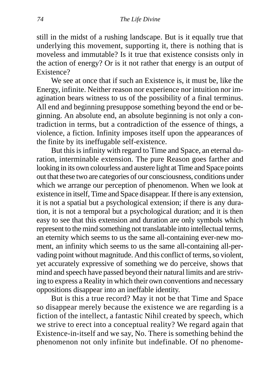still in the midst of a rushing landscape. But is it equally true that underlying this movement, supporting it, there is nothing that is moveless and immutable? Is it true that existence consists only in the action of energy? Or is it not rather that energy is an output of Existence?

We see at once that if such an Existence is, it must be, like the Energy, infinite. Neither reason nor experience nor intuition nor imagination bears witness to us of the possibility of a final terminus. All end and beginning presuppose something beyond the end or beginning. An absolute end, an absolute beginning is not only a contradiction in terms, but a contradiction of the essence of things, a violence, a fiction. Infinity imposes itself upon the appearances of the finite by its ineffugable self-existence.

But this is infinity with regard to Time and Space, an eternal duration, interminable extension. The pure Reason goes farther and looking in its own colourless and austere light at Time and Space points out that these two are categories of our consciousness, conditions under which we arrange our perception of phenomenon. When we look at existence in itself, Time and Space disappear. If there is any extension, it is not a spatial but a psychological extension; if there is any duration, it is not a temporal but a psychological duration; and it is then easy to see that this extension and duration are only symbols which represent to the mind something not translatable into intellectual terms, an eternity which seems to us the same all-containing ever-new moment, an infinity which seems to us the same all-containing all-pervading point without magnitude. And this conflict of terms, so violent, yet accurately expressive of something we do perceive, shows that mind and speech have passed beyond their natural limits and are striving to express a Reality in which their own conventions and necessary oppositions disappear into an ineffable identity.

But is this a true record? May it not be that Time and Space so disappear merely because the existence we are regarding is a fiction of the intellect, a fantastic Nihil created by speech, which we strive to erect into a conceptual reality? We regard again that Existence-in-itself and we say, No. There is something behind the phenomenon not only infinite but indefinable. Of no phenome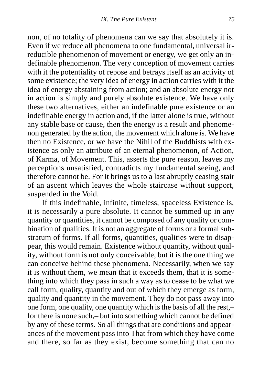non, of no totality of phenomena can we say that absolutely it is. Even if we reduce all phenomena to one fundamental, universal irreducible phenomenon of movement or energy, we get only an indefinable phenomenon. The very conception of movement carries with it the potentiality of repose and betrays itself as an activity of some existence; the very idea of energy in action carries with it the idea of energy abstaining from action; and an absolute energy not in action is simply and purely absolute existence. We have only these two alternatives, either an indefinable pure existence or an indefinable energy in action and, if the latter alone is true, without any stable base or cause, then the energy is a result and phenomenon generated by the action, the movement which alone is. We have then no Existence, or we have the Nihil of the Buddhists with existence as only an attribute of an eternal phenomenon, of Action, of Karma, of Movement. This, asserts the pure reason, leaves my perceptions unsatisfied, contradicts my fundamental seeing, and therefore cannot be. For it brings us to a last abruptly ceasing stair of an ascent which leaves the whole staircase without support, suspended in the Void.

If this indefinable, infinite, timeless, spaceless Existence is, it is necessarily a pure absolute. It cannot be summed up in any quantity or quantities, it cannot be composed of any quality or combination of qualities. It is not an aggregate of forms or a formal substratum of forms. If all forms, quantities, qualities were to disappear, this would remain. Existence without quantity, without quality, without form is not only conceivable, but it is the one thing we can conceive behind these phenomena. Necessarily, when we say it is without them, we mean that it exceeds them, that it is something into which they pass in such a way as to cease to be what we call form, quality, quantity and out of which they emerge as form, quality and quantity in the movement. They do not pass away into one form, one quality, one quantity which is the basis of all the rest,– for there is none such,– but into something which cannot be defined by any of these terms. So all things that are conditions and appearances of the movement pass into That from which they have come and there, so far as they exist, become something that can no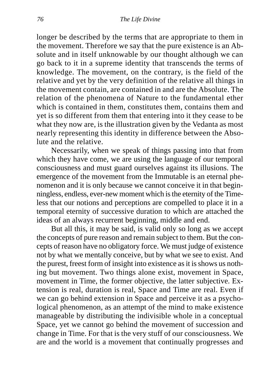longer be described by the terms that are appropriate to them in the movement. Therefore we say that the pure existence is an Absolute and in itself unknowable by our thought although we can go back to it in a supreme identity that transcends the terms of knowledge. The movement, on the contrary, is the field of the relative and yet by the very definition of the relative all things in the movement contain, are contained in and are the Absolute. The relation of the phenomena of Nature to the fundamental ether which is contained in them, constitutes them, contains them and yet is so different from them that entering into it they cease to be what they now are, is the illustration given by the Vedanta as most nearly representing this identity in difference between the Absolute and the relative.

Necessarily, when we speak of things passing into that from which they have come, we are using the language of our temporal consciousness and must guard ourselves against its illusions. The emergence of the movement from the Immutable is an eternal phenomenon and it is only because we cannot conceive it in that beginningless, endless, ever-new moment which is the eternity of the Timeless that our notions and perceptions are compelled to place it in a temporal eternity of successive duration to which are attached the ideas of an always recurrent beginning, middle and end.

But all this, it may be said, is valid only so long as we accept the concepts of pure reason and remain subject to them. But the concepts of reason have no obligatory force. We must judge of existence not by what we mentally conceive, but by what we see to exist. And the purest, freest form of insight into existence as it is shows us nothing but movement. Two things alone exist, movement in Space, movement in Time, the former objective, the latter subjective. Extension is real, duration is real, Space and Time are real. Even if we can go behind extension in Space and perceive it as a psychological phenomenon, as an attempt of the mind to make existence manageable by distributing the indivisible whole in a conceptual Space, yet we cannot go behind the movement of succession and change in Time. For that is the very stuff of our consciousness. We are and the world is a movement that continually progresses and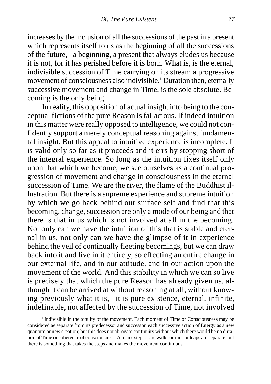increases by the inclusion of all the successions of the past in a present which represents itself to us as the beginning of all the successions of the future,– a beginning, a present that always eludes us because it is not, for it has perished before it is born. What is, is the eternal, indivisible succession of Time carrying on its stream a progressive movement of consciousness also indivisible.<sup>1</sup> Duration then, eternally successive movement and change in Time, is the sole absolute. Becoming is the only being.

In reality, this opposition of actual insight into being to the conceptual fictions of the pure Reason is fallacious. If indeed intuition in this matter were really opposed to intelligence, we could not confidently support a merely conceptual reasoning against fundamental insight. But this appeal to intuitive experience is incomplete. It is valid only so far as it proceeds and it errs by stopping short of the integral experience. So long as the intuition fixes itself only upon that which we become, we see ourselves as a continual progression of movement and change in consciousness in the eternal succession of Time. We are the river, the flame of the Buddhist illustration. But there is a supreme experience and supreme intuition by which we go back behind our surface self and find that this becoming, change, succession are only a mode of our being and that there is that in us which is not involved at all in the becoming. Not only can we have the intuition of this that is stable and eternal in us, not only can we have the glimpse of it in experience behind the veil of continually fleeting becomings, but we can draw back into it and live in it entirely, so effecting an entire change in our external life, and in our attitude, and in our action upon the movement of the world. And this stability in which we can so live is precisely that which the pure Reason has already given us, although it can be arrived at without reasoning at all, without knowing previously what it is,– it is pure existence, eternal, infinite, indefinable, not affected by the succession of Time, not involved

<sup>1</sup> Indivisible in the totality of the movement. Each moment of Time or Consciousness may be considered as separate from its predecessor and successor, each successive action of Energy as a new quantum or new creation; but this does not abrogate continuity without which there would be no duration of Time or coherence of consciousness. A man's steps as he walks or runs or leaps are separate, but there is something that takes the steps and makes the movement continuous.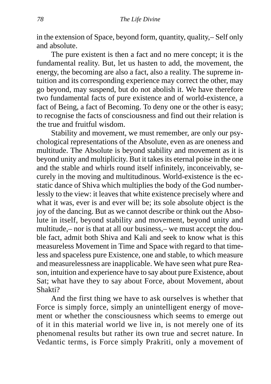in the extension of Space, beyond form, quantity, quality,– Self only and absolute.

The pure existent is then a fact and no mere concept; it is the fundamental reality. But, let us hasten to add, the movement, the energy, the becoming are also a fact, also a reality. The supreme intuition and its corresponding experience may correct the other, may go beyond, may suspend, but do not abolish it. We have therefore two fundamental facts of pure existence and of world-existence, a fact of Being, a fact of Becoming. To deny one or the other is easy; to recognise the facts of consciousness and find out their relation is the true and fruitful wisdom.

Stability and movement, we must remember, are only our psychological representations of the Absolute, even as are oneness and multitude. The Absolute is beyond stability and movement as it is beyond unity and multiplicity. But it takes its eternal poise in the one and the stable and whirls round itself infinitely, inconceivably, securely in the moving and multitudinous. World-existence is the ecstatic dance of Shiva which multiplies the body of the God numberlessly to the view: it leaves that white existence precisely where and what it was, ever is and ever will be; its sole absolute object is the joy of the dancing. But as we cannot describe or think out the Absolute in itself, beyond stability and movement, beyond unity and multitude,– nor is that at all our business,– we must accept the double fact, admit both Shiva and Kali and seek to know what is this measureless Movement in Time and Space with regard to that timeless and spaceless pure Existence, one and stable, to which measure and measurelessness are inapplicable. We have seen what pure Reason, intuition and experience have to say about pure Existence, about Sat; what have they to say about Force, about Movement, about Shakti?

And the first thing we have to ask ourselves is whether that Force is simply force, simply an unintelligent energy of movement or whether the consciousness which seems to emerge out of it in this material world we live in, is not merely one of its phenomenal results but rather its own true and secret nature. In Vedantic terms, is Force simply Prakriti, only a movement of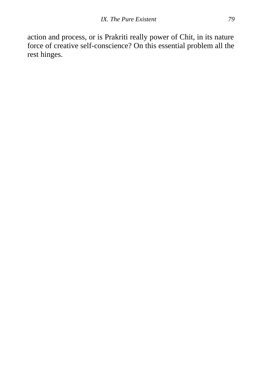action and process, or is Prakriti really power of Chit, in its nature force of creative self-conscience? On this essential problem all the rest hinges.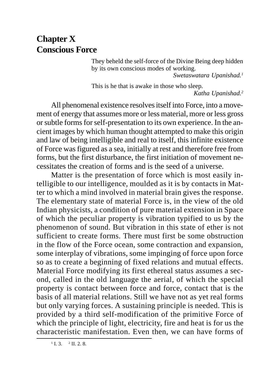# **Chapter X Conscious Force**

They beheld the self-force of the Divine Being deep hidden by its own conscious modes of working. *Swetaswatara Upanishad.1*

This is he that is awake in those who sleep. *Katha Upanishad.2*

All phenomenal existence resolves itself into Force, into a movement of energy that assumes more or less material, more or less gross or subtle forms for self-presentation to its own experience. In the ancient images by which human thought attempted to make this origin and law of being intelligible and real to itself, this infinite existence of Force was figured as a sea, initially at rest and therefore free from forms, but the first disturbance, the first initiation of movement necessitates the creation of forms and is the seed of a universe.

Matter is the presentation of force which is most easily intelligible to our intelligence, moulded as it is by contacts in Matter to which a mind involved in material brain gives the response. The elementary state of material Force is, in the view of the old Indian physicists, a condition of pure material extension in Space of which the peculiar property is vibration typified to us by the phenomenon of sound. But vibration in this state of ether is not sufficient to create forms. There must first be some obstruction in the flow of the Force ocean, some contraction and expansion, some interplay of vibrations, some impinging of force upon force so as to create a beginning of fixed relations and mutual effects. Material Force modifying its first ethereal status assumes a second, called in the old language the aerial, of which the special property is contact between force and force, contact that is the basis of all material relations. Still we have not as yet real forms but only varying forces. A sustaining principle is needed. This is provided by a third self-modification of the primitive Force of which the principle of light, electricity, fire and heat is for us the characteristic manifestation. Even then, we can have forms of

 $1$  I. 3.  $2$  II. 2. 8.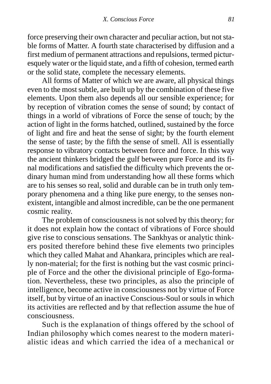force preserving their own character and peculiar action, but not stable forms of Matter. A fourth state characterised by diffusion and a first medium of permanent attractions and repulsions, termed picturesquely water or the liquid state, and a fifth of cohesion, termed earth or the solid state, complete the necessary elements.

All forms of Matter of which we are aware, all physical things even to the most subtle, are built up by the combination of these five elements. Upon them also depends all our sensible experience; for by reception of vibration comes the sense of sound; by contact of things in a world of vibrations of Force the sense of touch; by the action of light in the forms hatched, outlined, sustained by the force of light and fire and heat the sense of sight; by the fourth element the sense of taste; by the fifth the sense of smell. All is essentially response to vibratory contacts between force and force. In this way the ancient thinkers bridged the gulf between pure Force and its final modifications and satisfied the difficulty which prevents the ordinary human mind from understanding how all these forms which are to his senses so real, solid and durable can be in truth only temporary phenomena and a thing like pure energy, to the senses nonexistent, intangible and almost incredible, can be the one permanent cosmic reality.

The problem of consciousness is not solved by this theory; for it does not explain how the contact of vibrations of Force should give rise to conscious sensations. The Sankhyas or analytic thinkers posited therefore behind these five elements two principles which they called Mahat and Ahankara, principles which are really non-material; for the first is nothing but the vast cosmic principle of Force and the other the divisional principle of Ego-formation. Nevertheless, these two principles, as also the principle of intelligence, become active in consciousness not by virtue of Force itself, but by virtue of an inactive Conscious-Soul or souls in which its activities are reflected and by that reflection assume the hue of consciousness.

Such is the explanation of things offered by the school of Indian philosophy which comes nearest to the modern materialistic ideas and which carried the idea of a mechanical or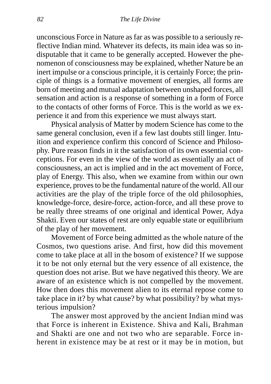unconscious Force in Nature as far as was possible to a seriously reflective Indian mind. Whatever its defects, its main idea was so indisputable that it came to be generally accepted. However the phenomenon of consciousness may be explained, whether Nature be an inert impulse or a conscious principle, it is certainly Force; the principle of things is a formative movement of energies, all forms are born of meeting and mutual adaptation between unshaped forces, all sensation and action is a response of something in a form of Force to the contacts of other forms of Force. This is the world as we experience it and from this experience we must always start.

Physical analysis of Matter by modern Science has come to the same general conclusion, even if a few last doubts still linger. Intuition and experience confirm this concord of Science and Philosophy. Pure reason finds in it the satisfaction of its own essential conceptions. For even in the view of the world as essentially an act of consciousness, an act is implied and in the act movement of Force, play of Energy. This also, when we examine from within our own experience, proves to be the fundamental nature of the world. All our activities are the play of the triple force of the old philosophies, knowledge-force, desire-force, action-force, and all these prove to be really three streams of one original and identical Power, Adya Shakti. Even our states of rest are only equable state or equilibrium of the play of her movement.

Movement of Force being admitted as the whole nature of the Cosmos, two questions arise. And first, how did this movement come to take place at all in the bosom of existence? If we suppose it to be not only eternal but the very essence of all existence, the question does not arise. But we have negatived this theory. We are aware of an existence which is not compelled by the movement. How then does this movement alien to its eternal repose come to take place in it? by what cause? by what possibility? by what mysterious impulsion?

The answer most approved by the ancient Indian mind was that Force is inherent in Existence. Shiva and Kali, Brahman and Shakti are one and not two who are separable. Force inherent in existence may be at rest or it may be in motion, but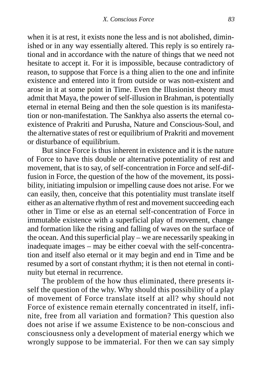when it is at rest, it exists none the less and is not abolished, diminished or in any way essentially altered. This reply is so entirely rational and in accordance with the nature of things that we need not hesitate to accept it. For it is impossible, because contradictory of reason, to suppose that Force is a thing alien to the one and infinite existence and entered into it from outside or was non-existent and arose in it at some point in Time. Even the Illusionist theory must admit that Maya, the power of self-illusion in Brahman, is potentially eternal in eternal Being and then the sole question is its manifestation or non-manifestation. The Sankhya also asserts the eternal coexistence of Prakriti and Purusha, Nature and Conscious-Soul, and the alternative states of rest or equilibrium of Prakriti and movement or disturbance of equilibrium.

But since Force is thus inherent in existence and it is the nature of Force to have this double or alternative potentiality of rest and movement, that is to say, of self-concentration in Force and self-diffusion in Force, the question of the how of the movement, its possibility, initiating impulsion or impelling cause does not arise. For we can easily, then, conceive that this potentiality must translate itself either as an alternative rhythm of rest and movement succeeding each other in Time or else as an eternal self-concentration of Force in immutable existence with a superficial play of movement, change and formation like the rising and falling of waves on the surface of the ocean. And this superficial play – we are necessarily speaking in inadequate images – may be either coeval with the self-concentration and itself also eternal or it may begin and end in Time and be resumed by a sort of constant rhythm; it is then not eternal in continuity but eternal in recurrence.

The problem of the how thus eliminated, there presents itself the question of the why. Why should this possibility of a play of movement of Force translate itself at all? why should not Force of existence remain eternally concentrated in itself, infinite, free from all variation and formation? This question also does not arise if we assume Existence to be non-conscious and consciousness only a development of material energy which we wrongly suppose to be immaterial. For then we can say simply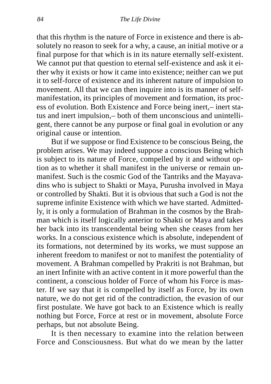that this rhythm is the nature of Force in existence and there is absolutely no reason to seek for a why, a cause, an initial motive or a final purpose for that which is in its nature eternally self-existent. We cannot put that question to eternal self-existence and ask it either why it exists or how it came into existence; neither can we put it to self-force of existence and its inherent nature of impulsion to movement. All that we can then inquire into is its manner of selfmanifestation, its principles of movement and formation, its process of evolution. Both Existence and Force being inert,– inert status and inert impulsion,– both of them unconscious and unintelligent, there cannot be any purpose or final goal in evolution or any original cause or intention.

But if we suppose or find Existence to be conscious Being, the problem arises. We may indeed suppose a conscious Being which is subject to its nature of Force, compelled by it and without option as to whether it shall manifest in the universe or remain unmanifest. Such is the cosmic God of the Tantriks and the Mayavadins who is subject to Shakti or Maya, Purusha involved in Maya or controlled by Shakti. But it is obvious that such a God is not the supreme infinite Existence with which we have started. Admittedly, it is only a formulation of Brahman in the cosmos by the Brahman which is itself logically anterior to Shakti or Maya and takes her back into its transcendental being when she ceases from her works. In a conscious existence which is absolute, independent of its formations, not determined by its works, we must suppose an inherent freedom to manifest or not to manifest the potentiality of movement. A Brahman compelled by Prakriti is not Brahman, but an inert Infinite with an active content in it more powerful than the continent, a conscious holder of Force of whom his Force is master. If we say that it is compelled by itself as Force, by its own nature, we do not get rid of the contradiction, the evasion of our first postulate. We have got back to an Existence which is really nothing but Force, Force at rest or in movement, absolute Force perhaps, but not absolute Being.

It is then necessary to examine into the relation between Force and Consciousness. But what do we mean by the latter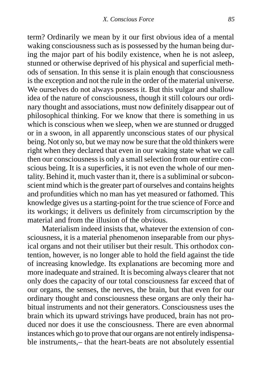term? Ordinarily we mean by it our first obvious idea of a mental waking consciousness such as is possessed by the human being during the major part of his bodily existence, when he is not asleep, stunned or otherwise deprived of his physical and superficial methods of sensation. In this sense it is plain enough that consciousness is the exception and not the rule in the order of the material universe. We ourselves do not always possess it. But this vulgar and shallow idea of the nature of consciousness, though it still colours our ordinary thought and associations, must now definitely disappear out of philosophical thinking. For we know that there is something in us which is conscious when we sleep, when we are stunned or drugged or in a swoon, in all apparently unconscious states of our physical being. Not only so, but we may now be sure that the old thinkers were right when they declared that even in our waking state what we call then our consciousness is only a small selection from our entire conscious being. It is a superficies, it is not even the whole of our mentality. Behind it, much vaster than it, there is a subliminal or subconscient mind which is the greater part of ourselves and contains heights and profundities which no man has yet measured or fathomed. This knowledge gives us a starting-point for the true science of Force and its workings; it delivers us definitely from circumscription by the material and from the illusion of the obvious.

Materialism indeed insists that, whatever the extension of consciousness, it is a material phenomenon inseparable from our physical organs and not their utiliser but their result. This orthodox contention, however, is no longer able to hold the field against the tide of increasing knowledge. Its explanations are becoming more and more inadequate and strained. It is becoming always clearer that not only does the capacity of our total consciousness far exceed that of our organs, the senses, the nerves, the brain, but that even for our ordinary thought and consciousness these organs are only their habitual instruments and not their generators. Consciousness uses the brain which its upward strivings have produced, brain has not produced nor does it use the consciousness. There are even abnormal instances which go to prove that our organs are not entirely indispensable instruments,– that the heart-beats are not absolutely essential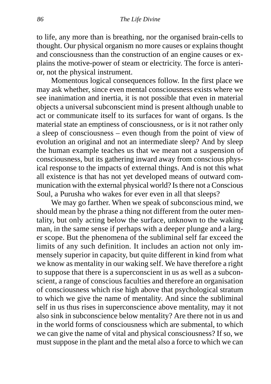to life, any more than is breathing, nor the organised brain-cells to thought. Our physical organism no more causes or explains thought and consciousness than the construction of an engine causes or explains the motive-power of steam or electricity. The force is anterior, not the physical instrument.

Momentous logical consequences follow. In the first place we may ask whether, since even mental consciousness exists where we see inanimation and inertia, it is not possible that even in material objects a universal subconscient mind is present although unable to act or communicate itself to its surfaces for want of organs. Is the material state an emptiness of consciousness, or is it not rather only a sleep of consciousness – even though from the point of view of evolution an original and not an intermediate sleep? And by sleep the human example teaches us that we mean not a suspension of consciousness, but its gathering inward away from conscious physical response to the impacts of external things. And is not this what all existence is that has not yet developed means of outward communication with the external physical world? Is there not a Conscious Soul, a Purusha who wakes for ever even in all that sleeps?

We may go farther. When we speak of subconscious mind, we should mean by the phrase a thing not different from the outer mentality, but only acting below the surface, unknown to the waking man, in the same sense if perhaps with a deeper plunge and a larger scope. But the phenomena of the subliminal self far exceed the limits of any such definition. It includes an action not only immensely superior in capacity, but quite different in kind from what we know as mentality in our waking self. We have therefore a right to suppose that there is a superconscient in us as well as a subconscient, a range of conscious faculties and therefore an organisation of consciousness which rise high above that psychological stratum to which we give the name of mentality. And since the subliminal self in us thus rises in superconscience above mentality, may it not also sink in subconscience below mentality? Are there not in us and in the world forms of consciousness which are submental, to which we can give the name of vital and physical consciousness? If so, we must suppose in the plant and the metal also a force to which we can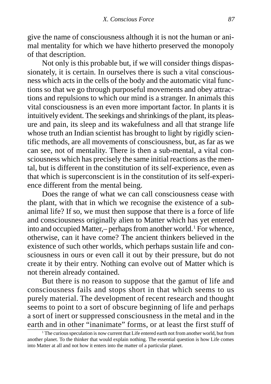give the name of consciousness although it is not the human or animal mentality for which we have hitherto preserved the monopoly of that description.

Not only is this probable but, if we will consider things dispassionately, it is certain. In ourselves there is such a vital consciousness which acts in the cells of the body and the automatic vital functions so that we go through purposeful movements and obey attractions and repulsions to which our mind is a stranger. In animals this vital consciousness is an even more important factor. In plants it is intuitively evident. The seekings and shrinkings of the plant, its pleasure and pain, its sleep and its wakefulness and all that strange life whose truth an Indian scientist has brought to light by rigidly scientific methods, are all movements of consciousness, but, as far as we can see, not of mentality. There is then a sub-mental, a vital consciousness which has precisely the same initial reactions as the mental, but is different in the constitution of its self-experience, even as that which is superconscient is in the constitution of its self-experience different from the mental being.

Does the range of what we can call consciousness cease with the plant, with that in which we recognise the existence of a subanimal life? If so, we must then suppose that there is a force of life and consciousness originally alien to Matter which has yet entered into and occupied Matter, - perhaps from another world.<sup>1</sup> For whence, otherwise, can it have come? The ancient thinkers believed in the existence of such other worlds, which perhaps sustain life and consciousness in ours or even call it out by their pressure, but do not create it by their entry. Nothing can evolve out of Matter which is not therein already contained.

But there is no reason to suppose that the gamut of life and consciousness fails and stops short in that which seems to us purely material. The development of recent research and thought seems to point to a sort of obscure beginning of life and perhaps a sort of inert or suppressed consciousness in the metal and in the earth and in other "inanimate" forms, or at least the first stuff of

<sup>1</sup> The curious speculation is now current that Life entered earth not from another world, but from another planet. To the thinker that would explain nothing. The essential question is how Life comes into Matter at all and not how it enters into the matter of a particular planet.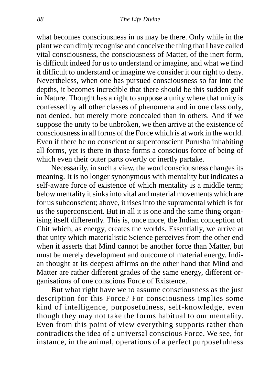what becomes consciousness in us may be there. Only while in the plant we can dimly recognise and conceive the thing that I have called vital consciousness, the consciousness of Matter, of the inert form, is difficult indeed for us to understand or imagine, and what we find it difficult to understand or imagine we consider it our right to deny. Nevertheless, when one has pursued consciousness so far into the depths, it becomes incredible that there should be this sudden gulf in Nature. Thought has a right to suppose a unity where that unity is confessed by all other classes of phenomena and in one class only, not denied, but merely more concealed than in others. And if we suppose the unity to be unbroken, we then arrive at the existence of consciousness in all forms of the Force which is at work in the world. Even if there be no conscient or superconscient Purusha inhabiting all forms, yet is there in those forms a conscious force of being of which even their outer parts overtly or inertly partake.

Necessarily, in such a view, the word consciousness changes its meaning. It is no longer synonymous with mentality but indicates a self-aware force of existence of which mentality is a middle term; below mentality it sinks into vital and material movements which are for us subconscient; above, it rises into the supramental which is for us the superconscient. But in all it is one and the same thing organising itself differently. This is, once more, the Indian conception of Chit which, as energy, creates the worlds. Essentially, we arrive at that unity which materialistic Science perceives from the other end when it asserts that Mind cannot be another force than Matter, but must be merely development and outcome of material energy. Indian thought at its deepest affirms on the other hand that Mind and Matter are rather different grades of the same energy, different organisations of one conscious Force of Existence.

But what right have we to assume consciousness as the just description for this Force? For consciousness implies some kind of intelligence, purposefulness, self-knowledge, even though they may not take the forms habitual to our mentality. Even from this point of view everything supports rather than contradicts the idea of a universal conscious Force. We see, for instance, in the animal, operations of a perfect purposefulness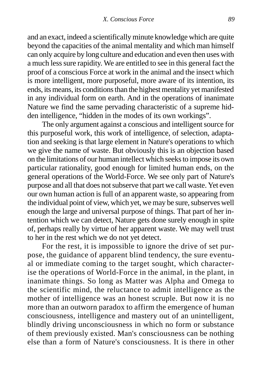and an exact, indeed a scientifically minute knowledge which are quite beyond the capacities of the animal mentality and which man himself can only acquire by long culture and education and even then uses with a much less sure rapidity. We are entitled to see in this general fact the proof of a conscious Force at work in the animal and the insect which is more intelligent, more purposeful, more aware of its intention, its ends, its means, its conditions than the highest mentality yet manifested in any individual form on earth. And in the operations of inanimate Nature we find the same pervading characteristic of a supreme hidden intelligence, "hidden in the modes of its own workings".

The only argument against a conscious and intelligent source for this purposeful work, this work of intelligence, of selection, adaptation and seeking is that large element in Nature's operations to which we give the name of waste. But obviously this is an objection based on the limitations of our human intellect which seeks to impose its own particular rationality, good enough for limited human ends, on the general operations of the World-Force. We see only part of Nature's purpose and all that does not subserve that part we call waste. Yet even our own human action is full of an apparent waste, so appearing from the individual point of view, which yet, we may be sure, subserves well enough the large and universal purpose of things. That part of her intention which we can detect, Nature gets done surely enough in spite of, perhaps really by virtue of her apparent waste. We may well trust to her in the rest which we do not yet detect.

For the rest, it is impossible to ignore the drive of set purpose, the guidance of apparent blind tendency, the sure eventual or immediate coming to the target sought, which characterise the operations of World-Force in the animal, in the plant, in inanimate things. So long as Matter was Alpha and Omega to the scientific mind, the reluctance to admit intelligence as the mother of intelligence was an honest scruple. But now it is no more than an outworn paradox to affirm the emergence of human consciousness, intelligence and mastery out of an unintelligent, blindly driving unconsciousness in which no form or substance of them previously existed. Man's consciousness can be nothing else than a form of Nature's consciousness. It is there in other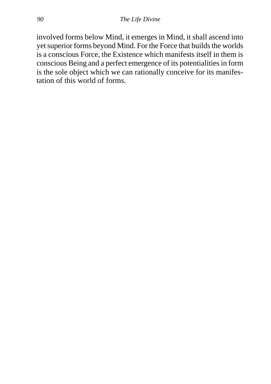involved forms below Mind, it emerges in Mind, it shall ascend into yet superior forms beyond Mind. For the Force that builds the worlds is a conscious Force, the Existence which manifests itself in them is conscious Being and a perfect emergence of its potentialities in form is the sole object which we can rationally conceive for its manifestation of this world of forms.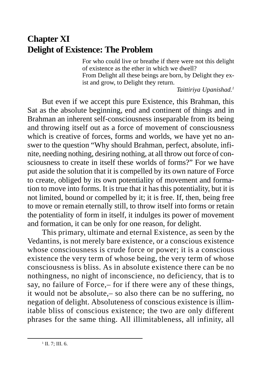# **Chapter XI Delight of Existence: The Problem**

For who could live or breathe if there were not this delight of existence as the ether in which we dwell? From Delight all these beings are born, by Delight they exist and grow, to Delight they return.

*Taittiriya Upanishad.1*

But even if we accept this pure Existence, this Brahman, this Sat as the absolute beginning, end and continent of things and in Brahman an inherent self-consciousness inseparable from its being and throwing itself out as a force of movement of consciousness which is creative of forces, forms and worlds, we have yet no answer to the question "Why should Brahman, perfect, absolute, infinite, needing nothing, desiring nothing, at all throw out force of consciousness to create in itself these worlds of forms?" For we have put aside the solution that it is compelled by its own nature of Force to create, obliged by its own potentiality of movement and formation to move into forms. It is true that it has this potentiality, but it is not limited, bound or compelled by it; it is free. If, then, being free to move or remain eternally still, to throw itself into forms or retain the potentiality of form in itself, it indulges its power of movement and formation, it can be only for one reason, for delight.

This primary, ultimate and eternal Existence, as seen by the Vedantins, is not merely bare existence, or a conscious existence whose consciousness is crude force or power; it is a conscious existence the very term of whose being, the very term of whose consciousness is bliss. As in absolute existence there can be no nothingness, no night of inconscience, no deficiency, that is to say, no failure of Force,– for if there were any of these things, it would not be absolute,– so also there can be no suffering, no negation of delight. Absoluteness of conscious existence is illimitable bliss of conscious existence; the two are only different phrases for the same thing. All illimitableness, all infinity, all

 $1$  II. 7; III. 6.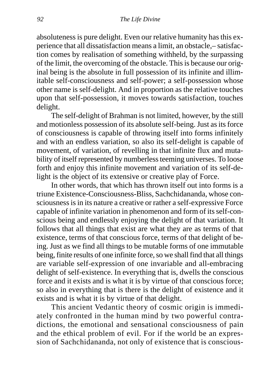absoluteness is pure delight. Even our relative humanity has this experience that all dissatisfaction means a limit, an obstacle,– satisfaction comes by realisation of something withheld, by the surpassing of the limit, the overcoming of the obstacle. This is because our original being is the absolute in full possession of its infinite and illimitable self-consciousness and self-power; a self-possession whose other name is self-delight. And in proportion as the relative touches upon that self-possession, it moves towards satisfaction, touches delight.

The self-delight of Brahman is not limited, however, by the still and motionless possession of its absolute self-being. Just as its force of consciousness is capable of throwing itself into forms infinitely and with an endless variation, so also its self-delight is capable of movement, of variation, of revelling in that infinite flux and mutability of itself represented by numberless teeming universes. To loose forth and enjoy this infinite movement and variation of its self-delight is the object of its extensive or creative play of Force.

In other words, that which has thrown itself out into forms is a triune Existence-Consciousness-Bliss, Sachchidananda, whose consciousness is in its nature a creative or rather a self-expressive Force capable of infinite variation in phenomenon and form of its self-conscious being and endlessly enjoying the delight of that variation. It follows that all things that exist are what they are as terms of that existence, terms of that conscious force, terms of that delight of being. Just as we find all things to be mutable forms of one immutable being, finite results of one infinite force, so we shall find that all things are variable self-expression of one invariable and all-embracing delight of self-existence. In everything that is, dwells the conscious force and it exists and is what it is by virtue of that conscious force; so also in everything that is there is the delight of existence and it exists and is what it is by virtue of that delight.

This ancient Vedantic theory of cosmic origin is immediately confronted in the human mind by two powerful contradictions, the emotional and sensational consciousness of pain and the ethical problem of evil. For if the world be an expression of Sachchidananda, not only of existence that is conscious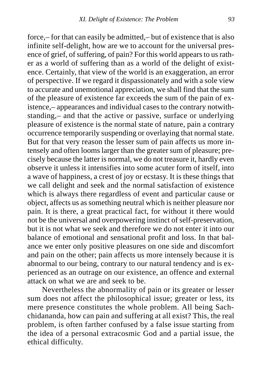force,– for that can easily be admitted,– but of existence that is also infinite self-delight, how are we to account for the universal presence of grief, of suffering, of pain? For this world appears to us rather as a world of suffering than as a world of the delight of existence. Certainly, that view of the world is an exaggeration, an error of perspective. If we regard it dispassionately and with a sole view to accurate and unemotional appreciation, we shall find that the sum of the pleasure of existence far exceeds the sum of the pain of existence,– appearances and individual cases to the contrary notwithstanding,– and that the active or passive, surface or underlying pleasure of existence is the normal state of nature, pain a contrary occurrence temporarily suspending or overlaying that normal state. But for that very reason the lesser sum of pain affects us more intensely and often looms larger than the greater sum of pleasure; precisely because the latter is normal, we do not treasure it, hardly even observe it unless it intensifies into some acuter form of itself, into a wave of happiness, a crest of joy or ecstasy. It is these things that we call delight and seek and the normal satisfaction of existence which is always there regardless of event and particular cause or object, affects us as something neutral which is neither pleasure nor pain. It is there, a great practical fact, for without it there would not be the universal and overpowering instinct of self-preservation, but it is not what we seek and therefore we do not enter it into our balance of emotional and sensational profit and loss. In that balance we enter only positive pleasures on one side and discomfort and pain on the other; pain affects us more intensely because it is abnormal to our being, contrary to our natural tendency and is experienced as an outrage on our existence, an offence and external attack on what we are and seek to be.

Nevertheless the abnormality of pain or its greater or lesser sum does not affect the philosophical issue; greater or less, its mere presence constitutes the whole problem. All being Sachchidananda, how can pain and suffering at all exist? This, the real problem, is often farther confused by a false issue starting from the idea of a personal extracosmic God and a partial issue, the ethical difficulty.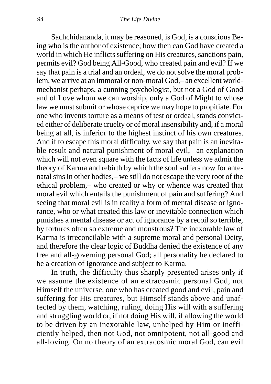Sachchidananda, it may be reasoned, is God, is a conscious Being who is the author of existence; how then can God have created a world in which He inflicts suffering on His creatures, sanctions pain, permits evil? God being All-Good, who created pain and evil? If we say that pain is a trial and an ordeal, we do not solve the moral problem, we arrive at an immoral or non-moral God,– an excellent worldmechanist perhaps, a cunning psychologist, but not a God of Good and of Love whom we can worship, only a God of Might to whose law we must submit or whose caprice we may hope to propitiate. For one who invents torture as a means of test or ordeal, stands convicted either of deliberate cruelty or of moral insensibility and, if a moral being at all, is inferior to the highest instinct of his own creatures. And if to escape this moral difficulty, we say that pain is an inevitable result and natural punishment of moral evil,– an explanation which will not even square with the facts of life unless we admit the theory of Karma and rebirth by which the soul suffers now for antenatal sins in other bodies,– we still do not escape the very root of the ethical problem,– who created or why or whence was created that moral evil which entails the punishment of pain and suffering? And seeing that moral evil is in reality a form of mental disease or ignorance, who or what created this law or inevitable connection which punishes a mental disease or act of ignorance by a recoil so terrible, by tortures often so extreme and monstrous? The inexorable law of Karma is irreconcilable with a supreme moral and personal Deity, and therefore the clear logic of Buddha denied the existence of any free and all-governing personal God; all personality he declared to be a creation of ignorance and subject to Karma.

In truth, the difficulty thus sharply presented arises only if we assume the existence of an extracosmic personal God, not Himself the universe, one who has created good and evil, pain and suffering for His creatures, but Himself stands above and unaffected by them, watching, ruling, doing His will with a suffering and struggling world or, if not doing His will, if allowing the world to be driven by an inexorable law, unhelped by Him or inefficiently helped, then not God, not omnipotent, not all-good and all-loving. On no theory of an extracosmic moral God, can evil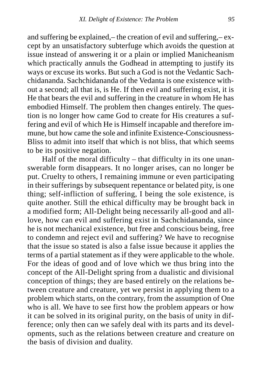and suffering be explained,– the creation of evil and suffering,– except by an unsatisfactory subterfuge which avoids the question at issue instead of answering it or a plain or implied Manicheanism which practically annuls the Godhead in attempting to justify its ways or excuse its works. But such a God is not the Vedantic Sachchidananda. Sachchidananda of the Vedanta is one existence without a second; all that is, is He. If then evil and suffering exist, it is He that bears the evil and suffering in the creature in whom He has embodied Himself. The problem then changes entirely. The question is no longer how came God to create for His creatures a suffering and evil of which He is Himself incapable and therefore immune, but how came the sole and infinite Existence-Consciousness-Bliss to admit into itself that which is not bliss, that which seems to be its positive negation.

Half of the moral difficulty – that difficulty in its one unanswerable form disappears. It no longer arises, can no longer be put. Cruelty to others, I remaining immune or even participating in their sufferings by subsequent repentance or belated pity, is one thing; self-infliction of suffering, I being the sole existence, is quite another. Still the ethical difficulty may be brought back in a modified form; All-Delight being necessarily all-good and alllove, how can evil and suffering exist in Sachchidananda, since he is not mechanical existence, but free and conscious being, free to condemn and reject evil and suffering? We have to recognise that the issue so stated is also a false issue because it applies the terms of a partial statement as if they were applicable to the whole. For the ideas of good and of love which we thus bring into the concept of the All-Delight spring from a dualistic and divisional conception of things; they are based entirely on the relations between creature and creature, yet we persist in applying them to a problem which starts, on the contrary, from the assumption of One who is all. We have to see first how the problem appears or how it can be solved in its original purity, on the basis of unity in difference; only then can we safely deal with its parts and its developments, such as the relations between creature and creature on the basis of division and duality.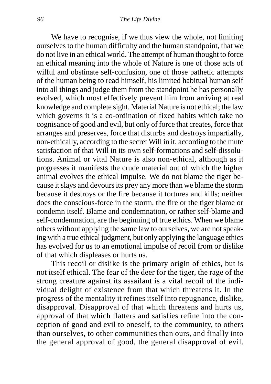We have to recognise, if we thus view the whole, not limiting ourselves to the human difficulty and the human standpoint, that we do not live in an ethical world. The attempt of human thought to force an ethical meaning into the whole of Nature is one of those acts of wilful and obstinate self-confusion, one of those pathetic attempts of the human being to read himself, his limited habitual human self into all things and judge them from the standpoint he has personally evolved, which most effectively prevent him from arriving at real knowledge and complete sight. Material Nature is not ethical; the law which governs it is a co-ordination of fixed habits which take no cognisance of good and evil, but only of force that creates, force that arranges and preserves, force that disturbs and destroys impartially, non-ethically, according to the secret Will in it, according to the mute satisfaction of that Will in its own self-formations and self-dissolutions. Animal or vital Nature is also non-ethical, although as it progresses it manifests the crude material out of which the higher animal evolves the ethical impulse. We do not blame the tiger because it slays and devours its prey any more than we blame the storm because it destroys or the fire because it tortures and kills; neither does the conscious-force in the storm, the fire or the tiger blame or condemn itself. Blame and condemnation, or rather self-blame and self-condemnation, are the beginning of true ethics. When we blame others without applying the same law to ourselves, we are not speaking with a true ethical judgment, but only applying the language ethics has evolved for us to an emotional impulse of recoil from or dislike of that which displeases or hurts us.

This recoil or dislike is the primary origin of ethics, but is not itself ethical. The fear of the deer for the tiger, the rage of the strong creature against its assailant is a vital recoil of the individual delight of existence from that which threatens it. In the progress of the mentality it refines itself into repugnance, dislike, disapproval. Disapproval of that which threatens and hurts us, approval of that which flatters and satisfies refine into the conception of good and evil to oneself, to the community, to others than ourselves, to other communities than ours, and finally into the general approval of good, the general disapproval of evil.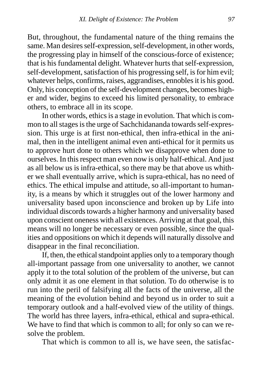But, throughout, the fundamental nature of the thing remains the same. Man desires self-expression, self-development, in other words, the progressing play in himself of the conscious-force of existence; that is his fundamental delight. Whatever hurts that self-expression, self-development, satisfaction of his progressing self, is for him evil; whatever helps, confirms, raises, aggrandises, ennobles it is his good. Only, his conception of the self-development changes, becomes higher and wider, begins to exceed his limited personality, to embrace others, to embrace all in its scope.

In other words, ethics is a stage in evolution. That which is common to all stages is the urge of Sachchidananda towards self-expression. This urge is at first non-ethical, then infra-ethical in the animal, then in the intelligent animal even anti-ethical for it permits us to approve hurt done to others which we disapprove when done to ourselves. In this respect man even now is only half-ethical. And just as all below us is infra-ethical, so there may be that above us whither we shall eventually arrive, which is supra-ethical, has no need of ethics. The ethical impulse and attitude, so all-important to humanity, is a means by which it struggles out of the lower harmony and universality based upon inconscience and broken up by Life into individual discords towards a higher harmony and universality based upon conscient oneness with all existences. Arriving at that goal, this means will no longer be necessary or even possible, since the qualities and oppositions on which it depends will naturally dissolve and disappear in the final reconciliation.

If, then, the ethical standpoint applies only to a temporary though all-important passage from one universality to another, we cannot apply it to the total solution of the problem of the universe, but can only admit it as one element in that solution. To do otherwise is to run into the peril of falsifying all the facts of the universe, all the meaning of the evolution behind and beyond us in order to suit a temporary outlook and a half-evolved view of the utility of things. The world has three layers, infra-ethical, ethical and supra-ethical. We have to find that which is common to all; for only so can we resolve the problem.

That which is common to all is, we have seen, the satisfac-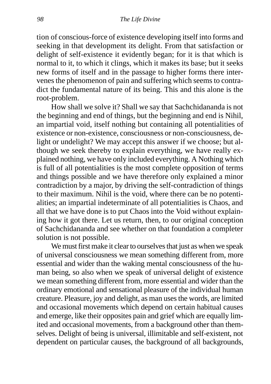tion of conscious-force of existence developing itself into forms and seeking in that development its delight. From that satisfaction or delight of self-existence it evidently began; for it is that which is normal to it, to which it clings, which it makes its base; but it seeks new forms of itself and in the passage to higher forms there intervenes the phenomenon of pain and suffering which seems to contradict the fundamental nature of its being. This and this alone is the root-problem.

How shall we solve it? Shall we say that Sachchidananda is not the beginning and end of things, but the beginning and end is Nihil, an impartial void, itself nothing but containing all potentialities of existence or non-existence, consciousness or non-consciousness, delight or undelight? We may accept this answer if we choose; but although we seek thereby to explain everything, we have really explained nothing, we have only included everything. A Nothing which is full of all potentialities is the most complete opposition of terms and things possible and we have therefore only explained a minor contradiction by a major, by driving the self-contradiction of things to their maximum. Nihil is the void, where there can be no potentialities; an impartial indeterminate of all potentialities is Chaos, and all that we have done is to put Chaos into the Void without explaining how it got there. Let us return, then, to our original conception of Sachchidananda and see whether on that foundation a completer solution is not possible.

We must first make it clear to ourselves that just as when we speak of universal consciousness we mean something different from, more essential and wider than the waking mental consciousness of the human being, so also when we speak of universal delight of existence we mean something different from, more essential and wider than the ordinary emotional and sensational pleasure of the individual human creature. Pleasure, joy and delight, as man uses the words, are limited and occasional movements which depend on certain habitual causes and emerge, like their opposites pain and grief which are equally limited and occasional movements, from a background other than themselves. Delight of being is universal, illimitable and self-existent, not dependent on particular causes, the background of all backgrounds,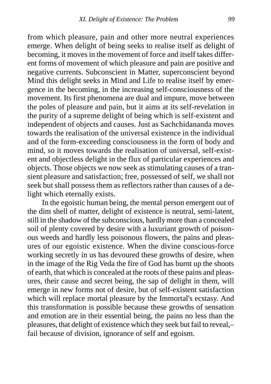from which pleasure, pain and other more neutral experiences emerge. When delight of being seeks to realise itself as delight of becoming, it moves in the movement of force and itself takes different forms of movement of which pleasure and pain are positive and negative currents. Subconscient in Matter, superconscient beyond Mind this delight seeks in Mind and Life to realise itself by emergence in the becoming, in the increasing self-consciousness of the movement. Its first phenomena are dual and impure, move between the poles of pleasure and pain, but it aims at its self-revelation in the purity of a supreme delight of being which is self-existent and independent of objects and causes. Just as Sachchidananda moves towards the realisation of the universal existence in the individual and of the form-exceeding consciousness in the form of body and mind, so it moves towards the realisation of universal, self-existent and objectless delight in the flux of particular experiences and objects. Those objects we now seek as stimulating causes of a transient pleasure and satisfaction; free, possessed of self, we shall not seek but shall possess them as reflectors rather than causes of a delight which eternally exists.

In the egoistic human being, the mental person emergent out of the dim shell of matter, delight of existence is neutral, semi-latent, still in the shadow of the subconscious, hardly more than a concealed soil of plenty covered by desire with a luxuriant growth of poisonous weeds and hardly less poisonous flowers, the pains and pleasures of our egoistic existence. When the divine conscious-force working secretly in us has devoured these growths of desire, when in the image of the Rig Veda the fire of God has burnt up the shoots of earth, that which is concealed at the roots of these pains and pleasures, their cause and secret being, the sap of delight in them, will emerge in new forms not of desire, but of self-existent satisfaction which will replace mortal pleasure by the Immortal's ecstasy. And this transformation is possible because these growths of sensation and emotion are in their essential being, the pains no less than the pleasures, that delight of existence which they seek but fail to reveal,– fail because of division, ignorance of self and egoism.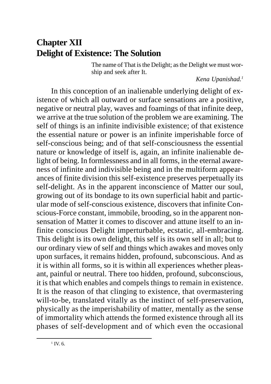# **Chapter XII Delight of Existence: The Solution**

The name of That is the Delight; as the Delight we must worship and seek after It.

### *Kena Upanishad.1*

In this conception of an inalienable underlying delight of existence of which all outward or surface sensations are a positive, negative or neutral play, waves and foamings of that infinite deep, we arrive at the true solution of the problem we are examining. The self of things is an infinite indivisible existence; of that existence the essential nature or power is an infinite imperishable force of self-conscious being; and of that self-consciousness the essential nature or knowledge of itself is, again, an infinite inalienable delight of being. In formlessness and in all forms, in the eternal awareness of infinite and indivisible being and in the multiform appearances of finite division this self-existence preserves perpetually its self-delight. As in the apparent inconscience of Matter our soul, growing out of its bondage to its own superficial habit and particular mode of self-conscious existence, discovers that infinite Conscious-Force constant, immobile, brooding, so in the apparent nonsensation of Matter it comes to discover and attune itself to an infinite conscious Delight imperturbable, ecstatic, all-embracing. This delight is its own delight, this self is its own self in all; but to our ordinary view of self and things which awakes and moves only upon surfaces, it remains hidden, profound, subconscious. And as it is within all forms, so it is within all experiences whether pleasant, painful or neutral. There too hidden, profound, subconscious, it is that which enables and compels things to remain in existence. It is the reason of that clinging to existence, that overmastering will-to-be, translated vitally as the instinct of self-preservation, physically as the imperishability of matter, mentally as the sense of immortality which attends the formed existence through all its phases of self-development and of which even the occasional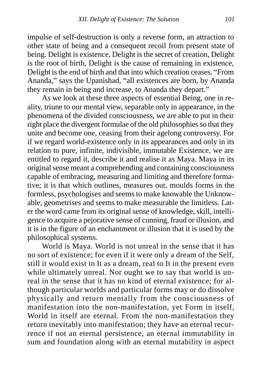impulse of self-destruction is only a reverse form, an attraction to other state of being and a consequent recoil from present state of being. Delight is existence, Delight is the secret of creation, Delight is the root of birth, Delight is the cause of remaining in existence, Delight is the end of birth and that into which creation ceases. "From Ananda," says the Upanishad, "all existences are born, by Ananda they remain in being and increase, to Ananda they depart."

As we look at these three aspects of essential Being, one in reality, triune to our mental view, separable only in appearance, in the phenomena of the divided consciousness, we are able to put in their right place the divergent formulae of the old philosophies so that they unite and become one, ceasing from their agelong controversy. For if we regard world-existence only in its appearances and only in its relation to pure, infinite, indivisible, immutable Existence, we are entitled to regard it, describe it and realise it as Maya. Maya in its original sense meant a comprehending and containing consciousness capable of embracing, measuring and limiting and therefore formative; it is that which outlines, measures out, moulds forms in the formless, psychologises and seems to make knowable the Unknowable, geometrises and seems to make measurable the limitless. Later the word came from its original sense of knowledge, skill, intelligence to acquire a pejorative sense of cunning, fraud or illusion, and it is in the figure of an enchantment or illusion that it is used by the philosophical systems.

World is Maya. World is not unreal in the sense that it has no sort of existence; for even if it were only a dream of the Self, still it would exist in It as a dream, real to It in the present even while ultimately unreal. Nor ought we to say that world is unreal in the sense that it has no kind of eternal existence; for although particular worlds and particular forms may or do dissolve physically and return mentally from the consciousness of manifestation into the non-manifestation, yet Form in itself, World in itself are eternal. From the non-manifestation they return inevitably into manifestation; they have an eternal recurrence if not an eternal persistence, an eternal immutability in sum and foundation along with an eternal mutability in aspect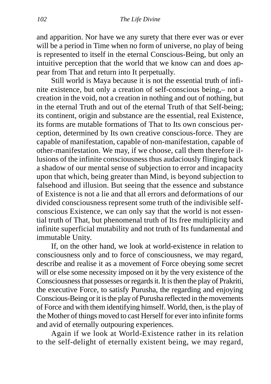and apparition. Nor have we any surety that there ever was or ever will be a period in Time when no form of universe, no play of being is represented to itself in the eternal Conscious-Being, but only an intuitive perception that the world that we know can and does appear from That and return into It perpetually.

Still world is Maya because it is not the essential truth of infinite existence, but only a creation of self-conscious being,– not a creation in the void, not a creation in nothing and out of nothing, but in the eternal Truth and out of the eternal Truth of that Self-being; its continent, origin and substance are the essential, real Existence, its forms are mutable formations of That to Its own conscious perception, determined by Its own creative conscious-force. They are capable of manifestation, capable of non-manifestation, capable of other-manifestation. We may, if we choose, call them therefore illusions of the infinite consciousness thus audaciously flinging back a shadow of our mental sense of subjection to error and incapacity upon that which, being greater than Mind, is beyond subjection to falsehood and illusion. But seeing that the essence and substance of Existence is not a lie and that all errors and deformations of our divided consciousness represent some truth of the indivisible selfconscious Existence, we can only say that the world is not essential truth of That, but phenomenal truth of Its free multiplicity and infinite superficial mutability and not truth of Its fundamental and immutable Unity.

If, on the other hand, we look at world-existence in relation to consciousness only and to force of consciousness, we may regard, describe and realise it as a movement of Force obeying some secret will or else some necessity imposed on it by the very existence of the Consciousness that possesses or regards it. It is then the play of Prakriti, the executive Force, to satisfy Purusha, the regarding and enjoying Conscious-Being or it is the play of Purusha reflected in the movements of Force and with them identifying himself. World, then, is the play of the Mother of things moved to cast Herself for ever into infinite forms and avid of eternally outpouring experiences.

Again if we look at World-Existence rather in its relation to the self-delight of eternally existent being, we may regard,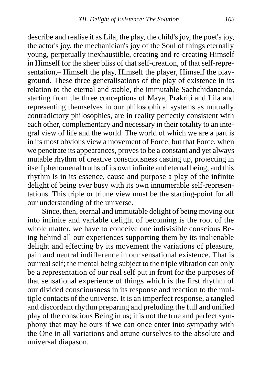describe and realise it as Lila, the play, the child's joy, the poet's joy, the actor's joy, the mechanician's joy of the Soul of things eternally young, perpetually inexhaustible, creating and re-creating Himself in Himself for the sheer bliss of that self-creation, of that self-representation,– Himself the play, Himself the player, Himself the playground. These three generalisations of the play of existence in its relation to the eternal and stable, the immutable Sachchidananda, starting from the three conceptions of Maya, Prakriti and Lila and representing themselves in our philosophical systems as mutually contradictory philosophies, are in reality perfectly consistent with each other, complementary and necessary in their totality to an integral view of life and the world. The world of which we are a part is in its most obvious view a movement of Force; but that Force, when we penetrate its appearances, proves to be a constant and yet always mutable rhythm of creative consciousness casting up, projecting in itself phenomenal truths of its own infinite and eternal being; and this rhythm is in its essence, cause and purpose a play of the infinite delight of being ever busy with its own innumerable self-representations. This triple or triune view must be the starting-point for all our understanding of the universe.

Since, then, eternal and immutable delight of being moving out into infinite and variable delight of becoming is the root of the whole matter, we have to conceive one indivisible conscious Being behind all our experiences supporting them by its inalienable delight and effecting by its movement the variations of pleasure, pain and neutral indifference in our sensational existence. That is our real self; the mental being subject to the triple vibration can only be a representation of our real self put in front for the purposes of that sensational experience of things which is the first rhythm of our divided consciousness in its response and reaction to the multiple contacts of the universe. It is an imperfect response, a tangled and discordant rhythm preparing and preluding the full and unified play of the conscious Being in us; it is not the true and perfect symphony that may be ours if we can once enter into sympathy with the One in all variations and attune ourselves to the absolute and universal diapason.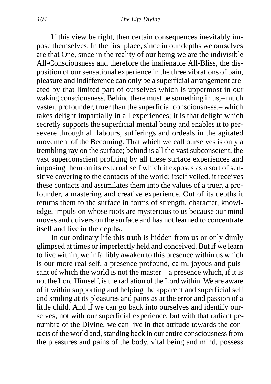If this view be right, then certain consequences inevitably impose themselves. In the first place, since in our depths we ourselves are that One, since in the reality of our being we are the indivisible All-Consciousness and therefore the inalienable All-Bliss, the disposition of our sensational experience in the three vibrations of pain, pleasure and indifference can only be a superficial arrangement created by that limited part of ourselves which is uppermost in our waking consciousness. Behind there must be something in us,– much vaster, profounder, truer than the superficial consciousness,– which takes delight impartially in all experiences; it is that delight which secretly supports the superficial mental being and enables it to persevere through all labours, sufferings and ordeals in the agitated movement of the Becoming. That which we call ourselves is only a trembling ray on the surface; behind is all the vast subconscient, the vast superconscient profiting by all these surface experiences and imposing them on its external self which it exposes as a sort of sensitive covering to the contacts of the world; itself veiled, it receives these contacts and assimilates them into the values of a truer, a profounder, a mastering and creative experience. Out of its depths it returns them to the surface in forms of strength, character, knowledge, impulsion whose roots are mysterious to us because our mind moves and quivers on the surface and has not learned to concentrate itself and live in the depths.

In our ordinary life this truth is hidden from us or only dimly glimpsed at times or imperfectly held and conceived. But if we learn to live within, we infallibly awaken to this presence within us which is our more real self, a presence profound, calm, joyous and puissant of which the world is not the master – a presence which, if it is not the Lord Himself, is the radiation of the Lord within. We are aware of it within supporting and helping the apparent and superficial self and smiling at its pleasures and pains as at the error and passion of a little child. And if we can go back into ourselves and identify ourselves, not with our superficial experience, but with that radiant penumbra of the Divine, we can live in that attitude towards the contacts of the world and, standing back in our entire consciousness from the pleasures and pains of the body, vital being and mind, possess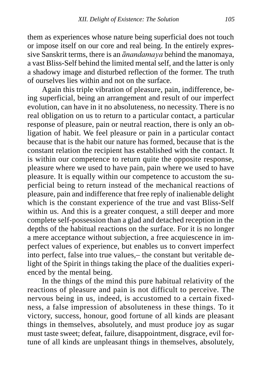them as experiences whose nature being superficial does not touch or impose itself on our core and real being. In the entirely expressive Sanskrit terms, there is an  $\bar{a}$ nandamaya behind the manomaya, a vast Bliss-Self behind the limited mental self, and the latter is only a shadowy image and disturbed reflection of the former. The truth of ourselves lies within and not on the surface.

Again this triple vibration of pleasure, pain, indifference, being superficial, being an arrangement and result of our imperfect evolution, can have in it no absoluteness, no necessity. There is no real obligation on us to return to a particular contact, a particular response of pleasure, pain or neutral reaction, there is only an obligation of habit. We feel pleasure or pain in a particular contact because that is the habit our nature has formed, because that is the constant relation the recipient has established with the contact. It is within our competence to return quite the opposite response, pleasure where we used to have pain, pain where we used to have pleasure. It is equally within our competence to accustom the superficial being to return instead of the mechanical reactions of pleasure, pain and indifference that free reply of inalienable delight which is the constant experience of the true and vast Bliss-Self within us. And this is a greater conquest, a still deeper and more complete self-possession than a glad and detached reception in the depths of the habitual reactions on the surface. For it is no longer a mere acceptance without subjection, a free acquiescence in imperfect values of experience, but enables us to convert imperfect into perfect, false into true values,– the constant but veritable delight of the Spirit in things taking the place of the dualities experienced by the mental being.

In the things of the mind this pure habitual relativity of the reactions of pleasure and pain is not difficult to perceive. The nervous being in us, indeed, is accustomed to a certain fixedness, a false impression of absoluteness in these things. To it victory, success, honour, good fortune of all kinds are pleasant things in themselves, absolutely, and must produce joy as sugar must taste sweet; defeat, failure, disappointment, disgrace, evil fortune of all kinds are unpleasant things in themselves, absolutely,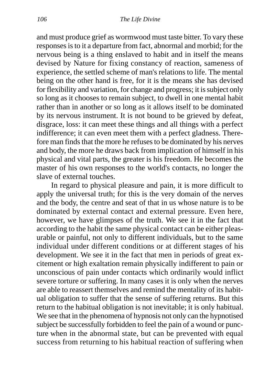and must produce grief as wormwood must taste bitter. To vary these responses is to it a departure from fact, abnormal and morbid; for the nervous being is a thing enslaved to habit and in itself the means devised by Nature for fixing constancy of reaction, sameness of experience, the settled scheme of man's relations to life. The mental being on the other hand is free, for it is the means she has devised for flexibility and variation, for change and progress; it is subject only so long as it chooses to remain subject, to dwell in one mental habit rather than in another or so long as it allows itself to be dominated by its nervous instrument. It is not bound to be grieved by defeat, disgrace, loss: it can meet these things and all things with a perfect indifference; it can even meet them with a perfect gladness. Therefore man finds that the more he refuses to be dominated by his nerves and body, the more he draws back from implication of himself in his physical and vital parts, the greater is his freedom. He becomes the master of his own responses to the world's contacts, no longer the slave of external touches.

In regard to physical pleasure and pain, it is more difficult to apply the universal truth; for this is the very domain of the nerves and the body, the centre and seat of that in us whose nature is to be dominated by external contact and external pressure. Even here, however, we have glimpses of the truth. We see it in the fact that according to the habit the same physical contact can be either pleasurable or painful, not only to different individuals, but to the same individual under different conditions or at different stages of his development. We see it in the fact that men in periods of great excitement or high exaltation remain physically indifferent to pain or unconscious of pain under contacts which ordinarily would inflict severe torture or suffering. In many cases it is only when the nerves are able to reassert themselves and remind the mentality of its habitual obligation to suffer that the sense of suffering returns. But this return to the habitual obligation is not inevitable; it is only habitual. We see that in the phenomena of hypnosis not only can the hypnotised subject be successfully forbidden to feel the pain of a wound or puncture when in the abnormal state, but can be prevented with equal success from returning to his habitual reaction of suffering when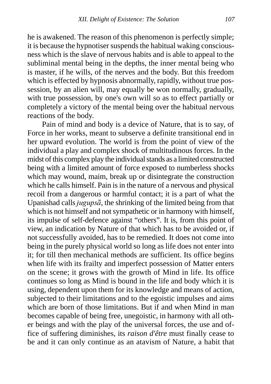he is awakened. The reason of this phenomenon is perfectly simple; it is because the hypnotiser suspends the habitual waking consciousness which is the slave of nervous habits and is able to appeal to the subliminal mental being in the depths, the inner mental being who is master, if he wills, of the nerves and the body. But this freedom which is effected by hypnosis abnormally, rapidly, without true possession, by an alien will, may equally be won normally, gradually, with true possession, by one's own will so as to effect partially or completely a victory of the mental being over the habitual nervous reactions of the body.

Pain of mind and body is a device of Nature, that is to say, of Force in her works, meant to subserve a definite transitional end in her upward evolution. The world is from the point of view of the individual a play and complex shock of multitudinous forces. In the midst of this complex play the individual stands as a limited constructed being with a limited amount of force exposed to numberless shocks which may wound, maim, break up or disintegrate the construction which he calls himself. Pain is in the nature of a nervous and physical recoil from a dangerous or harmful contact; it is a part of what the Upanishad calls  $jugups\bar{a}$ , the shrinking of the limited being from that which is not himself and not sympathetic or in harmony with himself, its impulse of self-defence against "others". It is, from this point of view, an indication by Nature of that which has to be avoided or, if not successfully avoided, has to be remedied. It does not come into being in the purely physical world so long as life does not enter into it; for till then mechanical methods are sufficient. Its office begins when life with its frailty and imperfect possession of Matter enters on the scene; it grows with the growth of Mind in life. Its office continues so long as Mind is bound in the life and body which it is using, dependent upon them for its knowledge and means of action, subjected to their limitations and to the egoistic impulses and aims which are born of those limitations. But if and when Mind in man becomes capable of being free, unegoistic, in harmony with all other beings and with the play of the universal forces, the use and office of suffering diminishes, its *raison d'être* must finally cease to be and it can only continue as an atavism of Nature, a habit that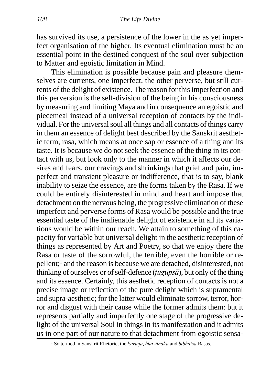has survived its use, a persistence of the lower in the as yet imperfect organisation of the higher. Its eventual elimination must be an essential point in the destined conquest of the soul over subjection to Matter and egoistic limitation in Mind.

This elimination is possible because pain and pleasure themselves are currents, one imperfect, the other perverse, but still currents of the delight of existence. The reason for this imperfection and this perversion is the self-division of the being in his consciousness by measuring and limiting Maya and in consequence an egoistic and piecemeal instead of a universal reception of contacts by the individual. For the universal soul all things and all contacts of things carry in them an essence of delight best described by the Sanskrit aesthetic term, rasa, which means at once sap or essence of a thing and its taste. It is because we do not seek the essence of the thing in its contact with us, but look only to the manner in which it affects our desires and fears, our cravings and shrinkings that grief and pain, imperfect and transient pleasure or indifference, that is to say, blank inability to seize the essence, are the forms taken by the Rasa. If we could be entirely disinterested in mind and heart and impose that detachment on the nervous being, the progressive elimination of these imperfect and perverse forms of Rasa would be possible and the true essential taste of the inalienable delight of existence in all its variations would be within our reach. We attain to something of this capacity for variable but universal delight in the aesthetic reception of things as represented by Art and Poetry, so that we enjoy there the Rasa or taste of the sorrowful, the terrible, even the horrible or repellent;<sup>1</sup> and the reason is because we are detached, disinterested, not thinking of ourselves or of self-defence  $(i\mu g \mu p s\bar{a})$ , but only of the thing and its essence. Certainly, this aesthetic reception of contacts is not a precise image or reflection of the pure delight which is supramental and supra-aesthetic; for the latter would eliminate sorrow, terror, horror and disgust with their cause while the former admits them: but it represents partially and imperfectly one stage of the progressive delight of the universal Soul in things in its manifestation and it admits us in one part of our nature to that detachment from egoistic sensa-

<sup>&</sup>lt;sup>1</sup> So termed in Sanskrit Rhetoric, the karuņa, bhayānaka and bībhatsa Rasas.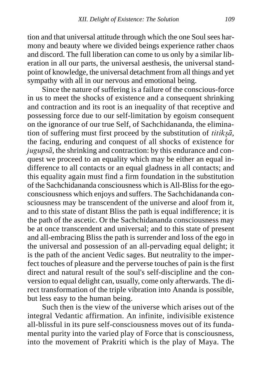tion and that universal attitude through which the one Soul sees harmony and beauty where we divided beings experience rather chaos and discord. The full liberation can come to us only by a similar liberation in all our parts, the universal aesthesis, the universal standpoint of knowledge, the universal detachment from all things and yet sympathy with all in our nervous and emotional being.

Since the nature of suffering is a failure of the conscious-force in us to meet the shocks of existence and a consequent shrinking and contraction and its root is an inequality of that receptive and possessing force due to our self-limitation by egoism consequent on the ignorance of our true Self, of Sachchidananda, the elimination of suffering must first proceed by the substitution of *titiksa*, the facing, enduring and conquest of all shocks of existence for  $jugups\bar{a}$ , the shrinking and contraction: by this endurance and conquest we proceed to an equality which may be either an equal indifference to all contacts or an equal gladness in all contacts; and this equality again must find a firm foundation in the substitution of the Sachchidananda consciousness which is All-Bliss for the egoconsciousness which enjoys and suffers. The Sachchidananda consciousness may be transcendent of the universe and aloof from it, and to this state of distant Bliss the path is equal indifference; it is the path of the ascetic. Or the Sachchidananda consciousness may be at once transcendent and universal; and to this state of present and all-embracing Bliss the path is surrender and loss of the ego in the universal and possession of an all-pervading equal delight; it is the path of the ancient Vedic sages. But neutrality to the imperfect touches of pleasure and the perverse touches of pain is the first direct and natural result of the soul's self-discipline and the conversion to equal delight can, usually, come only afterwards. The direct transformation of the triple vibration into Ananda is possible, but less easy to the human being.

Such then is the view of the universe which arises out of the integral Vedantic affirmation. An infinite, indivisible existence all-blissful in its pure self-consciousness moves out of its fundamental purity into the varied play of Force that is consciousness, into the movement of Prakriti which is the play of Maya. The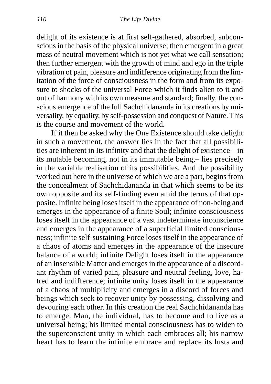delight of its existence is at first self-gathered, absorbed, subconscious in the basis of the physical universe; then emergent in a great mass of neutral movement which is not yet what we call sensation; then further emergent with the growth of mind and ego in the triple vibration of pain, pleasure and indifference originating from the limitation of the force of consciousness in the form and from its exposure to shocks of the universal Force which it finds alien to it and out of harmony with its own measure and standard; finally, the conscious emergence of the full Sachchidananda in its creations by universality, by equality, by self-possession and conquest of Nature. This is the course and movement of the world.

If it then be asked why the One Existence should take delight in such a movement, the answer lies in the fact that all possibilities are inherent in Its infinity and that the delight of existence – in its mutable becoming, not in its immutable being,– lies precisely in the variable realisation of its possibilities. And the possibility worked out here in the universe of which we are a part, begins from the concealment of Sachchidananda in that which seems to be its own opposite and its self-finding even amid the terms of that opposite. Infinite being loses itself in the appearance of non-being and emerges in the appearance of a finite Soul; infinite consciousness loses itself in the appearance of a vast indeterminate inconscience and emerges in the appearance of a superficial limited consciousness; infinite self-sustaining Force loses itself in the appearance of a chaos of atoms and emerges in the appearance of the insecure balance of a world; infinite Delight loses itself in the appearance of an insensible Matter and emerges in the appearance of a discordant rhythm of varied pain, pleasure and neutral feeling, love, hatred and indifference; infinite unity loses itself in the appearance of a chaos of multiplicity and emerges in a discord of forces and beings which seek to recover unity by possessing, dissolving and devouring each other. In this creation the real Sachchidananda has to emerge. Man, the individual, has to become and to live as a universal being; his limited mental consciousness has to widen to the superconscient unity in which each embraces all; his narrow heart has to learn the infinite embrace and replace its lusts and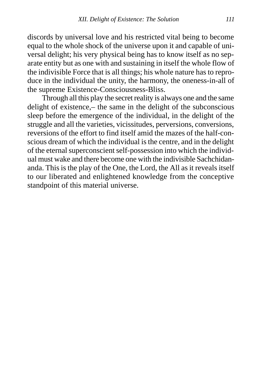discords by universal love and his restricted vital being to become equal to the whole shock of the universe upon it and capable of universal delight; his very physical being has to know itself as no separate entity but as one with and sustaining in itself the whole flow of the indivisible Force that is all things; his whole nature has to reproduce in the individual the unity, the harmony, the oneness-in-all of the supreme Existence-Consciousness-Bliss.

Through all this play the secret reality is always one and the same delight of existence,– the same in the delight of the subconscious sleep before the emergence of the individual, in the delight of the struggle and all the varieties, vicissitudes, perversions, conversions, reversions of the effort to find itself amid the mazes of the half-conscious dream of which the individual is the centre, and in the delight of the eternal superconscient self-possession into which the individual must wake and there become one with the indivisible Sachchidananda. This is the play of the One, the Lord, the All as it reveals itself to our liberated and enlightened knowledge from the conceptive standpoint of this material universe.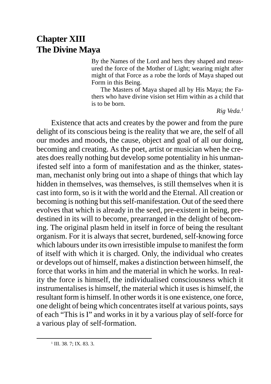## **Chapter XIII The Divine Maya**

By the Names of the Lord and hers they shaped and measured the force of the Mother of Light; wearing might after might of that Force as a robe the lords of Maya shaped out Form in this Being.

The Masters of Maya shaped all by His Maya; the Fathers who have divine vision set Him within as a child that is to be born.

*Rig Veda.1*

Existence that acts and creates by the power and from the pure delight of its conscious being is the reality that we are, the self of all our modes and moods, the cause, object and goal of all our doing, becoming and creating. As the poet, artist or musician when he creates does really nothing but develop some potentiality in his unmanifested self into a form of manifestation and as the thinker, statesman, mechanist only bring out into a shape of things that which lay hidden in themselves, was themselves, is still themselves when it is cast into form, so is it with the world and the Eternal. All creation or becoming is nothing but this self-manifestation. Out of the seed there evolves that which is already in the seed, pre-existent in being, predestined in its will to become, prearranged in the delight of becoming. The original plasm held in itself in force of being the resultant organism. For it is always that secret, burdened, self-knowing force which labours under its own irresistible impulse to manifest the form of itself with which it is charged. Only, the individual who creates or develops out of himself, makes a distinction between himself, the force that works in him and the material in which he works. In reality the force is himself, the individualised consciousness which it instrumentalises is himself, the material which it uses is himself, the resultant form is himself. In other words it is one existence, one force, one delight of being which concentrates itself at various points, says of each "This is I" and works in it by a various play of self-force for a various play of self-formation.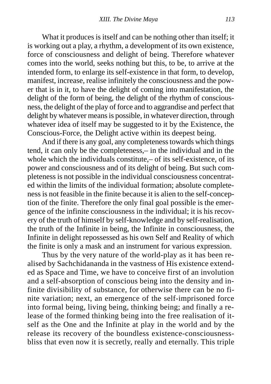What it produces is itself and can be nothing other than itself; it is working out a play, a rhythm, a development of its own existence, force of consciousness and delight of being. Therefore whatever comes into the world, seeks nothing but this, to be, to arrive at the intended form, to enlarge its self-existence in that form, to develop, manifest, increase, realise infinitely the consciousness and the power that is in it, to have the delight of coming into manifestation, the delight of the form of being, the delight of the rhythm of consciousness, the delight of the play of force and to aggrandise and perfect that delight by whatever means is possible, in whatever direction, through whatever idea of itself may be suggested to it by the Existence, the Conscious-Force, the Delight active within its deepest being.

And if there is any goal, any completeness towards which things tend, it can only be the completeness,– in the individual and in the whole which the individuals constitute,– of its self-existence, of its power and consciousness and of its delight of being. But such completeness is not possible in the individual consciousness concentrated within the limits of the individual formation; absolute completeness is not feasible in the finite because it is alien to the self-conception of the finite. Therefore the only final goal possible is the emergence of the infinite consciousness in the individual; it is his recovery of the truth of himself by self-knowledge and by self-realisation, the truth of the Infinite in being, the Infinite in consciousness, the Infinite in delight repossessed as his own Self and Reality of which the finite is only a mask and an instrument for various expression.

Thus by the very nature of the world-play as it has been realised by Sachchidananda in the vastness of His existence extended as Space and Time, we have to conceive first of an involution and a self-absorption of conscious being into the density and infinite divisibility of substance, for otherwise there can be no finite variation; next, an emergence of the self-imprisoned force into formal being, living being, thinking being; and finally a release of the formed thinking being into the free realisation of itself as the One and the Infinite at play in the world and by the release its recovery of the boundless existence-consciousnessbliss that even now it is secretly, really and eternally. This triple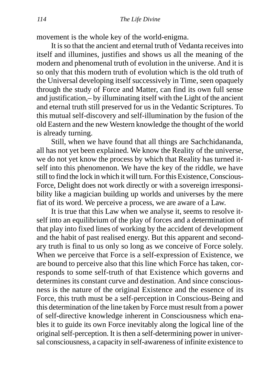movement is the whole key of the world-enigma.

It is so that the ancient and eternal truth of Vedanta receives into itself and illumines, justifies and shows us all the meaning of the modern and phenomenal truth of evolution in the universe. And it is so only that this modern truth of evolution which is the old truth of the Universal developing itself successively in Time, seen opaquely through the study of Force and Matter, can find its own full sense and justification,– by illuminating itself with the Light of the ancient and eternal truth still preserved for us in the Vedantic Scriptures. To this mutual self-discovery and self-illumination by the fusion of the old Eastern and the new Western knowledge the thought of the world is already turning.

Still, when we have found that all things are Sachchidananda, all has not yet been explained. We know the Reality of the universe, we do not yet know the process by which that Reality has turned itself into this phenomenon. We have the key of the riddle, we have still to find the lock in which it will turn. For this Existence, Conscious-Force, Delight does not work directly or with a sovereign irresponsibility like a magician building up worlds and universes by the mere fiat of its word. We perceive a process, we are aware of a Law.

It is true that this Law when we analyse it, seems to resolve itself into an equilibrium of the play of forces and a determination of that play into fixed lines of working by the accident of development and the habit of past realised energy. But this apparent and secondary truth is final to us only so long as we conceive of Force solely. When we perceive that Force is a self-expression of Existence, we are bound to perceive also that this line which Force has taken, corresponds to some self-truth of that Existence which governs and determines its constant curve and destination. And since consciousness is the nature of the original Existence and the essence of its Force, this truth must be a self-perception in Conscious-Being and this determination of the line taken by Force must result from a power of self-directive knowledge inherent in Consciousness which enables it to guide its own Force inevitably along the logical line of the original self-perception. It is then a self-determining power in universal consciousness, a capacity in self-awareness of infinite existence to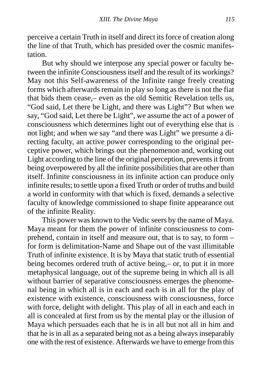perceive a certain Truth in itself and direct its force of creation along the line of that Truth, which has presided over the cosmic manifestation.

But why should we interpose any special power or faculty between the infinite Consciousness itself and the result of its workings? May not this Self-awareness of the Infinite range freely creating forms which afterwards remain in play so long as there is not the fiat that bids them cease,– even as the old Semitic Revelation tells us, "God said, Let there be Light, and there was Light"? But when we say, "God said, Let there be Light", we assume the act of a power of consciousness which determines light out of everything else that is not light; and when we say "and there was Light" we presume a directing faculty, an active power corresponding to the original perceptive power, which brings out the phenomenon and, working out Light according to the line of the original perception, prevents it from being overpowered by all the infinite possibilities that are other than itself. Infinite consciousness in its infinite action can produce only infinite results; to settle upon a fixed Truth or order of truths and build a world in conformity with that which is fixed, demands a selective faculty of knowledge commissioned to shape finite appearance out of the infinite Reality.

This power was known to the Vedic seers by the name of Maya. Maya meant for them the power of infinite consciousness to comprehend, contain in itself and measure out, that is to say, to form – for form is delimitation-Name and Shape out of the vast illimitable Truth of infinite existence. It is by Maya that static truth of essential being becomes ordered truth of active being,– or, to put it in more metaphysical language, out of the supreme being in which all is all without barrier of separative consciousness emerges the phenomenal being in which all is in each and each is in all for the play of existence with existence, consciousness with consciousness, force with force, delight with delight. This play of all in each and each in all is concealed at first from us by the mental play or the illusion of Maya which persuades each that he is in all but not all in him and that he is in all as a separated being not as a being always inseparably one with the rest of existence. Afterwards we have to emerge from this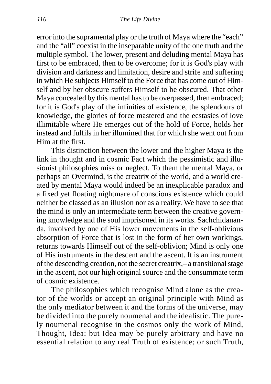error into the supramental play or the truth of Maya where the "each" and the "all" coexist in the inseparable unity of the one truth and the multiple symbol. The lower, present and deluding mental Maya has first to be embraced, then to be overcome; for it is God's play with division and darkness and limitation, desire and strife and suffering in which He subjects Himself to the Force that has come out of Himself and by her obscure suffers Himself to be obscured. That other Maya concealed by this mental has to be overpassed, then embraced; for it is God's play of the infinities of existence, the splendours of knowledge, the glories of force mastered and the ecstasies of love illimitable where He emerges out of the hold of Force, holds her instead and fulfils in her illumined that for which she went out from Him at the first.

This distinction between the lower and the higher Maya is the link in thought and in cosmic Fact which the pessimistic and illusionist philosophies miss or neglect. To them the mental Maya, or perhaps an Overmind, is the creatrix of the world, and a world created by mental Maya would indeed be an inexplicable paradox and a fixed yet floating nightmare of conscious existence which could neither be classed as an illusion nor as a reality. We have to see that the mind is only an intermediate term between the creative governing knowledge and the soul imprisoned in its works. Sachchidananda, involved by one of His lower movements in the self-oblivious absorption of Force that is lost in the form of her own workings, returns towards Himself out of the self-oblivion; Mind is only one of His instruments in the descent and the ascent. It is an instrument of the descending creation, not the secret creatrix,– a transitional stage in the ascent, not our high original source and the consummate term of cosmic existence.

The philosophies which recognise Mind alone as the creator of the worlds or accept an original principle with Mind as the only mediator between it and the forms of the universe, may be divided into the purely noumenal and the idealistic. The purely noumenal recognise in the cosmos only the work of Mind, Thought, Idea: but Idea may be purely arbitrary and have no essential relation to any real Truth of existence; or such Truth,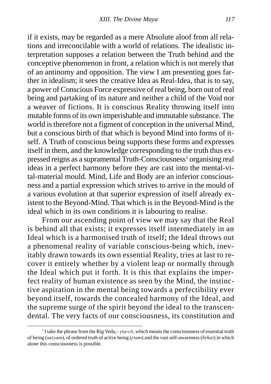if it exists, may be regarded as a mere Absolute aloof from all relations and irreconcilable with a world of relations. The idealistic interpretation supposes a relation between the Truth behind and the conceptive phenomenon in front, a relation which is not merely that of an antinomy and opposition. The view I am presenting goes farther in idealism; it sees the creative Idea as Real-Idea, that is to say, a power of Conscious Force expressive of real being, born out of real being and partaking of its nature and neither a child of the Void nor a weaver of fictions. It is conscious Reality throwing itself into mutable forms of its own imperishable and immutable substance. The world is therefore not a figment of conception in the universal Mind, but a conscious birth of that which is beyond Mind into forms of itself. A Truth of conscious being supports these forms and expresses itself in them, and the knowledge corresponding to the truth thus expressed reigns as a supramental Truth-Consciousness<sup>1</sup> organising real ideas in a perfect harmony before they are cast into the mental-vital-material mould. Mind, Life and Body are an inferior consciousness and a partial expression which strives to arrive in the mould of a various evolution at that superior expression of itself already existent to the Beyond-Mind. That which is in the Beyond-Mind is the ideal which in its own conditions it is labouring to realise.

From our ascending point of view we may say that the Real is behind all that exists; it expresses itself intermediately in an Ideal which is a harmonised truth of itself; the Ideal throws out a phenomenal reality of variable conscious-being which, inevitably drawn towards its own essential Reality, tries at last to recover it entirely whether by a violent leap or normally through the Ideal which put it forth. It is this that explains the imperfect reality of human existence as seen by the Mind, the instinctive aspiration in the mental being towards a perfectibility ever beyond itself, towards the concealed harmony of the Ideal, and the supreme surge of the spirit beyond the ideal to the transcendental. The very facts of our consciousness, its constitution and

<sup>&</sup>lt;sup>1</sup> I take the phrase from the Rig Veda,–*rta-cit*, which means the consciousness of essential truth of being (satyam), of ordered truth of active being (rtam) and the vast self-awareness (brhat) in which alone this consciousness is possible.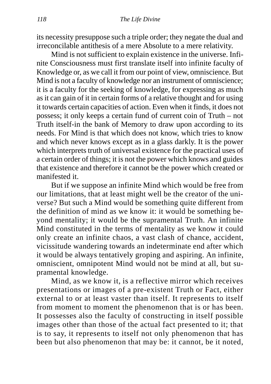its necessity presuppose such a triple order; they negate the dual and irreconcilable antithesis of a mere Absolute to a mere relativity.

Mind is not sufficient to explain existence in the universe. Infinite Consciousness must first translate itself into infinite faculty of Knowledge or, as we call it from our point of view, omniscience. But Mind is not a faculty of knowledge nor an instrument of omniscience; it is a faculty for the seeking of knowledge, for expressing as much as it can gain of it in certain forms of a relative thought and for using it towards certain capacities of action. Even when it finds, it does not possess; it only keeps a certain fund of current coin of Truth – not Truth itself-in the bank of Memory to draw upon according to its needs. For Mind is that which does not know, which tries to know and which never knows except as in a glass darkly. It is the power which interprets truth of universal existence for the practical uses of a certain order of things; it is not the power which knows and guides that existence and therefore it cannot be the power which created or manifested it.

But if we suppose an infinite Mind which would be free from our limitations, that at least might well be the creator of the universe? But such a Mind would be something quite different from the definition of mind as we know it: it would be something beyond mentality; it would be the supramental Truth. An infinite Mind constituted in the terms of mentality as we know it could only create an infinite chaos, a vast clash of chance, accident, vicissitude wandering towards an indeterminate end after which it would be always tentatively groping and aspiring. An infinite, omniscient, omnipotent Mind would not be mind at all, but supramental knowledge.

Mind, as we know it, is a reflective mirror which receives presentations or images of a pre-existent Truth or Fact, either external to or at least vaster than itself. It represents to itself from moment to moment the phenomenon that is or has been. It possesses also the faculty of constructing in itself possible images other than those of the actual fact presented to it; that is to say, it represents to itself not only phenomenon that has been but also phenomenon that may be: it cannot, be it noted,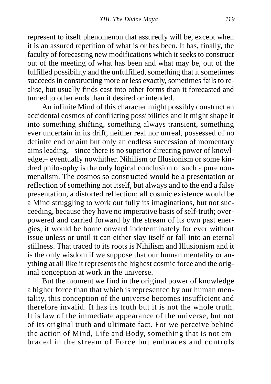represent to itself phenomenon that assuredly will be, except when it is an assured repetition of what is or has been. It has, finally, the faculty of forecasting new modifications which it seeks to construct out of the meeting of what has been and what may be, out of the fulfilled possibility and the unfulfilled, something that it sometimes succeeds in constructing more or less exactly, sometimes fails to realise, but usually finds cast into other forms than it forecasted and turned to other ends than it desired or intended.

An infinite Mind of this character might possibly construct an accidental cosmos of conflicting possibilities and it might shape it into something shifting, something always transient, something ever uncertain in its drift, neither real nor unreal, possessed of no definite end or aim but only an endless succession of momentary aims leading,– since there is no superior directing power of knowledge,– eventually nowhither. Nihilism or Illusionism or some kindred philosophy is the only logical conclusion of such a pure noumenalism. The cosmos so constructed would be a presentation or reflection of something not itself, but always and to the end a false presentation, a distorted reflection; all cosmic existence would be a Mind struggling to work out fully its imaginations, but not succeeding, because they have no imperative basis of self-truth; overpowered and carried forward by the stream of its own past energies, it would be borne onward indeterminately for ever without issue unless or until it can either slay itself or fall into an eternal stillness. That traced to its roots is Nihilism and Illusionism and it is the only wisdom if we suppose that our human mentality or anything at all like it represents the highest cosmic force and the original conception at work in the universe.

But the moment we find in the original power of knowledge a higher force than that which is represented by our human mentality, this conception of the universe becomes insufficient and therefore invalid. It has its truth but it is not the whole truth. It is law of the immediate appearance of the universe, but not of its original truth and ultimate fact. For we perceive behind the action of Mind, Life and Body, something that is not embraced in the stream of Force but embraces and controls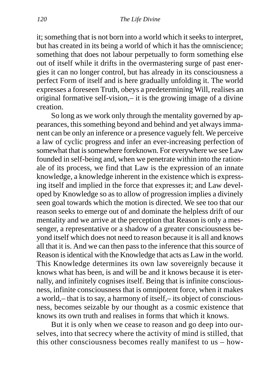it; something that is not born into a world which it seeks to interpret, but has created in its being a world of which it has the omniscience; something that does not labour perpetually to form something else out of itself while it drifts in the overmastering surge of past energies it can no longer control, but has already in its consciousness a perfect Form of itself and is here gradually unfolding it. The world expresses a foreseen Truth, obeys a predetermining Will, realises an original formative self-vision,– it is the growing image of a divine creation.

So long as we work only through the mentality governed by appearances, this something beyond and behind and yet always immanent can be only an inference or a presence vaguely felt. We perceive a law of cyclic progress and infer an ever-increasing perfection of somewhat that is somewhere foreknown. For everywhere we see Law founded in self-being and, when we penetrate within into the rationale of its process, we find that Law is the expression of an innate knowledge, a knowledge inherent in the existence which is expressing itself and implied in the force that expresses it; and Law developed by Knowledge so as to allow of progression implies a divinely seen goal towards which the motion is directed. We see too that our reason seeks to emerge out of and dominate the helpless drift of our mentality and we arrive at the perception that Reason is only a messenger, a representative or a shadow of a greater consciousness beyond itself which does not need to reason because it is all and knows all that it is. And we can then pass to the inference that this source of Reason is identical with the Knowledge that acts as Law in the world. This Knowledge determines its own law sovereignly because it knows what has been, is and will be and it knows because it is eternally, and infinitely cognises itself. Being that is infinite consciousness, infinite consciousness that is omnipotent force, when it makes a world,– that is to say, a harmony of itself,– its object of consciousness, becomes seizable by our thought as a cosmic existence that knows its own truth and realises in forms that which it knows.

But it is only when we cease to reason and go deep into ourselves, into that secrecy where the activity of mind is stilled, that this other consciousness becomes really manifest to us – how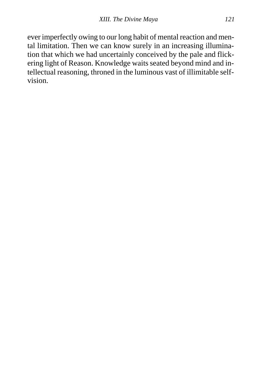ever imperfectly owing to our long habit of mental reaction and mental limitation. Then we can know surely in an increasing illumination that which we had uncertainly conceived by the pale and flickering light of Reason. Knowledge waits seated beyond mind and intellectual reasoning, throned in the luminous vast of illimitable selfvision.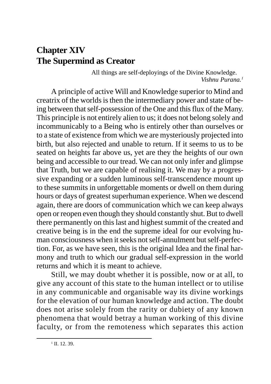## **Chapter XIV The Supermind as Creator**

All things are self-deployings of the Divine Knowledge. *Vishnu Purana.1*

A principle of active Will and Knowledge superior to Mind and creatrix of the worlds is then the intermediary power and state of being between that self-possession of the One and this flux of the Many. This principle is not entirely alien to us; it does not belong solely and incommunicably to a Being who is entirely other than ourselves or to a state of existence from which we are mysteriously projected into birth, but also rejected and unable to return. If it seems to us to be seated on heights far above us, yet are they the heights of our own being and accessible to our tread. We can not only infer and glimpse that Truth, but we are capable of realising it. We may by a progressive expanding or a sudden luminous self-transcendence mount up to these summits in unforgettable moments or dwell on them during hours or days of greatest superhuman experience. When we descend again, there are doors of communication which we can keep always open or reopen even though they should constantly shut. But to dwell there permanently on this last and highest summit of the created and creative being is in the end the supreme ideal for our evolving human consciousness when it seeks not self-annulment but self-perfection. For, as we have seen, this is the original Idea and the final harmony and truth to which our gradual self-expression in the world returns and which it is meant to achieve.

Still, we may doubt whether it is possible, now or at all, to give any account of this state to the human intellect or to utilise in any communicable and organisable way its divine workings for the elevation of our human knowledge and action. The doubt does not arise solely from the rarity or dubiety of any known phenomena that would betray a human working of this divine faculty, or from the remoteness which separates this action

 $1$  II. 12. 39.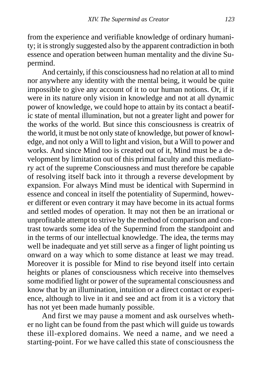from the experience and verifiable knowledge of ordinary humanity; it is strongly suggested also by the apparent contradiction in both essence and operation between human mentality and the divine Supermind.

And certainly, if this consciousness had no relation at all to mind nor anywhere any identity with the mental being, it would be quite impossible to give any account of it to our human notions. Or, if it were in its nature only vision in knowledge and not at all dynamic power of knowledge, we could hope to attain by its contact a beatific state of mental illumination, but not a greater light and power for the works of the world. But since this consciousness is creatrix of the world, it must be not only state of knowledge, but power of knowledge, and not only a Will to light and vision, but a Will to power and works. And since Mind too is created out of it, Mind must be a development by limitation out of this primal faculty and this mediatory act of the supreme Consciousness and must therefore be capable of resolving itself back into it through a reverse development by expansion. For always Mind must be identical with Supermind in essence and conceal in itself the potentiality of Supermind, however different or even contrary it may have become in its actual forms and settled modes of operation. It may not then be an irrational or unprofitable attempt to strive by the method of comparison and contrast towards some idea of the Supermind from the standpoint and in the terms of our intellectual knowledge. The idea, the terms may well be inadequate and yet still serve as a finger of light pointing us onward on a way which to some distance at least we may tread. Moreover it is possible for Mind to rise beyond itself into certain heights or planes of consciousness which receive into themselves some modified light or power of the supramental consciousness and know that by an illumination, intuition or a direct contact or experience, although to live in it and see and act from it is a victory that has not yet been made humanly possible.

And first we may pause a moment and ask ourselves whether no light can be found from the past which will guide us towards these ill-explored domains. We need a name, and we need a starting-point. For we have called this state of consciousness the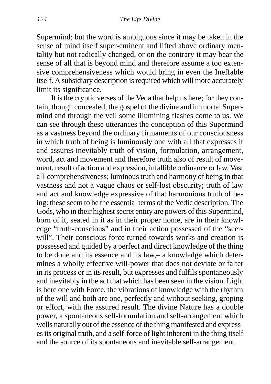Supermind; but the word is ambiguous since it may be taken in the sense of mind itself super-eminent and lifted above ordinary mentality but not radically changed, or on the contrary it may bear the sense of all that is beyond mind and therefore assume a too extensive comprehensiveness which would bring in even the Ineffable itself. A subsidiary description is required which will more accurately limit its significance.

It is the cryptic verses of the Veda that help us here; for they contain, though concealed, the gospel of the divine and immortal Supermind and through the veil some illumining flashes come to us. We can see through these utterances the conception of this Supermind as a vastness beyond the ordinary firmaments of our consciousness in which truth of being is luminously one with all that expresses it and assures inevitably truth of vision, formulation, arrangement, word, act and movement and therefore truth also of result of movement, result of action and expression, infallible ordinance or law. Vast all-comprehensiveness; luminous truth and harmony of being in that vastness and not a vague chaos or self-lost obscurity; truth of law and act and knowledge expressive of that harmonious truth of being: these seem to be the essential terms of the Vedic description. The Gods, who in their highest secret entity are powers of this Supermind, born of it, seated in it as in their proper home, are in their knowledge "truth-conscious" and in their action possessed of the "seerwill". Their conscious-force turned towards works and creation is possessed and guided by a perfect and direct knowledge of the thing to be done and its essence and its law,– a knowledge which determines a wholly effective will-power that does not deviate or falter in its process or in its result, but expresses and fulfils spontaneously and inevitably in the act that which has been seen in the vision. Light is here one with Force, the vibrations of knowledge with the rhythm of the will and both are one, perfectly and without seeking, groping or effort, with the assured result. The divine Nature has a double power, a spontaneous self-formulation and self-arrangement which wells naturally out of the essence of the thing manifested and expresses its original truth, and a self-force of light inherent in the thing itself and the source of its spontaneous and inevitable self-arrangement.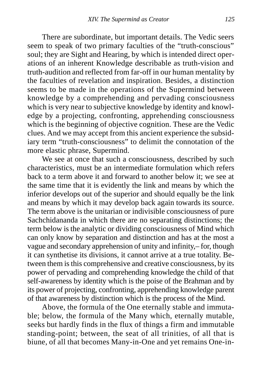There are subordinate, but important details. The Vedic seers seem to speak of two primary faculties of the "truth-conscious" soul; they are Sight and Hearing, by which is intended direct operations of an inherent Knowledge describable as truth-vision and truth-audition and reflected from far-off in our human mentality by the faculties of revelation and inspiration. Besides, a distinction seems to be made in the operations of the Supermind between knowledge by a comprehending and pervading consciousness which is very near to subjective knowledge by identity and knowledge by a projecting, confronting, apprehending consciousness which is the beginning of objective cognition. These are the Vedic clues. And we may accept from this ancient experience the subsidiary term "truth-consciousness" to delimit the connotation of the more elastic phrase, Supermind.

We see at once that such a consciousness, described by such characteristics, must be an intermediate formulation which refers back to a term above it and forward to another below it; we see at the same time that it is evidently the link and means by which the inferior develops out of the superior and should equally be the link and means by which it may develop back again towards its source. The term above is the unitarian or indivisible consciousness of pure Sachchidananda in which there are no separating distinctions; the term below is the analytic or dividing consciousness of Mind which can only know by separation and distinction and has at the most a vague and secondary apprehension of unity and infinity,– for, though it can synthetise its divisions, it cannot arrive at a true totality. Between them is this comprehensive and creative consciousness, by its power of pervading and comprehending knowledge the child of that self-awareness by identity which is the poise of the Brahman and by its power of projecting, confronting, apprehending knowledge parent of that awareness by distinction which is the process of the Mind.

Above, the formula of the One eternally stable and immutable; below, the formula of the Many which, eternally mutable, seeks but hardly finds in the flux of things a firm and immutable standing-point; between, the seat of all trinities, of all that is biune, of all that becomes Many-in-One and yet remains One-in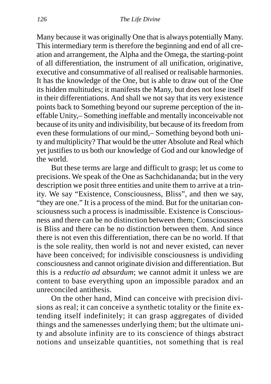Many because it was originally One that is always potentially Many. This intermediary term is therefore the beginning and end of all creation and arrangement, the Alpha and the Omega, the starting-point of all differentiation, the instrument of all unification, originative, executive and consummative of all realised or realisable harmonies. It has the knowledge of the One, but is able to draw out of the One its hidden multitudes; it manifests the Many, but does not lose itself in their differentiations. And shall we not say that its very existence points back to Something beyond our supreme perception of the ineffable Unity,– Something ineffable and mentally inconceivable not because of its unity and indivisibility, but because of its freedom from even these formulations of our mind,– Something beyond both unity and multiplicity? That would be the utter Absolute and Real which yet justifies to us both our knowledge of God and our knowledge of the world.

But these terms are large and difficult to grasp; let us come to precisions. We speak of the One as Sachchidananda; but in the very description we posit three entities and unite them to arrive at a trinity. We say "Existence, Consciousness, Bliss", and then we say, "they are one." It is a process of the mind. But for the unitarian consciousness such a process is inadmissible. Existence is Consciousness and there can be no distinction between them; Consciousness is Bliss and there can be no distinction between them. And since there is not even this differentiation, there can be no world. If that is the sole reality, then world is not and never existed, can never have been conceived; for indivisible consciousness is undividing consciousness and cannot originate division and differentiation. But this is a *reductio ad absurdum*; we cannot admit it unless we are content to base everything upon an impossible paradox and an unreconciled antithesis.

On the other hand, Mind can conceive with precision divisions as real; it can conceive a synthetic totality or the finite extending itself indefinitely; it can grasp aggregates of divided things and the samenesses underlying them; but the ultimate unity and absolute infinity are to its conscience of things abstract notions and unseizable quantities, not something that is real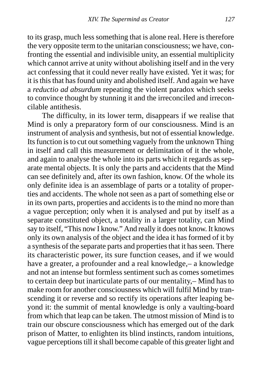to its grasp, much less something that is alone real. Here is therefore the very opposite term to the unitarian consciousness; we have, confronting the essential and indivisible unity, an essential multiplicity which cannot arrive at unity without abolishing itself and in the very act confessing that it could never really have existed. Yet it was; for it is this that has found unity and abolished itself. And again we have a *reductio ad absurdum* repeating the violent paradox which seeks to convince thought by stunning it and the irreconciled and irreconcilable antithesis.

The difficulty, in its lower term, disappears if we realise that Mind is only a preparatory form of our consciousness. Mind is an instrument of analysis and synthesis, but not of essential knowledge. Its function is to cut out something vaguely from the unknown Thing in itself and call this measurement or delimitation of it the whole, and again to analyse the whole into its parts which it regards as separate mental objects. It is only the parts and accidents that the Mind can see definitely and, after its own fashion, know. Of the whole its only definite idea is an assemblage of parts or a totality of properties and accidents. The whole not seen as a part of something else or in its own parts, properties and accidents is to the mind no more than a vague perception; only when it is analysed and put by itself as a separate constituted object, a totality in a larger totality, can Mind say to itself, "This now I know." And really it does not know. It knows only its own analysis of the object and the idea it has formed of it by a synthesis of the separate parts and properties that it has seen. There its characteristic power, its sure function ceases, and if we would have a greater, a profounder and a real knowledge,– a knowledge and not an intense but formless sentiment such as comes sometimes to certain deep but inarticulate parts of our mentality,– Mind has to make room for another consciousness which will fulfil Mind by transcending it or reverse and so rectify its operations after leaping beyond it: the summit of mental knowledge is only a vaulting-board from which that leap can be taken. The utmost mission of Mind is to train our obscure consciousness which has emerged out of the dark prison of Matter, to enlighten its blind instincts, random intuitions, vague perceptions till it shall become capable of this greater light and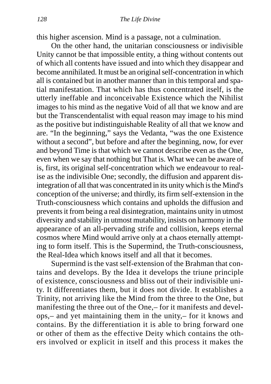this higher ascension. Mind is a passage, not a culmination.

On the other hand, the unitarian consciousness or indivisible Unity cannot be that impossible entity, a thing without contents out of which all contents have issued and into which they disappear and become annihilated. It must be an original self-concentration in which all is contained but in another manner than in this temporal and spatial manifestation. That which has thus concentrated itself, is the utterly ineffable and inconceivable Existence which the Nihilist images to his mind as the negative Void of all that we know and are but the Transcendentalist with equal reason may image to his mind as the positive but indistinguishable Reality of all that we know and are. "In the beginning," says the Vedanta, "was the one Existence without a second", but before and after the beginning, now, for ever and beyond Time is that which we cannot describe even as the One, even when we say that nothing but That is. What we can be aware of is, first, its original self-concentration which we endeavour to realise as the indivisible One; secondly, the diffusion and apparent disintegration of all that was concentrated in its unity which is the Mind's conception of the universe; and thirdly, its firm self-extension in the Truth-consciousness which contains and upholds the diffusion and prevents it from being a real disintegration, maintains unity in utmost diversity and stability in utmost mutability, insists on harmony in the appearance of an all-pervading strife and collision, keeps eternal cosmos where Mind would arrive only at a chaos eternally attempting to form itself. This is the Supermind, the Truth-consciousness, the Real-Idea which knows itself and all that it becomes.

Supermind is the vast self-extension of the Brahman that contains and develops. By the Idea it develops the triune principle of existence, consciousness and bliss out of their indivisible unity. It differentiates them, but it does not divide. It establishes a Trinity, not arriving like the Mind from the three to the One, but manifesting the three out of the One,– for it manifests and develops,– and yet maintaining them in the unity,– for it knows and contains. By the differentiation it is able to bring forward one or other of them as the effective Deity which contains the others involved or explicit in itself and this process it makes the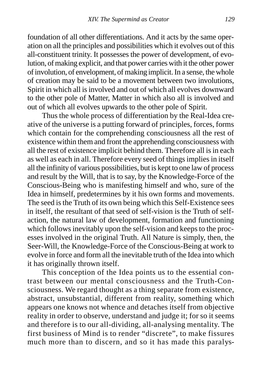foundation of all other differentiations. And it acts by the same operation on all the principles and possibilities which it evolves out of this all-constituent trinity. It possesses the power of development, of evolution, of making explicit, and that power carries with it the other power of involution, of envelopment, of making implicit. In a sense, the whole of creation may be said to be a movement between two involutions, Spirit in which all is involved and out of which all evolves downward to the other pole of Matter, Matter in which also all is involved and out of which all evolves upwards to the other pole of Spirit.

Thus the whole process of differentiation by the Real-Idea creative of the universe is a putting forward of principles, forces, forms which contain for the comprehending consciousness all the rest of existence within them and front the apprehending consciousness with all the rest of existence implicit behind them. Therefore all is in each as well as each in all. Therefore every seed of things implies in itself all the infinity of various possibilities, but is kept to one law of process and result by the Will, that is to say, by the Knowledge-Force of the Conscious-Being who is manifesting himself and who, sure of the Idea in himself, predetermines by it his own forms and movements. The seed is the Truth of its own being which this Self-Existence sees in itself, the resultant of that seed of self-vision is the Truth of selfaction, the natural law of development, formation and functioning which follows inevitably upon the self-vision and keeps to the processes involved in the original Truth. All Nature is simply, then, the Seer-Will, the Knowledge-Force of the Conscious-Being at work to evolve in force and form all the inevitable truth of the Idea into which it has originally thrown itself.

This conception of the Idea points us to the essential contrast between our mental consciousness and the Truth-Consciousness. We regard thought as a thing separate from existence, abstract, unsubstantial, different from reality, something which appears one knows not whence and detaches itself from objective reality in order to observe, understand and judge it; for so it seems and therefore is to our all-dividing, all-analysing mentality. The first business of Mind is to render "discrete", to make fissures much more than to discern, and so it has made this paralys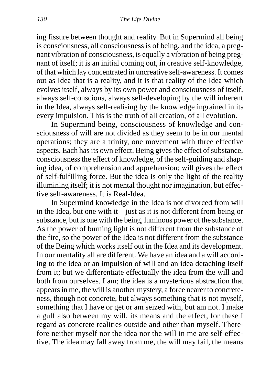ing fissure between thought and reality. But in Supermind all being is consciousness, all consciousness is of being, and the idea, a pregnant vibration of consciousness, is equally a vibration of being pregnant of itself; it is an initial coming out, in creative self-knowledge, of that which lay concentrated in uncreative self-awareness. It comes out as Idea that is a reality, and it is that reality of the Idea which evolves itself, always by its own power and consciousness of itself, always self-conscious, always self-developing by the will inherent in the Idea, always self-realising by the knowledge ingrained in its every impulsion. This is the truth of all creation, of all evolution.

In Supermind being, consciousness of knowledge and consciousness of will are not divided as they seem to be in our mental operations; they are a trinity, one movement with three effective aspects. Each has its own effect. Being gives the effect of substance, consciousness the effect of knowledge, of the self-guiding and shaping idea, of comprehension and apprehension; will gives the effect of self-fulfilling force. But the idea is only the light of the reality illumining itself; it is not mental thought nor imagination, but effective self-awareness. It is Real-Idea.

In Supermind knowledge in the Idea is not divorced from will in the Idea, but one with it – just as it is not different from being or substance, but is one with the being, luminous power of the substance. As the power of burning light is not different from the substance of the fire, so the power of the Idea is not different from the substance of the Being which works itself out in the Idea and its development. In our mentality all are different. We have an idea and a will according to the idea or an impulsion of will and an idea detaching itself from it; but we differentiate effectually the idea from the will and both from ourselves. I am; the idea is a mysterious abstraction that appears in me, the will is another mystery, a force nearer to concreteness, though not concrete, but always something that is not myself, something that I have or get or am seized with, but am not. I make a gulf also between my will, its means and the effect, for these I regard as concrete realities outside and other than myself. Therefore neither myself nor the idea nor the will in me are self-effective. The idea may fall away from me, the will may fail, the means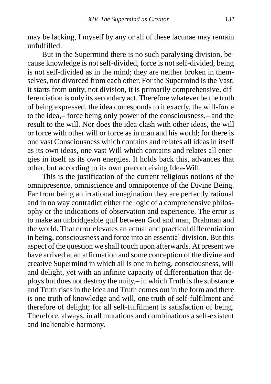may be lacking, I myself by any or all of these lacunae may remain unfulfilled.

But in the Supermind there is no such paralysing division, because knowledge is not self-divided, force is not self-divided, being is not self-divided as in the mind; they are neither broken in themselves, nor divorced from each other. For the Supermind is the Vast; it starts from unity, not division, it is primarily comprehensive, differentiation is only its secondary act. Therefore whatever be the truth of being expressed, the idea corresponds to it exactly, the will-force to the idea,– force being only power of the consciousness,– and the result to the will. Nor does the idea clash with other ideas, the will or force with other will or force as in man and his world; for there is one vast Consciousness which contains and relates all ideas in itself as its own ideas, one vast Will which contains and relates all energies in itself as its own energies. It holds back this, advances that other, but according to its own preconceiving Idea-Will.

This is the justification of the current religious notions of the omnipresence, omniscience and omnipotence of the Divine Being. Far from being an irrational imagination they are perfectly rational and in no way contradict either the logic of a comprehensive philosophy or the indications of observation and experience. The error is to make an unbridgeable gulf between God and man, Brahman and the world. That error elevates an actual and practical differentiation in being, consciousness and force into an essential division. But this aspect of the question we shall touch upon afterwards. At present we have arrived at an affirmation and some conception of the divine and creative Supermind in which all is one in being, consciousness, will and delight, yet with an infinite capacity of differentiation that deploys but does not destroy the unity,– in which Truth is the substance and Truth rises in the Idea and Truth comes out in the form and there is one truth of knowledge and will, one truth of self-fulfilment and therefore of delight; for all self-fulfilment is satisfaction of being. Therefore, always, in all mutations and combinations a self-existent and inalienable harmony.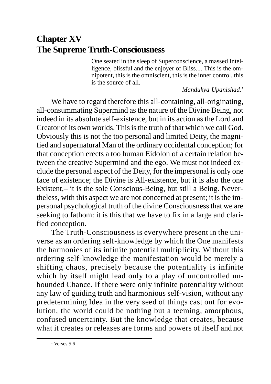## **Chapter XV The Supreme Truth-Consciousness**

One seated in the sleep of Superconscience, a massed Intelligence, blissful and the enjoyer of Bliss.... This is the omnipotent, this is the omniscient, this is the inner control, this is the source of all.

*Mandukya Upanishad.1*

We have to regard therefore this all-containing, all-originating, all-consummating Supermind as the nature of the Divine Being, not indeed in its absolute self-existence, but in its action as the Lord and Creator of its own worlds. This is the truth of that which we call God. Obviously this is not the too personal and limited Deity, the magnified and supernatural Man of the ordinary occidental conception; for that conception erects a too human Eidolon of a certain relation between the creative Supermind and the ego. We must not indeed exclude the personal aspect of the Deity, for the impersonal is only one face of existence; the Divine is All-existence, but it is also the one Existent,– it is the sole Conscious-Being, but still a Being. Nevertheless, with this aspect we are not concerned at present; it is the impersonal psychological truth of the divine Consciousness that we are seeking to fathom: it is this that we have to fix in a large and clarified conception.

The Truth-Consciousness is everywhere present in the universe as an ordering self-knowledge by which the One manifests the harmonies of its infinite potential multiplicity. Without this ordering self-knowledge the manifestation would be merely a shifting chaos, precisely because the potentiality is infinite which by itself might lead only to a play of uncontrolled unbounded Chance. If there were only infinite potentiality without any law of guiding truth and harmonious self-vision, without any predetermining Idea in the very seed of things cast out for evolution, the world could be nothing but a teeming, amorphous, confused uncertainty. But the knowledge that creates, because what it creates or releases are forms and powers of itself and not

 $1$  Verses 5,6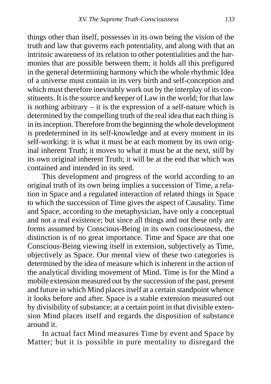things other than itself, possesses in its own being the vision of the truth and law that governs each potentiality, and along with that an intrinsic awareness of its relation to other potentialities and the harmonies that are possible between them; it holds all this prefigured in the general determining harmony which the whole rhythmic Idea of a universe must contain in its very birth and self-conception and which must therefore inevitably work out by the interplay of its constituents. It is the source and keeper of Law in the world; for that law is nothing arbitrary – it is the expression of a self-nature which is determined by the compelling truth of the real idea that each thing is in its inception. Therefore from the beginning the whole development is predetermined in its self-knowledge and at every moment in its self-working: it is what it must be at each moment by its own original inherent Truth; it moves to what it must be at the next, still by its own original inherent Truth; it will be at the end that which was contained and intended in its seed.

This development and progress of the world according to an original truth of its own being implies a succession of Time, a relation in Space and a regulated interaction of related things in Space to which the succession of Time gives the aspect of Causality. Time and Space, according to the metaphysician, have only a conceptual and not a real existence; but since all things and not these only are forms assumed by Conscious-Being in its own consciousness, the distinction is of no great importance. Time and Space are that one Conscious-Being viewing itself in extension, subjectively as Time, objectively as Space. Our mental view of these two categories is determined by the idea of measure which is inherent in the action of the analytical dividing movement of Mind. Time is for the Mind a mobile extension measured out by the succession of the past, present and future in which Mind places itself at a certain standpoint whence it looks before and after. Space is a stable extension measured out by divisibility of substance; at a certain point in that divisible extension Mind places itself and regards the disposition of substance around it.

In actual fact Mind measures Time by event and Space by Matter; but it is possible in pure mentality to disregard the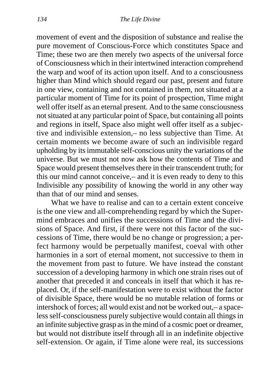movement of event and the disposition of substance and realise the pure movement of Conscious-Force which constitutes Space and Time; these two are then merely two aspects of the universal force of Consciousness which in their intertwined interaction comprehend the warp and woof of its action upon itself. And to a consciousness higher than Mind which should regard our past, present and future in one view, containing and not contained in them, not situated at a particular moment of Time for its point of prospection, Time might well offer itself as an eternal present. And to the same consciousness not situated at any particular point of Space, but containing all points and regions in itself, Space also might well offer itself as a subjective and indivisible extension,– no less subjective than Time. At certain moments we become aware of such an indivisible regard upholding by its immutable self-conscious unity the variations of the universe. But we must not now ask how the contents of Time and Space would present themselves there in their transcendent truth; for this our mind cannot conceive,– and it is even ready to deny to this Indivisible any possibility of knowing the world in any other way than that of our mind and senses.

What we have to realise and can to a certain extent conceive is the one view and all-comprehending regard by which the Supermind embraces and unifies the successions of Time and the divisions of Space. And first, if there were not this factor of the successions of Time, there would be no change or progression; a perfect harmony would be perpetually manifest, coeval with other harmonies in a sort of eternal moment, not successive to them in the movement from past to future. We have instead the constant succession of a developing harmony in which one strain rises out of another that preceded it and conceals in itself that which it has replaced. Or, if the self-manifestation were to exist without the factor of divisible Space, there would be no mutable relation of forms or intershock of forces; all would exist and not be worked out,– a spaceless self-consciousness purely subjective would contain all things in an infinite subjective grasp as in the mind of a cosmic poet or dreamer, but would not distribute itself through all in an indefinite objective self-extension. Or again, if Time alone were real, its successions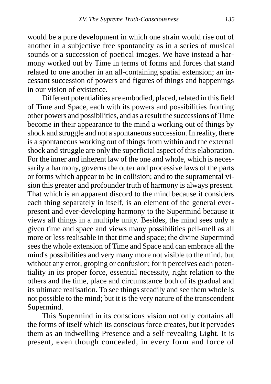would be a pure development in which one strain would rise out of another in a subjective free spontaneity as in a series of musical sounds or a succession of poetical images. We have instead a harmony worked out by Time in terms of forms and forces that stand related to one another in an all-containing spatial extension; an incessant succession of powers and figures of things and happenings in our vision of existence.

Different potentialities are embodied, placed, related in this field of Time and Space, each with its powers and possibilities fronting other powers and possibilities, and as a result the successions of Time become in their appearance to the mind a working out of things by shock and struggle and not a spontaneous succession. In reality, there is a spontaneous working out of things from within and the external shock and struggle are only the superficial aspect of this elaboration. For the inner and inherent law of the one and whole, which is necessarily a harmony, governs the outer and processive laws of the parts or forms which appear to be in collision; and to the supramental vision this greater and profounder truth of harmony is always present. That which is an apparent discord to the mind because it considers each thing separately in itself, is an element of the general everpresent and ever-developing harmony to the Supermind because it views all things in a multiple unity. Besides, the mind sees only a given time and space and views many possibilities pell-mell as all more or less realisable in that time and space; the divine Supermind sees the whole extension of Time and Space and can embrace all the mind's possibilities and very many more not visible to the mind, but without any error, groping or confusion; for it perceives each potentiality in its proper force, essential necessity, right relation to the others and the time, place and circumstance both of its gradual and its ultimate realisation. To see things steadily and see them whole is not possible to the mind; but it is the very nature of the transcendent Supermind.

This Supermind in its conscious vision not only contains all the forms of itself which its conscious force creates, but it pervades them as an indwelling Presence and a self-revealing Light. It is present, even though concealed, in every form and force of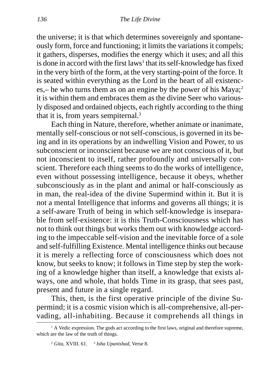the universe; it is that which determines sovereignly and spontaneously form, force and functioning; it limits the variations it compels; it gathers, disperses, modifies the energy which it uses; and all this is done in accord with the first laws<sup>1</sup> that its self-knowledge has fixed in the very birth of the form, at the very starting-point of the force. It is seated within everything as the Lord in the heart of all existences,— he who turns them as on an engine by the power of his  $Maya$ ;<sup>2</sup> it is within them and embraces them as the divine Seer who variously disposed and ordained objects, each rightly according to the thing that it is, from years sempiternal.3

Each thing in Nature, therefore, whether animate or inanimate, mentally self-conscious or not self-conscious, is governed in its being and in its operations by an indwelling Vision and Power, to us subconscient or inconscient because we are not conscious of it, but not inconscient to itself, rather profoundly and universally conscient. Therefore each thing seems to do the works of intelligence, even without possessing intelligence, because it obeys, whether subconsciously as in the plant and animal or half-consciously as in man, the real-idea of the divine Supermind within it. But it is not a mental Intelligence that informs and governs all things; it is a self-aware Truth of being in which self-knowledge is inseparable from self-existence: it is this Truth-Consciousness which has not to think out things but works them out with knowledge according to the impeccable self-vision and the inevitable force of a sole and self-fulfilling Existence. Mental intelligence thinks out because it is merely a reflecting force of consciousness which does not know, but seeks to know; it follows in Time step by step the working of a knowledge higher than itself, a knowledge that exists always, one and whole, that holds Time in its grasp, that sees past, present and future in a single regard.

This, then, is the first operative principle of the divine Supermind; it is a cosmic vision which is all-comprehensive, all-pervading, all-inhabiting. Because it comprehends all things in

 $<sup>1</sup>$  A Vedic expression. The gods act according to the first laws, original and therefore supreme,</sup> which are the law of the truth of things.

<sup>&</sup>lt;sup>2</sup> Gita, XVIII. 61. <sup>3</sup> Isha Upanishad, Verse 8.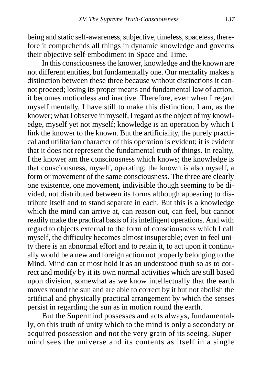being and static self-awareness, subjective, timeless, spaceless, therefore it comprehends all things in dynamic knowledge and governs their objective self-embodiment in Space and Time.

In this consciousness the knower, knowledge and the known are not different entities, but fundamentally one. Our mentality makes a distinction between these three because without distinctions it cannot proceed; losing its proper means and fundamental law of action, it becomes motionless and inactive. Therefore, even when I regard myself mentally, I have still to make this distinction. I am, as the knower; what I observe in myself, I regard as the object of my knowledge, myself yet not myself; knowledge is an operation by which I link the knower to the known. But the artificiality, the purely practical and utilitarian character of this operation is evident; it is evident that it does not represent the fundamental truth of things. In reality, I the knower am the consciousness which knows; the knowledge is that consciousness, myself, operating; the known is also myself, a form or movement of the same consciousness. The three are clearly one existence, one movement, indivisible though seeming to be divided, not distributed between its forms although appearing to distribute itself and to stand separate in each. But this is a knowledge which the mind can arrive at, can reason out, can feel, but cannot readily make the practical basis of its intelligent operations. And with regard to objects external to the form of consciousness which I call myself, the difficulty becomes almost insuperable; even to feel unity there is an abnormal effort and to retain it, to act upon it continually would be a new and foreign action not properly belonging to the Mind. Mind can at most hold it as an understood truth so as to correct and modify by it its own normal activities which are still based upon division, somewhat as we know intellectually that the earth moves round the sun and are able to correct by it but not abolish the artificial and physically practical arrangement by which the senses persist in regarding the sun as in motion round the earth.

But the Supermind possesses and acts always, fundamentally, on this truth of unity which to the mind is only a secondary or acquired possession and not the very grain of its seeing. Supermind sees the universe and its contents as itself in a single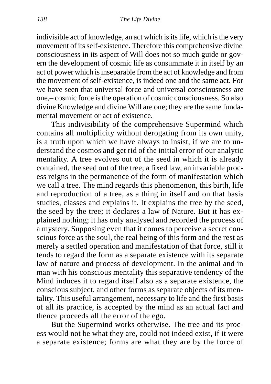indivisible act of knowledge, an act which is its life, which is the very movement of its self-existence. Therefore this comprehensive divine consciousness in its aspect of Will does not so much guide or govern the development of cosmic life as consummate it in itself by an act of power which is inseparable from the act of knowledge and from the movement of self-existence, is indeed one and the same act. For we have seen that universal force and universal consciousness are one,– cosmic force is the operation of cosmic consciousness. So also divine Knowledge and divine Will are one; they are the same fundamental movement or act of existence.

This indivisibility of the comprehensive Supermind which contains all multiplicity without derogating from its own unity, is a truth upon which we have always to insist, if we are to understand the cosmos and get rid of the initial error of our analytic mentality. A tree evolves out of the seed in which it is already contained, the seed out of the tree; a fixed law, an invariable process reigns in the permanence of the form of manifestation which we call a tree. The mind regards this phenomenon, this birth, life and reproduction of a tree, as a thing in itself and on that basis studies, classes and explains it. It explains the tree by the seed, the seed by the tree; it declares a law of Nature. But it has explained nothing; it has only analysed and recorded the process of a mystery. Supposing even that it comes to perceive a secret conscious force as the soul, the real being of this form and the rest as merely a settled operation and manifestation of that force, still it tends to regard the form as a separate existence with its separate law of nature and process of development. In the animal and in man with his conscious mentality this separative tendency of the Mind induces it to regard itself also as a separate existence, the conscious subject, and other forms as separate objects of its mentality. This useful arrangement, necessary to life and the first basis of all its practice, is accepted by the mind as an actual fact and thence proceeds all the error of the ego.

But the Supermind works otherwise. The tree and its process would not be what they are, could not indeed exist, if it were a separate existence; forms are what they are by the force of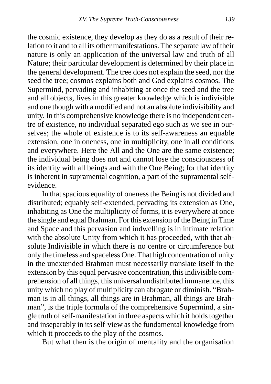the cosmic existence, they develop as they do as a result of their relation to it and to all its other manifestations. The separate law of their nature is only an application of the universal law and truth of all Nature; their particular development is determined by their place in the general development. The tree does not explain the seed, nor the seed the tree; cosmos explains both and God explains cosmos. The Supermind, pervading and inhabiting at once the seed and the tree and all objects, lives in this greater knowledge which is indivisible and one though with a modified and not an absolute indivisibility and unity. In this comprehensive knowledge there is no independent centre of existence, no individual separated ego such as we see in ourselves; the whole of existence is to its self-awareness an equable extension, one in oneness, one in multiplicity, one in all conditions and everywhere. Here the All and the One are the same existence; the individual being does not and cannot lose the consciousness of its identity with all beings and with the One Being; for that identity is inherent in supramental cognition, a part of the supramental selfevidence.

In that spacious equality of oneness the Being is not divided and distributed; equably self-extended, pervading its extension as One, inhabiting as One the multiplicity of forms, it is everywhere at once the single and equal Brahman. For this extension of the Being in Time and Space and this pervasion and indwelling is in intimate relation with the absolute Unity from which it has proceeded, with that absolute Indivisible in which there is no centre or circumference but only the timeless and spaceless One. That high concentration of unity in the unextended Brahman must necessarily translate itself in the extension by this equal pervasive concentration, this indivisible comprehension of all things, this universal undistributed immanence, this unity which no play of multiplicity can abrogate or diminish. "Brahman is in all things, all things are in Brahman, all things are Brahman", is the triple formula of the comprehensive Supermind, a single truth of self-manifestation in three aspects which it holds together and inseparably in its self-view as the fundamental knowledge from which it proceeds to the play of the cosmos.

But what then is the origin of mentality and the organisation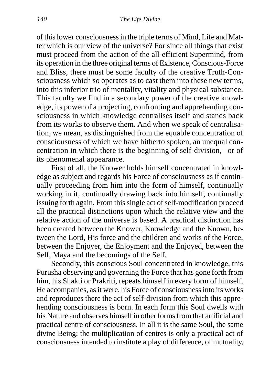of this lower consciousness in the triple terms of Mind, Life and Matter which is our view of the universe? For since all things that exist must proceed from the action of the all-efficient Supermind, from its operation in the three original terms of Existence, Conscious-Force and Bliss, there must be some faculty of the creative Truth-Consciousness which so operates as to cast them into these new terms, into this inferior trio of mentality, vitality and physical substance. This faculty we find in a secondary power of the creative knowledge, its power of a projecting, confronting and apprehending consciousness in which knowledge centralises itself and stands back from its works to observe them. And when we speak of centralisation, we mean, as distinguished from the equable concentration of consciousness of which we have hitherto spoken, an unequal concentration in which there is the beginning of self-division,– or of its phenomenal appearance.

First of all, the Knower holds himself concentrated in knowledge as subject and regards his Force of consciousness as if continually proceeding from him into the form of himself, continually working in it, continually drawing back into himself, continually issuing forth again. From this single act of self-modification proceed all the practical distinctions upon which the relative view and the relative action of the universe is based. A practical distinction has been created between the Knower, Knowledge and the Known, between the Lord, His force and the children and works of the Force, between the Enjoyer, the Enjoyment and the Enjoyed, between the Self, Maya and the becomings of the Self.

Secondly, this conscious Soul concentrated in knowledge, this Purusha observing and governing the Force that has gone forth from him, his Shakti or Prakriti, repeats himself in every form of himself. He accompanies, as it were, his Force of consciousness into its works and reproduces there the act of self-division from which this apprehending consciousness is born. In each form this Soul dwells with his Nature and observes himself in other forms from that artificial and practical centre of consciousness. In all it is the same Soul, the same divine Being; the multiplication of centres is only a practical act of consciousness intended to institute a play of difference, of mutuality,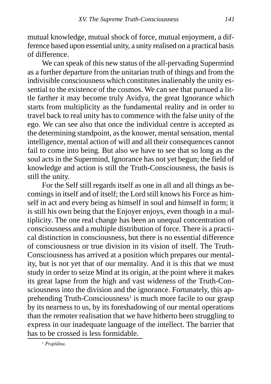mutual knowledge, mutual shock of force, mutual enjoyment, a difference based upon essential unity, a unity realised on a practical basis of difference.

We can speak of this new status of the all-pervading Supermind as a further departure from the unitarian truth of things and from the indivisible consciousness which constitutes inalienably the unity essential to the existence of the cosmos. We can see that pursued a little farther it may become truly Avidya, the great Ignorance which starts from multiplicity as the fundamental reality and in order to travel back to real unity has to commence with the false unity of the ego. We can see also that once the individual centre is accepted as the determining standpoint, as the knower, mental sensation, mental intelligence, mental action of will and all their consequences cannot fail to come into being. But also we have to see that so long as the soul acts in the Supermind, Ignorance has not yet begun; the field of knowledge and action is still the Truth-Consciousness, the basis is still the unity.

For the Self still regards itself as one in all and all things as becomings in itself and of itself; the Lord still knows his Force as himself in act and every being as himself in soul and himself in form; it is still his own being that the Enjoyer enjoys, even though in a multiplicity. The one real change has been an unequal concentration of consciousness and a multiple distribution of force. There is a practical distinction in consciousness, but there is no essential difference of consciousness or true division in its vision of itself. The Truth-Consciousness has arrived at a position which prepares our mentality, but is not yet that of our mentality. And it is this that we must study in order to seize Mind at its origin, at the point where it makes its great lapse from the high and vast wideness of the Truth-Consciousness into the division and the ignorance. Fortunately, this apprehending Truth-Consciousness<sup>1</sup> is much more facile to our grasp by its nearness to us, by its foreshadowing of our mental operations than the remoter realisation that we have hitherto been struggling to express in our inadequate language of the intellect. The barrier that has to be crossed is less formidable.

 $1$  Prajňāna.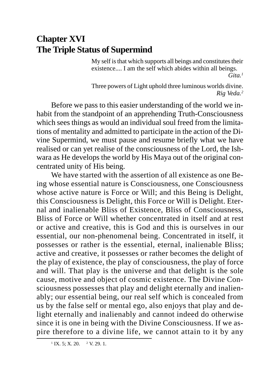# **Chapter XVI The Triple Status of Supermind**

My self is that which supports all beings and constitutes their existence.... I am the self which abides within all beings. *Gita.1*

Three powers of Light uphold three luminous worlds divine. *Rig Veda.2*

Before we pass to this easier understanding of the world we inhabit from the standpoint of an apprehending Truth-Consciousness which sees things as would an individual soul freed from the limitations of mentality and admitted to participate in the action of the Divine Supermind, we must pause and resume briefly what we have realised or can yet realise of the consciousness of the Lord, the Ishwara as He develops the world by His Maya out of the original concentrated unity of His being.

We have started with the assertion of all existence as one Being whose essential nature is Consciousness, one Consciousness whose active nature is Force or Will; and this Being is Delight, this Consciousness is Delight, this Force or Will is Delight. Eternal and inalienable Bliss of Existence, Bliss of Consciousness, Bliss of Force or Will whether concentrated in itself and at rest or active and creative, this is God and this is ourselves in our essential, our non-phenomenal being. Concentrated in itself, it possesses or rather is the essential, eternal, inalienable Bliss; active and creative, it possesses or rather becomes the delight of the play of existence, the play of consciousness, the play of force and will. That play is the universe and that delight is the sole cause, motive and object of cosmic existence. The Divine Consciousness possesses that play and delight eternally and inalienably; our essential being, our real self which is concealed from us by the false self or mental ego, also enjoys that play and delight eternally and inalienably and cannot indeed do otherwise since it is one in being with the Divine Consciousness. If we aspire therefore to a divine life, we cannot attain to it by any

 $1$  IX. 5; X. 20.  $2$  V. 29. 1.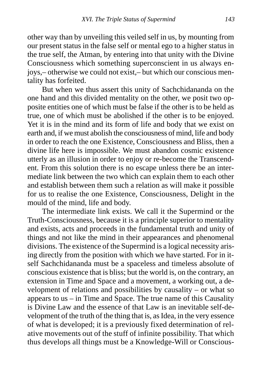other way than by unveiling this veiled self in us, by mounting from our present status in the false self or mental ego to a higher status in the true self, the Atman, by entering into that unity with the Divine Consciousness which something superconscient in us always enjoys,– otherwise we could not exist,– but which our conscious mentality has forfeited.

But when we thus assert this unity of Sachchidananda on the one hand and this divided mentality on the other, we posit two opposite entities one of which must be false if the other is to be held as true, one of which must be abolished if the other is to be enjoyed. Yet it is in the mind and its form of life and body that we exist on earth and, if we must abolish the consciousness of mind, life and body in order to reach the one Existence, Consciousness and Bliss, then a divine life here is impossible. We must abandon cosmic existence utterly as an illusion in order to enjoy or re-become the Transcendent. From this solution there is no escape unless there be an intermediate link between the two which can explain them to each other and establish between them such a relation as will make it possible for us to realise the one Existence, Consciousness, Delight in the mould of the mind, life and body.

The intermediate link exists. We call it the Supermind or the Truth-Consciousness, because it is a principle superior to mentality and exists, acts and proceeds in the fundamental truth and unity of things and not like the mind in their appearances and phenomenal divisions. The existence of the Supermind is a logical necessity arising directly from the position with which we have started. For in itself Sachchidananda must be a spaceless and timeless absolute of conscious existence that is bliss; but the world is, on the contrary, an extension in Time and Space and a movement, a working out, a development of relations and possibilities by causality – or what so appears to us – in Time and Space. The true name of this Causality is Divine Law and the essence of that Law is an inevitable self-development of the truth of the thing that is, as Idea, in the very essence of what is developed; it is a previously fixed determination of relative movements out of the stuff of infinite possibility. That which thus develops all things must be a Knowledge-Will or Conscious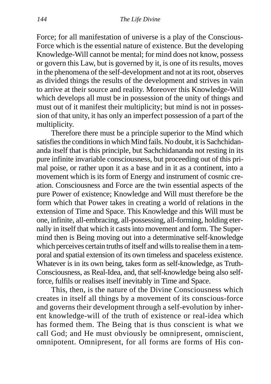Force; for all manifestation of universe is a play of the Conscious-Force which is the essential nature of existence. But the developing Knowledge-Will cannot be mental; for mind does not know, possess or govern this Law, but is governed by it, is one of its results, moves in the phenomena of the self-development and not at its root, observes as divided things the results of the development and strives in vain to arrive at their source and reality. Moreover this Knowledge-Will which develops all must be in possession of the unity of things and must out of it manifest their multiplicity; but mind is not in possession of that unity, it has only an imperfect possession of a part of the multiplicity.

Therefore there must be a principle superior to the Mind which satisfies the conditions in which Mind fails. No doubt, it is Sachchidananda itself that is this principle, but Sachchidananda not resting in its pure infinite invariable consciousness, but proceeding out of this primal poise, or rather upon it as a base and in it as a continent, into a movement which is its form of Energy and instrument of cosmic creation. Consciousness and Force are the twin essential aspects of the pure Power of existence; Knowledge and Will must therefore be the form which that Power takes in creating a world of relations in the extension of Time and Space. This Knowledge and this Will must be one, infinite, all-embracing, all-possessing, all-forming, holding eternally in itself that which it casts into movement and form. The Supermind then is Being moving out into a determinative self-knowledge which perceives certain truths of itself and wills to realise them in a temporal and spatial extension of its own timeless and spaceless existence. Whatever is in its own being, takes form as self-knowledge, as Truth-Consciousness, as Real-Idea, and, that self-knowledge being also selfforce, fulfils or realises itself inevitably in Time and Space.

This, then, is the nature of the Divine Consciousness which creates in itself all things by a movement of its conscious-force and governs their development through a self-evolution by inherent knowledge-will of the truth of existence or real-idea which has formed them. The Being that is thus conscient is what we call God; and He must obviously be omnipresent, omniscient, omnipotent. Omnipresent, for all forms are forms of His con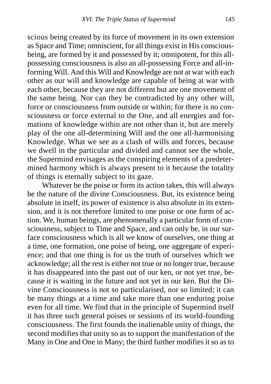scious being created by its force of movement in its own extension as Space and Time; omniscient, for all things exist in His consciousbeing, are formed by it and possessed by it; omnipotent, for this allpossessing consciousness is also an all-possessing Force and all-informing Will. And this Will and Knowledge are not at war with each other as our will and knowledge are capable of being at war with each other, because they are not different but are one movement of the same being. Nor can they be contradicted by any other will, force or consciousness from outside or within; for there is no consciousness or force external to the One, and all energies and formations of knowledge within are not other than it, but are merely play of the one all-determining Will and the one all-harmonising Knowledge. What we see as a clash of wills and forces, because we dwell in the particular and divided and cannot see the whole, the Supermind envisages as the conspiring elements of a predetermined harmony which is always present to it because the totality of things is eternally subject to its gaze.

Whatever be the poise or form its action takes, this will always be the nature of the divine Consciousness. But, its existence being absolute in itself, its power of existence is also absolute in its extension, and it is not therefore limited to one poise or one form of action. We, human beings, are phenomenally a particular form of consciousness, subject to Time and Space, and can only be, in our surface consciousness which is all we know of ourselves, one thing at a time, one formation, one poise of being, one aggregate of experience; and that one thing is for us the truth of ourselves which we acknowledge; all the rest is either not true or no longer true, because it has disappeared into the past out of our ken, or not yet true, because it is waiting in the future and not yet in our ken. But the Divine Consciousness is not so particularised, nor so limited; it can be many things at a time and take more than one enduring poise even for all time. We find that in the principle of Supermind itself it has three such general poises or sessions of its world-founding consciousness. The first founds the inalienable unity of things, the second modifies that unity so as to support the manifestation of the Many in One and One in Many; the third further modifies it so as to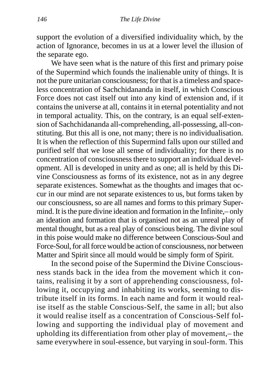support the evolution of a diversified individuality which, by the action of Ignorance, becomes in us at a lower level the illusion of the separate ego.

We have seen what is the nature of this first and primary poise of the Supermind which founds the inalienable unity of things. It is not the pure unitarian consciousness; for that is a timeless and spaceless concentration of Sachchidananda in itself, in which Conscious Force does not cast itself out into any kind of extension and, if it contains the universe at all, contains it in eternal potentiality and not in temporal actuality. This, on the contrary, is an equal self-extension of Sachchidananda all-comprehending, all-possessing, all-constituting. But this all is one, not many; there is no individualisation. It is when the reflection of this Supermind falls upon our stilled and purified self that we lose all sense of individuality; for there is no concentration of consciousness there to support an individual development. All is developed in unity and as one; all is held by this Divine Consciousness as forms of its existence, not as in any degree separate existences. Somewhat as the thoughts and images that occur in our mind are not separate existences to us, but forms taken by our consciousness, so are all names and forms to this primary Supermind. It is the pure divine ideation and formation in the Infinite,– only an ideation and formation that is organised not as an unreal play of mental thought, but as a real play of conscious being. The divine soul in this poise would make no difference between Conscious-Soul and Force-Soul, for all force would be action of consciousness, nor between Matter and Spirit since all mould would be simply form of Spirit.

In the second poise of the Supermind the Divine Consciousness stands back in the idea from the movement which it contains, realising it by a sort of apprehending consciousness, following it, occupying and inhabiting its works, seeming to distribute itself in its forms. In each name and form it would realise itself as the stable Conscious-Self, the same in all; but also it would realise itself as a concentration of Conscious-Self following and supporting the individual play of movement and upholding its differentiation from other play of movement,– the same everywhere in soul-essence, but varying in soul-form. This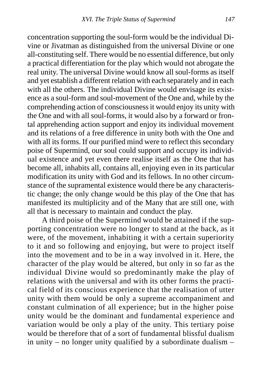concentration supporting the soul-form would be the individual Divine or Jivatman as distinguished from the universal Divine or one all-constituting self. There would be no essential difference, but only a practical differentiation for the play which would not abrogate the real unity. The universal Divine would know all soul-forms as itself and yet establish a different relation with each separately and in each with all the others. The individual Divine would envisage its existence as a soul-form and soul-movement of the One and, while by the comprehending action of consciousness it would enjoy its unity with the One and with all soul-forms, it would also by a forward or frontal apprehending action support and enjoy its individual movement and its relations of a free difference in unity both with the One and with all its forms. If our purified mind were to reflect this secondary poise of Supermind, our soul could support and occupy its individual existence and yet even there realise itself as the One that has become all, inhabits all, contains all, enjoying even in its particular modification its unity with God and its fellows. In no other circumstance of the supramental existence would there be any characteristic change; the only change would be this play of the One that has manifested its multiplicity and of the Many that are still one, with all that is necessary to maintain and conduct the play.

A third poise of the Supermind would be attained if the supporting concentration were no longer to stand at the back, as it were, of the movement, inhabiting it with a certain superiority to it and so following and enjoying, but were to project itself into the movement and to be in a way involved in it. Here, the character of the play would be altered, but only in so far as the individual Divine would so predominantly make the play of relations with the universal and with its other forms the practical field of its conscious experience that the realisation of utter unity with them would be only a supreme accompaniment and constant culmination of all experience; but in the higher poise unity would be the dominant and fundamental experience and variation would be only a play of the unity. This tertiary poise would be therefore that of a sort of fundamental blissful dualism in unity – no longer unity qualified by a subordinate dualism –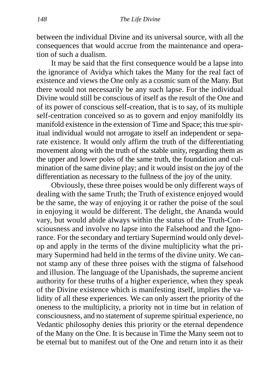between the individual Divine and its universal source, with all the consequences that would accrue from the maintenance and operation of such a dualism.

It may be said that the first consequence would be a lapse into the ignorance of Avidya which takes the Many for the real fact of existence and views the One only as a cosmic sum of the Many. But there would not necessarily be any such lapse. For the individual Divine would still be conscious of itself as the result of the One and of its power of conscious self-creation, that is to say, of its multiple self-centration conceived so as to govern and enjoy manifoldly its manifold existence in the extension of Time and Space; this true spiritual individual would not arrogate to itself an independent or separate existence. It would only affirm the truth of the differentiating movement along with the truth of the stable unity, regarding them as the upper and lower poles of the same truth, the foundation and culmination of the same divine play; and it would insist on the joy of the differentiation as necessary to the fullness of the joy of the unity.

Obviously, these three poises would be only different ways of dealing with the same Truth; the Truth of existence enjoyed would be the same, the way of enjoying it or rather the poise of the soul in enjoying it would be different. The delight, the Ananda would vary, but would abide always within the status of the Truth-Consciousness and involve no lapse into the Falsehood and the Ignorance. For the secondary and tertiary Supermind would only develop and apply in the terms of the divine multiplicity what the primary Supermind had held in the terms of the divine unity. We cannot stamp any of these three poises with the stigma of falsehood and illusion. The language of the Upanishads, the supreme ancient authority for these truths of a higher experience, when they speak of the Divine existence which is manifesting itself, implies the validity of all these experiences. We can only assert the priority of the oneness to the multiplicity, a priority not in time but in relation of consciousness, and no statement of supreme spiritual experience, no Vedantic philosophy denies this priority or the eternal dependence of the Many on the One. It is because in Time the Many seem not to be eternal but to manifest out of the One and return into it as their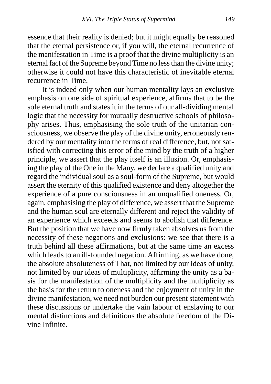essence that their reality is denied; but it might equally be reasoned that the eternal persistence or, if you will, the eternal recurrence of the manifestation in Time is a proof that the divine multiplicity is an eternal fact of the Supreme beyond Time no less than the divine unity; otherwise it could not have this characteristic of inevitable eternal recurrence in Time.

It is indeed only when our human mentality lays an exclusive emphasis on one side of spiritual experience, affirms that to be the sole eternal truth and states it in the terms of our all-dividing mental logic that the necessity for mutually destructive schools of philosophy arises. Thus, emphasising the sole truth of the unitarian consciousness, we observe the play of the divine unity, erroneously rendered by our mentality into the terms of real difference, but, not satisfied with correcting this error of the mind by the truth of a higher principle, we assert that the play itself is an illusion. Or, emphasising the play of the One in the Many, we declare a qualified unity and regard the individual soul as a soul-form of the Supreme, but would assert the eternity of this qualified existence and deny altogether the experience of a pure consciousness in an unqualified oneness. Or, again, emphasising the play of difference, we assert that the Supreme and the human soul are eternally different and reject the validity of an experience which exceeds and seems to abolish that difference. But the position that we have now firmly taken absolves us from the necessity of these negations and exclusions: we see that there is a truth behind all these affirmations, but at the same time an excess which leads to an ill-founded negation. Affirming, as we have done, the absolute absoluteness of That, not limited by our ideas of unity, not limited by our ideas of multiplicity, affirming the unity as a basis for the manifestation of the multiplicity and the multiplicity as the basis for the return to oneness and the enjoyment of unity in the divine manifestation, we need not burden our present statement with these discussions or undertake the vain labour of enslaving to our mental distinctions and definitions the absolute freedom of the Divine Infinite.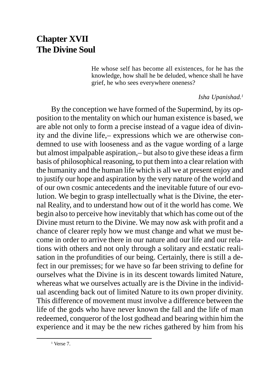## **Chapter XVII The Divine Soul**

He whose self has become all existences, for he has the knowledge, how shall he be deluded, whence shall he have grief, he who sees everywhere oneness?

#### *Isha Upanishad.1*

By the conception we have formed of the Supermind, by its opposition to the mentality on which our human existence is based, we are able not only to form a precise instead of a vague idea of divinity and the divine life,– expressions which we are otherwise condemned to use with looseness and as the vague wording of a large but almost impalpable aspiration,– but also to give these ideas a firm basis of philosophical reasoning, to put them into a clear relation with the humanity and the human life which is all we at present enjoy and to justify our hope and aspiration by the very nature of the world and of our own cosmic antecedents and the inevitable future of our evolution. We begin to grasp intellectually what is the Divine, the eternal Reality, and to understand how out of it the world has come. We begin also to perceive how inevitably that which has come out of the Divine must return to the Divine. We may now ask with profit and a chance of clearer reply how we must change and what we must become in order to arrive there in our nature and our life and our relations with others and not only through a solitary and ecstatic realisation in the profundities of our being. Certainly, there is still a defect in our premisses; for we have so far been striving to define for ourselves what the Divine is in its descent towards limited Nature, whereas what we ourselves actually are is the Divine in the individual ascending back out of limited Nature to its own proper divinity. This difference of movement must involve a difference between the life of the gods who have never known the fall and the life of man redeemed, conqueror of the lost godhead and bearing within him the experience and it may be the new riches gathered by him from his

<sup>1</sup> Verse 7.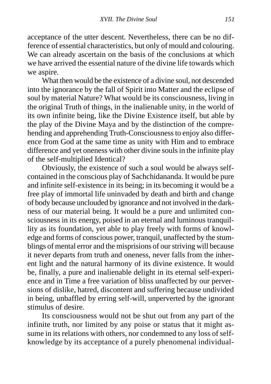acceptance of the utter descent. Nevertheless, there can be no difference of essential characteristics, but only of mould and colouring. We can already ascertain on the basis of the conclusions at which we have arrived the essential nature of the divine life towards which we aspire.

What then would be the existence of a divine soul, not descended into the ignorance by the fall of Spirit into Matter and the eclipse of soul by material Nature? What would be its consciousness, living in the original Truth of things, in the inalienable unity, in the world of its own infinite being, like the Divine Existence itself, but able by the play of the Divine Maya and by the distinction of the comprehending and apprehending Truth-Consciousness to enjoy also difference from God at the same time as unity with Him and to embrace difference and yet oneness with other divine souls in the infinite play of the self-multiplied Identical?

Obviously, the existence of such a soul would be always selfcontained in the conscious play of Sachchidananda. It would be pure and infinite self-existence in its being; in its becoming it would be a free play of immortal life uninvaded by death and birth and change of body because unclouded by ignorance and not involved in the darkness of our material being. It would be a pure and unlimited consciousness in its energy, poised in an eternal and luminous tranquillity as its foundation, yet able to play freely with forms of knowledge and forms of conscious power, tranquil, unaffected by the stumblings of mental error and the misprisions of our striving will because it never departs from truth and oneness, never falls from the inherent light and the natural harmony of its divine existence. It would be, finally, a pure and inalienable delight in its eternal self-experience and in Time a free variation of bliss unaffected by our perversions of dislike, hatred, discontent and suffering because undivided in being, unbaffled by erring self-will, unperverted by the ignorant stimulus of desire.

Its consciousness would not be shut out from any part of the infinite truth, nor limited by any poise or status that it might assume in its relations with others, nor condemned to any loss of selfknowledge by its acceptance of a purely phenomenal individual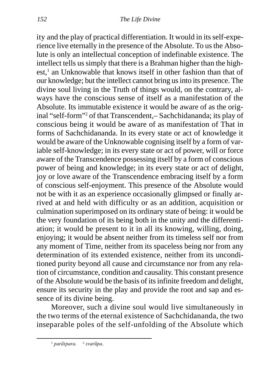ity and the play of practical differentiation. It would in its self-experience live eternally in the presence of the Absolute. To us the Absolute is only an intellectual conception of indefinable existence. The intellect tells us simply that there is a Brahman higher than the highest,<sup>1</sup> an Unknowable that knows itself in other fashion than that of our knowledge; but the intellect cannot bring us into its presence. The divine soul living in the Truth of things would, on the contrary, always have the conscious sense of itself as a manifestation of the Absolute. Its immutable existence it would be aware of as the original "self-form"2 of that Transcendent,– Sachchidananda; its play of conscious being it would be aware of as manifestation of That in forms of Sachchidananda. In its every state or act of knowledge it would be aware of the Unknowable cognising itself by a form of variable self-knowledge; in its every state or act of power, will or force aware of the Transcendence possessing itself by a form of conscious power of being and knowledge; in its every state or act of delight, joy or love aware of the Transcendence embracing itself by a form of conscious self-enjoyment. This presence of the Absolute would not be with it as an experience occasionally glimpsed or finally arrived at and held with difficulty or as an addition, acquisition or culmination superimposed on its ordinary state of being: it would be the very foundation of its being both in the unity and the differentiation; it would be present to it in all its knowing, willing, doing, enjoying; it would be absent neither from its timeless self nor from any moment of Time, neither from its spaceless being nor from any determination of its extended existence, neither from its unconditioned purity beyond all cause and circumstance nor from any relation of circumstance, condition and causality. This constant presence of the Absolute would be the basis of its infinite freedom and delight, ensure its security in the play and provide the root and sap and essence of its divine being.

Moreover, such a divine soul would live simultaneously in the two terms of the eternal existence of Sachchidananda, the two inseparable poles of the self-unfolding of the Absolute which

 $^{1}$  parātpara.  $^{2}$  svarūpa.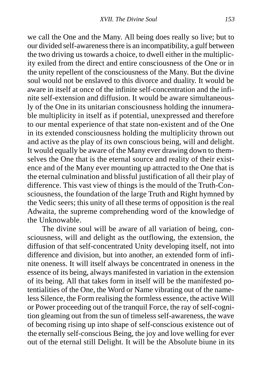we call the One and the Many. All being does really so live; but to our divided self-awareness there is an incompatibility, a gulf between the two driving us towards a choice, to dwell either in the multiplicity exiled from the direct and entire consciousness of the One or in the unity repellent of the consciousness of the Many. But the divine soul would not be enslaved to this divorce and duality. It would be aware in itself at once of the infinite self-concentration and the infinite self-extension and diffusion. It would be aware simultaneously of the One in its unitarian consciousness holding the innumerable multiplicity in itself as if potential, unexpressed and therefore to our mental experience of that state non-existent and of the One in its extended consciousness holding the multiplicity thrown out and active as the play of its own conscious being, will and delight. It would equally be aware of the Many ever drawing down to themselves the One that is the eternal source and reality of their existence and of the Many ever mounting up attracted to the One that is the eternal culmination and blissful justification of all their play of difference. This vast view of things is the mould of the Truth-Consciousness, the foundation of the large Truth and Right hymned by the Vedic seers; this unity of all these terms of opposition is the real Adwaita, the supreme comprehending word of the knowledge of the Unknowable.

The divine soul will be aware of all variation of being, consciousness, will and delight as the outflowing, the extension, the diffusion of that self-concentrated Unity developing itself, not into difference and division, but into another, an extended form of infinite oneness. It will itself always be concentrated in oneness in the essence of its being, always manifested in variation in the extension of its being. All that takes form in itself will be the manifested potentialities of the One, the Word or Name vibrating out of the nameless Silence, the Form realising the formless essence, the active Will or Power proceeding out of the tranquil Force, the ray of self-cognition gleaming out from the sun of timeless self-awareness, the wave of becoming rising up into shape of self-conscious existence out of the eternally self-conscious Being, the joy and love welling for ever out of the eternal still Delight. It will be the Absolute biune in its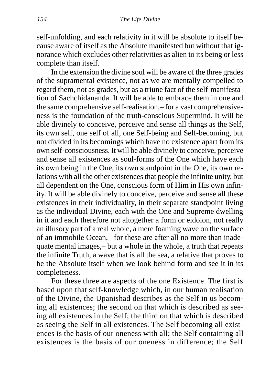self-unfolding, and each relativity in it will be absolute to itself because aware of itself as the Absolute manifested but without that ignorance which excludes other relativities as alien to its being or less complete than itself.

In the extension the divine soul will be aware of the three grades of the supramental existence, not as we are mentally compelled to regard them, not as grades, but as a triune fact of the self-manifestation of Sachchidananda. It will be able to embrace them in one and the same comprehensive self-realisation,– for a vast comprehensiveness is the foundation of the truth-conscious Supermind. It will be able divinely to conceive, perceive and sense all things as the Self, its own self, one self of all, one Self-being and Self-becoming, but not divided in its becomings which have no existence apart from its own self-consciousness. It will be able divinely to conceive, perceive and sense all existences as soul-forms of the One which have each its own being in the One, its own standpoint in the One, its own relations with all the other existences that people the infinite unity, but all dependent on the One, conscious form of Him in His own infinity. It will be able divinely to conceive, perceive and sense all these existences in their individuality, in their separate standpoint living as the individual Divine, each with the One and Supreme dwelling in it and each therefore not altogether a form or eidolon, not really an illusory part of a real whole, a mere foaming wave on the surface of an immobile Ocean,– for these are after all no more than inadequate mental images,– but a whole in the whole, a truth that repeats the infinite Truth, a wave that is all the sea, a relative that proves to be the Absolute itself when we look behind form and see it in its completeness.

For these three are aspects of the one Existence. The first is based upon that self-knowledge which, in our human realisation of the Divine, the Upanishad describes as the Self in us becoming all existences; the second on that which is described as seeing all existences in the Self; the third on that which is described as seeing the Self in all existences. The Self becoming all existences is the basis of our oneness with all; the Self containing all existences is the basis of our oneness in difference; the Self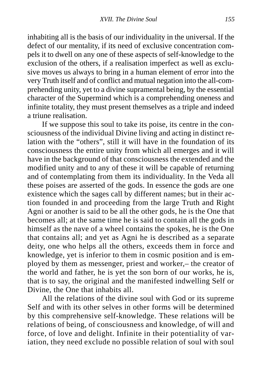inhabiting all is the basis of our individuality in the universal. If the defect of our mentality, if its need of exclusive concentration compels it to dwell on any one of these aspects of self-knowledge to the exclusion of the others, if a realisation imperfect as well as exclusive moves us always to bring in a human element of error into the very Truth itself and of conflict and mutual negation into the all-comprehending unity, yet to a divine supramental being, by the essential character of the Supermind which is a comprehending oneness and infinite totality, they must present themselves as a triple and indeed a triune realisation.

If we suppose this soul to take its poise, its centre in the consciousness of the individual Divine living and acting in distinct relation with the "others", still it will have in the foundation of its consciousness the entire unity from which all emerges and it will have in the background of that consciousness the extended and the modified unity and to any of these it will be capable of returning and of contemplating from them its individuality. In the Veda all these poises are asserted of the gods. In essence the gods are one existence which the sages call by different names; but in their action founded in and proceeding from the large Truth and Right Agni or another is said to be all the other gods, he is the One that becomes all; at the same time he is said to contain all the gods in himself as the nave of a wheel contains the spokes, he is the One that contains all; and yet as Agni he is described as a separate deity, one who helps all the others, exceeds them in force and knowledge, yet is inferior to them in cosmic position and is employed by them as messenger, priest and worker,– the creator of the world and father, he is yet the son born of our works, he is, that is to say, the original and the manifested indwelling Self or Divine, the One that inhabits all.

All the relations of the divine soul with God or its supreme Self and with its other selves in other forms will be determined by this comprehensive self-knowledge. These relations will be relations of being, of consciousness and knowledge, of will and force, of love and delight. Infinite in their potentiality of variation, they need exclude no possible relation of soul with soul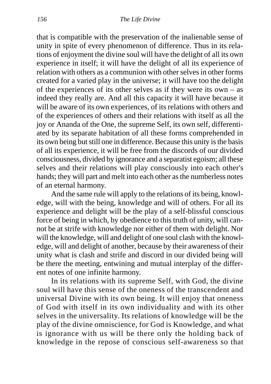that is compatible with the preservation of the inalienable sense of unity in spite of every phenomenon of difference. Thus in its relations of enjoyment the divine soul will have the delight of all its own experience in itself; it will have the delight of all its experience of relation with others as a communion with other selves in other forms created for a varied play in the universe; it will have too the delight of the experiences of its other selves as if they were its  $own - as$ indeed they really are. And all this capacity it will have because it will be aware of its own experiences, of its relations with others and of the experiences of others and their relations with itself as all the joy or Ananda of the One, the supreme Self, its own self, differentiated by its separate habitation of all these forms comprehended in its own being but still one in difference. Because this unity is the basis of all its experience, it will be free from the discords of our divided consciousness, divided by ignorance and a separatist egoism; all these selves and their relations will play consciously into each other's hands; they will part and melt into each other as the numberless notes of an eternal harmony.

And the same rule will apply to the relations of its being, knowledge, will with the being, knowledge and will of others. For all its experience and delight will be the play of a self-blissful conscious force of being in which, by obedience to this truth of unity, will cannot be at strife with knowledge nor either of them with delight. Nor will the knowledge, will and delight of one soul clash with the knowledge, will and delight of another, because by their awareness of their unity what is clash and strife and discord in our divided being will be there the meeting, entwining and mutual interplay of the different notes of one infinite harmony.

In its relations with its supreme Self, with God, the divine soul will have this sense of the oneness of the transcendent and universal Divine with its own being. It will enjoy that oneness of God with itself in its own individuality and with its other selves in the universality. Its relations of knowledge will be the play of the divine omniscience, for God is Knowledge, and what is ignorance with us will be there only the holding back of knowledge in the repose of conscious self-awareness so that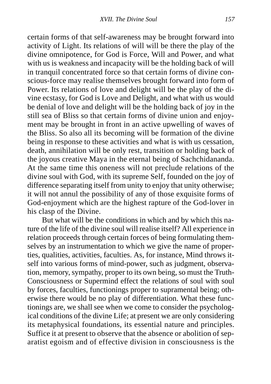certain forms of that self-awareness may be brought forward into activity of Light. Its relations of will will be there the play of the divine omnipotence, for God is Force, Will and Power, and what with us is weakness and incapacity will be the holding back of will in tranquil concentrated force so that certain forms of divine conscious-force may realise themselves brought forward into form of Power. Its relations of love and delight will be the play of the divine ecstasy, for God is Love and Delight, and what with us would be denial of love and delight will be the holding back of joy in the still sea of Bliss so that certain forms of divine union and enjoyment may be brought in front in an active upwelling of waves of the Bliss. So also all its becoming will be formation of the divine being in response to these activities and what is with us cessation, death, annihilation will be only rest, transition or holding back of the joyous creative Maya in the eternal being of Sachchidananda. At the same time this oneness will not preclude relations of the divine soul with God, with its supreme Self, founded on the joy of difference separating itself from unity to enjoy that unity otherwise; it will not annul the possibility of any of those exquisite forms of God-enjoyment which are the highest rapture of the God-lover in his clasp of the Divine.

But what will be the conditions in which and by which this nature of the life of the divine soul will realise itself? All experience in relation proceeds through certain forces of being formulating themselves by an instrumentation to which we give the name of properties, qualities, activities, faculties. As, for instance, Mind throws itself into various forms of mind-power, such as judgment, observation, memory, sympathy, proper to its own being, so must the Truth-Consciousness or Supermind effect the relations of soul with soul by forces, faculties, functionings proper to supramental being; otherwise there would be no play of differentiation. What these functionings are, we shall see when we come to consider the psychological conditions of the divine Life; at present we are only considering its metaphysical foundations, its essential nature and principles. Suffice it at present to observe that the absence or abolition of separatist egoism and of effective division in consciousness is the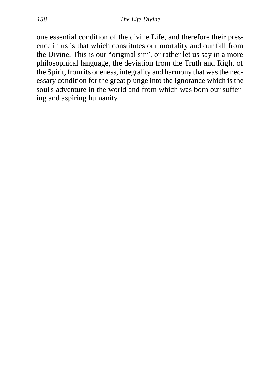one essential condition of the divine Life, and therefore their presence in us is that which constitutes our mortality and our fall from the Divine. This is our "original sin", or rather let us say in a more philosophical language, the deviation from the Truth and Right of the Spirit, from its oneness, integrality and harmony that was the necessary condition for the great plunge into the Ignorance which is the soul's adventure in the world and from which was born our suffering and aspiring humanity.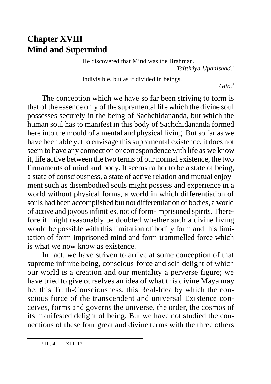### **Chapter XVIII Mind and Supermind**

He discovered that Mind was the Brahman. *Taittiriya Upanishad.1*

Indivisible, but as if divided in beings.

*Gita.2*

The conception which we have so far been striving to form is that of the essence only of the supramental life which the divine soul possesses securely in the being of Sachchidananda, but which the human soul has to manifest in this body of Sachchidananda formed here into the mould of a mental and physical living. But so far as we have been able yet to envisage this supramental existence, it does not seem to have any connection or correspondence with life as we know it, life active between the two terms of our normal existence, the two firmaments of mind and body. It seems rather to be a state of being, a state of consciousness, a state of active relation and mutual enjoyment such as disembodied souls might possess and experience in a world without physical forms, a world in which differentiation of souls had been accomplished but not differentiation of bodies, a world of active and joyous infinities, not of form-imprisoned spirits. Therefore it might reasonably be doubted whether such a divine living would be possible with this limitation of bodily form and this limitation of form-imprisoned mind and form-trammelled force which is what we now know as existence.

In fact, we have striven to arrive at some conception of that supreme infinite being, conscious-force and self-delight of which our world is a creation and our mentality a perverse figure; we have tried to give ourselves an idea of what this divine Maya may be, this Truth-Consciousness, this Real-Idea by which the conscious force of the transcendent and universal Existence conceives, forms and governs the universe, the order, the cosmos of its manifested delight of being. But we have not studied the connections of these four great and divine terms with the three others

 $1$  III. 4.  $2$  XIII. 17.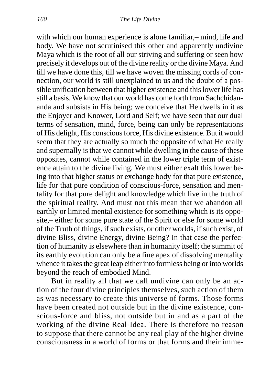with which our human experience is alone familiar,– mind, life and body. We have not scrutinised this other and apparently undivine Maya which is the root of all our striving and suffering or seen how precisely it develops out of the divine reality or the divine Maya. And till we have done this, till we have woven the missing cords of connection, our world is still unexplained to us and the doubt of a possible unification between that higher existence and this lower life has still a basis. We know that our world has come forth from Sachchidananda and subsists in His being; we conceive that He dwells in it as the Enjoyer and Knower, Lord and Self; we have seen that our dual terms of sensation, mind, force, being can only be representations of His delight, His conscious force, His divine existence. But it would seem that they are actually so much the opposite of what He really and supernally is that we cannot while dwelling in the cause of these opposites, cannot while contained in the lower triple term of existence attain to the divine living. We must either exalt this lower being into that higher status or exchange body for that pure existence, life for that pure condition of conscious-force, sensation and mentality for that pure delight and knowledge which live in the truth of the spiritual reality. And must not this mean that we abandon all earthly or limited mental existence for something which is its opposite,– either for some pure state of the Spirit or else for some world of the Truth of things, if such exists, or other worlds, if such exist, of divine Bliss, divine Energy, divine Being? In that case the perfection of humanity is elsewhere than in humanity itself; the summit of its earthly evolution can only be a fine apex of dissolving mentality whence it takes the great leap either into formless being or into worlds beyond the reach of embodied Mind.

But in reality all that we call undivine can only be an action of the four divine principles themselves, such action of them as was necessary to create this universe of forms. Those forms have been created not outside but in the divine existence, conscious-force and bliss, not outside but in and as a part of the working of the divine Real-Idea. There is therefore no reason to suppose that there cannot be any real play of the higher divine consciousness in a world of forms or that forms and their imme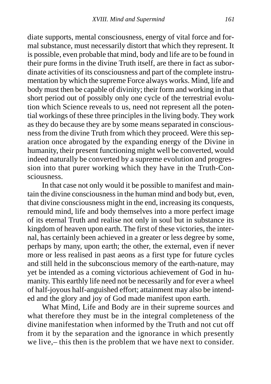diate supports, mental consciousness, energy of vital force and formal substance, must necessarily distort that which they represent. It is possible, even probable that mind, body and life are to be found in their pure forms in the divine Truth itself, are there in fact as subordinate activities of its consciousness and part of the complete instrumentation by which the supreme Force always works. Mind, life and body must then be capable of divinity; their form and working in that short period out of possibly only one cycle of the terrestrial evolution which Science reveals to us, need not represent all the potential workings of these three principles in the living body. They work as they do because they are by some means separated in consciousness from the divine Truth from which they proceed. Were this separation once abrogated by the expanding energy of the Divine in humanity, their present functioning might well be converted, would indeed naturally be converted by a supreme evolution and progression into that purer working which they have in the Truth-Consciousness.

In that case not only would it be possible to manifest and maintain the divine consciousness in the human mind and body but, even, that divine consciousness might in the end, increasing its conquests, remould mind, life and body themselves into a more perfect image of its eternal Truth and realise not only in soul but in substance its kingdom of heaven upon earth. The first of these victories, the internal, has certainly been achieved in a greater or less degree by some, perhaps by many, upon earth; the other, the external, even if never more or less realised in past aeons as a first type for future cycles and still held in the subconscious memory of the earth-nature, may yet be intended as a coming victorious achievement of God in humanity. This earthly life need not be necessarily and for ever a wheel of half-joyous half-anguished effort; attainment may also be intended and the glory and joy of God made manifest upon earth.

What Mind, Life and Body are in their supreme sources and what therefore they must be in the integral completeness of the divine manifestation when informed by the Truth and not cut off from it by the separation and the ignorance in which presently we live,– this then is the problem that we have next to consider.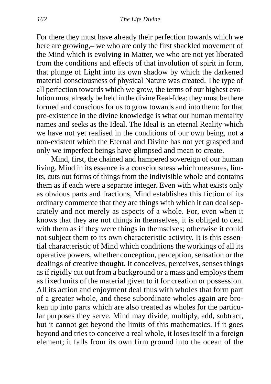For there they must have already their perfection towards which we here are growing,– we who are only the first shackled movement of the Mind which is evolving in Matter, we who are not yet liberated from the conditions and effects of that involution of spirit in form, that plunge of Light into its own shadow by which the darkened material consciousness of physical Nature was created. The type of all perfection towards which we grow, the terms of our highest evolution must already be held in the divine Real-Idea; they must be there formed and conscious for us to grow towards and into them: for that pre-existence in the divine knowledge is what our human mentality names and seeks as the Ideal. The Ideal is an eternal Reality which we have not yet realised in the conditions of our own being, not a non-existent which the Eternal and Divine has not yet grasped and only we imperfect beings have glimpsed and mean to create.

Mind, first, the chained and hampered sovereign of our human living. Mind in its essence is a consciousness which measures, limits, cuts out forms of things from the indivisible whole and contains them as if each were a separate integer. Even with what exists only as obvious parts and fractions, Mind establishes this fiction of its ordinary commerce that they are things with which it can deal separately and not merely as aspects of a whole. For, even when it knows that they are not things in themselves, it is obliged to deal with them as if they were things in themselves; otherwise it could not subject them to its own characteristic activity. It is this essential characteristic of Mind which conditions the workings of all its operative powers, whether conception, perception, sensation or the dealings of creative thought. It conceives, perceives, senses things as if rigidly cut out from a background or a mass and employs them as fixed units of the material given to it for creation or possession. All its action and enjoyment deal thus with wholes that form part of a greater whole, and these subordinate wholes again are broken up into parts which are also treated as wholes for the particular purposes they serve. Mind may divide, multiply, add, subtract, but it cannot get beyond the limits of this mathematics. If it goes beyond and tries to conceive a real whole, it loses itself in a foreign element; it falls from its own firm ground into the ocean of the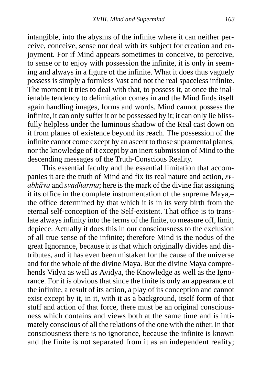intangible, into the abysms of the infinite where it can neither perceive, conceive, sense nor deal with its subject for creation and enjoyment. For if Mind appears sometimes to conceive, to perceive, to sense or to enjoy with possession the infinite, it is only in seeming and always in a figure of the infinite. What it does thus vaguely possess is simply a formless Vast and not the real spaceless infinite. The moment it tries to deal with that, to possess it, at once the inalienable tendency to delimitation comes in and the Mind finds itself again handling images, forms and words. Mind cannot possess the infinite, it can only suffer it or be possessed by it; it can only lie blissfully helpless under the luminous shadow of the Real cast down on it from planes of existence beyond its reach. The possession of the infinite cannot come except by an ascent to those supramental planes, nor the knowledge of it except by an inert submission of Mind to the descending messages of the Truth-Conscious Reality.

This essential faculty and the essential limitation that accompanies it are the truth of Mind and fix its real nature and action, sv $abh\bar{a}va$  and svadharma; here is the mark of the divine fiat assigning it its office in the complete instrumentation of the supreme Maya,– the office determined by that which it is in its very birth from the eternal self-conception of the Self-existent. That office is to translate always infinity into the terms of the finite, to measure off, limit, depiece. Actually it does this in our consciousness to the exclusion of all true sense of the infinite; therefore Mind is the nodus of the great Ignorance, because it is that which originally divides and distributes, and it has even been mistaken for the cause of the universe and for the whole of the divine Maya. But the divine Maya comprehends Vidya as well as Avidya, the Knowledge as well as the Ignorance. For it is obvious that since the finite is only an appearance of the infinite, a result of its action, a play of its conception and cannot exist except by it, in it, with it as a background, itself form of that stuff and action of that force, there must be an original consciousness which contains and views both at the same time and is intimately conscious of all the relations of the one with the other. In that consciousness there is no ignorance, because the infinite is known and the finite is not separated from it as an independent reality;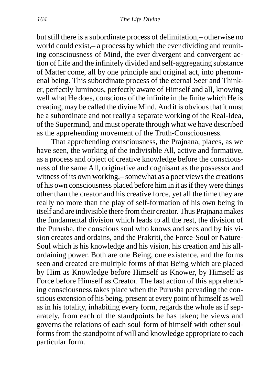but still there is a subordinate process of delimitation,– otherwise no world could exist,– a process by which the ever dividing and reuniting consciousness of Mind, the ever divergent and convergent action of Life and the infinitely divided and self-aggregating substance of Matter come, all by one principle and original act, into phenomenal being. This subordinate process of the eternal Seer and Thinker, perfectly luminous, perfectly aware of Himself and all, knowing well what He does, conscious of the infinite in the finite which He is creating, may be called the divine Mind. And it is obvious that it must be a subordinate and not really a separate working of the Real-Idea, of the Supermind, and must operate through what we have described as the apprehending movement of the Truth-Consciousness.

That apprehending consciousness, the Prajnana, places, as we have seen, the working of the indivisible All, active and formative, as a process and object of creative knowledge before the consciousness of the same All, originative and cognisant as the possessor and witness of its own working,– somewhat as a poet views the creations of his own consciousness placed before him in it as if they were things other than the creator and his creative force, yet all the time they are really no more than the play of self-formation of his own being in itself and are indivisible there from their creator. Thus Prajnana makes the fundamental division which leads to all the rest, the division of the Purusha, the conscious soul who knows and sees and by his vision creates and ordains, and the Prakriti, the Force-Soul or Nature-Soul which is his knowledge and his vision, his creation and his allordaining power. Both are one Being, one existence, and the forms seen and created are multiple forms of that Being which are placed by Him as Knowledge before Himself as Knower, by Himself as Force before Himself as Creator. The last action of this apprehending consciousness takes place when the Purusha pervading the conscious extension of his being, present at every point of himself as well as in his totality, inhabiting every form, regards the whole as if separately, from each of the standpoints he has taken; he views and governs the relations of each soul-form of himself with other soulforms from the standpoint of will and knowledge appropriate to each particular form.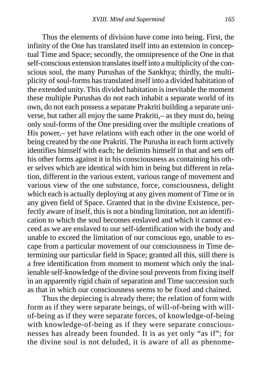Thus the elements of division have come into being. First, the infinity of the One has translated itself into an extension in conceptual Time and Space; secondly, the omnipresence of the One in that self-conscious extension translates itself into a multiplicity of the conscious soul, the many Purushas of the Sankhya; thirdly, the multiplicity of soul-forms has translated itself into a divided habitation of the extended unity. This divided habitation is inevitable the moment these multiple Purushas do not each inhabit a separate world of its own, do not each possess a separate Prakriti building a separate universe, but rather all enjoy the same Prakriti,– as they must do, being only soul-forms of the One presiding over the multiple creations of His power,– yet have relations with each other in the one world of being created by the one Prakriti. The Purusha in each form actively identifies himself with each; he delimits himself in that and sets off his other forms against it in his consciousness as containing his other selves which are identical with him in being but different in relation, different in the various extent, various range of movement and various view of the one substance, force, consciousness, delight which each is actually deploying at any given moment of Time or in any given field of Space. Granted that in the divine Existence, perfectly aware of itself, this is not a binding limitation, not an identification to which the soul becomes enslaved and which it cannot exceed as we are enslaved to our self-identification with the body and unable to exceed the limitation of our conscious ego, unable to escape from a particular movement of our consciousness in Time determining our particular field in Space; granted all this, still there is a free identification from moment to moment which only the inalienable self-knowledge of the divine soul prevents from fixing itself in an apparently rigid chain of separation and Time succession such as that in which our consciousness seems to be fixed and chained.

Thus the depiecing is already there; the relation of form with form as if they were separate beings, of will-of-being with willof-being as if they were separate forces, of knowledge-of-being with knowledge-of-being as if they were separate consciousnesses has already been founded. It is as yet only "as if"; for the divine soul is not deluded, it is aware of all as phenome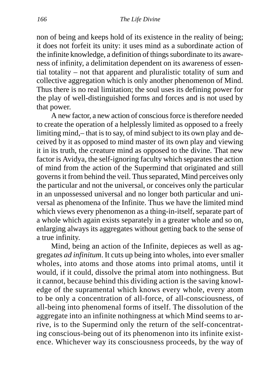non of being and keeps hold of its existence in the reality of being; it does not forfeit its unity: it uses mind as a subordinate action of the infinite knowledge, a definition of things subordinate to its awareness of infinity, a delimitation dependent on its awareness of essential totality – not that apparent and pluralistic totality of sum and collective aggregation which is only another phenomenon of Mind. Thus there is no real limitation; the soul uses its defining power for the play of well-distinguished forms and forces and is not used by that power.

A new factor, a new action of conscious force is therefore needed to create the operation of a helplessly limited as opposed to a freely limiting mind,– that is to say, of mind subject to its own play and deceived by it as opposed to mind master of its own play and viewing it in its truth, the creature mind as opposed to the divine. That new factor is Avidya, the self-ignoring faculty which separates the action of mind from the action of the Supermind that originated and still governs it from behind the veil. Thus separated, Mind perceives only the particular and not the universal, or conceives only the particular in an unpossessed universal and no longer both particular and universal as phenomena of the Infinite. Thus we have the limited mind which views every phenomenon as a thing-in-itself, separate part of a whole which again exists separately in a greater whole and so on, enlarging always its aggregates without getting back to the sense of a true infinity.

Mind, being an action of the Infinite, depieces as well as aggregates *ad infinitum*. It cuts up being into wholes, into ever smaller wholes, into atoms and those atoms into primal atoms, until it would, if it could, dissolve the primal atom into nothingness. But it cannot, because behind this dividing action is the saving knowledge of the supramental which knows every whole, every atom to be only a concentration of all-force, of all-consciousness, of all-being into phenomenal forms of itself. The dissolution of the aggregate into an infinite nothingness at which Mind seems to arrive, is to the Supermind only the return of the self-concentrating conscious-being out of its phenomenon into its infinite existence. Whichever way its consciousness proceeds, by the way of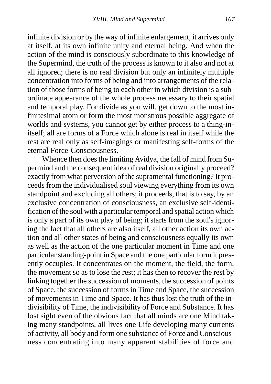infinite division or by the way of infinite enlargement, it arrives only at itself, at its own infinite unity and eternal being. And when the action of the mind is consciously subordinate to this knowledge of the Supermind, the truth of the process is known to it also and not at all ignored; there is no real division but only an infinitely multiple concentration into forms of being and into arrangements of the relation of those forms of being to each other in which division is a subordinate appearance of the whole process necessary to their spatial and temporal play. For divide as you will, get down to the most infinitesimal atom or form the most monstrous possible aggregate of worlds and systems, you cannot get by either process to a thing-initself; all are forms of a Force which alone is real in itself while the rest are real only as self-imagings or manifesting self-forms of the eternal Force-Consciousness.

Whence then does the limiting Avidya, the fall of mind from Supermind and the consequent idea of real division originally proceed? exactly from what perversion of the supramental functioning? It proceeds from the individualised soul viewing everything from its own standpoint and excluding all others; it proceeds, that is to say, by an exclusive concentration of consciousness, an exclusive self-identification of the soul with a particular temporal and spatial action which is only a part of its own play of being; it starts from the soul's ignoring the fact that all others are also itself, all other action its own action and all other states of being and consciousness equally its own as well as the action of the one particular moment in Time and one particular standing-point in Space and the one particular form it presently occupies. It concentrates on the moment, the field, the form, the movement so as to lose the rest; it has then to recover the rest by linking together the succession of moments, the succession of points of Space, the succession of forms in Time and Space, the succession of movements in Time and Space. It has thus lost the truth of the indivisibility of Time, the indivisibility of Force and Substance. It has lost sight even of the obvious fact that all minds are one Mind taking many standpoints, all lives one Life developing many currents of activity, all body and form one substance of Force and Consciousness concentrating into many apparent stabilities of force and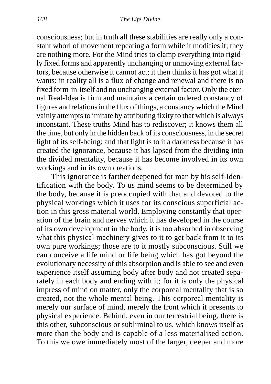consciousness; but in truth all these stabilities are really only a constant whorl of movement repeating a form while it modifies it; they are nothing more. For the Mind tries to clamp everything into rigidly fixed forms and apparently unchanging or unmoving external factors, because otherwise it cannot act; it then thinks it has got what it wants: in reality all is a flux of change and renewal and there is no fixed form-in-itself and no unchanging external factor. Only the eternal Real-Idea is firm and maintains a certain ordered constancy of figures and relations in the flux of things, a constancy which the Mind vainly attempts to imitate by attributing fixity to that which is always inconstant. These truths Mind has to rediscover; it knows them all the time, but only in the hidden back of its consciousness, in the secret light of its self-being; and that light is to it a darkness because it has created the ignorance, because it has lapsed from the dividing into the divided mentality, because it has become involved in its own workings and in its own creations.

This ignorance is farther deepened for man by his self-identification with the body. To us mind seems to be determined by the body, because it is preoccupied with that and devoted to the physical workings which it uses for its conscious superficial action in this gross material world. Employing constantly that operation of the brain and nerves which it has developed in the course of its own development in the body, it is too absorbed in observing what this physical machinery gives to it to get back from it to its own pure workings; those are to it mostly subconscious. Still we can conceive a life mind or life being which has got beyond the evolutionary necessity of this absorption and is able to see and even experience itself assuming body after body and not created separately in each body and ending with it; for it is only the physical impress of mind on matter, only the corporeal mentality that is so created, not the whole mental being. This corporeal mentality is merely our surface of mind, merely the front which it presents to physical experience. Behind, even in our terrestrial being, there is this other, subconscious or subliminal to us, which knows itself as more than the body and is capable of a less materialised action. To this we owe immediately most of the larger, deeper and more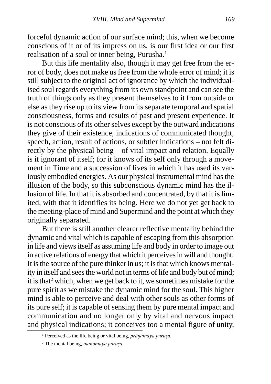forceful dynamic action of our surface mind; this, when we become conscious of it or of its impress on us, is our first idea or our first realisation of a soul or inner being, Purusha.<sup>1</sup>

But this life mentality also, though it may get free from the error of body, does not make us free from the whole error of mind; it is still subject to the original act of ignorance by which the individualised soul regards everything from its own standpoint and can see the truth of things only as they present themselves to it from outside or else as they rise up to its view from its separate temporal and spatial consciousness, forms and results of past and present experience. It is not conscious of its other selves except by the outward indications they give of their existence, indications of communicated thought, speech, action, result of actions, or subtler indications – not felt directly by the physical being – of vital impact and relation. Equally is it ignorant of itself; for it knows of its self only through a movement in Time and a succession of lives in which it has used its variously embodied energies. As our physical instrumental mind has the illusion of the body, so this subconscious dynamic mind has the illusion of life. In that it is absorbed and concentrated, by that it is limited, with that it identifies its being. Here we do not yet get back to the meeting-place of mind and Supermind and the point at which they originally separated.

But there is still another clearer reflective mentality behind the dynamic and vital which is capable of escaping from this absorption in life and views itself as assuming life and body in order to image out in active relations of energy that which it perceives in will and thought. It is the source of the pure thinker in us; it is that which knows mentality in itself and sees the world not in terms of life and body but of mind; it is that<sup>2</sup> which, when we get back to it, we sometimes mistake for the pure spirit as we mistake the dynamic mind for the soul. This higher mind is able to perceive and deal with other souls as other forms of its pure self; it is capable of sensing them by pure mental impact and communication and no longer only by vital and nervous impact and physical indications; it conceives too a mental figure of unity,

<sup>&</sup>lt;sup>1</sup> Perceived as the life being or vital being, *prāņamaya puruṣa*.

<sup>&</sup>lt;sup>2</sup> The mental being, manomaya puruşa.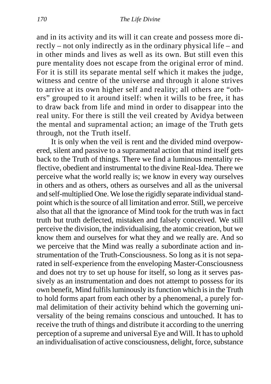and in its activity and its will it can create and possess more directly – not only indirectly as in the ordinary physical life – and in other minds and lives as well as its own. But still even this pure mentality does not escape from the original error of mind. For it is still its separate mental self which it makes the judge, witness and centre of the universe and through it alone strives to arrive at its own higher self and reality; all others are "others" grouped to it around itself: when it wills to be free, it has to draw back from life and mind in order to disappear into the real unity. For there is still the veil created by Avidya between the mental and supramental action; an image of the Truth gets through, not the Truth itself.

It is only when the veil is rent and the divided mind overpowered, silent and passive to a supramental action that mind itself gets back to the Truth of things. There we find a luminous mentality reflective, obedient and instrumental to the divine Real-Idea. There we perceive what the world really is; we know in every way ourselves in others and as others, others as ourselves and all as the universal and self-multiplied One. We lose the rigidly separate individual standpoint which is the source of all limitation and error. Still, we perceive also that all that the ignorance of Mind took for the truth was in fact truth but truth deflected, mistaken and falsely conceived. We still perceive the division, the individualising, the atomic creation, but we know them and ourselves for what they and we really are. And so we perceive that the Mind was really a subordinate action and instrumentation of the Truth-Consciousness. So long as it is not separated in self-experience from the enveloping Master-Consciousness and does not try to set up house for itself, so long as it serves passively as an instrumentation and does not attempt to possess for its own benefit, Mind fulfils luminously its function which is in the Truth to hold forms apart from each other by a phenomenal, a purely formal delimitation of their activity behind which the governing universality of the being remains conscious and untouched. It has to receive the truth of things and distribute it according to the unerring perception of a supreme and universal Eye and Will. It has to uphold an individualisation of active consciousness, delight, force, substance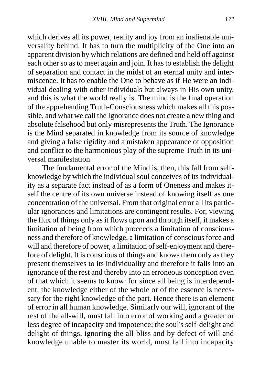which derives all its power, reality and joy from an inalienable universality behind. It has to turn the multiplicity of the One into an apparent division by which relations are defined and held off against each other so as to meet again and join. It has to establish the delight of separation and contact in the midst of an eternal unity and intermiscence. It has to enable the One to behave as if He were an individual dealing with other individuals but always in His own unity, and this is what the world really is. The mind is the final operation of the apprehending Truth-Consciousness which makes all this possible, and what we call the Ignorance does not create a new thing and absolute falsehood but only misrepresents the Truth. The Ignorance is the Mind separated in knowledge from its source of knowledge and giving a false rigidity and a mistaken appearance of opposition and conflict to the harmonious play of the supreme Truth in its universal manifestation.

The fundamental error of the Mind is, then, this fall from selfknowledge by which the individual soul conceives of its individuality as a separate fact instead of as a form of Oneness and makes itself the centre of its own universe instead of knowing itself as one concentration of the universal. From that original error all its particular ignorances and limitations are contingent results. For, viewing the flux of things only as it flows upon and through itself, it makes a limitation of being from which proceeds a limitation of consciousness and therefore of knowledge, a limitation of conscious force and will and therefore of power, a limitation of self-enjoyment and therefore of delight. It is conscious of things and knows them only as they present themselves to its individuality and therefore it falls into an ignorance of the rest and thereby into an erroneous conception even of that which it seems to know: for since all being is interdependent, the knowledge either of the whole or of the essence is necessary for the right knowledge of the part. Hence there is an element of error in all human knowledge. Similarly our will, ignorant of the rest of the all-will, must fall into error of working and a greater or less degree of incapacity and impotence; the soul's self-delight and delight of things, ignoring the all-bliss and by defect of will and knowledge unable to master its world, must fall into incapacity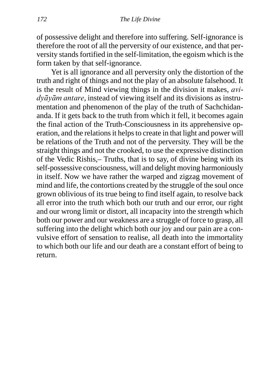of possessive delight and therefore into suffering. Self-ignorance is therefore the root of all the perversity of our existence, and that perversity stands fortified in the self-limitation, the egoism which is the form taken by that self-ignorance.

Yet is all ignorance and all perversity only the distortion of the truth and right of things and not the play of an absolute falsehood. It is the result of Mind viewing things in the division it makes,  $avi$  $dv\bar{a}v\bar{a}m$  antare, instead of viewing itself and its divisions as instrumentation and phenomenon of the play of the truth of Sachchidananda. If it gets back to the truth from which it fell, it becomes again the final action of the Truth-Consciousness in its apprehensive operation, and the relations it helps to create in that light and power will be relations of the Truth and not of the perversity. They will be the straight things and not the crooked, to use the expressive distinction of the Vedic Rishis,– Truths, that is to say, of divine being with its self-possessive consciousness, will and delight moving harmoniously in itself. Now we have rather the warped and zigzag movement of mind and life, the contortions created by the struggle of the soul once grown oblivious of its true being to find itself again, to resolve back all error into the truth which both our truth and our error, our right and our wrong limit or distort, all incapacity into the strength which both our power and our weakness are a struggle of force to grasp, all suffering into the delight which both our joy and our pain are a convulsive effort of sensation to realise, all death into the immortality to which both our life and our death are a constant effort of being to return.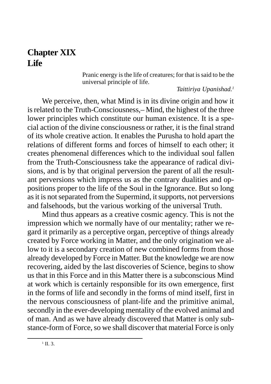#### **Chapter XIX Life**

Pranic energy is the life of creatures; for that is said to be the universal principle of life.

#### *Taittiriya Upanishad.1*

We perceive, then, what Mind is in its divine origin and how it is related to the Truth-Consciousness,– Mind, the highest of the three lower principles which constitute our human existence. It is a special action of the divine consciousness or rather, it is the final strand of its whole creative action. It enables the Purusha to hold apart the relations of different forms and forces of himself to each other; it creates phenomenal differences which to the individual soul fallen from the Truth-Consciousness take the appearance of radical divisions, and is by that original perversion the parent of all the resultant perversions which impress us as the contrary dualities and oppositions proper to the life of the Soul in the Ignorance. But so long as it is not separated from the Supermind, it supports, not perversions and falsehoods, but the various working of the universal Truth.

Mind thus appears as a creative cosmic agency. This is not the impression which we normally have of our mentality; rather we regard it primarily as a perceptive organ, perceptive of things already created by Force working in Matter, and the only origination we allow to it is a secondary creation of new combined forms from those already developed by Force in Matter. But the knowledge we are now recovering, aided by the last discoveries of Science, begins to show us that in this Force and in this Matter there is a subconscious Mind at work which is certainly responsible for its own emergence, first in the forms of life and secondly in the forms of mind itself, first in the nervous consciousness of plant-life and the primitive animal, secondly in the ever-developing mentality of the evolved animal and of man. And as we have already discovered that Matter is only substance-form of Force, so we shall discover that material Force is only

 $1$  II. 3.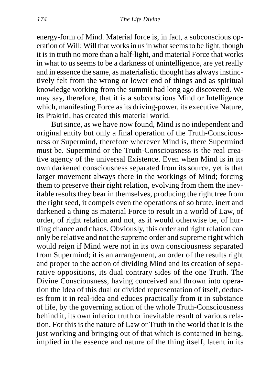energy-form of Mind. Material force is, in fact, a subconscious operation of Will; Will that works in us in what seems to be light, though it is in truth no more than a half-light, and material Force that works in what to us seems to be a darkness of unintelligence, are yet really and in essence the same, as materialistic thought has always instinctively felt from the wrong or lower end of things and as spiritual knowledge working from the summit had long ago discovered. We may say, therefore, that it is a subconscious Mind or Intelligence which, manifesting Force as its driving-power, its executive Nature, its Prakriti, has created this material world.

But since, as we have now found, Mind is no independent and original entity but only a final operation of the Truth-Consciousness or Supermind, therefore wherever Mind is, there Supermind must be. Supermind or the Truth-Consciousness is the real creative agency of the universal Existence. Even when Mind is in its own darkened consciousness separated from its source, yet is that larger movement always there in the workings of Mind; forcing them to preserve their right relation, evolving from them the inevitable results they bear in themselves, producing the right tree from the right seed, it compels even the operations of so brute, inert and darkened a thing as material Force to result in a world of Law, of order, of right relation and not, as it would otherwise be, of hurtling chance and chaos. Obviously, this order and right relation can only be relative and not the supreme order and supreme right which would reign if Mind were not in its own consciousness separated from Supermind; it is an arrangement, an order of the results right and proper to the action of dividing Mind and its creation of separative oppositions, its dual contrary sides of the one Truth. The Divine Consciousness, having conceived and thrown into operation the Idea of this dual or divided representation of itself, deduces from it in real-idea and educes practically from it in substance of life, by the governing action of the whole Truth-Consciousness behind it, its own inferior truth or inevitable result of various relation. For this is the nature of Law or Truth in the world that it is the just working and bringing out of that which is contained in being, implied in the essence and nature of the thing itself, latent in its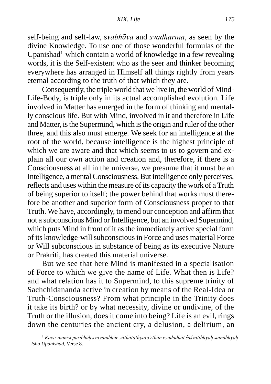self-being and self-law, svabhava and svadharma, as seen by the divine Knowledge. To use one of those wonderful formulas of the Upanishad<sup>1</sup> which contain a world of knowledge in a few revealing words, it is the Self-existent who as the seer and thinker becoming everywhere has arranged in Himself all things rightly from years eternal according to the truth of that which they are.

Consequently, the triple world that we live in, the world of Mind-Life-Body, is triple only in its actual accomplished evolution. Life involved in Matter has emerged in the form of thinking and mentally conscious life. But with Mind, involved in it and therefore in Life and Matter, is the Supermind, which is the origin and ruler of the other three, and this also must emerge. We seek for an intelligence at the root of the world, because intelligence is the highest principle of which we are aware and that which seems to us to govern and explain all our own action and creation and, therefore, if there is a Consciousness at all in the universe, we presume that it must be an Intelligence, a mental Consciousness. But intelligence only perceives, reflects and uses within the measure of its capacity the work of a Truth of being superior to itself; the power behind that works must therefore be another and superior form of Consciousness proper to that Truth. We have, accordingly, to mend our conception and affirm that not a subconscious Mind or Intelligence, but an involved Supermind, which puts Mind in front of it as the immediately active special form of its knowledge-will subconscious in Force and uses material Force or Will subconscious in substance of being as its executive Nature or Prakriti, has created this material universe.

But we see that here Mind is manifested in a specialisation of Force to which we give the name of Life. What then is Life? and what relation has it to Supermind, to this supreme trinity of Sachchidananda active in creation by means of the Real-Idea or Truth-Consciousness? From what principle in the Trinity does it take its birth? or by what necessity, divine or undivine, of the Truth or the illusion, does it come into being? Life is an evil, rings down the centuries the ancient cry, a delusion, a delirium, an

 $1$  Kavir manisi paribhūḥ svayambhūr yāthātathyato'rthān vyadadhāt śāśvatibhyaḥ samābhyaḥ. – *Isha Upanishad*, Verse 8.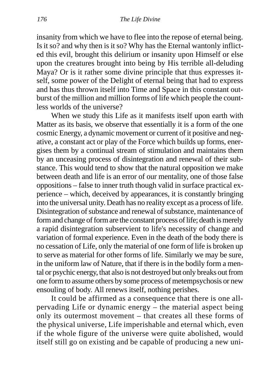insanity from which we have to flee into the repose of eternal being. Is it so? and why then is it so? Why has the Eternal wantonly inflicted this evil, brought this delirium or insanity upon Himself or else upon the creatures brought into being by His terrible all-deluding Maya? Or is it rather some divine principle that thus expresses itself, some power of the Delight of eternal being that had to express and has thus thrown itself into Time and Space in this constant outburst of the million and million forms of life which people the countless worlds of the universe?

When we study this Life as it manifests itself upon earth with Matter as its basis, we observe that essentially it is a form of the one cosmic Energy, a dynamic movement or current of it positive and negative, a constant act or play of the Force which builds up forms, energises them by a continual stream of stimulation and maintains them by an unceasing process of disintegration and renewal of their substance. This would tend to show that the natural opposition we make between death and life is an error of our mentality, one of those false oppositions – false to inner truth though valid in surface practical experience – which, deceived by appearances, it is constantly bringing into the universal unity. Death has no reality except as a process of life. Disintegration of substance and renewal of substance, maintenance of form and change of form are the constant process of life; death is merely a rapid disintegration subservient to life's necessity of change and variation of formal experience. Even in the death of the body there is no cessation of Life, only the material of one form of life is broken up to serve as material for other forms of life. Similarly we may be sure, in the uniform law of Nature, that if there is in the bodily form a mental or psychic energy, that also is not destroyed but only breaks out from one form to assume others by some process of metempsychosis or new ensouling of body. All renews itself, nothing perishes.

It could be affirmed as a consequence that there is one allpervading Life or dynamic energy – the material aspect being only its outermost movement – that creates all these forms of the physical universe, Life imperishable and eternal which, even if the whole figure of the universe were quite abolished, would itself still go on existing and be capable of producing a new uni-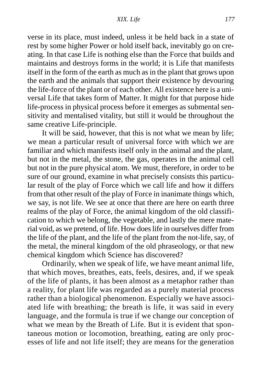verse in its place, must indeed, unless it be held back in a state of rest by some higher Power or hold itself back, inevitably go on creating. In that case Life is nothing else than the Force that builds and maintains and destroys forms in the world; it is Life that manifests itself in the form of the earth as much as in the plant that grows upon the earth and the animals that support their existence by devouring the life-force of the plant or of each other. All existence here is a universal Life that takes form of Matter. It might for that purpose hide life-process in physical process before it emerges as submental sensitivity and mentalised vitality, but still it would be throughout the same creative Life-principle.

It will be said, however, that this is not what we mean by life; we mean a particular result of universal force with which we are familiar and which manifests itself only in the animal and the plant, but not in the metal, the stone, the gas, operates in the animal cell but not in the pure physical atom. We must, therefore, in order to be sure of our ground, examine in what precisely consists this particular result of the play of Force which we call life and how it differs from that other result of the play of Force in inanimate things which, we say, is not life. We see at once that there are here on earth three realms of the play of Force, the animal kingdom of the old classification to which we belong, the vegetable, and lastly the mere material void, as we pretend, of life. How does life in ourselves differ from the life of the plant, and the life of the plant from the not-life, say, of the metal, the mineral kingdom of the old phraseology, or that new chemical kingdom which Science has discovered?

Ordinarily, when we speak of life, we have meant animal life, that which moves, breathes, eats, feels, desires, and, if we speak of the life of plants, it has been almost as a metaphor rather than a reality, for plant life was regarded as a purely material process rather than a biological phenomenon. Especially we have associated life with breathing; the breath is life, it was said in every language, and the formula is true if we change our conception of what we mean by the Breath of Life. But it is evident that spontaneous motion or locomotion, breathing, eating are only processes of life and not life itself; they are means for the generation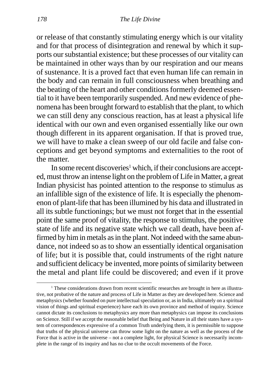or release of that constantly stimulating energy which is our vitality and for that process of disintegration and renewal by which it supports our substantial existence; but these processes of our vitality can be maintained in other ways than by our respiration and our means of sustenance. It is a proved fact that even human life can remain in the body and can remain in full consciousness when breathing and the beating of the heart and other conditions formerly deemed essential to it have been temporarily suspended. And new evidence of phenomena has been brought forward to establish that the plant, to which we can still deny any conscious reaction, has at least a physical life identical with our own and even organised essentially like our own though different in its apparent organisation. If that is proved true, we will have to make a clean sweep of our old facile and false conceptions and get beyond symptoms and externalities to the root of the matter.

In some recent discoveries<sup>1</sup> which, if their conclusions are accepted, must throw an intense light on the problem of Life in Matter, a great Indian physicist has pointed attention to the response to stimulus as an infallible sign of the existence of life. It is especially the phenomenon of plant-life that has been illumined by his data and illustrated in all its subtle functionings; but we must not forget that in the essential point the same proof of vitality, the response to stimulus, the positive state of life and its negative state which we call death, have been affirmed by him in metals as in the plant. Not indeed with the same abundance, not indeed so as to show an essentially identical organisation of life; but it is possible that, could instruments of the right nature and sufficient delicacy be invented, more points of similarity between the metal and plant life could be discovered; and even if it prove

<sup>&</sup>lt;sup>1</sup> These considerations drawn from recent scientific researches are brought in here as illustrative, not probative of the nature and process of Life in Matter as they are developed here. Science and metaphysics (whether founded on pure intellectual speculation or, as in India, ultimately on a spiritual vision of things and spiritual experience) have each its own province and method of inquiry. Science cannot dictate its conclusions to metaphysics any more than metaphysics can impose its conclusions on Science. Still if we accept the reasonable belief that Being and Nature in all their states have a system of correspondences expressive of a common Truth underlying them, it is permissible to suppose that truths of the physical universe can throw some light on the nature as well as the process of the Force that is active in the universe – not a complete light, for physical Science is necessarily incomplete in the range of its inquiry and has no clue to the occult movements of the Force.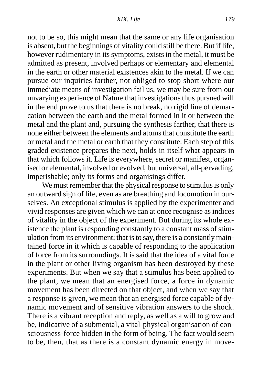not to be so, this might mean that the same or any life organisation is absent, but the beginnings of vitality could still be there. But if life, however rudimentary in its symptoms, exists in the metal, it must be admitted as present, involved perhaps or elementary and elemental in the earth or other material existences akin to the metal. If we can pursue our inquiries farther, not obliged to stop short where our immediate means of investigation fail us, we may be sure from our unvarying experience of Nature that investigations thus pursued will in the end prove to us that there is no break, no rigid line of demarcation between the earth and the metal formed in it or between the metal and the plant and, pursuing the synthesis farther, that there is none either between the elements and atoms that constitute the earth or metal and the metal or earth that they constitute. Each step of this graded existence prepares the next, holds in itself what appears in that which follows it. Life is everywhere, secret or manifest, organised or elemental, involved or evolved, but universal, all-pervading, imperishable; only its forms and organisings differ.

We must remember that the physical response to stimulus is only an outward sign of life, even as are breathing and locomotion in ourselves. An exceptional stimulus is applied by the experimenter and vivid responses are given which we can at once recognise as indices of vitality in the object of the experiment. But during its whole existence the plant is responding constantly to a constant mass of stimulation from its environment; that is to say, there is a constantly maintained force in it which is capable of responding to the application of force from its surroundings. It is said that the idea of a vital force in the plant or other living organism has been destroyed by these experiments. But when we say that a stimulus has been applied to the plant, we mean that an energised force, a force in dynamic movement has been directed on that object, and when we say that a response is given, we mean that an energised force capable of dynamic movement and of sensitive vibration answers to the shock. There is a vibrant reception and reply, as well as a will to grow and be, indicative of a submental, a vital-physical organisation of consciousness-force hidden in the form of being. The fact would seem to be, then, that as there is a constant dynamic energy in move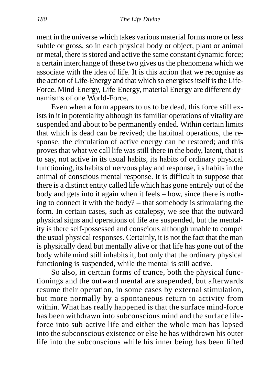ment in the universe which takes various material forms more or less subtle or gross, so in each physical body or object, plant or animal or metal, there is stored and active the same constant dynamic force; a certain interchange of these two gives us the phenomena which we associate with the idea of life. It is this action that we recognise as the action of Life-Energy and that which so energises itself is the Life-Force. Mind-Energy, Life-Energy, material Energy are different dynamisms of one World-Force.

Even when a form appears to us to be dead, this force still exists in it in potentiality although its familiar operations of vitality are suspended and about to be permanently ended. Within certain limits that which is dead can be revived; the habitual operations, the response, the circulation of active energy can be restored; and this proves that what we call life was still there in the body, latent, that is to say, not active in its usual habits, its habits of ordinary physical functioning, its habits of nervous play and response, its habits in the animal of conscious mental response. It is difficult to suppose that there is a distinct entity called life which has gone entirely out of the body and gets into it again when it feels – how, since there is nothing to connect it with the body? – that somebody is stimulating the form. In certain cases, such as catalepsy, we see that the outward physical signs and operations of life are suspended, but the mentality is there self-possessed and conscious although unable to compel the usual physical responses. Certainly, it is not the fact that the man is physically dead but mentally alive or that life has gone out of the body while mind still inhabits it, but only that the ordinary physical functioning is suspended, while the mental is still active.

So also, in certain forms of trance, both the physical functionings and the outward mental are suspended, but afterwards resume their operation, in some cases by external stimulation, but more normally by a spontaneous return to activity from within. What has really happened is that the surface mind-force has been withdrawn into subconscious mind and the surface lifeforce into sub-active life and either the whole man has lapsed into the subconscious existence or else he has withdrawn his outer life into the subconscious while his inner being has been lifted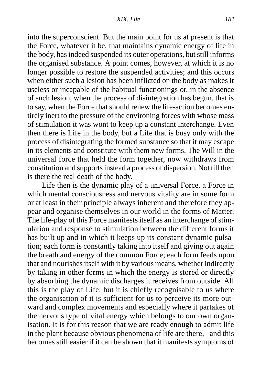into the superconscient. But the main point for us at present is that the Force, whatever it be, that maintains dynamic energy of life in the body, has indeed suspended its outer operations, but still informs the organised substance. A point comes, however, at which it is no longer possible to restore the suspended activities; and this occurs when either such a lesion has been inflicted on the body as makes it useless or incapable of the habitual functionings or, in the absence of such lesion, when the process of disintegration has begun, that is to say, when the Force that should renew the life-action becomes entirely inert to the pressure of the environing forces with whose mass of stimulation it was wont to keep up a constant interchange. Even then there is Life in the body, but a Life that is busy only with the process of disintegrating the formed substance so that it may escape in its elements and constitute with them new forms. The Will in the universal force that held the form together, now withdraws from constitution and supports instead a process of dispersion. Not till then is there the real death of the body.

Life then is the dynamic play of a universal Force, a Force in which mental consciousness and nervous vitality are in some form or at least in their principle always inherent and therefore they appear and organise themselves in our world in the forms of Matter. The life-play of this Force manifests itself as an interchange of stimulation and response to stimulation between the different forms it has built up and in which it keeps up its constant dynamic pulsation; each form is constantly taking into itself and giving out again the breath and energy of the common Force; each form feeds upon that and nourishes itself with it by various means, whether indirectly by taking in other forms in which the energy is stored or directly by absorbing the dynamic discharges it receives from outside. All this is the play of Life; but it is chiefly recognisable to us where the organisation of it is sufficient for us to perceive its more outward and complex movements and especially where it partakes of the nervous type of vital energy which belongs to our own organisation. It is for this reason that we are ready enough to admit life in the plant because obvious phenomena of life are there,– and this becomes still easier if it can be shown that it manifests symptoms of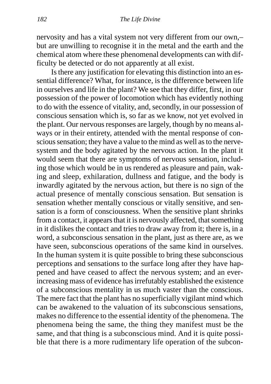nervosity and has a vital system not very different from our own,– but are unwilling to recognise it in the metal and the earth and the chemical atom where these phenomenal developments can with difficulty be detected or do not apparently at all exist.

Is there any justification for elevating this distinction into an essential difference? What, for instance, is the difference between life in ourselves and life in the plant? We see that they differ, first, in our possession of the power of locomotion which has evidently nothing to do with the essence of vitality, and, secondly, in our possession of conscious sensation which is, so far as we know, not yet evolved in the plant. Our nervous responses are largely, though by no means always or in their entirety, attended with the mental response of conscious sensation; they have a value to the mind as well as to the nervesystem and the body agitated by the nervous action. In the plant it would seem that there are symptoms of nervous sensation, including those which would be in us rendered as pleasure and pain, waking and sleep, exhilaration, dullness and fatigue, and the body is inwardly agitated by the nervous action, but there is no sign of the actual presence of mentally conscious sensation. But sensation is sensation whether mentally conscious or vitally sensitive, and sensation is a form of consciousness. When the sensitive plant shrinks from a contact, it appears that it is nervously affected, that something in it dislikes the contact and tries to draw away from it; there is, in a word, a subconscious sensation in the plant, just as there are, as we have seen, subconscious operations of the same kind in ourselves. In the human system it is quite possible to bring these subconscious perceptions and sensations to the surface long after they have happened and have ceased to affect the nervous system; and an everincreasing mass of evidence has irrefutably established the existence of a subconscious mentality in us much vaster than the conscious. The mere fact that the plant has no superficially vigilant mind which can be awakened to the valuation of its subconscious sensations, makes no difference to the essential identity of the phenomena. The phenomena being the same, the thing they manifest must be the same, and that thing is a subconscious mind. And it is quite possible that there is a more rudimentary life operation of the subcon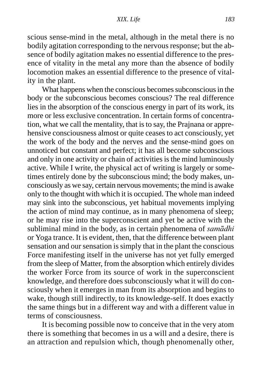scious sense-mind in the metal, although in the metal there is no bodily agitation corresponding to the nervous response; but the absence of bodily agitation makes no essential difference to the presence of vitality in the metal any more than the absence of bodily locomotion makes an essential difference to the presence of vitality in the plant.

What happens when the conscious becomes subconscious in the body or the subconscious becomes conscious? The real difference lies in the absorption of the conscious energy in part of its work, its more or less exclusive concentration. In certain forms of concentration, what we call the mentality, that is to say, the Prajnana or apprehensive consciousness almost or quite ceases to act consciously, yet the work of the body and the nerves and the sense-mind goes on unnoticed but constant and perfect; it has all become subconscious and only in one activity or chain of activities is the mind luminously active. While I write, the physical act of writing is largely or sometimes entirely done by the subconscious mind; the body makes, unconsciously as we say, certain nervous movements; the mind is awake only to the thought with which it is occupied. The whole man indeed may sink into the subconscious, yet habitual movements implying the action of mind may continue, as in many phenomena of sleep; or he may rise into the superconscient and yet be active with the subliminal mind in the body, as in certain phenomena of samādhi or Yoga trance. It is evident, then, that the difference between plant sensation and our sensation is simply that in the plant the conscious Force manifesting itself in the universe has not yet fully emerged from the sleep of Matter, from the absorption which entirely divides the worker Force from its source of work in the superconscient knowledge, and therefore does subconsciously what it will do consciously when it emerges in man from its absorption and begins to wake, though still indirectly, to its knowledge-self. It does exactly the same things but in a different way and with a different value in terms of consciousness.

It is becoming possible now to conceive that in the very atom there is something that becomes in us a will and a desire, there is an attraction and repulsion which, though phenomenally other,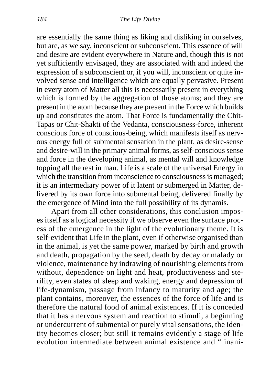are essentially the same thing as liking and disliking in ourselves, but are, as we say, inconscient or subconscient. This essence of will and desire are evident everywhere in Nature and, though this is not yet sufficiently envisaged, they are associated with and indeed the expression of a subconscient or, if you will, inconscient or quite involved sense and intelligence which are equally pervasive. Present in every atom of Matter all this is necessarily present in everything which is formed by the aggregation of those atoms; and they are present in the atom because they are present in the Force which builds up and constitutes the atom. That Force is fundamentally the Chit-Tapas or Chit-Shakti of the Vedanta, consciousness-force, inherent conscious force of conscious-being, which manifests itself as nervous energy full of submental sensation in the plant, as desire-sense and desire-will in the primary animal forms, as self-conscious sense and force in the developing animal, as mental will and knowledge topping all the rest in man. Life is a scale of the universal Energy in which the transition from inconscience to consciousness is managed; it is an intermediary power of it latent or submerged in Matter, delivered by its own force into submental being, delivered finally by the emergence of Mind into the full possibility of its dynamis.

Apart from all other considerations, this conclusion imposes itself as a logical necessity if we observe even the surface process of the emergence in the light of the evolutionary theme. It is self-evident that Life in the plant, even if otherwise organised than in the animal, is yet the same power, marked by birth and growth and death, propagation by the seed, death by decay or malady or violence, maintenance by indrawing of nourishing elements from without, dependence on light and heat, productiveness and sterility, even states of sleep and waking, energy and depression of life-dynamism, passage from infancy to maturity and age; the plant contains, moreover, the essences of the force of life and is therefore the natural food of animal existences. If it is conceded that it has a nervous system and reaction to stimuli, a beginning or undercurrent of submental or purely vital sensations, the identity becomes closer; but still it remains evidently a stage of life evolution intermediate between animal existence and " inani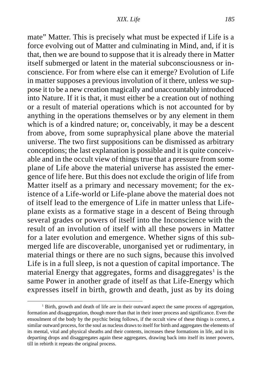mate" Matter. This is precisely what must be expected if Life is a force evolving out of Matter and culminating in Mind, and, if it is that, then we are bound to suppose that it is already there in Matter itself submerged or latent in the material subconsciousness or inconscience. For from where else can it emerge? Evolution of Life in matter supposes a previous involution of it there, unless we suppose it to be a new creation magically and unaccountably introduced into Nature. If it is that, it must either be a creation out of nothing or a result of material operations which is not accounted for by anything in the operations themselves or by any element in them which is of a kindred nature; or, conceivably, it may be a descent from above, from some supraphysical plane above the material universe. The two first suppositions can be dismissed as arbitrary conceptions; the last explanation is possible and it is quite conceivable and in the occult view of things true that a pressure from some plane of Life above the material universe has assisted the emergence of life here. But this does not exclude the origin of life from Matter itself as a primary and necessary movement; for the existence of a Life-world or Life-plane above the material does not of itself lead to the emergence of Life in matter unless that Lifeplane exists as a formative stage in a descent of Being through several grades or powers of itself into the Inconscience with the result of an involution of itself with all these powers in Matter for a later evolution and emergence. Whether signs of this submerged life are discoverable, unorganised yet or rudimentary, in material things or there are no such signs, because this involved Life is in a full sleep, is not a question of capital importance. The material Energy that aggregates, forms and disaggregates<sup>1</sup> is the same Power in another grade of itself as that Life-Energy which expresses itself in birth, growth and death, just as by its doing

<sup>&</sup>lt;sup>1</sup> Birth, growth and death of life are in their outward aspect the same process of aggregation, formation and disaggregation, though more than that in their inner process and significance. Even the ensoulment of the body by the psychic being follows, if the occult view of these things is correct, a similar outward process, for the soul as nucleus draws to itself for birth and aggregates the elements of its mental, vital and physical sheaths and their contents, increases these formations in life, and in its departing drops and disaggregates again these aggregates, drawing back into itself its inner powers, till in rebirth it repeats the original process.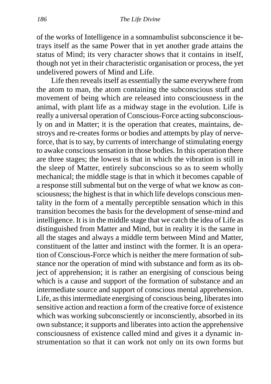of the works of Intelligence in a somnambulist subconscience it betrays itself as the same Power that in yet another grade attains the status of Mind; its very character shows that it contains in itself, though not yet in their characteristic organisation or process, the yet undelivered powers of Mind and Life.

Life then reveals itself as essentially the same everywhere from the atom to man, the atom containing the subconscious stuff and movement of being which are released into consciousness in the animal, with plant life as a midway stage in the evolution. Life is really a universal operation of Conscious-Force acting subconsciously on and in Matter; it is the operation that creates, maintains, destroys and re-creates forms or bodies and attempts by play of nerveforce, that is to say, by currents of interchange of stimulating energy to awake conscious sensation in those bodies. In this operation there are three stages; the lowest is that in which the vibration is still in the sleep of Matter, entirely subconscious so as to seem wholly mechanical; the middle stage is that in which it becomes capable of a response still submental but on the verge of what we know as consciousness; the highest is that in which life develops conscious mentality in the form of a mentally perceptible sensation which in this transition becomes the basis for the development of sense-mind and intelligence. It is in the middle stage that we catch the idea of Life as distinguished from Matter and Mind, but in reality it is the same in all the stages and always a middle term between Mind and Matter, constituent of the latter and instinct with the former. It is an operation of Conscious-Force which is neither the mere formation of substance nor the operation of mind with substance and form as its object of apprehension; it is rather an energising of conscious being which is a cause and support of the formation of substance and an intermediate source and support of conscious mental apprehension. Life, as this intermediate energising of conscious being, liberates into sensitive action and reaction a form of the creative force of existence which was working subconsciently or inconsciently, absorbed in its own substance; it supports and liberates into action the apprehensive consciousness of existence called mind and gives it a dynamic instrumentation so that it can work not only on its own forms but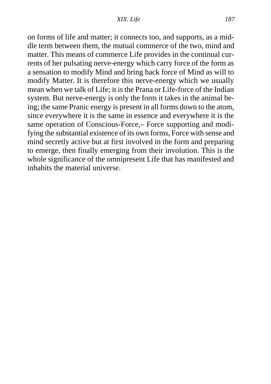on forms of life and matter; it connects too, and supports, as a middle term between them, the mutual commerce of the two, mind and matter. This means of commerce Life provides in the continual currents of her pulsating nerve-energy which carry force of the form as a sensation to modify Mind and bring back force of Mind as will to modify Matter. It is therefore this nerve-energy which we usually mean when we talk of Life; it is the Prana or Life-force of the Indian system. But nerve-energy is only the form it takes in the animal being; the same Pranic energy is present in all forms down to the atom, since everywhere it is the same in essence and everywhere it is the same operation of Conscious-Force,– Force supporting and modifying the substantial existence of its own forms, Force with sense and mind secretly active but at first involved in the form and preparing to emerge, then finally emerging from their involution. This is the whole significance of the omnipresent Life that has manifested and inhabits the material universe.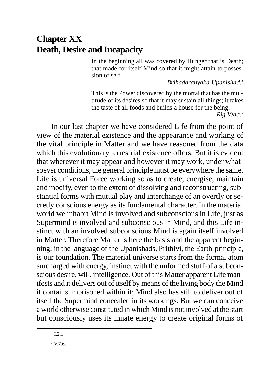# **Chapter XX Death, Desire and Incapacity**

In the beginning all was covered by Hunger that is Death; that made for itself Mind so that it might attain to possession of self.

#### *Brihadaranyaka Upanishad.1*

This is the Power discovered by the mortal that has the multitude of its desires so that it may sustain all things; it takes the taste of all foods and builds a house for the being.

*Rig Veda.2*

In our last chapter we have considered Life from the point of view of the material existence and the appearance and working of the vital principle in Matter and we have reasoned from the data which this evolutionary terrestrial existence offers. But it is evident that wherever it may appear and however it may work, under whatsoever conditions, the general principle must be everywhere the same. Life is universal Force working so as to create, energise, maintain and modify, even to the extent of dissolving and reconstructing, substantial forms with mutual play and interchange of an overtly or secretly conscious energy as its fundamental character. In the material world we inhabit Mind is involved and subconscious in Life, just as Supermind is involved and subconscious in Mind, and this Life instinct with an involved subconscious Mind is again itself involved in Matter. Therefore Matter is here the basis and the apparent beginning; in the language of the Upanishads, Prithivi, the Earth-principle, is our foundation. The material universe starts from the formal atom surcharged with energy, instinct with the unformed stuff of a subconscious desire, will, intelligence. Out of this Matter apparent Life manifests and it delivers out of itself by means of the living body the Mind it contains imprisoned within it; Mind also has still to deliver out of itself the Supermind concealed in its workings. But we can conceive a world otherwise constituted in which Mind is not involved at the start but consciously uses its innate energy to create original forms of

 $^{1}$  I.2.1.

 $2$  V.7.6.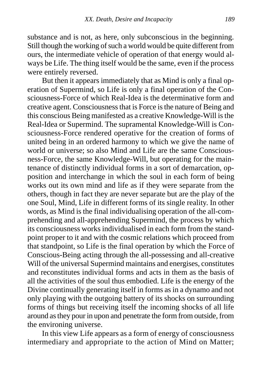substance and is not, as here, only subconscious in the beginning. Still though the working of such a world would be quite different from ours, the intermediate vehicle of operation of that energy would always be Life. The thing itself would be the same, even if the process were entirely reversed.

But then it appears immediately that as Mind is only a final operation of Supermind, so Life is only a final operation of the Consciousness-Force of which Real-Idea is the determinative form and creative agent. Consciousness that is Force is the nature of Being and this conscious Being manifested as a creative Knowledge-Will is the Real-Idea or Supermind. The supramental Knowledge-Will is Consciousness-Force rendered operative for the creation of forms of united being in an ordered harmony to which we give the name of world or universe; so also Mind and Life are the same Consciousness-Force, the same Knowledge-Will, but operating for the maintenance of distinctly individual forms in a sort of demarcation, opposition and interchange in which the soul in each form of being works out its own mind and life as if they were separate from the others, though in fact they are never separate but are the play of the one Soul, Mind, Life in different forms of its single reality. In other words, as Mind is the final individualising operation of the all-comprehending and all-apprehending Supermind, the process by which its consciousness works individualised in each form from the standpoint proper to it and with the cosmic relations which proceed from that standpoint, so Life is the final operation by which the Force of Conscious-Being acting through the all-possessing and all-creative Will of the universal Supermind maintains and energises, constitutes and reconstitutes individual forms and acts in them as the basis of all the activities of the soul thus embodied. Life is the energy of the Divine continually generating itself in forms as in a dynamo and not only playing with the outgoing battery of its shocks on surrounding forms of things but receiving itself the incoming shocks of all life around as they pour in upon and penetrate the form from outside, from the environing universe.

In this view Life appears as a form of energy of consciousness intermediary and appropriate to the action of Mind on Matter;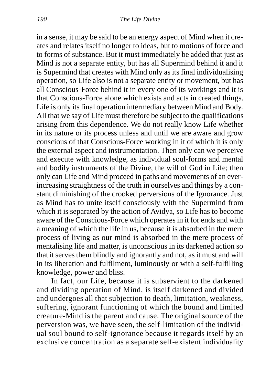in a sense, it may be said to be an energy aspect of Mind when it creates and relates itself no longer to ideas, but to motions of force and to forms of substance. But it must immediately be added that just as Mind is not a separate entity, but has all Supermind behind it and it is Supermind that creates with Mind only as its final individualising operation, so Life also is not a separate entity or movement, but has all Conscious-Force behind it in every one of its workings and it is that Conscious-Force alone which exists and acts in created things. Life is only its final operation intermediary between Mind and Body. All that we say of Life must therefore be subject to the qualifications arising from this dependence. We do not really know Life whether in its nature or its process unless and until we are aware and grow conscious of that Conscious-Force working in it of which it is only the external aspect and instrumentation. Then only can we perceive and execute with knowledge, as individual soul-forms and mental and bodily instruments of the Divine, the will of God in Life; then only can Life and Mind proceed in paths and movements of an everincreasing straightness of the truth in ourselves and things by a constant diminishing of the crooked perversions of the Ignorance. Just as Mind has to unite itself consciously with the Supermind from which it is separated by the action of Avidya, so Life has to become aware of the Conscious-Force which operates in it for ends and with a meaning of which the life in us, because it is absorbed in the mere process of living as our mind is absorbed in the mere process of mentalising life and matter, is unconscious in its darkened action so that it serves them blindly and ignorantly and not, as it must and will in its liberation and fulfilment, luminously or with a self-fulfilling knowledge, power and bliss.

In fact, our Life, because it is subservient to the darkened and dividing operation of Mind, is itself darkened and divided and undergoes all that subjection to death, limitation, weakness, suffering, ignorant functioning of which the bound and limited creature-Mind is the parent and cause. The original source of the perversion was, we have seen, the self-limitation of the individual soul bound to self-ignorance because it regards itself by an exclusive concentration as a separate self-existent individuality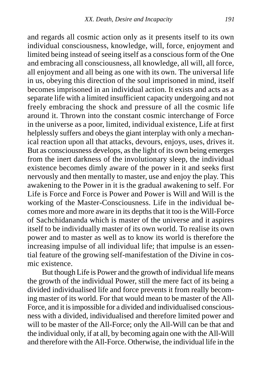and regards all cosmic action only as it presents itself to its own individual consciousness, knowledge, will, force, enjoyment and limited being instead of seeing itself as a conscious form of the One and embracing all consciousness, all knowledge, all will, all force, all enjoyment and all being as one with its own. The universal life in us, obeying this direction of the soul imprisoned in mind, itself becomes imprisoned in an individual action. It exists and acts as a separate life with a limited insufficient capacity undergoing and not freely embracing the shock and pressure of all the cosmic life around it. Thrown into the constant cosmic interchange of Force in the universe as a poor, limited, individual existence, Life at first helplessly suffers and obeys the giant interplay with only a mechanical reaction upon all that attacks, devours, enjoys, uses, drives it. But as consciousness develops, as the light of its own being emerges from the inert darkness of the involutionary sleep, the individual existence becomes dimly aware of the power in it and seeks first nervously and then mentally to master, use and enjoy the play. This awakening to the Power in it is the gradual awakening to self. For Life is Force and Force is Power and Power is Will and Will is the working of the Master-Consciousness. Life in the individual becomes more and more aware in its depths that it too is the Will-Force of Sachchidananda which is master of the universe and it aspires itself to be individually master of its own world. To realise its own power and to master as well as to know its world is therefore the increasing impulse of all individual life; that impulse is an essential feature of the growing self-manifestation of the Divine in cosmic existence.

But though Life is Power and the growth of individual life means the growth of the individual Power, still the mere fact of its being a divided individualised life and force prevents it from really becoming master of its world. For that would mean to be master of the All-Force, and it is impossible for a divided and individualised consciousness with a divided, individualised and therefore limited power and will to be master of the All-Force; only the All-Will can be that and the individual only, if at all, by becoming again one with the All-Will and therefore with the All-Force. Otherwise, the individual life in the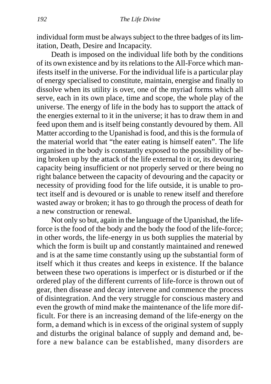individual form must be always subject to the three badges of its limitation, Death, Desire and Incapacity.

Death is imposed on the individual life both by the conditions of its own existence and by its relations to the All-Force which manifests itself in the universe. For the individual life is a particular play of energy specialised to constitute, maintain, energise and finally to dissolve when its utility is over, one of the myriad forms which all serve, each in its own place, time and scope, the whole play of the universe. The energy of life in the body has to support the attack of the energies external to it in the universe; it has to draw them in and feed upon them and is itself being constantly devoured by them. All Matter according to the Upanishad is food, and this is the formula of the material world that "the eater eating is himself eaten". The life organised in the body is constantly exposed to the possibility of being broken up by the attack of the life external to it or, its devouring capacity being insufficient or not properly served or there being no right balance between the capacity of devouring and the capacity or necessity of providing food for the life outside, it is unable to protect itself and is devoured or is unable to renew itself and therefore wasted away or broken; it has to go through the process of death for a new construction or renewal.

Not only so but, again in the language of the Upanishad, the lifeforce is the food of the body and the body the food of the life-force; in other words, the life-energy in us both supplies the material by which the form is built up and constantly maintained and renewed and is at the same time constantly using up the substantial form of itself which it thus creates and keeps in existence. If the balance between these two operations is imperfect or is disturbed or if the ordered play of the different currents of life-force is thrown out of gear, then disease and decay intervene and commence the process of disintegration. And the very struggle for conscious mastery and even the growth of mind make the maintenance of the life more difficult. For there is an increasing demand of the life-energy on the form, a demand which is in excess of the original system of supply and disturbs the original balance of supply and demand and, before a new balance can be established, many disorders are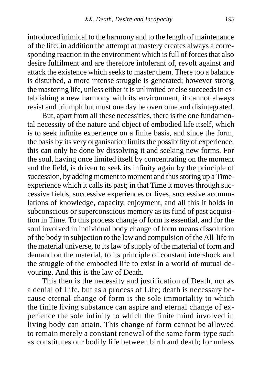introduced inimical to the harmony and to the length of maintenance of the life; in addition the attempt at mastery creates always a corresponding reaction in the environment which is full of forces that also desire fulfilment and are therefore intolerant of, revolt against and attack the existence which seeks to master them. There too a balance is disturbed, a more intense struggle is generated; however strong the mastering life, unless either it is unlimited or else succeeds in establishing a new harmony with its environment, it cannot always resist and triumph but must one day be overcome and disintegrated.

But, apart from all these necessities, there is the one fundamental necessity of the nature and object of embodied life itself, which is to seek infinite experience on a finite basis, and since the form, the basis by its very organisation limits the possibility of experience, this can only be done by dissolving it and seeking new forms. For the soul, having once limited itself by concentrating on the moment and the field, is driven to seek its infinity again by the principle of succession, by adding moment to moment and thus storing up a Timeexperience which it calls its past; in that Time it moves through successive fields, successive experiences or lives, successive accumulations of knowledge, capacity, enjoyment, and all this it holds in subconscious or superconscious memory as its fund of past acquisition in Time. To this process change of form is essential, and for the soul involved in individual body change of form means dissolution of the body in subjection to the law and compulsion of the All-life in the material universe, to its law of supply of the material of form and demand on the material, to its principle of constant intershock and the struggle of the embodied life to exist in a world of mutual devouring. And this is the law of Death.

This then is the necessity and justification of Death, not as a denial of Life, but as a process of Life; death is necessary because eternal change of form is the sole immortality to which the finite living substance can aspire and eternal change of experience the sole infinity to which the finite mind involved in living body can attain. This change of form cannot be allowed to remain merely a constant renewal of the same form-type such as constitutes our bodily life between birth and death; for unless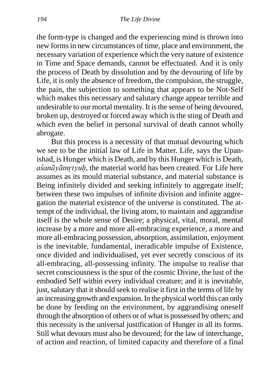the form-type is changed and the experiencing mind is thrown into new forms in new circumstances of time, place and environment, the necessary variation of experience which the very nature of existence in Time and Space demands, cannot be effectuated. And it is only the process of Death by dissolution and by the devouring of life by Life, it is only the absence of freedom, the compulsion, the struggle, the pain, the subjection to something that appears to be Not-Self which makes this necessary and salutary change appear terrible and undesirable to our mortal mentality. It is the sense of being devoured, broken up, destroyed or forced away which is the sting of Death and which even the belief in personal survival of death cannot wholly abrogate.

But this process is a necessity of that mutual devouring which we see to be the initial law of Life in Matter. Life, says the Upanishad, is Hunger which is Death, and by this Hunger which is Death,  $a\dot{s}$ an $\bar{a}v\bar{a}m$ rtyuh, the material world has been created. For Life here assumes as its mould material substance, and material substance is Being infinitely divided and seeking infinitely to aggregate itself; between these two impulses of infinite division and infinite aggregation the material existence of the universe is constituted. The attempt of the individual, the living atom, to maintain and aggrandise itself is the whole sense of Desire; a physical, vital, moral, mental increase by a more and more all-embracing experience, a more and more all-embracing possession, absorption, assimilation, enjoyment is the inevitable, fundamental, ineradicable impulse of Existence, once divided and individualised, yet ever secretly conscious of its all-embracing, all-possessing infinity. The impulse to realise that secret consciousness is the spur of the cosmic Divine, the lust of the embodied Self within every individual creature; and it is inevitable, just, salutary that it should seek to realise it first in the terms of life by an increasing growth and expansion. In the physical world this can only be done by feeding on the environment, by aggrandising oneself through the absorption of others or of what is possessed by others; and this necessity is the universal justification of Hunger in all its forms. Still what devours must also be devoured; for the law of interchange, of action and reaction, of limited capacity and therefore of a final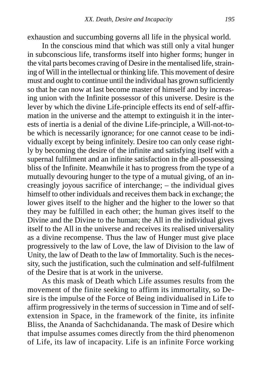exhaustion and succumbing governs all life in the physical world.

In the conscious mind that which was still only a vital hunger in subconscious life, transforms itself into higher forms; hunger in the vital parts becomes craving of Desire in the mentalised life, straining of Will in the intellectual or thinking life. This movement of desire must and ought to continue until the individual has grown sufficiently so that he can now at last become master of himself and by increasing union with the Infinite possessor of this universe. Desire is the lever by which the divine Life-principle effects its end of self-affirmation in the universe and the attempt to extinguish it in the interests of inertia is a denial of the divine Life-principle, a Will-not-tobe which is necessarily ignorance; for one cannot cease to be individually except by being infinitely. Desire too can only cease rightly by becoming the desire of the infinite and satisfying itself with a supernal fulfilment and an infinite satisfaction in the all-possessing bliss of the Infinite. Meanwhile it has to progress from the type of a mutually devouring hunger to the type of a mutual giving, of an increasingly joyous sacrifice of interchange; – the individual gives himself to other individuals and receives them back in exchange; the lower gives itself to the higher and the higher to the lower so that they may be fulfilled in each other; the human gives itself to the Divine and the Divine to the human; the All in the individual gives itself to the All in the universe and receives its realised universality as a divine recompense. Thus the law of Hunger must give place progressively to the law of Love, the law of Division to the law of Unity, the law of Death to the law of Immortality. Such is the necessity, such the justification, such the culmination and self-fulfilment of the Desire that is at work in the universe.

As this mask of Death which Life assumes results from the movement of the finite seeking to affirm its immortality, so Desire is the impulse of the Force of Being individualised in Life to affirm progressively in the terms of succession in Time and of selfextension in Space, in the framework of the finite, its infinite Bliss, the Ananda of Sachchidananda. The mask of Desire which that impulse assumes comes directly from the third phenomenon of Life, its law of incapacity. Life is an infinite Force working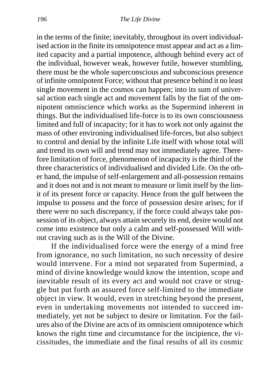in the terms of the finite; inevitably, throughout its overt individualised action in the finite its omnipotence must appear and act as a limited capacity and a partial impotence, although behind every act of the individual, however weak, however futile, however stumbling, there must be the whole superconscious and subconscious presence of infinite omnipotent Force; without that presence behind it no least single movement in the cosmos can happen; into its sum of universal action each single act and movement falls by the fiat of the omnipotent omniscience which works as the Supermind inherent in things. But the individualised life-force is to its own consciousness limited and full of incapacity; for it has to work not only against the mass of other environing individualised life-forces, but also subject to control and denial by the infinite Life itself with whose total will and trend its own will and trend may not immediately agree. Therefore limitation of force, phenomenon of incapacity is the third of the three characteristics of individualised and divided Life. On the other hand, the impulse of self-enlargement and all-possession remains and it does not and is not meant to measure or limit itself by the limit of its present force or capacity. Hence from the gulf between the impulse to possess and the force of possession desire arises; for if there were no such discrepancy, if the force could always take possession of its object, always attain securely its end, desire would not come into existence but only a calm and self-possessed Will without craving such as is the Will of the Divine.

If the individualised force were the energy of a mind free from ignorance, no such limitation, no such necessity of desire would intervene. For a mind not separated from Supermind, a mind of divine knowledge would know the intention, scope and inevitable result of its every act and would not crave or struggle but put forth an assured force self-limited to the immediate object in view. It would, even in stretching beyond the present, even in undertaking movements not intended to succeed immediately, yet not be subject to desire or limitation. For the failures also of the Divine are acts of its omniscient omnipotence which knows the right time and circumstance for the incipience, the vicissitudes, the immediate and the final results of all its cosmic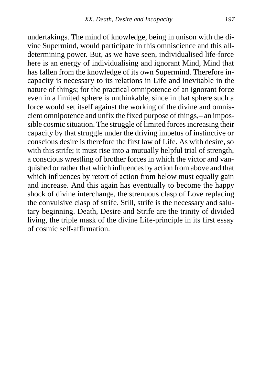undertakings. The mind of knowledge, being in unison with the divine Supermind, would participate in this omniscience and this alldetermining power. But, as we have seen, individualised life-force here is an energy of individualising and ignorant Mind, Mind that has fallen from the knowledge of its own Supermind. Therefore incapacity is necessary to its relations in Life and inevitable in the nature of things; for the practical omnipotence of an ignorant force even in a limited sphere is unthinkable, since in that sphere such a force would set itself against the working of the divine and omniscient omnipotence and unfix the fixed purpose of things,– an impossible cosmic situation. The struggle of limited forces increasing their capacity by that struggle under the driving impetus of instinctive or conscious desire is therefore the first law of Life. As with desire, so with this strife; it must rise into a mutually helpful trial of strength, a conscious wrestling of brother forces in which the victor and vanquished or rather that which influences by action from above and that which influences by retort of action from below must equally gain and increase. And this again has eventually to become the happy shock of divine interchange, the strenuous clasp of Love replacing the convulsive clasp of strife. Still, strife is the necessary and salutary beginning. Death, Desire and Strife are the trinity of divided living, the triple mask of the divine Life-principle in its first essay of cosmic self-affirmation.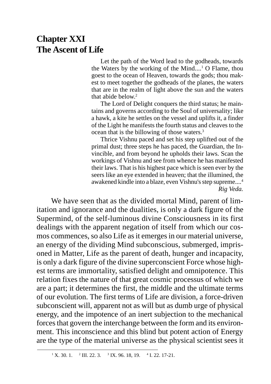## **Chapter XXI The Ascent of Life**

Let the path of the Word lead to the godheads, towards the Waters by the working of the Mind....<sup>1</sup> O Flame, thou goest to the ocean of Heaven, towards the gods; thou makest to meet together the godheads of the planes, the waters that are in the realm of light above the sun and the waters that abide below.<sup>2</sup>

The Lord of Delight conquers the third status; he maintains and governs according to the Soul of universality; like a hawk, a kite he settles on the vessel and uplifts it, a finder of the Light he manifests the fourth status and cleaves to the ocean that is the billowing of those waters.3

Thrice Vishnu paced and set his step uplifted out of the primal dust; three steps he has paced, the Guardian, the Invincible, and from beyond he upholds their laws. Scan the workings of Vishnu and see from whence he has manifested their laws. That is his highest pace which is seen ever by the seers like an eye extended in heaven; that the illumined, the awakened kindle into a blaze, even Vishnu's step supreme....4 *Rig Veda.*

We have seen that as the divided mortal Mind, parent of limitation and ignorance and the dualities, is only a dark figure of the Supermind, of the self-luminous divine Consciousness in its first dealings with the apparent negation of itself from which our cosmos commences, so also Life as it emerges in our material universe, an energy of the dividing Mind subconscious, submerged, imprisoned in Matter, Life as the parent of death, hunger and incapacity, is only a dark figure of the divine superconscient Force whose highest terms are immortality, satisfied delight and omnipotence. This relation fixes the nature of that great cosmic processus of which we are a part; it determines the first, the middle and the ultimate terms of our evolution. The first terms of Life are division, a force-driven subconscient will, apparent not as will but as dumb urge of physical energy, and the impotence of an inert subjection to the mechanical forces that govern the interchange between the form and its environment. This inconscience and this blind but potent action of Energy are the type of the material universe as the physical scientist sees it

 $1 \text{ X. } 30.1.$   $2 \text{ III. } 22.3.$   $3 \text{ IX. } 96.18, 19.$   $4 \text{ I. } 22.17-21.$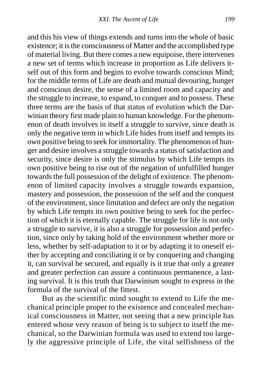and this his view of things extends and turns into the whole of basic existence; it is the consciousness of Matter and the accomplished type of material living. But there comes a new equipoise, there intervenes a new set of terms which increase in proportion as Life delivers itself out of this form and begins to evolve towards conscious Mind; for the middle terms of Life are death and mutual devouring, hunger and conscious desire, the sense of a limited room and capacity and the struggle to increase, to expand, to conquer and to possess. These three terms are the basis of that status of evolution which the Darwinian theory first made plain to human knowledge. For the phenomenon of death involves in itself a struggle to survive, since death is only the negative term in which Life hides from itself and tempts its own positive being to seek for immortality. The phenomenon of hunger and desire involves a struggle towards a status of satisfaction and security, since desire is only the stimulus by which Life tempts its own positive being to rise out of the negation of unfulfilled hunger towards the full possession of the delight of existence. The phenomenon of limited capacity involves a struggle towards expansion, mastery and possession, the possession of the self and the conquest of the environment, since limitation and defect are only the negation by which Life tempts its own positive being to seek for the perfection of which it is eternally capable. The struggle for life is not only a struggle to survive, it is also a struggle for possession and perfection, since only by taking hold of the environment whether more or less, whether by self-adaptation to it or by adapting it to oneself either by accepting and conciliating it or by conquering and changing it, can survival be secured, and equally is it true that only a greater and greater perfection can assure a continuous permanence, a lasting survival. It is this truth that Darwinism sought to express in the formula of the survival of the fittest.

But as the scientific mind sought to extend to Life the mechanical principle proper to the existence and concealed mechanical consciousness in Matter, not seeing that a new principle has entered whose very reason of being is to subject to itself the mechanical, so the Darwinian formula was used to extend too largely the aggressive principle of Life, the vital selfishness of the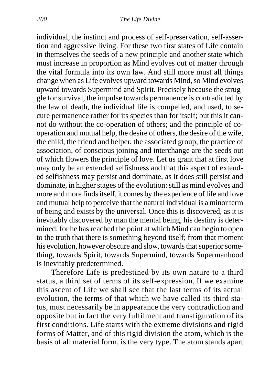individual, the instinct and process of self-preservation, self-assertion and aggressive living. For these two first states of Life contain in themselves the seeds of a new principle and another state which must increase in proportion as Mind evolves out of matter through the vital formula into its own law. And still more must all things change when as Life evolves upward towards Mind, so Mind evolves upward towards Supermind and Spirit. Precisely because the struggle for survival, the impulse towards permanence is contradicted by the law of death, the individual life is compelled, and used, to secure permanence rather for its species than for itself; but this it cannot do without the co-operation of others; and the principle of cooperation and mutual help, the desire of others, the desire of the wife, the child, the friend and helper, the associated group, the practice of association, of conscious joining and interchange are the seeds out of which flowers the principle of love. Let us grant that at first love may only be an extended selfishness and that this aspect of extended selfishness may persist and dominate, as it does still persist and dominate, in higher stages of the evolution: still as mind evolves and more and more finds itself, it comes by the experience of life and love and mutual help to perceive that the natural individual is a minor term of being and exists by the universal. Once this is discovered, as it is inevitably discovered by man the mental being, his destiny is determined; for he has reached the point at which Mind can begin to open to the truth that there is something beyond itself; from that moment his evolution, however obscure and slow, towards that superior something, towards Spirit, towards Supermind, towards Supermanhood is inevitably predetermined.

Therefore Life is predestined by its own nature to a third status, a third set of terms of its self-expression. If we examine this ascent of Life we shall see that the last terms of its actual evolution, the terms of that which we have called its third status, must necessarily be in appearance the very contradiction and opposite but in fact the very fulfilment and transfiguration of its first conditions. Life starts with the extreme divisions and rigid forms of Matter, and of this rigid division the atom, which is the basis of all material form, is the very type. The atom stands apart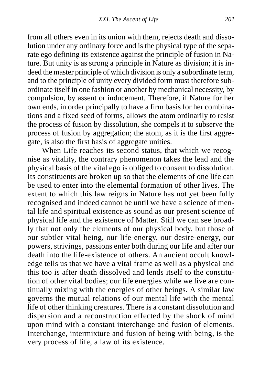from all others even in its union with them, rejects death and dissolution under any ordinary force and is the physical type of the separate ego defining its existence against the principle of fusion in Nature. But unity is as strong a principle in Nature as division; it is indeed the master principle of which division is only a subordinate term, and to the principle of unity every divided form must therefore subordinate itself in one fashion or another by mechanical necessity, by compulsion, by assent or inducement. Therefore, if Nature for her own ends, in order principally to have a firm basis for her combinations and a fixed seed of forms, allows the atom ordinarily to resist the process of fusion by dissolution, she compels it to subserve the process of fusion by aggregation; the atom, as it is the first aggregate, is also the first basis of aggregate unities.

When Life reaches its second status, that which we recognise as vitality, the contrary phenomenon takes the lead and the physical basis of the vital ego is obliged to consent to dissolution. Its constituents are broken up so that the elements of one life can be used to enter into the elemental formation of other lives. The extent to which this law reigns in Nature has not yet been fully recognised and indeed cannot be until we have a science of mental life and spiritual existence as sound as our present science of physical life and the existence of Matter. Still we can see broadly that not only the elements of our physical body, but those of our subtler vital being, our life-energy, our desire-energy, our powers, strivings, passions enter both during our life and after our death into the life-existence of others. An ancient occult knowledge tells us that we have a vital frame as well as a physical and this too is after death dissolved and lends itself to the constitution of other vital bodies; our life energies while we live are continually mixing with the energies of other beings. A similar law governs the mutual relations of our mental life with the mental life of other thinking creatures. There is a constant dissolution and dispersion and a reconstruction effected by the shock of mind upon mind with a constant interchange and fusion of elements. Interchange, intermixture and fusion of being with being, is the very process of life, a law of its existence.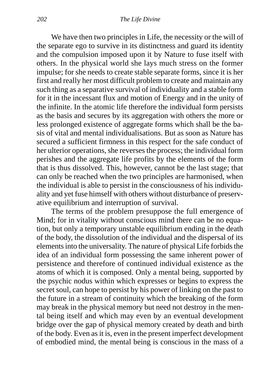We have then two principles in Life, the necessity or the will of the separate ego to survive in its distinctness and guard its identity and the compulsion imposed upon it by Nature to fuse itself with others. In the physical world she lays much stress on the former impulse; for she needs to create stable separate forms, since it is her first and really her most difficult problem to create and maintain any such thing as a separative survival of individuality and a stable form for it in the incessant flux and motion of Energy and in the unity of the infinite. In the atomic life therefore the individual form persists as the basis and secures by its aggregation with others the more or less prolonged existence of aggregate forms which shall be the basis of vital and mental individualisations. But as soon as Nature has secured a sufficient firmness in this respect for the safe conduct of her ulterior operations, she reverses the process; the individual form perishes and the aggregate life profits by the elements of the form that is thus dissolved. This, however, cannot be the last stage; that can only be reached when the two principles are harmonised, when the individual is able to persist in the consciousness of his individuality and yet fuse himself with others without disturbance of preservative equilibrium and interruption of survival.

The terms of the problem presuppose the full emergence of Mind; for in vitality without conscious mind there can be no equation, but only a temporary unstable equilibrium ending in the death of the body, the dissolution of the individual and the dispersal of its elements into the universality. The nature of physical Life forbids the idea of an individual form possessing the same inherent power of persistence and therefore of continued individual existence as the atoms of which it is composed. Only a mental being, supported by the psychic nodus within which expresses or begins to express the secret soul, can hope to persist by his power of linking on the past to the future in a stream of continuity which the breaking of the form may break in the physical memory but need not destroy in the mental being itself and which may even by an eventual development bridge over the gap of physical memory created by death and birth of the body. Even as it is, even in the present imperfect development of embodied mind, the mental being is conscious in the mass of a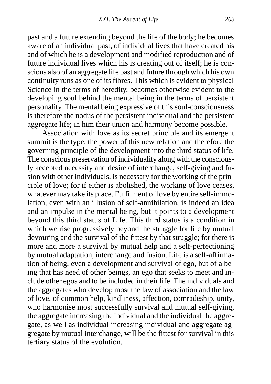past and a future extending beyond the life of the body; he becomes aware of an individual past, of individual lives that have created his and of which he is a development and modified reproduction and of future individual lives which his is creating out of itself; he is conscious also of an aggregate life past and future through which his own continuity runs as one of its fibres. This which is evident to physical Science in the terms of heredity, becomes otherwise evident to the developing soul behind the mental being in the terms of persistent personality. The mental being expressive of this soul-consciousness is therefore the nodus of the persistent individual and the persistent aggregate life; in him their union and harmony become possible.

Association with love as its secret principle and its emergent summit is the type, the power of this new relation and therefore the governing principle of the development into the third status of life. The conscious preservation of individuality along with the consciously accepted necessity and desire of interchange, self-giving and fusion with other individuals, is necessary for the working of the principle of love; for if either is abolished, the working of love ceases, whatever may take its place. Fulfilment of love by entire self-immolation, even with an illusion of self-annihilation, is indeed an idea and an impulse in the mental being, but it points to a development beyond this third status of Life. This third status is a condition in which we rise progressively beyond the struggle for life by mutual devouring and the survival of the fittest by that struggle; for there is more and more a survival by mutual help and a self-perfectioning by mutual adaptation, interchange and fusion. Life is a self-affirmation of being, even a development and survival of ego, but of a being that has need of other beings, an ego that seeks to meet and include other egos and to be included in their life. The individuals and the aggregates who develop most the law of association and the law of love, of common help, kindliness, affection, comradeship, unity, who harmonise most successfully survival and mutual self-giving, the aggregate increasing the individual and the individual the aggregate, as well as individual increasing individual and aggregate aggregate by mutual interchange, will be the fittest for survival in this tertiary status of the evolution.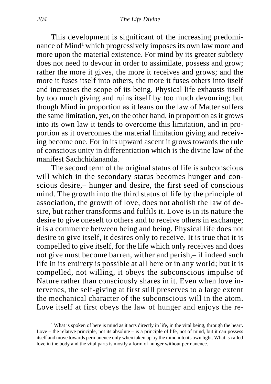This development is significant of the increasing predominance of Mind<sup>1</sup> which progressively imposes its own law more and more upon the material existence. For mind by its greater subtlety does not need to devour in order to assimilate, possess and grow; rather the more it gives, the more it receives and grows; and the more it fuses itself into others, the more it fuses others into itself and increases the scope of its being. Physical life exhausts itself by too much giving and ruins itself by too much devouring; but though Mind in proportion as it leans on the law of Matter suffers the same limitation, yet, on the other hand, in proportion as it grows into its own law it tends to overcome this limitation, and in proportion as it overcomes the material limitation giving and receiving become one. For in its upward ascent it grows towards the rule of conscious unity in differentiation which is the divine law of the manifest Sachchidananda.

The second term of the original status of life is subconscious will which in the secondary status becomes hunger and conscious desire,– hunger and desire, the first seed of conscious mind. The growth into the third status of life by the principle of association, the growth of love, does not abolish the law of desire, but rather transforms and fulfils it. Love is in its nature the desire to give oneself to others and to receive others in exchange; it is a commerce between being and being. Physical life does not desire to give itself, it desires only to receive. It is true that it is compelled to give itself, for the life which only receives and does not give must become barren, wither and perish,– if indeed such life in its entirety is possible at all here or in any world; but it is compelled, not willing, it obeys the subconscious impulse of Nature rather than consciously shares in it. Even when love intervenes, the self-giving at first still preserves to a large extent the mechanical character of the subconscious will in the atom. Love itself at first obeys the law of hunger and enjoys the re-

<sup>&</sup>lt;sup>1</sup> What is spoken of here is mind as it acts directly in life, in the vital being, through the heart. Love – the relative principle, not its absolute – is a principle of life, not of mind, but it can possess itself and move towards permanence only when taken up by the mind into its own light. What is called love in the body and the vital parts is mostly a form of hunger without permanence.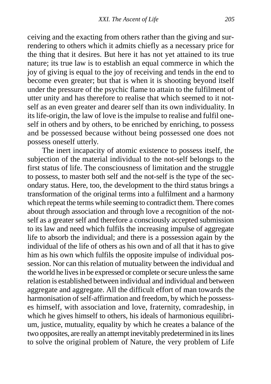ceiving and the exacting from others rather than the giving and surrendering to others which it admits chiefly as a necessary price for the thing that it desires. But here it has not yet attained to its true nature; its true law is to establish an equal commerce in which the joy of giving is equal to the joy of receiving and tends in the end to become even greater; but that is when it is shooting beyond itself under the pressure of the psychic flame to attain to the fulfilment of utter unity and has therefore to realise that which seemed to it notself as an even greater and dearer self than its own individuality. In its life-origin, the law of love is the impulse to realise and fulfil oneself in others and by others, to be enriched by enriching, to possess and be possessed because without being possessed one does not possess oneself utterly.

The inert incapacity of atomic existence to possess itself, the subjection of the material individual to the not-self belongs to the first status of life. The consciousness of limitation and the struggle to possess, to master both self and the not-self is the type of the secondary status. Here, too, the development to the third status brings a transformation of the original terms into a fulfilment and a harmony which repeat the terms while seeming to contradict them. There comes about through association and through love a recognition of the notself as a greater self and therefore a consciously accepted submission to its law and need which fulfils the increasing impulse of aggregate life to absorb the individual; and there is a possession again by the individual of the life of others as his own and of all that it has to give him as his own which fulfils the opposite impulse of individual possession. Nor can this relation of mutuality between the individual and the world he lives in be expressed or complete or secure unless the same relation is established between individual and individual and between aggregate and aggregate. All the difficult effort of man towards the harmonisation of self-affirmation and freedom, by which he possesses himself, with association and love, fraternity, comradeship, in which he gives himself to others, his ideals of harmonious equilibrium, justice, mutuality, equality by which he creates a balance of the two opposites, are really an attempt inevitably predetermined in its lines to solve the original problem of Nature, the very problem of Life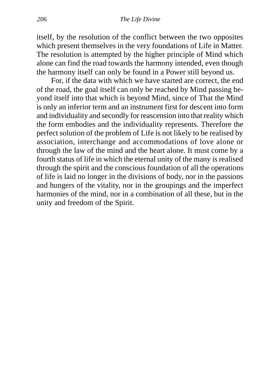itself, by the resolution of the conflict between the two opposites which present themselves in the very foundations of Life in Matter. The resolution is attempted by the higher principle of Mind which alone can find the road towards the harmony intended, even though the harmony itself can only be found in a Power still beyond us.

For, if the data with which we have started are correct, the end of the road, the goal itself can only be reached by Mind passing beyond itself into that which is beyond Mind, since of That the Mind is only an inferior term and an instrument first for descent into form and individuality and secondly for reascension into that reality which the form embodies and the individuality represents. Therefore the perfect solution of the problem of Life is not likely to be realised by association, interchange and accommodations of love alone or through the law of the mind and the heart alone. It must come by a fourth status of life in which the eternal unity of the many is realised through the spirit and the conscious foundation of all the operations of life is laid no longer in the divisions of body, nor in the passions and hungers of the vitality, nor in the groupings and the imperfect harmonies of the mind, nor in a combination of all these, but in the unity and freedom of the Spirit.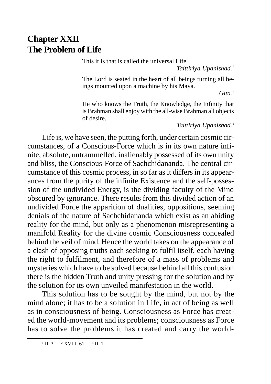# **Chapter XXII The Problem of Life**

This it is that is called the universal Life.

*Taittiriya Upanishad.1*

The Lord is seated in the heart of all beings turning all beings mounted upon a machine by his Maya.

*Gita.2*

He who knows the Truth, the Knowledge, the Infinity that is Brahman shall enjoy with the all-wise Brahman all objects of desire.

### *Taittiriya Upanishad.3*

Life is, we have seen, the putting forth, under certain cosmic circumstances, of a Conscious-Force which is in its own nature infinite, absolute, untrammelled, inalienably possessed of its own unity and bliss, the Conscious-Force of Sachchidananda. The central circumstance of this cosmic process, in so far as it differs in its appearances from the purity of the infinite Existence and the self-possession of the undivided Energy, is the dividing faculty of the Mind obscured by ignorance. There results from this divided action of an undivided Force the apparition of dualities, oppositions, seeming denials of the nature of Sachchidananda which exist as an abiding reality for the mind, but only as a phenomenon misrepresenting a manifold Reality for the divine cosmic Consciousness concealed behind the veil of mind. Hence the world takes on the appearance of a clash of opposing truths each seeking to fulfil itself, each having the right to fulfilment, and therefore of a mass of problems and mysteries which have to be solved because behind all this confusion there is the hidden Truth and unity pressing for the solution and by the solution for its own unveiled manifestation in the world.

This solution has to be sought by the mind, but not by the mind alone; it has to be a solution in Life, in act of being as well as in consciousness of being. Consciousness as Force has created the world-movement and its problems; consciousness as Force has to solve the problems it has created and carry the world-

<sup>&</sup>lt;sup>1</sup> II. 3. <sup>2</sup> XVIII. 61. <sup>3</sup> II. 1.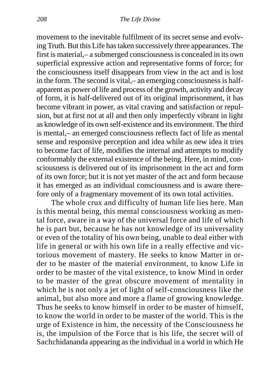movement to the inevitable fulfilment of its secret sense and evolving Truth. But this Life has taken successively three appearances. The first is material,– a submerged consciousness is concealed in its own superficial expressive action and representative forms of force; for the consciousness itself disappears from view in the act and is lost in the form. The second is vital,– an emerging consciousness is halfapparent as power of life and process of the growth, activity and decay of form, it is half-delivered out of its original imprisonment, it has become vibrant in power, as vital craving and satisfaction or repulsion, but at first not at all and then only imperfectly vibrant in light as knowledge of its own self-existence and its environment. The third is mental,– an emerged consciousness reflects fact of life as mental sense and responsive perception and idea while as new idea it tries to become fact of life, modifies the internal and attempts to modify conformably the external existence of the being. Here, in mind, consciousness is delivered out of its imprisonment in the act and form of its own force; but it is not yet master of the act and form because it has emerged as an individual consciousness and is aware therefore only of a fragmentary movement of its own total activities.

The whole crux and difficulty of human life lies here. Man is this mental being, this mental consciousness working as mental force, aware in a way of the universal force and life of which he is part but, because he has not knowledge of its universality or even of the totality of his own being, unable to deal either with life in general or with his own life in a really effective and victorious movement of mastery. He seeks to know Matter in order to be master of the material environment, to know Life in order to be master of the vital existence, to know Mind in order to be master of the great obscure movement of mentality in which he is not only a jet of light of self-consciousness like the animal, but also more and more a flame of growing knowledge. Thus he seeks to know himself in order to be master of himself, to know the world in order to be master of the world. This is the urge of Existence in him, the necessity of the Consciousness he is, the impulsion of the Force that is his life, the secret will of Sachchidananda appearing as the individual in a world in which He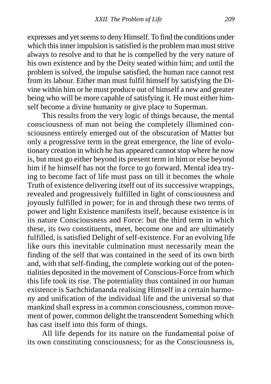expresses and yet seems to deny Himself. To find the conditions under which this inner impulsion is satisfied is the problem man must strive always to resolve and to that he is compelled by the very nature of his own existence and by the Deity seated within him; and until the problem is solved, the impulse satisfied, the human race cannot rest from its labour. Either man must fulfil himself by satisfying the Divine within him or he must produce out of himself a new and greater being who will be more capable of satisfying it. He must either himself become a divine humanity or give place to Superman.

This results from the very logic of things because, the mental consciousness of man not being the completely illumined consciousness entirely emerged out of the obscuration of Matter but only a progressive term in the great emergence, the line of evolutionary creation in which he has appeared cannot stop where he now is, but must go either beyond its present term in him or else beyond him if he himself has not the force to go forward. Mental idea trying to become fact of life must pass on till it becomes the whole Truth of existence delivering itself out of its successive wrappings, revealed and progressively fulfilled in light of consciousness and joyously fulfilled in power; for in and through these two terms of power and light Existence manifests itself, because existence is in its nature Consciousness and Force: but the third term in which these, its two constituents, meet, become one and are ultimately fulfilled, is satisfied Delight of self-existence. For an evolving life like ours this inevitable culmination must necessarily mean the finding of the self that was contained in the seed of its own birth and, with that self-finding, the complete working out of the potentialities deposited in the movement of Conscious-Force from which this life took its rise. The potentiality thus contained in our human existence is Sachchidananda realising Himself in a certain harmony and unification of the individual life and the universal so that mankind shall express in a common consciousness, common movement of power, common delight the transcendent Something which has cast itself into this form of things.

All life depends for its nature on the fundamental poise of its own constituting consciousness; for as the Consciousness is,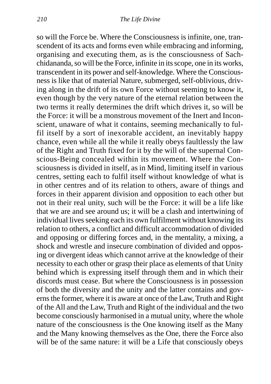so will the Force be. Where the Consciousness is infinite, one, transcendent of its acts and forms even while embracing and informing, organising and executing them, as is the consciousness of Sachchidananda, so will be the Force, infinite in its scope, one in its works, transcendent in its power and self-knowledge. Where the Consciousness is like that of material Nature, submerged, self-oblivious, driving along in the drift of its own Force without seeming to know it, even though by the very nature of the eternal relation between the two terms it really determines the drift which drives it, so will be the Force: it will be a monstrous movement of the Inert and Inconscient, unaware of what it contains, seeming mechanically to fulfil itself by a sort of inexorable accident, an inevitably happy chance, even while all the while it really obeys faultlessly the law of the Right and Truth fixed for it by the will of the supernal Conscious-Being concealed within its movement. Where the Consciousness is divided in itself, as in Mind, limiting itself in various centres, setting each to fulfil itself without knowledge of what is in other centres and of its relation to others, aware of things and forces in their apparent division and opposition to each other but not in their real unity, such will be the Force: it will be a life like that we are and see around us; it will be a clash and intertwining of individual lives seeking each its own fulfilment without knowing its relation to others, a conflict and difficult accommodation of divided and opposing or differing forces and, in the mentality, a mixing, a shock and wrestle and insecure combination of divided and opposing or divergent ideas which cannot arrive at the knowledge of their necessity to each other or grasp their place as elements of that Unity behind which is expressing itself through them and in which their discords must cease. But where the Consciousness is in possession of both the diversity and the unity and the latter contains and governs the former, where it is aware at once of the Law, Truth and Right of the All and the Law, Truth and Right of the individual and the two become consciously harmonised in a mutual unity, where the whole nature of the consciousness is the One knowing itself as the Many and the Many knowing themselves as the One, there the Force also will be of the same nature: it will be a Life that consciously obeys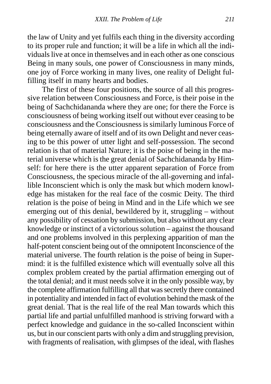the law of Unity and yet fulfils each thing in the diversity according to its proper rule and function; it will be a life in which all the individuals live at once in themselves and in each other as one conscious Being in many souls, one power of Consciousness in many minds, one joy of Force working in many lives, one reality of Delight fulfilling itself in many hearts and bodies.

The first of these four positions, the source of all this progressive relation between Consciousness and Force, is their poise in the being of Sachchidananda where they are one; for there the Force is consciousness of being working itself out without ever ceasing to be consciousness and the Consciousness is similarly luminous Force of being eternally aware of itself and of its own Delight and never ceasing to be this power of utter light and self-possession. The second relation is that of material Nature; it is the poise of being in the material universe which is the great denial of Sachchidananda by Himself: for here there is the utter apparent separation of Force from Consciousness, the specious miracle of the all-governing and infallible Inconscient which is only the mask but which modern knowledge has mistaken for the real face of the cosmic Deity. The third relation is the poise of being in Mind and in the Life which we see emerging out of this denial, bewildered by it, struggling – without any possibility of cessation by submission, but also without any clear knowledge or instinct of a victorious solution – against the thousand and one problems involved in this perplexing apparition of man the half-potent conscient being out of the omnipotent Inconscience of the material universe. The fourth relation is the poise of being in Supermind: it is the fulfilled existence which will eventually solve all this complex problem created by the partial affirmation emerging out of the total denial; and it must needs solve it in the only possible way, by the complete affirmation fulfilling all that was secretly there contained in potentiality and intended in fact of evolution behind the mask of the great denial. That is the real life of the real Man towards which this partial life and partial unfulfilled manhood is striving forward with a perfect knowledge and guidance in the so-called Inconscient within us, but in our conscient parts with only a dim and struggling prevision, with fragments of realisation, with glimpses of the ideal, with flashes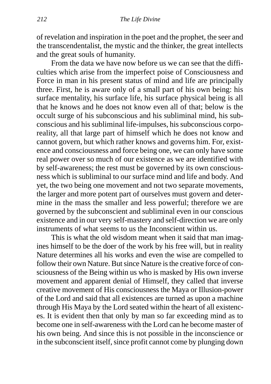of revelation and inspiration in the poet and the prophet, the seer and the transcendentalist, the mystic and the thinker, the great intellects and the great souls of humanity.

From the data we have now before us we can see that the difficulties which arise from the imperfect poise of Consciousness and Force in man in his present status of mind and life are principally three. First, he is aware only of a small part of his own being: his surface mentality, his surface life, his surface physical being is all that he knows and he does not know even all of that; below is the occult surge of his subconscious and his subliminal mind, his subconscious and his subliminal life-impulses, his subconscious corporeality, all that large part of himself which he does not know and cannot govern, but which rather knows and governs him. For, existence and consciousness and force being one, we can only have some real power over so much of our existence as we are identified with by self-awareness; the rest must be governed by its own consciousness which is subliminal to our surface mind and life and body. And yet, the two being one movement and not two separate movements, the larger and more potent part of ourselves must govern and determine in the mass the smaller and less powerful; therefore we are governed by the subconscient and subliminal even in our conscious existence and in our very self-mastery and self-direction we are only instruments of what seems to us the Inconscient within us.

This is what the old wisdom meant when it said that man imagines himself to be the doer of the work by his free will, but in reality Nature determines all his works and even the wise are compelled to follow their own Nature. But since Nature is the creative force of consciousness of the Being within us who is masked by His own inverse movement and apparent denial of Himself, they called that inverse creative movement of His consciousness the Maya or Illusion-power of the Lord and said that all existences are turned as upon a machine through His Maya by the Lord seated within the heart of all existences. It is evident then that only by man so far exceeding mind as to become one in self-awareness with the Lord can he become master of his own being. And since this is not possible in the inconscience or in the subconscient itself, since profit cannot come by plunging down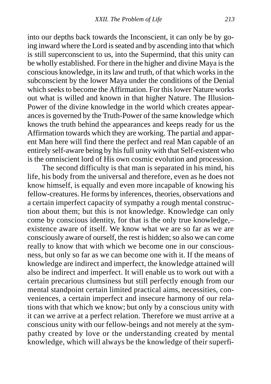into our depths back towards the Inconscient, it can only be by going inward where the Lord is seated and by ascending into that which is still superconscient to us, into the Supermind, that this unity can be wholly established. For there in the higher and divine Maya is the conscious knowledge, in its law and truth, of that which works in the subconscient by the lower Maya under the conditions of the Denial which seeks to become the Affirmation. For this lower Nature works out what is willed and known in that higher Nature. The Illusion-Power of the divine knowledge in the world which creates appearances is governed by the Truth-Power of the same knowledge which knows the truth behind the appearances and keeps ready for us the Affirmation towards which they are working. The partial and apparent Man here will find there the perfect and real Man capable of an entirely self-aware being by his full unity with that Self-existent who is the omniscient lord of His own cosmic evolution and procession.

The second difficulty is that man is separated in his mind, his life, his body from the universal and therefore, even as he does not know himself, is equally and even more incapable of knowing his fellow-creatures. He forms by inferences, theories, observations and a certain imperfect capacity of sympathy a rough mental construction about them; but this is not knowledge. Knowledge can only come by conscious identity, for that is the only true knowledge,– existence aware of itself. We know what we are so far as we are consciously aware of ourself, the rest is hidden; so also we can come really to know that with which we become one in our consciousness, but only so far as we can become one with it. If the means of knowledge are indirect and imperfect, the knowledge attained will also be indirect and imperfect. It will enable us to work out with a certain precarious clumsiness but still perfectly enough from our mental standpoint certain limited practical aims, necessities, conveniences, a certain imperfect and insecure harmony of our relations with that which we know; but only by a conscious unity with it can we arrive at a perfect relation. Therefore we must arrive at a conscious unity with our fellow-beings and not merely at the sympathy created by love or the understanding created by mental knowledge, which will always be the knowledge of their superfi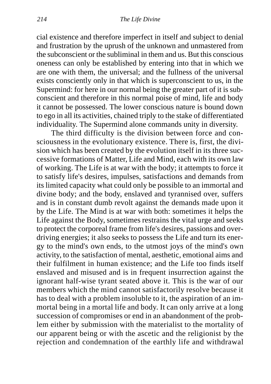cial existence and therefore imperfect in itself and subject to denial and frustration by the uprush of the unknown and unmastered from the subconscient or the subliminal in them and us. But this conscious oneness can only be established by entering into that in which we are one with them, the universal; and the fullness of the universal exists consciently only in that which is superconscient to us, in the Supermind: for here in our normal being the greater part of it is subconscient and therefore in this normal poise of mind, life and body it cannot be possessed. The lower conscious nature is bound down to ego in all its activities, chained triply to the stake of differentiated individuality. The Supermind alone commands unity in diversity.

The third difficulty is the division between force and consciousness in the evolutionary existence. There is, first, the division which has been created by the evolution itself in its three successive formations of Matter, Life and Mind, each with its own law of working. The Life is at war with the body; it attempts to force it to satisfy life's desires, impulses, satisfactions and demands from its limited capacity what could only be possible to an immortal and divine body; and the body, enslaved and tyrannised over, suffers and is in constant dumb revolt against the demands made upon it by the Life. The Mind is at war with both: sometimes it helps the Life against the Body, sometimes restrains the vital urge and seeks to protect the corporeal frame from life's desires, passions and overdriving energies; it also seeks to possess the Life and turn its energy to the mind's own ends, to the utmost joys of the mind's own activity, to the satisfaction of mental, aesthetic, emotional aims and their fulfilment in human existence; and the Life too finds itself enslaved and misused and is in frequent insurrection against the ignorant half-wise tyrant seated above it. This is the war of our members which the mind cannot satisfactorily resolve because it has to deal with a problem insoluble to it, the aspiration of an immortal being in a mortal life and body. It can only arrive at a long succession of compromises or end in an abandonment of the problem either by submission with the materialist to the mortality of our apparent being or with the ascetic and the religionist by the rejection and condemnation of the earthly life and withdrawal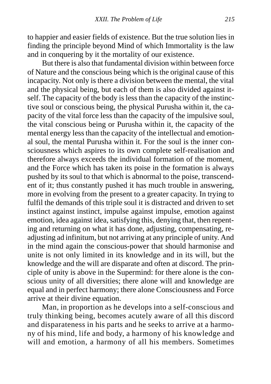to happier and easier fields of existence. But the true solution lies in finding the principle beyond Mind of which Immortality is the law and in conquering by it the mortality of our existence.

But there is also that fundamental division within between force of Nature and the conscious being which is the original cause of this incapacity. Not only is there a division between the mental, the vital and the physical being, but each of them is also divided against itself. The capacity of the body is less than the capacity of the instinctive soul or conscious being, the physical Purusha within it, the capacity of the vital force less than the capacity of the impulsive soul, the vital conscious being or Purusha within it, the capacity of the mental energy less than the capacity of the intellectual and emotional soul, the mental Purusha within it. For the soul is the inner consciousness which aspires to its own complete self-realisation and therefore always exceeds the individual formation of the moment, and the Force which has taken its poise in the formation is always pushed by its soul to that which is abnormal to the poise, transcendent of it; thus constantly pushed it has much trouble in answering, more in evolving from the present to a greater capacity. In trying to fulfil the demands of this triple soul it is distracted and driven to set instinct against instinct, impulse against impulse, emotion against emotion, idea against idea, satisfying this, denying that, then repenting and returning on what it has done, adjusting, compensating, readjusting ad infinitum, but not arriving at any principle of unity. And in the mind again the conscious-power that should harmonise and unite is not only limited in its knowledge and in its will, but the knowledge and the will are disparate and often at discord. The principle of unity is above in the Supermind: for there alone is the conscious unity of all diversities; there alone will and knowledge are equal and in perfect harmony; there alone Consciousness and Force arrive at their divine equation.

Man, in proportion as he develops into a self-conscious and truly thinking being, becomes acutely aware of all this discord and disparateness in his parts and he seeks to arrive at a harmony of his mind, life and body, a harmony of his knowledge and will and emotion, a harmony of all his members. Sometimes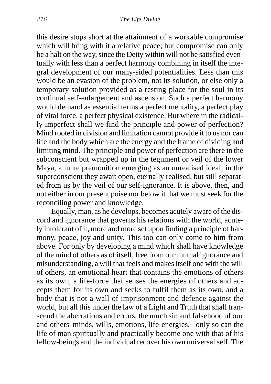this desire stops short at the attainment of a workable compromise which will bring with it a relative peace; but compromise can only be a halt on the way, since the Deity within will not be satisfied eventually with less than a perfect harmony combining in itself the integral development of our many-sided potentialities. Less than this would be an evasion of the problem, not its solution, or else only a temporary solution provided as a resting-place for the soul in its continual self-enlargement and ascension. Such a perfect harmony would demand as essential terms a perfect mentality, a perfect play of vital force, a perfect physical existence. But where in the radically imperfect shall we find the principle and power of perfection? Mind rooted in division and limitation cannot provide it to us nor can life and the body which are the energy and the frame of dividing and limiting mind. The principle and power of perfection are there in the subconscient but wrapped up in the tegument or veil of the lower Maya, a mute premonition emerging as an unrealised ideal; in the superconscient they await open, eternally realised, but still separated from us by the veil of our self-ignorance. It is above, then, and not either in our present poise nor below it that we must seek for the reconciling power and knowledge.

Equally, man, as he develops, becomes acutely aware of the discord and ignorance that governs his relations with the world, acutely intolerant of it, more and more set upon finding a principle of harmony, peace, joy and unity. This too can only come to him from above. For only by developing a mind which shall have knowledge of the mind of others as of itself, free from our mutual ignorance and misunderstanding, a will that feels and makes itself one with the will of others, an emotional heart that contains the emotions of others as its own, a life-force that senses the energies of others and accepts them for its own and seeks to fulfil them as its own, and a body that is not a wall of imprisonment and defence against the world, but all this under the law of a Light and Truth that shall transcend the aberrations and errors, the much sin and falsehood of our and others' minds, wills, emotions, life-energies,– only so can the life of man spiritually and practically become one with that of his fellow-beings and the individual recover his own universal self. The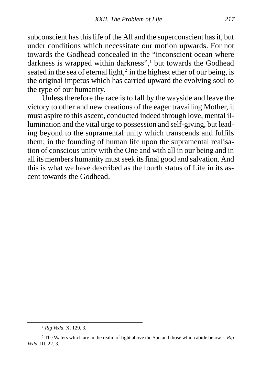subconscient has this life of the All and the superconscient has it, but under conditions which necessitate our motion upwards. For not towards the Godhead concealed in the "inconscient ocean where darkness is wrapped within darkness",<sup>1</sup> but towards the Godhead seated in the sea of eternal light, $2$  in the highest ether of our being, is the original impetus which has carried upward the evolving soul to the type of our humanity.

Unless therefore the race is to fall by the wayside and leave the victory to other and new creations of the eager travailing Mother, it must aspire to this ascent, conducted indeed through love, mental illumination and the vital urge to possession and self-giving, but leading beyond to the supramental unity which transcends and fulfils them; in the founding of human life upon the supramental realisation of conscious unity with the One and with all in our being and in all its members humanity must seek its final good and salvation. And this is what we have described as the fourth status of Life in its ascent towards the Godhead.

<sup>1</sup> *Rig Veda,* X. 129. 3.

<sup>2</sup> The Waters which are in the realm of light above the Sun and those which abide below. – *Rig Veda*, III. 22. 3.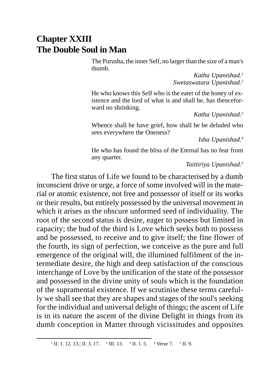## **Chapter XXIII The Double Soul in Man**

The Purusha, the inner Self, no larger than the size of a man's thumb.

*Katha Upanishad.1 Swetaswatara Upanishad.2*

He who knows this Self who is the eater of the honey of existence and the lord of what is and shall be, has thenceforward no shrinking.

*Katha Upanishad.3*

Whence shall he have grief, how shall he be deluded who sees everywhere the Oneness?

*Isha Upanishad.4*

He who has found the bliss of the Eternal has no fear from any quarter.

*Taittiriya Upanishad.5*

The first status of Life we found to be characterised by a dumb inconscient drive or urge, a force of some involved will in the material or atomic existence, not free and possessor of itself or its works or their results, but entirely possessed by the universal movement in which it arises as the obscure unformed seed of individuality. The root of the second status is desire, eager to possess but limited in capacity; the bud of the third is Love which seeks both to possess and be possessed, to receive and to give itself; the fine flower of the fourth, its sign of perfection, we conceive as the pure and full emergence of the original will, the illumined fulfilment of the intermediate desire, the high and deep satisfaction of the conscious interchange of Love by the unification of the state of the possessor and possessed in the divine unity of souls which is the foundation of the supramental existence. If we scrutinise these terms carefully we shall see that they are shapes and stages of the soul's seeking for the individual and universal delight of things; the ascent of Life is in its nature the ascent of the divine Delight in things from its dumb conception in Matter through vicissitudes and opposites

<sup>&</sup>lt;sup>1</sup> II. 1. 12. 13.; II. 3. 17. <sup>2</sup> III. 13. <sup>3</sup> II. 1. 5. <sup>4</sup> Verse 7. <sup>5</sup> II. 9.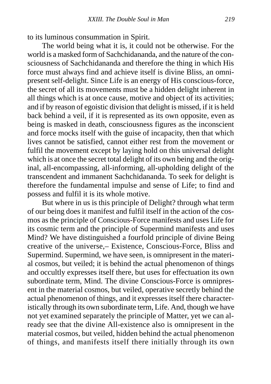to its luminous consummation in Spirit.

The world being what it is, it could not be otherwise. For the world is a masked form of Sachchidananda, and the nature of the consciousness of Sachchidananda and therefore the thing in which His force must always find and achieve itself is divine Bliss, an omnipresent self-delight. Since Life is an energy of His conscious-force, the secret of all its movements must be a hidden delight inherent in all things which is at once cause, motive and object of its activities; and if by reason of egoistic division that delight is missed, if it is held back behind a veil, if it is represented as its own opposite, even as being is masked in death, consciousness figures as the inconscient and force mocks itself with the guise of incapacity, then that which lives cannot be satisfied, cannot either rest from the movement or fulfil the movement except by laying hold on this universal delight which is at once the secret total delight of its own being and the original, all-encompassing, all-informing, all-upholding delight of the transcendent and immanent Sachchidananda. To seek for delight is therefore the fundamental impulse and sense of Life; to find and possess and fulfil it is its whole motive.

But where in us is this principle of Delight? through what term of our being does it manifest and fulfil itself in the action of the cosmos as the principle of Conscious-Force manifests and uses Life for its cosmic term and the principle of Supermind manifests and uses Mind? We have distinguished a fourfold principle of divine Being creative of the universe,– Existence, Conscious-Force, Bliss and Supermind. Supermind, we have seen, is omnipresent in the material cosmos, but veiled; it is behind the actual phenomenon of things and occultly expresses itself there, but uses for effectuation its own subordinate term, Mind. The divine Conscious-Force is omnipresent in the material cosmos, but veiled, operative secretly behind the actual phenomenon of things, and it expresses itself there characteristically through its own subordinate term, Life. And, though we have not yet examined separately the principle of Matter, yet we can already see that the divine All-existence also is omnipresent in the material cosmos, but veiled, hidden behind the actual phenomenon of things, and manifests itself there initially through its own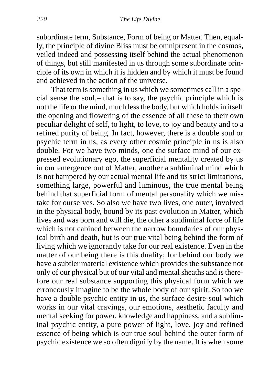subordinate term, Substance, Form of being or Matter. Then, equally, the principle of divine Bliss must be omnipresent in the cosmos, veiled indeed and possessing itself behind the actual phenomenon of things, but still manifested in us through some subordinate principle of its own in which it is hidden and by which it must be found and achieved in the action of the universe.

That term is something in us which we sometimes call in a special sense the soul,– that is to say, the psychic principle which is not the life or the mind, much less the body, but which holds in itself the opening and flowering of the essence of all these to their own peculiar delight of self, to light, to love, to joy and beauty and to a refined purity of being. In fact, however, there is a double soul or psychic term in us, as every other cosmic principle in us is also double. For we have two minds, one the surface mind of our expressed evolutionary ego, the superficial mentality created by us in our emergence out of Matter, another a subliminal mind which is not hampered by our actual mental life and its strict limitations, something large, powerful and luminous, the true mental being behind that superficial form of mental personality which we mistake for ourselves. So also we have two lives, one outer, involved in the physical body, bound by its past evolution in Matter, which lives and was born and will die, the other a subliminal force of life which is not cabined between the narrow boundaries of our physical birth and death, but is our true vital being behind the form of living which we ignorantly take for our real existence. Even in the matter of our being there is this duality; for behind our body we have a subtler material existence which provides the substance not only of our physical but of our vital and mental sheaths and is therefore our real substance supporting this physical form which we erroneously imagine to be the whole body of our spirit. So too we have a double psychic entity in us, the surface desire-soul which works in our vital cravings, our emotions, aesthetic faculty and mental seeking for power, knowledge and happiness, and a subliminal psychic entity, a pure power of light, love, joy and refined essence of being which is our true soul behind the outer form of psychic existence we so often dignify by the name. It is when some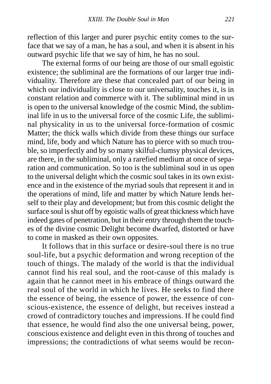reflection of this larger and purer psychic entity comes to the surface that we say of a man, he has a soul, and when it is absent in his outward psychic life that we say of him, he has no soul.

The external forms of our being are those of our small egoistic existence; the subliminal are the formations of our larger true individuality. Therefore are these that concealed part of our being in which our individuality is close to our universality, touches it, is in constant relation and commerce with it. The subliminal mind in us is open to the universal knowledge of the cosmic Mind, the subliminal life in us to the universal force of the cosmic Life, the subliminal physicality in us to the universal force-formation of cosmic Matter; the thick walls which divide from these things our surface mind, life, body and which Nature has to pierce with so much trouble, so imperfectly and by so many skilful-clumsy physical devices, are there, in the subliminal, only a rarefied medium at once of separation and communication. So too is the subliminal soul in us open to the universal delight which the cosmic soul takes in its own existence and in the existence of the myriad souls that represent it and in the operations of mind, life and matter by which Nature lends herself to their play and development; but from this cosmic delight the surface soul is shut off by egoistic walls of great thickness which have indeed gates of penetration, but in their entry through them the touches of the divine cosmic Delight become dwarfed, distorted or have to come in masked as their own opposites.

It follows that in this surface or desire-soul there is no true soul-life, but a psychic deformation and wrong reception of the touch of things. The malady of the world is that the individual cannot find his real soul, and the root-cause of this malady is again that he cannot meet in his embrace of things outward the real soul of the world in which he lives. He seeks to find there the essence of being, the essence of power, the essence of conscious-existence, the essence of delight, but receives instead a crowd of contradictory touches and impressions. If he could find that essence, he would find also the one universal being, power, conscious existence and delight even in this throng of touches and impressions; the contradictions of what seems would be recon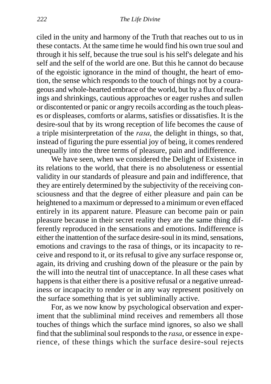ciled in the unity and harmony of the Truth that reaches out to us in these contacts. At the same time he would find his own true soul and through it his self, because the true soul is his self's delegate and his self and the self of the world are one. But this he cannot do because of the egoistic ignorance in the mind of thought, the heart of emotion, the sense which responds to the touch of things not by a courageous and whole-hearted embrace of the world, but by a flux of reachings and shrinkings, cautious approaches or eager rushes and sullen or discontented or panic or angry recoils according as the touch pleases or displeases, comforts or alarms, satisfies or dissatisfies. It is the desire-soul that by its wrong reception of life becomes the cause of a triple misinterpretation of the rasa, the delight in things, so that, instead of figuring the pure essential joy of being, it comes rendered unequally into the three terms of pleasure, pain and indifference.

We have seen, when we considered the Delight of Existence in its relations to the world, that there is no absoluteness or essential validity in our standards of pleasure and pain and indifference, that they are entirely determined by the subjectivity of the receiving consciousness and that the degree of either pleasure and pain can be heightened to a maximum or depressed to a minimum or even effaced entirely in its apparent nature. Pleasure can become pain or pain pleasure because in their secret reality they are the same thing differently reproduced in the sensations and emotions. Indifference is either the inattention of the surface desire-soul in its mind, sensations, emotions and cravings to the rasa of things, or its incapacity to receive and respond to it, or its refusal to give any surface response or, again, its driving and crushing down of the pleasure or the pain by the will into the neutral tint of unacceptance. In all these cases what happens is that either there is a positive refusal or a negative unreadiness or incapacity to render or in any way represent positively on the surface something that is yet subliminally active.

For, as we now know by psychological observation and experiment that the subliminal mind receives and remembers all those touches of things which the surface mind ignores, so also we shall find that the subliminal soul responds to the rasa, or essence in experience, of these things which the surface desire-soul rejects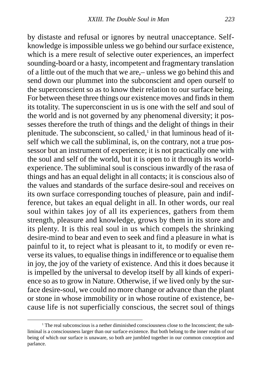by distaste and refusal or ignores by neutral unacceptance. Selfknowledge is impossible unless we go behind our surface existence, which is a mere result of selective outer experiences, an imperfect sounding-board or a hasty, incompetent and fragmentary translation of a little out of the much that we are,– unless we go behind this and send down our plummet into the subconscient and open ourself to the superconscient so as to know their relation to our surface being. For between these three things our existence moves and finds in them its totality. The superconscient in us is one with the self and soul of the world and is not governed by any phenomenal diversity; it possesses therefore the truth of things and the delight of things in their plenitude. The subconscient, so called, $<sup>1</sup>$  in that luminous head of it-</sup> self which we call the subliminal, is, on the contrary, not a true possessor but an instrument of experience; it is not practically one with the soul and self of the world, but it is open to it through its worldexperience. The subliminal soul is conscious inwardly of the rasa of things and has an equal delight in all contacts; it is conscious also of the values and standards of the surface desire-soul and receives on its own surface corresponding touches of pleasure, pain and indifference, but takes an equal delight in all. In other words, our real soul within takes joy of all its experiences, gathers from them strength, pleasure and knowledge, grows by them in its store and its plenty. It is this real soul in us which compels the shrinking desire-mind to bear and even to seek and find a pleasure in what is painful to it, to reject what is pleasant to it, to modify or even reverse its values, to equalise things in indifference or to equalise them in joy, the joy of the variety of existence. And this it does because it is impelled by the universal to develop itself by all kinds of experience so as to grow in Nature. Otherwise, if we lived only by the surface desire-soul, we could no more change or advance than the plant or stone in whose immobility or in whose routine of existence, because life is not superficially conscious, the secret soul of things

<sup>1</sup> The real subconscious is a nether diminished consciousness close to the Inconscient; the subliminal is a consciousness larger than our surface existence. But both belong to the inner realm of our being of which our surface is unaware, so both are jumbled together in our common conception and parlance.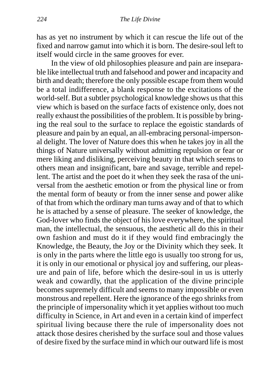has as yet no instrument by which it can rescue the life out of the fixed and narrow gamut into which it is born. The desire-soul left to itself would circle in the same grooves for ever.

In the view of old philosophies pleasure and pain are inseparable like intellectual truth and falsehood and power and incapacity and birth and death; therefore the only possible escape from them would be a total indifference, a blank response to the excitations of the world-self. But a subtler psychological knowledge shows us that this view which is based on the surface facts of existence only, does not really exhaust the possibilities of the problem. It is possible by bringing the real soul to the surface to replace the egoistic standards of pleasure and pain by an equal, an all-embracing personal-impersonal delight. The lover of Nature does this when he takes joy in all the things of Nature universally without admitting repulsion or fear or mere liking and disliking, perceiving beauty in that which seems to others mean and insignificant, bare and savage, terrible and repellent. The artist and the poet do it when they seek the rasa of the universal from the aesthetic emotion or from the physical line or from the mental form of beauty or from the inner sense and power alike of that from which the ordinary man turns away and of that to which he is attached by a sense of pleasure. The seeker of knowledge, the God-lover who finds the object of his love everywhere, the spiritual man, the intellectual, the sensuous, the aesthetic all do this in their own fashion and must do it if they would find embracingly the Knowledge, the Beauty, the Joy or the Divinity which they seek. It is only in the parts where the little ego is usually too strong for us, it is only in our emotional or physical joy and suffering, our pleasure and pain of life, before which the desire-soul in us is utterly weak and cowardly, that the application of the divine principle becomes supremely difficult and seems to many impossible or even monstrous and repellent. Here the ignorance of the ego shrinks from the principle of impersonality which it yet applies without too much difficulty in Science, in Art and even in a certain kind of imperfect spiritual living because there the rule of impersonality does not attack those desires cherished by the surface soul and those values of desire fixed by the surface mind in which our outward life is most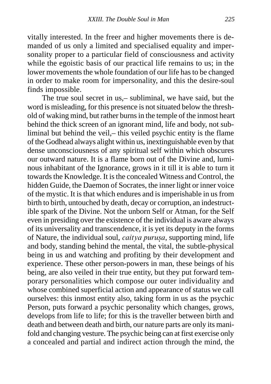vitally interested. In the freer and higher movements there is demanded of us only a limited and specialised equality and impersonality proper to a particular field of consciousness and activity while the egoistic basis of our practical life remains to us; in the lower movements the whole foundation of our life has to be changed in order to make room for impersonality, and this the desire-soul finds impossible.

The true soul secret in us,– subliminal, we have said, but the word is misleading, for this presence is not situated below the threshold of waking mind, but rather burns in the temple of the inmost heart behind the thick screen of an ignorant mind, life and body, not subliminal but behind the veil,– this veiled psychic entity is the flame of the Godhead always alight within us, inextinguishable even by that dense unconsciousness of any spiritual self within which obscures our outward nature. It is a flame born out of the Divine and, luminous inhabitant of the Ignorance, grows in it till it is able to turn it towards the Knowledge. It is the concealed Witness and Control, the hidden Guide, the Daemon of Socrates, the inner light or inner voice of the mystic. It is that which endures and is imperishable in us from birth to birth, untouched by death, decay or corruption, an indestructible spark of the Divine. Not the unborn Self or Atman, for the Self even in presiding over the existence of the individual is aware always of its universality and transcendence, it is yet its deputy in the forms of Nature, the individual soul, *caitya purusa*, supporting mind, life and body, standing behind the mental, the vital, the subtle-physical being in us and watching and profiting by their development and experience. These other person-powers in man, these beings of his being, are also veiled in their true entity, but they put forward temporary personalities which compose our outer individuality and whose combined superficial action and appearance of status we call ourselves: this inmost entity also, taking form in us as the psychic Person, puts forward a psychic personality which changes, grows, develops from life to life; for this is the traveller between birth and death and between death and birth, our nature parts are only its manifold and changing vesture. The psychic being can at first exercise only a concealed and partial and indirect action through the mind, the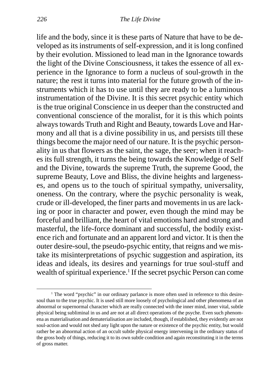life and the body, since it is these parts of Nature that have to be developed as its instruments of self-expression, and it is long confined by their evolution. Missioned to lead man in the Ignorance towards the light of the Divine Consciousness, it takes the essence of all experience in the Ignorance to form a nucleus of soul-growth in the nature; the rest it turns into material for the future growth of the instruments which it has to use until they are ready to be a luminous instrumentation of the Divine. It is this secret psychic entity which is the true original Conscience in us deeper than the constructed and conventional conscience of the moralist, for it is this which points always towards Truth and Right and Beauty, towards Love and Harmony and all that is a divine possibility in us, and persists till these things become the major need of our nature. It is the psychic personality in us that flowers as the saint, the sage, the seer; when it reaches its full strength, it turns the being towards the Knowledge of Self and the Divine, towards the supreme Truth, the supreme Good, the supreme Beauty, Love and Bliss, the divine heights and largenesses, and opens us to the touch of spiritual sympathy, universality, oneness. On the contrary, where the psychic personality is weak, crude or ill-developed, the finer parts and movements in us are lacking or poor in character and power, even though the mind may be forceful and brilliant, the heart of vital emotions hard and strong and masterful, the life-force dominant and successful, the bodily existence rich and fortunate and an apparent lord and victor. It is then the outer desire-soul, the pseudo-psychic entity, that reigns and we mistake its misinterpretations of psychic suggestion and aspiration, its ideas and ideals, its desires and yearnings for true soul-stuff and wealth of spiritual experience.<sup>1</sup> If the secret psychic Person can come

<sup>&</sup>lt;sup>1</sup> The word "psychic" in our ordinary parlance is more often used in reference to this desiresoul than to the true psychic. It is used still more loosely of psychological and other phenomena of an abnormal or supernormal character which are really connected with the inner mind, inner vital, subtle physical being subliminal in us and are not at all direct operations of the psyche. Even such phenomena as materialisation and dematerialisation are included, though, if established, they evidently are not soul-action and would not shed any light upon the nature or existence of the psychic entity, but would rather be an abnormal action of an occult subtle physical energy intervening in the ordinary status of the gross body of things, reducing it to its own subtle condition and again reconstituting it in the terms of gross matter.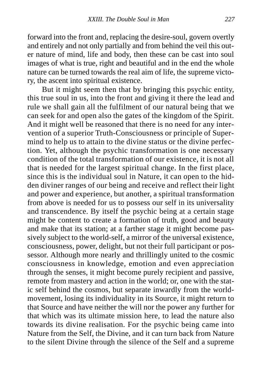forward into the front and, replacing the desire-soul, govern overtly and entirely and not only partially and from behind the veil this outer nature of mind, life and body, then these can be cast into soul images of what is true, right and beautiful and in the end the whole nature can be turned towards the real aim of life, the supreme victory, the ascent into spiritual existence.

But it might seem then that by bringing this psychic entity, this true soul in us, into the front and giving it there the lead and rule we shall gain all the fulfilment of our natural being that we can seek for and open also the gates of the kingdom of the Spirit. And it might well be reasoned that there is no need for any intervention of a superior Truth-Consciousness or principle of Supermind to help us to attain to the divine status or the divine perfection. Yet, although the psychic transformation is one necessary condition of the total transformation of our existence, it is not all that is needed for the largest spiritual change. In the first place, since this is the individual soul in Nature, it can open to the hidden diviner ranges of our being and receive and reflect their light and power and experience, but another, a spiritual transformation from above is needed for us to possess our self in its universality and transcendence. By itself the psychic being at a certain stage might be content to create a formation of truth, good and beauty and make that its station; at a farther stage it might become passively subject to the world-self, a mirror of the universal existence, consciousness, power, delight, but not their full participant or possessor. Although more nearly and thrillingly united to the cosmic consciousness in knowledge, emotion and even appreciation through the senses, it might become purely recipient and passive, remote from mastery and action in the world; or, one with the static self behind the cosmos, but separate inwardly from the worldmovement, losing its individuality in its Source, it might return to that Source and have neither the will nor the power any further for that which was its ultimate mission here, to lead the nature also towards its divine realisation. For the psychic being came into Nature from the Self, the Divine, and it can turn back from Nature to the silent Divine through the silence of the Self and a supreme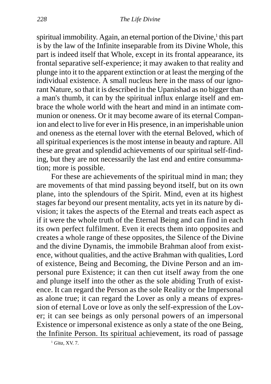spiritual immobility. Again, an eternal portion of the Divine,<sup>1</sup> this part is by the law of the Infinite inseparable from its Divine Whole, this part is indeed itself that Whole, except in its frontal appearance, its frontal separative self-experience; it may awaken to that reality and plunge into it to the apparent extinction or at least the merging of the individual existence. A small nucleus here in the mass of our ignorant Nature, so that it is described in the Upanishad as no bigger than a man's thumb, it can by the spiritual influx enlarge itself and embrace the whole world with the heart and mind in an intimate communion or oneness. Or it may become aware of its eternal Companion and elect to live for ever in His presence, in an imperishable union and oneness as the eternal lover with the eternal Beloved, which of all spiritual experiences is the most intense in beauty and rapture. All these are great and splendid achievements of our spiritual self-finding, but they are not necessarily the last end and entire consummation; more is possible.

For these are achievements of the spiritual mind in man; they are movements of that mind passing beyond itself, but on its own plane, into the splendours of the Spirit. Mind, even at its highest stages far beyond our present mentality, acts yet in its nature by division; it takes the aspects of the Eternal and treats each aspect as if it were the whole truth of the Eternal Being and can find in each its own perfect fulfilment. Even it erects them into opposites and creates a whole range of these opposites, the Silence of the Divine and the divine Dynamis, the immobile Brahman aloof from existence, without qualities, and the active Brahman with qualities, Lord of existence, Being and Becoming, the Divine Person and an impersonal pure Existence; it can then cut itself away from the one and plunge itself into the other as the sole abiding Truth of existence. It can regard the Person as the sole Reality or the Impersonal as alone true; it can regard the Lover as only a means of expression of eternal Love or love as only the self-expression of the Lover; it can see beings as only personal powers of an impersonal Existence or impersonal existence as only a state of the one Being, the Infinite Person. Its spiritual achievement, its road of passage

<sup>1</sup> *Gita*, XV. 7.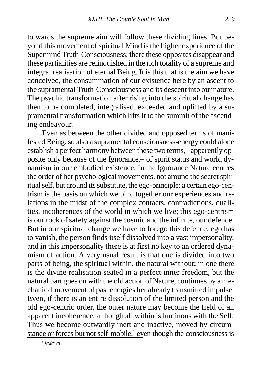to wards the supreme aim will follow these dividing lines. But beyond this movement of spiritual Mind is the higher experience of the Supermind Truth-Consciousness; there these opposites disappear and these partialities are relinquished in the rich totality of a supreme and integral realisation of eternal Being. It is this that is the aim we have conceived, the consummation of our existence here by an ascent to the supramental Truth-Consciousness and its descent into our nature. The psychic transformation after rising into the spiritual change has then to be completed, integralised, exceeded and uplifted by a supramental transformation which lifts it to the summit of the ascending endeavour.

Even as between the other divided and opposed terms of manifested Being, so also a supramental consciousness-energy could alone establish a perfect harmony between these two terms,– apparently opposite only because of the Ignorance,– of spirit status and world dynamism in our embodied existence. In the Ignorance Nature centres the order of her psychological movements, not around the secret spiritual self, but around its substitute, the ego-principle: a certain ego-centrism is the basis on which we bind together our experiences and relations in the midst of the complex contacts, contradictions, dualities, incoherences of the world in which we live; this ego-centrism is our rock of safety against the cosmic and the infinite, our defence. But in our spiritual change we have to forego this defence; ego has to vanish, the person finds itself dissolved into a vast impersonality, and in this impersonality there is at first no key to an ordered dynamism of action. A very usual result is that one is divided into two parts of being, the spiritual within, the natural without; in one there is the divine realisation seated in a perfect inner freedom, but the natural part goes on with the old action of Nature, continues by a mechanical movement of past energies her already transmitted impulse. Even, if there is an entire dissolution of the limited person and the old ego-centric order, the outer nature may become the field of an apparent incoherence, although all within is luminous with the Self. Thus we become outwardly inert and inactive, moved by circumstance or forces but not self-mobile,<sup>1</sup> even though the consciousness is

 $1$  jadavat.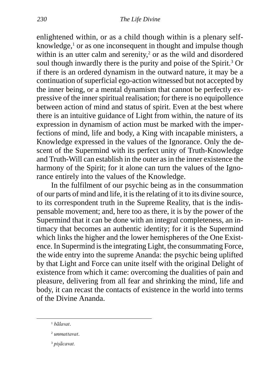enlightened within, or as a child though within is a plenary selfknowledge,<sup>1</sup> or as one inconsequent in thought and impulse though within is an utter calm and serenity, $2$  or as the wild and disordered soul though inwardly there is the purity and poise of the Spirit.<sup>3</sup> Or if there is an ordered dynamism in the outward nature, it may be a continuation of superficial ego-action witnessed but not accepted by the inner being, or a mental dynamism that cannot be perfectly expressive of the inner spiritual realisation; for there is no equipollence between action of mind and status of spirit. Even at the best where there is an intuitive guidance of Light from within, the nature of its expression in dynamism of action must be marked with the imperfections of mind, life and body, a King with incapable ministers, a Knowledge expressed in the values of the Ignorance. Only the descent of the Supermind with its perfect unity of Truth-Knowledge and Truth-Will can establish in the outer as in the inner existence the harmony of the Spirit; for it alone can turn the values of the Ignorance entirely into the values of the Knowledge.

In the fulfilment of our psychic being as in the consummation of our parts of mind and life, it is the relating of it to its divine source, to its correspondent truth in the Supreme Reality, that is the indispensable movement; and, here too as there, it is by the power of the Supermind that it can be done with an integral completeness, an intimacy that becomes an authentic identity; for it is the Supermind which links the higher and the lower hemispheres of the One Existence. In Supermind is the integrating Light, the consummating Force, the wide entry into the supreme Ananda: the psychic being uplifted by that Light and Force can unite itself with the original Delight of existence from which it came: overcoming the dualities of pain and pleasure, delivering from all fear and shrinking the mind, life and body, it can recast the contacts of existence in the world into terms of the Divine Ananda.

 $\frac{1}{2}$  bālavat.

<sup>2</sup> unmattavat.

 $3$  piş $\bar{a}$ cavat.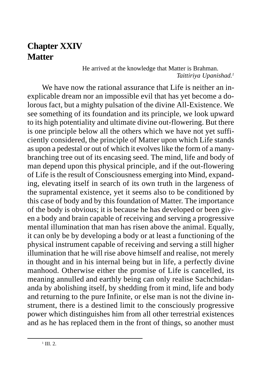## **Chapter XXIV Matter**

He arrived at the knowledge that Matter is Brahman. *Taittiriya Upanishad.1*

We have now the rational assurance that Life is neither an inexplicable dream nor an impossible evil that has yet become a dolorous fact, but a mighty pulsation of the divine All-Existence. We see something of its foundation and its principle, we look upward to its high potentiality and ultimate divine out-flowering. But there is one principle below all the others which we have not yet sufficiently considered, the principle of Matter upon which Life stands as upon a pedestal or out of which it evolves like the form of a manybranching tree out of its encasing seed. The mind, life and body of man depend upon this physical principle, and if the out-flowering of Life is the result of Consciousness emerging into Mind, expanding, elevating itself in search of its own truth in the largeness of the supramental existence, yet it seems also to be conditioned by this case of body and by this foundation of Matter. The importance of the body is obvious; it is because he has developed or been given a body and brain capable of receiving and serving a progressive mental illumination that man has risen above the animal. Equally, it can only be by developing a body or at least a functioning of the physical instrument capable of receiving and serving a still higher illumination that he will rise above himself and realise, not merely in thought and in his internal being but in life, a perfectly divine manhood. Otherwise either the promise of Life is cancelled, its meaning annulled and earthly being can only realise Sachchidananda by abolishing itself, by shedding from it mind, life and body and returning to the pure Infinite, or else man is not the divine instrument, there is a destined limit to the consciously progressive power which distinguishes him from all other terrestrial existences and as he has replaced them in the front of things, so another must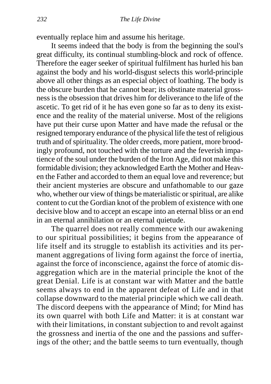eventually replace him and assume his heritage.

It seems indeed that the body is from the beginning the soul's great difficulty, its continual stumbling-block and rock of offence. Therefore the eager seeker of spiritual fulfilment has hurled his ban against the body and his world-disgust selects this world-principle above all other things as an especial object of loathing. The body is the obscure burden that he cannot bear; its obstinate material grossness is the obsession that drives him for deliverance to the life of the ascetic. To get rid of it he has even gone so far as to deny its existence and the reality of the material universe. Most of the religions have put their curse upon Matter and have made the refusal or the resigned temporary endurance of the physical life the test of religious truth and of spirituality. The older creeds, more patient, more broodingly profound, not touched with the torture and the feverish impatience of the soul under the burden of the Iron Age, did not make this formidable division; they acknowledged Earth the Mother and Heaven the Father and accorded to them an equal love and reverence; but their ancient mysteries are obscure and unfathomable to our gaze who, whether our view of things be materialistic or spiritual, are alike content to cut the Gordian knot of the problem of existence with one decisive blow and to accept an escape into an eternal bliss or an end in an eternal annihilation or an eternal quietude.

The quarrel does not really commence with our awakening to our spiritual possibilities; it begins from the appearance of life itself and its struggle to establish its activities and its permanent aggregations of living form against the force of inertia, against the force of inconscience, against the force of atomic disaggregation which are in the material principle the knot of the great Denial. Life is at constant war with Matter and the battle seems always to end in the apparent defeat of Life and in that collapse downward to the material principle which we call death. The discord deepens with the appearance of Mind; for Mind has its own quarrel with both Life and Matter: it is at constant war with their limitations, in constant subjection to and revolt against the grossness and inertia of the one and the passions and sufferings of the other; and the battle seems to turn eventually, though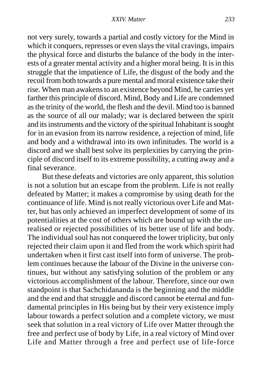not very surely, towards a partial and costly victory for the Mind in which it conquers, represses or even slays the vital cravings, impairs the physical force and disturbs the balance of the body in the interests of a greater mental activity and a higher moral being. It is in this struggle that the impatience of Life, the disgust of the body and the recoil from both towards a pure mental and moral existence take their rise. When man awakens to an existence beyond Mind, he carries yet farther this principle of discord. Mind, Body and Life are condemned as the trinity of the world, the flesh and the devil. Mind too is banned as the source of all our malady; war is declared between the spirit and its instruments and the victory of the spiritual Inhabitant is sought for in an evasion from its narrow residence, a rejection of mind, life and body and a withdrawal into its own infinitudes. The world is a discord and we shall best solve its perplexities by carrying the principle of discord itself to its extreme possibility, a cutting away and a final severance.

But these defeats and victories are only apparent, this solution is not a solution but an escape from the problem. Life is not really defeated by Matter; it makes a compromise by using death for the continuance of life. Mind is not really victorious over Life and Matter, but has only achieved an imperfect development of some of its potentialities at the cost of others which are bound up with the unrealised or rejected possibilities of its better use of life and body. The individual soul has not conquered the lower triplicity, but only rejected their claim upon it and fled from the work which spirit had undertaken when it first cast itself into form of universe. The problem continues because the labour of the Divine in the universe continues, but without any satisfying solution of the problem or any victorious accomplishment of the labour. Therefore, since our own standpoint is that Sachchidananda is the beginning and the middle and the end and that struggle and discord cannot be eternal and fundamental principles in His being but by their very existence imply labour towards a perfect solution and a complete victory, we must seek that solution in a real victory of Life over Matter through the free and perfect use of body by Life, in a real victory of Mind over Life and Matter through a free and perfect use of life-force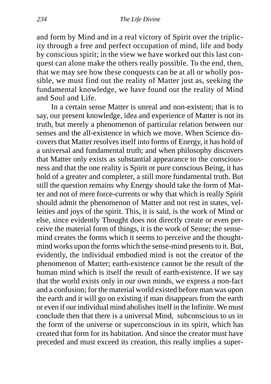and form by Mind and in a real victory of Spirit over the triplicity through a free and perfect occupation of mind, life and body by conscious spirit; in the view we have worked out this last conquest can alone make the others really possible. To the end, then, that we may see how these conquests can be at all or wholly possible, we must find out the reality of Matter just as, seeking the fundamental knowledge, we have found out the reality of Mind and Soul and Life.

In a certain sense Matter is unreal and non-existent; that is to say, our present knowledge, idea and experience of Matter is not its truth, but merely a phenomenon of particular relation between our senses and the all-existence in which we move. When Science discovers that Matter resolves itself into forms of Energy, it has hold of a universal and fundamental truth; and when philosophy discovers that Matter only exists as substantial appearance to the consciousness and that the one reality is Spirit or pure conscious Being, it has hold of a greater and completer, a still more fundamental truth. But still the question remains why Energy should take the form of Matter and not of mere force-currents or why that which is really Spirit should admit the phenomenon of Matter and not rest in states, velleities and joys of the spirit. This, it is said, is the work of Mind or else, since evidently Thought does not directly create or even perceive the material form of things, it is the work of Sense; the sensemind creates the forms which it seems to perceive and the thoughtmind works upon the forms which the sense-mind presents to it. But, evidently, the individual embodied mind is not the creator of the phenomenon of Matter; earth-existence cannot be the result of the human mind which is itself the result of earth-existence. If we say that the world exists only in our own minds, we express a non-fact and a confusion; for the material world existed before man was upon the earth and it will go on existing if man disappears from the earth or even if our individual mind abolishes itself in the Infinite. We must conclude then that there is a universal Mind, subconscious to us in the form of the universe or superconscious in its spirit, which has created that form for its habitation. And since the creator must have preceded and must exceed its creation, this really implies a super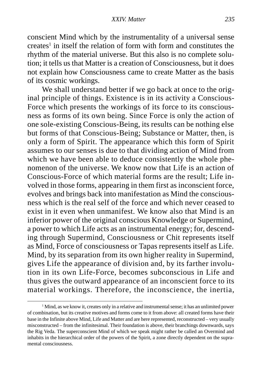conscient Mind which by the instrumentality of a universal sense creates<sup>1</sup> in itself the relation of form with form and constitutes the rhythm of the material universe. But this also is no complete solution; it tells us that Matter is a creation of Consciousness, but it does not explain how Consciousness came to create Matter as the basis of its cosmic workings.

We shall understand better if we go back at once to the original principle of things. Existence is in its activity a Conscious-Force which presents the workings of its force to its consciousness as forms of its own being. Since Force is only the action of one sole-existing Conscious-Being, its results can be nothing else but forms of that Conscious-Being; Substance or Matter, then, is only a form of Spirit. The appearance which this form of Spirit assumes to our senses is due to that dividing action of Mind from which we have been able to deduce consistently the whole phenomenon of the universe. We know now that Life is an action of Conscious-Force of which material forms are the result; Life involved in those forms, appearing in them first as inconscient force, evolves and brings back into manifestation as Mind the consciousness which is the real self of the force and which never ceased to exist in it even when unmanifest. We know also that Mind is an inferior power of the original conscious Knowledge or Supermind, a power to which Life acts as an instrumental energy; for, descending through Supermind, Consciousness or Chit represents itself as Mind, Force of consciousness or Tapas represents itself as Life. Mind, by its separation from its own higher reality in Supermind, gives Life the appearance of division and, by its farther involution in its own Life-Force, becomes subconscious in Life and thus gives the outward appearance of an inconscient force to its material workings. Therefore, the inconscience, the inertia,

<sup>1</sup> Mind, as we know it, creates only in a relative and instrumental sense; it has an unlimited power of combination, but its creative motives and forms come to it from above: all created forms have their base in the Infinite above Mind, Life and Matter and are here represented, reconstructed – very usually misconstructed – from the infinitesimal. Their foundation is above, their branchings downwards, says the Rig Veda. The superconscient Mind of which we speak might rather be called an Overmind and inhabits in the hierarchical order of the powers of the Spirit, a zone directly dependent on the supramental consciousness.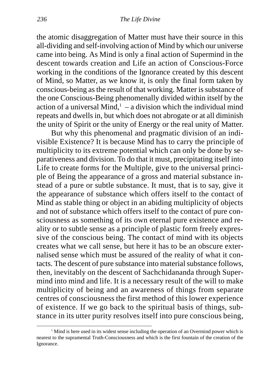the atomic disaggregation of Matter must have their source in this all-dividing and self-involving action of Mind by which our universe came into being. As Mind is only a final action of Supermind in the descent towards creation and Life an action of Conscious-Force working in the conditions of the Ignorance created by this descent of Mind, so Matter, as we know it, is only the final form taken by conscious-being as the result of that working. Matter is substance of the one Conscious-Being phenomenally divided within itself by the action of a universal Mind, $1 - a$  division which the individual mind repeats and dwells in, but which does not abrogate or at all diminish the unity of Spirit or the unity of Energy or the real unity of Matter.

But why this phenomenal and pragmatic division of an indivisible Existence? It is because Mind has to carry the principle of multiplicity to its extreme potential which can only be done by separativeness and division. To do that it must, precipitating itself into Life to create forms for the Multiple, give to the universal principle of Being the appearance of a gross and material substance instead of a pure or subtle substance. It must, that is to say, give it the appearance of substance which offers itself to the contact of Mind as stable thing or object in an abiding multiplicity of objects and not of substance which offers itself to the contact of pure consciousness as something of its own eternal pure existence and reality or to subtle sense as a principle of plastic form freely expressive of the conscious being. The contact of mind with its objects creates what we call sense, but here it has to be an obscure externalised sense which must be assured of the reality of what it contacts. The descent of pure substance into material substance follows, then, inevitably on the descent of Sachchidananda through Supermind into mind and life. It is a necessary result of the will to make multiplicity of being and an awareness of things from separate centres of consciousness the first method of this lower experience of existence. If we go back to the spiritual basis of things, substance in its utter purity resolves itself into pure conscious being,

<sup>&</sup>lt;sup>1</sup> Mind is here used in its widest sense including the operation of an Overmind power which is nearest to the supramental Truth-Consciousness and which is the first fountain of the creation of the Ignorance.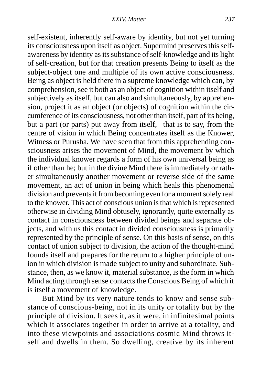self-existent, inherently self-aware by identity, but not yet turning its consciousness upon itself as object. Supermind preserves this selfawareness by identity as its substance of self-knowledge and its light of self-creation, but for that creation presents Being to itself as the subject-object one and multiple of its own active consciousness. Being as object is held there in a supreme knowledge which can, by comprehension, see it both as an object of cognition within itself and subjectively as itself, but can also and simultaneously, by apprehension, project it as an object (or objects) of cognition within the circumference of its consciousness, not other than itself, part of its being, but a part (or parts) put away from itself,– that is to say, from the centre of vision in which Being concentrates itself as the Knower, Witness or Purusha. We have seen that from this apprehending consciousness arises the movement of Mind, the movement by which the individual knower regards a form of his own universal being as if other than he; but in the divine Mind there is immediately or rather simultaneously another movement or reverse side of the same movement, an act of union in being which heals this phenomenal division and prevents it from becoming even for a moment solely real to the knower. This act of conscious union is that which is represented otherwise in dividing Mind obtusely, ignorantly, quite externally as contact in consciousness between divided beings and separate objects, and with us this contact in divided consciousness is primarily represented by the principle of sense. On this basis of sense, on this contact of union subject to division, the action of the thought-mind founds itself and prepares for the return to a higher principle of union in which division is made subject to unity and subordinate. Substance, then, as we know it, material substance, is the form in which Mind acting through sense contacts the Conscious Being of which it is itself a movement of knowledge.

But Mind by its very nature tends to know and sense substance of conscious-being, not in its unity or totality but by the principle of division. It sees it, as it were, in infinitesimal points which it associates together in order to arrive at a totality, and into these viewpoints and associations cosmic Mind throws itself and dwells in them. So dwelling, creative by its inherent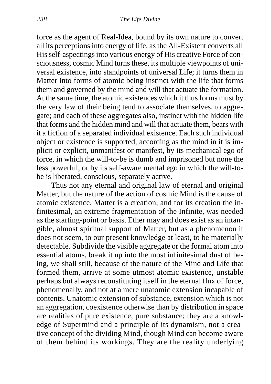force as the agent of Real-Idea, bound by its own nature to convert all its perceptions into energy of life, as the All-Existent converts all His self-aspectings into various energy of His creative Force of consciousness, cosmic Mind turns these, its multiple viewpoints of universal existence, into standpoints of universal Life; it turns them in Matter into forms of atomic being instinct with the life that forms them and governed by the mind and will that actuate the formation. At the same time, the atomic existences which it thus forms must by the very law of their being tend to associate themselves, to aggregate; and each of these aggregates also, instinct with the hidden life that forms and the hidden mind and will that actuate them, bears with it a fiction of a separated individual existence. Each such individual object or existence is supported, according as the mind in it is implicit or explicit, unmanifest or manifest, by its mechanical ego of force, in which the will-to-be is dumb and imprisoned but none the less powerful, or by its self-aware mental ego in which the will-tobe is liberated, conscious, separately active.

Thus not any eternal and original law of eternal and original Matter, but the nature of the action of cosmic Mind is the cause of atomic existence. Matter is a creation, and for its creation the infinitesimal, an extreme fragmentation of the Infinite, was needed as the starting-point or basis. Ether may and does exist as an intangible, almost spiritual support of Matter, but as a phenomenon it does not seem, to our present knowledge at least, to be materially detectable. Subdivide the visible aggregate or the formal atom into essential atoms, break it up into the most infinitesimal dust of being, we shall still, because of the nature of the Mind and Life that formed them, arrive at some utmost atomic existence, unstable perhaps but always reconstituting itself in the eternal flux of force, phenomenally, and not at a mere unatomic extension incapable of contents. Unatomic extension of substance, extension which is not an aggregation, coexistence otherwise than by distribution in space are realities of pure existence, pure substance; they are a knowledge of Supermind and a principle of its dynamism, not a creative concept of the dividing Mind, though Mind can become aware of them behind its workings. They are the reality underlying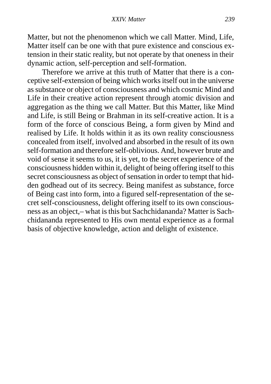Matter, but not the phenomenon which we call Matter. Mind, Life, Matter itself can be one with that pure existence and conscious extension in their static reality, but not operate by that oneness in their dynamic action, self-perception and self-formation.

Therefore we arrive at this truth of Matter that there is a conceptive self-extension of being which works itself out in the universe as substance or object of consciousness and which cosmic Mind and Life in their creative action represent through atomic division and aggregation as the thing we call Matter. But this Matter, like Mind and Life, is still Being or Brahman in its self-creative action. It is a form of the force of conscious Being, a form given by Mind and realised by Life. It holds within it as its own reality consciousness concealed from itself, involved and absorbed in the result of its own self-formation and therefore self-oblivious. And, however brute and void of sense it seems to us, it is yet, to the secret experience of the consciousness hidden within it, delight of being offering itself to this secret consciousness as object of sensation in order to tempt that hidden godhead out of its secrecy. Being manifest as substance, force of Being cast into form, into a figured self-representation of the secret self-consciousness, delight offering itself to its own consciousness as an object,– what is this but Sachchidananda? Matter is Sachchidananda represented to His own mental experience as a formal basis of objective knowledge, action and delight of existence.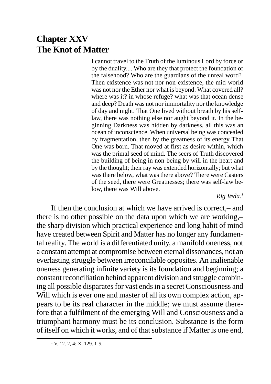## **Chapter XXV The Knot of Matter**

I cannot travel to the Truth of the luminous Lord by force or by the duality.... Who are they that protect the foundation of the falsehood? Who are the guardians of the unreal word? Then existence was not nor non-existence, the mid-world was not nor the Ether nor what is beyond. What covered all? where was it? in whose refuge? what was that ocean dense and deep? Death was not nor immortality nor the knowledge of day and night. That One lived without breath by his selflaw, there was nothing else nor aught beyond it. In the beginning Darkness was hidden by darkness, all this was an ocean of inconscience. When universal being was concealed by fragmentation, then by the greatness of its energy That One was born. That moved at first as desire within, which was the primal seed of mind. The seers of Truth discovered the building of being in non-being by will in the heart and by the thought; their ray was extended horizontally; but what was there below, what was there above? There were Casters of the seed, there were Greatnesses; there was self-law below, there was Will above.

*Rig Veda.1*

If then the conclusion at which we have arrived is correct,– and there is no other possible on the data upon which we are working,– the sharp division which practical experience and long habit of mind have created between Spirit and Matter has no longer any fundamental reality. The world is a differentiated unity, a manifold oneness, not a constant attempt at compromise between eternal dissonances, not an everlasting struggle between irreconcilable opposites. An inalienable oneness generating infinite variety is its foundation and beginning; a constant reconciliation behind apparent division and struggle combining all possible disparates for vast ends in a secret Consciousness and Will which is ever one and master of all its own complex action, appears to be its real character in the middle; we must assume therefore that a fulfilment of the emerging Will and Consciousness and a triumphant harmony must be its conclusion. Substance is the form of itself on which it works, and of that substance if Matter is one end,

<sup>1</sup> V. 12. 2, 4; X. 129. 1-5.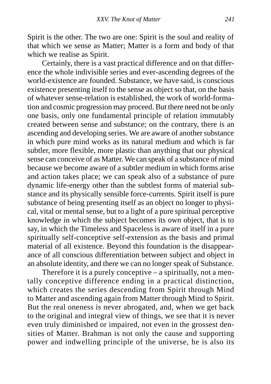Spirit is the other. The two are one: Spirit is the soul and reality of that which we sense as Matter; Matter is a form and body of that which we realise as Spirit.

Certainly, there is a vast practical difference and on that difference the whole indivisible series and ever-ascending degrees of the world-existence are founded. Substance, we have said, is conscious existence presenting itself to the sense as object so that, on the basis of whatever sense-relation is established, the work of world-formation and cosmic progression may proceed. But there need not be only one basis, only one fundamental principle of relation immutably created between sense and substance; on the contrary, there is an ascending and developing series. We are aware of another substance in which pure mind works as its natural medium and which is far subtler, more flexible, more plastic than anything that our physical sense can conceive of as Matter. We can speak of a substance of mind because we become aware of a subtler medium in which forms arise and action takes place; we can speak also of a substance of pure dynamic life-energy other than the subtlest forms of material substance and its physically sensible force-currents. Spirit itself is pure substance of being presenting itself as an object no longer to physical, vital or mental sense, but to a light of a pure spiritual perceptive knowledge in which the subject becomes its own object, that is to say, in which the Timeless and Spaceless is aware of itself in a pure spiritually self-conceptive self-extension as the basis and primal material of all existence. Beyond this foundation is the disappearance of all conscious differentiation between subject and object in an absolute identity, and there we can no longer speak of Substance.

Therefore it is a purely conceptive – a spiritually, not a mentally conceptive difference ending in a practical distinction, which creates the series descending from Spirit through Mind to Matter and ascending again from Matter through Mind to Spirit. But the real oneness is never abrogated, and, when we get back to the original and integral view of things, we see that it is never even truly diminished or impaired, not even in the grossest densities of Matter. Brahman is not only the cause and supporting power and indwelling principle of the universe, he is also its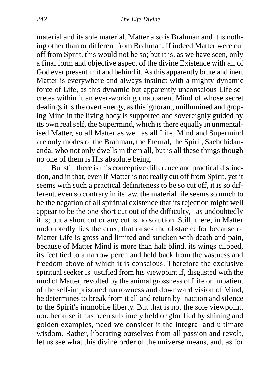material and its sole material. Matter also is Brahman and it is nothing other than or different from Brahman. If indeed Matter were cut off from Spirit, this would not be so; but it is, as we have seen, only a final form and objective aspect of the divine Existence with all of God ever present in it and behind it. As this apparently brute and inert Matter is everywhere and always instinct with a mighty dynamic force of Life, as this dynamic but apparently unconscious Life secretes within it an ever-working unapparent Mind of whose secret dealings it is the overt energy, as this ignorant, unillumined and groping Mind in the living body is supported and sovereignly guided by its own real self, the Supermind, which is there equally in unmentalised Matter, so all Matter as well as all Life, Mind and Supermind are only modes of the Brahman, the Eternal, the Spirit, Sachchidananda, who not only dwells in them all, but is all these things though no one of them is His absolute being.

But still there is this conceptive difference and practical distinction, and in that, even if Matter is not really cut off from Spirit, yet it seems with such a practical definiteness to be so cut off, it is so different, even so contrary in its law, the material life seems so much to be the negation of all spiritual existence that its rejection might well appear to be the one short cut out of the difficulty,– as undoubtedly it is; but a short cut or any cut is no solution. Still, there, in Matter undoubtedly lies the crux; that raises the obstacle: for because of Matter Life is gross and limited and stricken with death and pain, because of Matter Mind is more than half blind, its wings clipped, its feet tied to a narrow perch and held back from the vastness and freedom above of which it is conscious. Therefore the exclusive spiritual seeker is justified from his viewpoint if, disgusted with the mud of Matter, revolted by the animal grossness of Life or impatient of the self-imprisoned narrowness and downward vision of Mind, he determines to break from it all and return by inaction and silence to the Spirit's immobile liberty. But that is not the sole viewpoint, nor, because it has been sublimely held or glorified by shining and golden examples, need we consider it the integral and ultimate wisdom. Rather, liberating ourselves from all passion and revolt, let us see what this divine order of the universe means, and, as for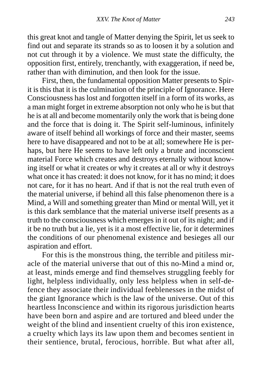this great knot and tangle of Matter denying the Spirit, let us seek to find out and separate its strands so as to loosen it by a solution and not cut through it by a violence. We must state the difficulty, the opposition first, entirely, trenchantly, with exaggeration, if need be, rather than with diminution, and then look for the issue.

First, then, the fundamental opposition Matter presents to Spirit is this that it is the culmination of the principle of Ignorance. Here Consciousness has lost and forgotten itself in a form of its works, as a man might forget in extreme absorption not only who he is but that he is at all and become momentarily only the work that is being done and the force that is doing it. The Spirit self-luminous, infinitely aware of itself behind all workings of force and their master, seems here to have disappeared and not to be at all; somewhere He is perhaps, but here He seems to have left only a brute and inconscient material Force which creates and destroys eternally without knowing itself or what it creates or why it creates at all or why it destroys what once it has created: it does not know, for it has no mind; it does not care, for it has no heart. And if that is not the real truth even of the material universe, if behind all this false phenomenon there is a Mind, a Will and something greater than Mind or mental Will, yet it is this dark semblance that the material universe itself presents as a truth to the consciousness which emerges in it out of its night; and if it be no truth but a lie, yet is it a most effective lie, for it determines the conditions of our phenomenal existence and besieges all our aspiration and effort.

For this is the monstrous thing, the terrible and pitiless miracle of the material universe that out of this no-Mind a mind or, at least, minds emerge and find themselves struggling feebly for light, helpless individually, only less helpless when in self-defence they associate their individual feeblenesses in the midst of the giant Ignorance which is the law of the universe. Out of this heartless Inconscience and within its rigorous jurisdiction hearts have been born and aspire and are tortured and bleed under the weight of the blind and insentient cruelty of this iron existence, a cruelty which lays its law upon them and becomes sentient in their sentience, brutal, ferocious, horrible. But what after all,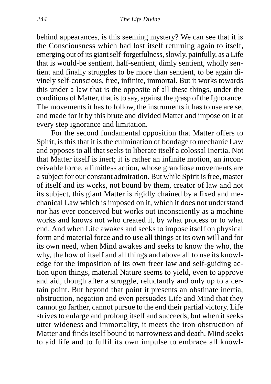behind appearances, is this seeming mystery? We can see that it is the Consciousness which had lost itself returning again to itself, emerging out of its giant self-forgetfulness, slowly, painfully, as a Life that is would-be sentient, half-sentient, dimly sentient, wholly sentient and finally struggles to be more than sentient, to be again divinely self-conscious, free, infinite, immortal. But it works towards this under a law that is the opposite of all these things, under the conditions of Matter, that is to say, against the grasp of the Ignorance. The movements it has to follow, the instruments it has to use are set and made for it by this brute and divided Matter and impose on it at every step ignorance and limitation.

For the second fundamental opposition that Matter offers to Spirit, is this that it is the culmination of bondage to mechanic Law and opposes to all that seeks to liberate itself a colossal Inertia. Not that Matter itself is inert; it is rather an infinite motion, an inconceivable force, a limitless action, whose grandiose movements are a subject for our constant admiration. But while Spirit is free, master of itself and its works, not bound by them, creator of law and not its subject, this giant Matter is rigidly chained by a fixed and mechanical Law which is imposed on it, which it does not understand nor has ever conceived but works out inconsciently as a machine works and knows not who created it, by what process or to what end. And when Life awakes and seeks to impose itself on physical form and material force and to use all things at its own will and for its own need, when Mind awakes and seeks to know the who, the why, the how of itself and all things and above all to use its knowledge for the imposition of its own freer law and self-guiding action upon things, material Nature seems to yield, even to approve and aid, though after a struggle, reluctantly and only up to a certain point. But beyond that point it presents an obstinate inertia, obstruction, negation and even persuades Life and Mind that they cannot go farther, cannot pursue to the end their partial victory. Life strives to enlarge and prolong itself and succeeds; but when it seeks utter wideness and immortality, it meets the iron obstruction of Matter and finds itself bound to narrowness and death. Mind seeks to aid life and to fulfil its own impulse to embrace all knowl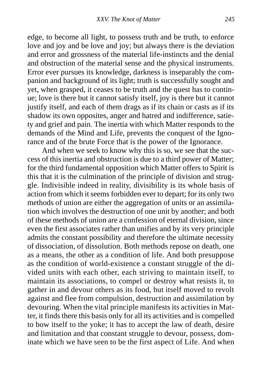edge, to become all light, to possess truth and be truth, to enforce love and joy and be love and joy; but always there is the deviation and error and grossness of the material life-instincts and the denial and obstruction of the material sense and the physical instruments. Error ever pursues its knowledge, darkness is inseparably the companion and background of its light; truth is successfully sought and yet, when grasped, it ceases to be truth and the quest has to continue; love is there but it cannot satisfy itself, joy is there but it cannot justify itself, and each of them drags as if its chain or casts as if its shadow its own opposites, anger and hatred and indifference, satiety and grief and pain. The inertia with which Matter responds to the demands of the Mind and Life, prevents the conquest of the Ignorance and of the brute Force that is the power of the Ignorance.

And when we seek to know why this is so, we see that the success of this inertia and obstruction is due to a third power of Matter; for the third fundamental opposition which Matter offers to Spirit is this that it is the culmination of the principle of division and struggle. Indivisible indeed in reality, divisibility is its whole basis of action from which it seems forbidden ever to depart; for its only two methods of union are either the aggregation of units or an assimilation which involves the destruction of one unit by another; and both of these methods of union are a confession of eternal division, since even the first associates rather than unifies and by its very principle admits the constant possibility and therefore the ultimate necessity of dissociation, of dissolution. Both methods repose on death, one as a means, the other as a condition of life. And both presuppose as the condition of world-existence a constant struggle of the divided units with each other, each striving to maintain itself, to maintain its associations, to compel or destroy what resists it, to gather in and devour others as its food, but itself moved to revolt against and flee from compulsion, destruction and assimilation by devouring. When the vital principle manifests its activities in Matter, it finds there this basis only for all its activities and is compelled to bow itself to the yoke; it has to accept the law of death, desire and limitation and that constant struggle to devour, possess, dominate which we have seen to be the first aspect of Life. And when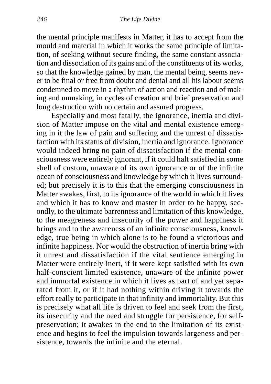the mental principle manifests in Matter, it has to accept from the mould and material in which it works the same principle of limitation, of seeking without secure finding, the same constant association and dissociation of its gains and of the constituents of its works, so that the knowledge gained by man, the mental being, seems never to be final or free from doubt and denial and all his labour seems condemned to move in a rhythm of action and reaction and of making and unmaking, in cycles of creation and brief preservation and long destruction with no certain and assured progress.

Especially and most fatally, the ignorance, inertia and division of Matter impose on the vital and mental existence emerging in it the law of pain and suffering and the unrest of dissatisfaction with its status of division, inertia and ignorance. Ignorance would indeed bring no pain of dissatisfaction if the mental consciousness were entirely ignorant, if it could halt satisfied in some shell of custom, unaware of its own ignorance or of the infinite ocean of consciousness and knowledge by which it lives surrounded; but precisely it is to this that the emerging consciousness in Matter awakes, first, to its ignorance of the world in which it lives and which it has to know and master in order to be happy, secondly, to the ultimate barrenness and limitation of this knowledge, to the meagreness and insecurity of the power and happiness it brings and to the awareness of an infinite consciousness, knowledge, true being in which alone is to be found a victorious and infinite happiness. Nor would the obstruction of inertia bring with it unrest and dissatisfaction if the vital sentience emerging in Matter were entirely inert, if it were kept satisfied with its own half-conscient limited existence, unaware of the infinite power and immortal existence in which it lives as part of and yet separated from it, or if it had nothing within driving it towards the effort really to participate in that infinity and immortality. But this is precisely what all life is driven to feel and seek from the first, its insecurity and the need and struggle for persistence, for selfpreservation; it awakes in the end to the limitation of its existence and begins to feel the impulsion towards largeness and persistence, towards the infinite and the eternal.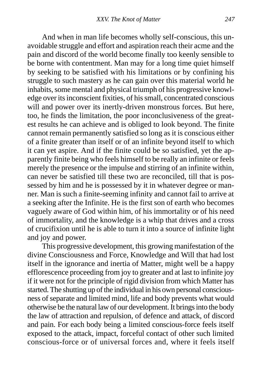And when in man life becomes wholly self-conscious, this unavoidable struggle and effort and aspiration reach their acme and the pain and discord of the world become finally too keenly sensible to be borne with contentment. Man may for a long time quiet himself by seeking to be satisfied with his limitations or by confining his struggle to such mastery as he can gain over this material world he inhabits, some mental and physical triumph of his progressive knowledge over its inconscient fixities, of his small, concentrated conscious will and power over its inertly-driven monstrous forces. But here, too, he finds the limitation, the poor inconclusiveness of the greatest results he can achieve and is obliged to look beyond. The finite cannot remain permanently satisfied so long as it is conscious either of a finite greater than itself or of an infinite beyond itself to which it can yet aspire. And if the finite could be so satisfied, yet the apparently finite being who feels himself to be really an infinite or feels merely the presence or the impulse and stirring of an infinite within, can never be satisfied till these two are reconciled, till that is possessed by him and he is possessed by it in whatever degree or manner. Man is such a finite-seeming infinity and cannot fail to arrive at a seeking after the Infinite. He is the first son of earth who becomes vaguely aware of God within him, of his immortality or of his need of immortality, and the knowledge is a whip that drives and a cross of crucifixion until he is able to turn it into a source of infinite light and joy and power.

This progressive development, this growing manifestation of the divine Consciousness and Force, Knowledge and Will that had lost itself in the ignorance and inertia of Matter, might well be a happy efflorescence proceeding from joy to greater and at last to infinite joy if it were not for the principle of rigid division from which Matter has started. The shutting up of the individual in his own personal consciousness of separate and limited mind, life and body prevents what would otherwise be the natural law of our development. It brings into the body the law of attraction and repulsion, of defence and attack, of discord and pain. For each body being a limited conscious-force feels itself exposed to the attack, impact, forceful contact of other such limited conscious-force or of universal forces and, where it feels itself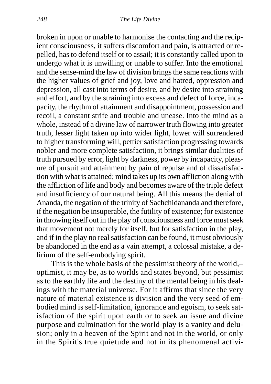broken in upon or unable to harmonise the contacting and the recipient consciousness, it suffers discomfort and pain, is attracted or repelled, has to defend itself or to assail; it is constantly called upon to undergo what it is unwilling or unable to suffer. Into the emotional and the sense-mind the law of division brings the same reactions with the higher values of grief and joy, love and hatred, oppression and depression, all cast into terms of desire, and by desire into straining and effort, and by the straining into excess and defect of force, incapacity, the rhythm of attainment and disappointment, possession and recoil, a constant strife and trouble and unease. Into the mind as a whole, instead of a divine law of narrower truth flowing into greater truth, lesser light taken up into wider light, lower will surrendered to higher transforming will, pettier satisfaction progressing towards nobler and more complete satisfaction, it brings similar dualities of truth pursued by error, light by darkness, power by incapacity, pleasure of pursuit and attainment by pain of repulse and of dissatisfaction with what is attained; mind takes up its own affliction along with the affliction of life and body and becomes aware of the triple defect and insufficiency of our natural being. All this means the denial of Ananda, the negation of the trinity of Sachchidananda and therefore, if the negation be insuperable, the futility of existence; for existence in throwing itself out in the play of consciousness and force must seek that movement not merely for itself, but for satisfaction in the play, and if in the play no real satisfaction can be found, it must obviously be abandoned in the end as a vain attempt, a colossal mistake, a delirium of the self-embodying spirit.

This is the whole basis of the pessimist theory of the world,– optimist, it may be, as to worlds and states beyond, but pessimist as to the earthly life and the destiny of the mental being in his dealings with the material universe. For it affirms that since the very nature of material existence is division and the very seed of embodied mind is self-limitation, ignorance and egoism, to seek satisfaction of the spirit upon earth or to seek an issue and divine purpose and culmination for the world-play is a vanity and delusion; only in a heaven of the Spirit and not in the world, or only in the Spirit's true quietude and not in its phenomenal activi-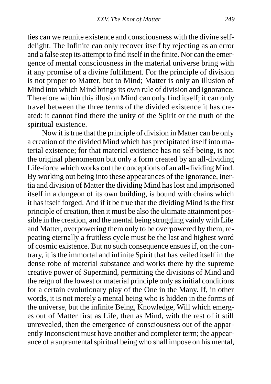ties can we reunite existence and consciousness with the divine selfdelight. The Infinite can only recover itself by rejecting as an error and a false step its attempt to find itself in the finite. Nor can the emergence of mental consciousness in the material universe bring with it any promise of a divine fulfilment. For the principle of division is not proper to Matter, but to Mind; Matter is only an illusion of Mind into which Mind brings its own rule of division and ignorance. Therefore within this illusion Mind can only find itself; it can only travel between the three terms of the divided existence it has created: it cannot find there the unity of the Spirit or the truth of the spiritual existence.

Now it is true that the principle of division in Matter can be only a creation of the divided Mind which has precipitated itself into material existence; for that material existence has no self-being, is not the original phenomenon but only a form created by an all-dividing Life-force which works out the conceptions of an all-dividing Mind. By working out being into these appearances of the ignorance, inertia and division of Matter the dividing Mind has lost and imprisoned itself in a dungeon of its own building, is bound with chains which it has itself forged. And if it be true that the dividing Mind is the first principle of creation, then it must be also the ultimate attainment possible in the creation, and the mental being struggling vainly with Life and Matter, overpowering them only to be overpowered by them, repeating eternally a fruitless cycle must be the last and highest word of cosmic existence. But no such consequence ensues if, on the contrary, it is the immortal and infinite Spirit that has veiled itself in the dense robe of material substance and works there by the supreme creative power of Supermind, permitting the divisions of Mind and the reign of the lowest or material principle only as initial conditions for a certain evolutionary play of the One in the Many. If, in other words, it is not merely a mental being who is hidden in the forms of the universe, but the infinite Being, Knowledge, Will which emerges out of Matter first as Life, then as Mind, with the rest of it still unrevealed, then the emergence of consciousness out of the apparently Inconscient must have another and completer term; the appearance of a supramental spiritual being who shall impose on his mental,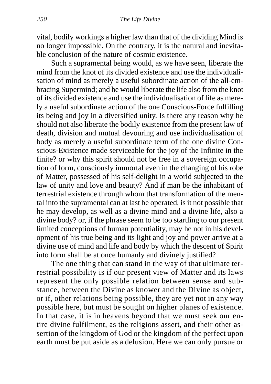vital, bodily workings a higher law than that of the dividing Mind is no longer impossible. On the contrary, it is the natural and inevitable conclusion of the nature of cosmic existence.

Such a supramental being would, as we have seen, liberate the mind from the knot of its divided existence and use the individualisation of mind as merely a useful subordinate action of the all-embracing Supermind; and he would liberate the life also from the knot of its divided existence and use the individualisation of life as merely a useful subordinate action of the one Conscious-Force fulfilling its being and joy in a diversified unity. Is there any reason why he should not also liberate the bodily existence from the present law of death, division and mutual devouring and use individualisation of body as merely a useful subordinate term of the one divine Conscious-Existence made serviceable for the joy of the Infinite in the finite? or why this spirit should not be free in a sovereign occupation of form, consciously immortal even in the changing of his robe of Matter, possessed of his self-delight in a world subjected to the law of unity and love and beauty? And if man be the inhabitant of terrestrial existence through whom that transformation of the mental into the supramental can at last be operated, is it not possible that he may develop, as well as a divine mind and a divine life, also a divine body? or, if the phrase seem to be too startling to our present limited conceptions of human potentiality, may he not in his development of his true being and its light and joy and power arrive at a divine use of mind and life and body by which the descent of Spirit into form shall be at once humanly and divinely justified?

The one thing that can stand in the way of that ultimate terrestrial possibility is if our present view of Matter and its laws represent the only possible relation between sense and substance, between the Divine as knower and the Divine as object, or if, other relations being possible, they are yet not in any way possible here, but must be sought on higher planes of existence. In that case, it is in heavens beyond that we must seek our entire divine fulfilment, as the religions assert, and their other assertion of the kingdom of God or the kingdom of the perfect upon earth must be put aside as a delusion. Here we can only pursue or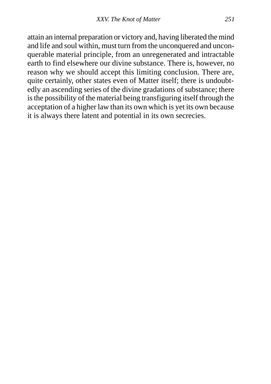attain an internal preparation or victory and, having liberated the mind and life and soul within, must turn from the unconquered and unconquerable material principle, from an unregenerated and intractable earth to find elsewhere our divine substance. There is, however, no reason why we should accept this limiting conclusion. There are, quite certainly, other states even of Matter itself; there is undoubtedly an ascending series of the divine gradations of substance; there is the possibility of the material being transfiguring itself through the acceptation of a higher law than its own which is yet its own because it is always there latent and potential in its own secrecies.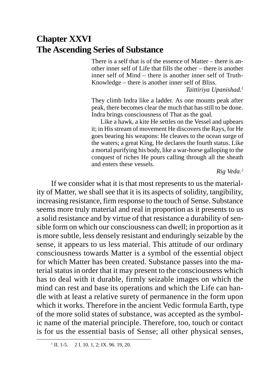## **Chapter XXVI The Ascending Series of Substance**

There is a self that is of the essence of Matter – there is another inner self of Life that fills the other – there is another inner self of Mind – there is another inner self of Truth-Knowledge – there is another inner self of Bliss.

*Taittiriya Upanishad.1*

They climb Indra like a ladder. As one mounts peak after peak, there becomes clear the much that has still to be done. Indra brings consciousness of That as the goal.

Like a hawk, a kite He settles on the Vessel and upbears it; in His stream of movement He discovers the Rays, for He goes bearing his weapons: He cleaves to the ocean surge of the waters; a great King, He declares the fourth status. Like a mortal purifying his body, like a war-horse galloping to the conquest of riches He pours calling through all the sheath and enters these vessels.

*Rig Veda.2*

If we consider what it is that most represents to us the materiality of Matter, we shall see that it is its aspects of solidity, tangibility, increasing resistance, firm response to the touch of Sense. Substance seems more truly material and real in proportion as it presents to us a solid resistance and by virtue of that resistance a durability of sensible form on which our consciousness can dwell; in proportion as it is more subtle, less densely resistant and enduringly seizable by the sense, it appears to us less material. This attitude of our ordinary consciousness towards Matter is a symbol of the essential object for which Matter has been created. Substance passes into the material status in order that it may present to the consciousness which has to deal with it durable, firmly seizable images on which the mind can rest and base its operations and which the Life can handle with at least a relative surety of permanence in the form upon which it works. Therefore in the ancient Vedic formula Earth, type of the more solid states of substance, was accepted as the symbolic name of the material principle. Therefore, too, touch or contact is for us the essential basis of Sense; all other physical senses,

<sup>&</sup>lt;sup>1</sup> II. 1-5. 2 I. 10. 1, 2; IX. 96. 19, 20.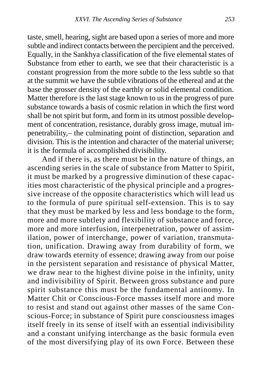taste, smell, hearing, sight are based upon a series of more and more subtle and indirect contacts between the percipient and the perceived. Equally, in the Sankhya classification of the five elemental states of Substance from ether to earth, we see that their characteristic is a constant progression from the more subtle to the less subtle so that at the summit we have the subtle vibrations of the ethereal and at the base the grosser density of the earthly or solid elemental condition. Matter therefore is the last stage known to us in the progress of pure substance towards a basis of cosmic relation in which the first word shall be not spirit but form, and form in its utmost possible development of concentration, resistance, durably gross image, mutual impenetrability,– the culminating point of distinction, separation and division. This is the intention and character of the material universe; it is the formula of accomplished divisibility.

And if there is, as there must be in the nature of things, an ascending series in the scale of substance from Matter to Spirit, it must be marked by a progressive diminution of these capacities most characteristic of the physical principle and a progressive increase of the opposite characteristics which will lead us to the formula of pure spiritual self-extension. This is to say that they must be marked by less and less bondage to the form, more and more subtlety and flexibility of substance and force, more and more interfusion, interpenetration, power of assimilation, power of interchange, power of variation, transmutation, unification. Drawing away from durability of form, we draw towards eternity of essence; drawing away from our poise in the persistent separation and resistance of physical Matter, we draw near to the highest divine poise in the infinity, unity and indivisibility of Spirit. Between gross substance and pure spirit substance this must be the fundamental antinomy. In Matter Chit or Conscious-Force masses itself more and more to resist and stand out against other masses of the same Conscious-Force; in substance of Spirit pure consciousness images itself freely in its sense of itself with an essential indivisibility and a constant unifying interchange as the basic formula even of the most diversifying play of its own Force. Between these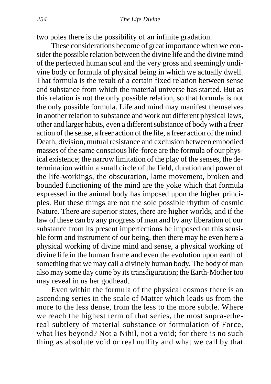two poles there is the possibility of an infinite gradation.

These considerations become of great importance when we consider the possible relation between the divine life and the divine mind of the perfected human soul and the very gross and seemingly undivine body or formula of physical being in which we actually dwell. That formula is the result of a certain fixed relation between sense and substance from which the material universe has started. But as this relation is not the only possible relation, so that formula is not the only possible formula. Life and mind may manifest themselves in another relation to substance and work out different physical laws, other and larger habits, even a different substance of body with a freer action of the sense, a freer action of the life, a freer action of the mind. Death, division, mutual resistance and exclusion between embodied masses of the same conscious life-force are the formula of our physical existence; the narrow limitation of the play of the senses, the determination within a small circle of the field, duration and power of the life-workings, the obscuration, lame movement, broken and bounded functioning of the mind are the yoke which that formula expressed in the animal body has imposed upon the higher principles. But these things are not the sole possible rhythm of cosmic Nature. There are superior states, there are higher worlds, and if the law of these can by any progress of man and by any liberation of our substance from its present imperfections be imposed on this sensible form and instrument of our being, then there may be even here a physical working of divine mind and sense, a physical working of divine life in the human frame and even the evolution upon earth of something that we may call a divinely human body. The body of man also may some day come by its transfiguration; the Earth-Mother too may reveal in us her godhead.

Even within the formula of the physical cosmos there is an ascending series in the scale of Matter which leads us from the more to the less dense, from the less to the more subtle. Where we reach the highest term of that series, the most supra-ethereal subtlety of material substance or formulation of Force, what lies beyond? Not a Nihil, not a void; for there is no such thing as absolute void or real nullity and what we call by that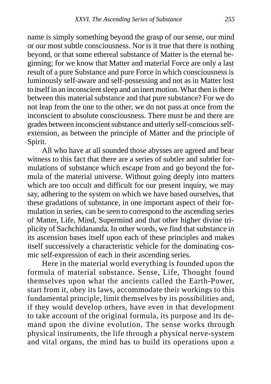name is simply something beyond the grasp of our sense, our mind or our most subtle consciousness. Nor is it true that there is nothing beyond, or that some ethereal substance of Matter is the eternal beginning; for we know that Matter and material Force are only a last result of a pure Substance and pure Force in which consciousness is luminously self-aware and self-possessing and not as in Matter lost to itself in an inconscient sleep and an inert motion. What then is there between this material substance and that pure substance? For we do not leap from the one to the other, we do not pass at once from the inconscient to absolute consciousness. There must be and there are grades between inconscient substance and utterly self-conscious selfextension, as between the principle of Matter and the principle of Spirit.

All who have at all sounded those abysses are agreed and bear witness to this fact that there are a series of subtler and subtler formulations of substance which escape from and go beyond the formula of the material universe. Without going deeply into matters which are too occult and difficult for our present inquiry, we may say, adhering to the system on which we have based ourselves, that these gradations of substance, in one important aspect of their formulation in series, can be seen to correspond to the ascending series of Matter, Life, Mind, Supermind and that other higher divine triplicity of Sachchidananda. In other words, we find that substance in its ascension bases itself upon each of these principles and makes itself successively a characteristic vehicle for the dominating cosmic self-expression of each in their ascending series.

Here in the material world everything is founded upon the formula of material substance. Sense, Life, Thought found themselves upon what the ancients called the Earth-Power, start from it, obey its laws, accommodate their workings to this fundamental principle, limit themselves by its possibilities and, if they would develop others, have even in that development to take account of the original formula, its purpose and its demand upon the divine evolution. The sense works through physical instruments, the life through a physical nerve-system and vital organs, the mind has to build its operations upon a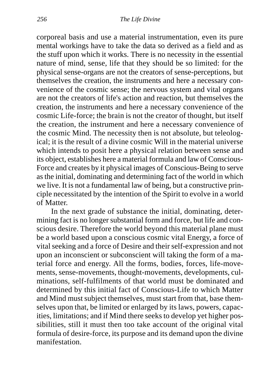corporeal basis and use a material instrumentation, even its pure mental workings have to take the data so derived as a field and as the stuff upon which it works. There is no necessity in the essential nature of mind, sense, life that they should be so limited: for the physical sense-organs are not the creators of sense-perceptions, but themselves the creation, the instruments and here a necessary convenience of the cosmic sense; the nervous system and vital organs are not the creators of life's action and reaction, but themselves the creation, the instruments and here a necessary convenience of the cosmic Life-force; the brain is not the creator of thought, but itself the creation, the instrument and here a necessary convenience of the cosmic Mind. The necessity then is not absolute, but teleological; it is the result of a divine cosmic Will in the material universe which intends to posit here a physical relation between sense and its object, establishes here a material formula and law of Conscious-Force and creates by it physical images of Conscious-Being to serve as the initial, dominating and determining fact of the world in which we live. It is not a fundamental law of being, but a constructive principle necessitated by the intention of the Spirit to evolve in a world of Matter.

In the next grade of substance the initial, dominating, determining fact is no longer substantial form and force, but life and conscious desire. Therefore the world beyond this material plane must be a world based upon a conscious cosmic vital Energy, a force of vital seeking and a force of Desire and their self-expression and not upon an inconscient or subconscient will taking the form of a material force and energy. All the forms, bodies, forces, life-movements, sense-movements, thought-movements, developments, culminations, self-fulfilments of that world must be dominated and determined by this initial fact of Conscious-Life to which Matter and Mind must subject themselves, must start from that, base themselves upon that, be limited or enlarged by its laws, powers, capacities, limitations; and if Mind there seeks to develop yet higher possibilities, still it must then too take account of the original vital formula of desire-force, its purpose and its demand upon the divine manifestation.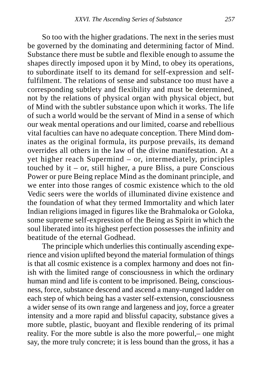So too with the higher gradations. The next in the series must be governed by the dominating and determining factor of Mind. Substance there must be subtle and flexible enough to assume the shapes directly imposed upon it by Mind, to obey its operations, to subordinate itself to its demand for self-expression and selffulfilment. The relations of sense and substance too must have a corresponding subtlety and flexibility and must be determined, not by the relations of physical organ with physical object, but of Mind with the subtler substance upon which it works. The life of such a world would be the servant of Mind in a sense of which our weak mental operations and our limited, coarse and rebellious vital faculties can have no adequate conception. There Mind dominates as the original formula, its purpose prevails, its demand overrides all others in the law of the divine manifestation. At a yet higher reach Supermind – or, intermediately, principles touched by it – or, still higher, a pure Bliss, a pure Conscious Power or pure Being replace Mind as the dominant principle, and we enter into those ranges of cosmic existence which to the old Vedic seers were the worlds of illuminated divine existence and the foundation of what they termed Immortality and which later Indian religions imaged in figures like the Brahmaloka or Goloka, some supreme self-expression of the Being as Spirit in which the soul liberated into its highest perfection possesses the infinity and beatitude of the eternal Godhead.

The principle which underlies this continually ascending experience and vision uplifted beyond the material formulation of things is that all cosmic existence is a complex harmony and does not finish with the limited range of consciousness in which the ordinary human mind and life is content to be imprisoned. Being, consciousness, force, substance descend and ascend a many-runged ladder on each step of which being has a vaster self-extension, consciousness a wider sense of its own range and largeness and joy, force a greater intensity and a more rapid and blissful capacity, substance gives a more subtle, plastic, buoyant and flexible rendering of its primal reality. For the more subtle is also the more powerful,– one might say, the more truly concrete; it is less bound than the gross, it has a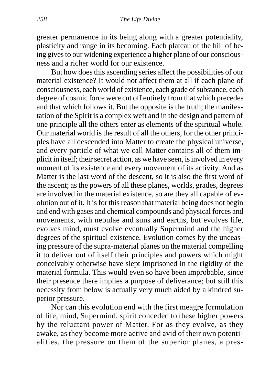greater permanence in its being along with a greater potentiality, plasticity and range in its becoming. Each plateau of the hill of being gives to our widening experience a higher plane of our consciousness and a richer world for our existence.

But how does this ascending series affect the possibilities of our material existence? It would not affect them at all if each plane of consciousness, each world of existence, each grade of substance, each degree of cosmic force were cut off entirely from that which precedes and that which follows it. But the opposite is the truth; the manifestation of the Spirit is a complex weft and in the design and pattern of one principle all the others enter as elements of the spiritual whole. Our material world is the result of all the others, for the other principles have all descended into Matter to create the physical universe, and every particle of what we call Matter contains all of them implicit in itself; their secret action, as we have seen, is involved in every moment of its existence and every movement of its activity. And as Matter is the last word of the descent, so it is also the first word of the ascent; as the powers of all these planes, worlds, grades, degrees are involved in the material existence, so are they all capable of evolution out of it. It is for this reason that material being does not begin and end with gases and chemical compounds and physical forces and movements, with nebulae and suns and earths, but evolves life, evolves mind, must evolve eventually Supermind and the higher degrees of the spiritual existence. Evolution comes by the unceasing pressure of the supra-material planes on the material compelling it to deliver out of itself their principles and powers which might conceivably otherwise have slept imprisoned in the rigidity of the material formula. This would even so have been improbable, since their presence there implies a purpose of deliverance; but still this necessity from below is actually very much aided by a kindred superior pressure.

Nor can this evolution end with the first meagre formulation of life, mind, Supermind, spirit conceded to these higher powers by the reluctant power of Matter. For as they evolve, as they awake, as they become more active and avid of their own potentialities, the pressure on them of the superior planes, a pres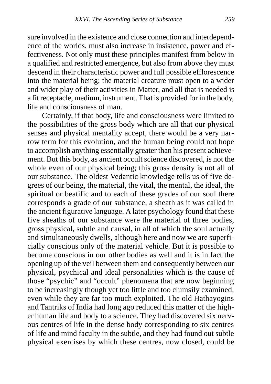sure involved in the existence and close connection and interdependence of the worlds, must also increase in insistence, power and effectiveness. Not only must these principles manifest from below in a qualified and restricted emergence, but also from above they must descend in their characteristic power and full possible efflorescence into the material being; the material creature must open to a wider and wider play of their activities in Matter, and all that is needed is a fit receptacle, medium, instrument. That is provided for in the body, life and consciousness of man.

Certainly, if that body, life and consciousness were limited to the possibilities of the gross body which are all that our physical senses and physical mentality accept, there would be a very narrow term for this evolution, and the human being could not hope to accomplish anything essentially greater than his present achievement. But this body, as ancient occult science discovered, is not the whole even of our physical being; this gross density is not all of our substance. The oldest Vedantic knowledge tells us of five degrees of our being, the material, the vital, the mental, the ideal, the spiritual or beatific and to each of these grades of our soul there corresponds a grade of our substance, a sheath as it was called in the ancient figurative language. A later psychology found that these five sheaths of our substance were the material of three bodies, gross physical, subtle and causal, in all of which the soul actually and simultaneously dwells, although here and now we are superficially conscious only of the material vehicle. But it is possible to become conscious in our other bodies as well and it is in fact the opening up of the veil between them and consequently between our physical, psychical and ideal personalities which is the cause of those "psychic" and "occult" phenomena that are now beginning to be increasingly though yet too little and too clumsily examined, even while they are far too much exploited. The old Hathayogins and Tantriks of India had long ago reduced this matter of the higher human life and body to a science. They had discovered six nervous centres of life in the dense body corresponding to six centres of life and mind faculty in the subtle, and they had found out subtle physical exercises by which these centres, now closed, could be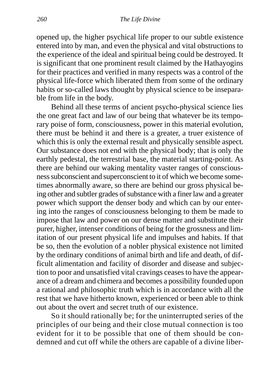opened up, the higher psychical life proper to our subtle existence entered into by man, and even the physical and vital obstructions to the experience of the ideal and spiritual being could be destroyed. It is significant that one prominent result claimed by the Hathayogins for their practices and verified in many respects was a control of the physical life-force which liberated them from some of the ordinary habits or so-called laws thought by physical science to be inseparable from life in the body.

Behind all these terms of ancient psycho-physical science lies the one great fact and law of our being that whatever be its temporary poise of form, consciousness, power in this material evolution, there must be behind it and there is a greater, a truer existence of which this is only the external result and physically sensible aspect. Our substance does not end with the physical body; that is only the earthly pedestal, the terrestrial base, the material starting-point. As there are behind our waking mentality vaster ranges of consciousness subconscient and superconscient to it of which we become sometimes abnormally aware, so there are behind our gross physical being other and subtler grades of substance with a finer law and a greater power which support the denser body and which can by our entering into the ranges of consciousness belonging to them be made to impose that law and power on our dense matter and substitute their purer, higher, intenser conditions of being for the grossness and limitation of our present physical life and impulses and habits. If that be so, then the evolution of a nobler physical existence not limited by the ordinary conditions of animal birth and life and death, of difficult alimentation and facility of disorder and disease and subjection to poor and unsatisfied vital cravings ceases to have the appearance of a dream and chimera and becomes a possibility founded upon a rational and philosophic truth which is in accordance with all the rest that we have hitherto known, experienced or been able to think out about the overt and secret truth of our existence.

So it should rationally be; for the uninterrupted series of the principles of our being and their close mutual connection is too evident for it to be possible that one of them should be condemned and cut off while the others are capable of a divine liber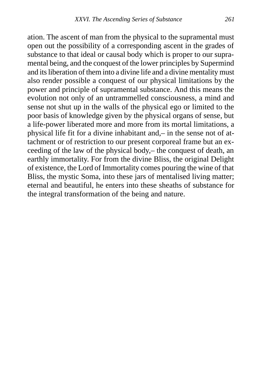ation. The ascent of man from the physical to the supramental must open out the possibility of a corresponding ascent in the grades of substance to that ideal or causal body which is proper to our supramental being, and the conquest of the lower principles by Supermind and its liberation of them into a divine life and a divine mentality must also render possible a conquest of our physical limitations by the power and principle of supramental substance. And this means the evolution not only of an untrammelled consciousness, a mind and sense not shut up in the walls of the physical ego or limited to the poor basis of knowledge given by the physical organs of sense, but a life-power liberated more and more from its mortal limitations, a physical life fit for a divine inhabitant and,– in the sense not of attachment or of restriction to our present corporeal frame but an exceeding of the law of the physical body,– the conquest of death, an earthly immortality. For from the divine Bliss, the original Delight of existence, the Lord of Immortality comes pouring the wine of that Bliss, the mystic Soma, into these jars of mentalised living matter; eternal and beautiful, he enters into these sheaths of substance for the integral transformation of the being and nature.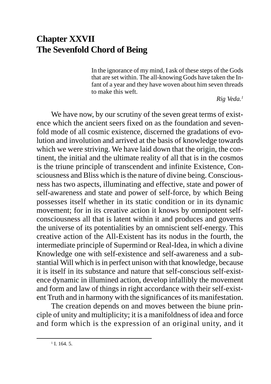## **Chapter XXVII The Sevenfold Chord of Being**

In the ignorance of my mind, I ask of these steps of the Gods that are set within. The all-knowing Gods have taken the Infant of a year and they have woven about him seven threads to make this weft.

*Rig Veda.1*

We have now, by our scrutiny of the seven great terms of existence which the ancient seers fixed on as the foundation and sevenfold mode of all cosmic existence, discerned the gradations of evolution and involution and arrived at the basis of knowledge towards which we were striving. We have laid down that the origin, the continent, the initial and the ultimate reality of all that is in the cosmos is the triune principle of transcendent and infinite Existence, Consciousness and Bliss which is the nature of divine being. Consciousness has two aspects, illuminating and effective, state and power of self-awareness and state and power of self-force, by which Being possesses itself whether in its static condition or in its dynamic movement; for in its creative action it knows by omnipotent selfconsciousness all that is latent within it and produces and governs the universe of its potentialities by an omniscient self-energy. This creative action of the All-Existent has its nodus in the fourth, the intermediate principle of Supermind or Real-Idea, in which a divine Knowledge one with self-existence and self-awareness and a substantial Will which is in perfect unison with that knowledge, because it is itself in its substance and nature that self-conscious self-existence dynamic in illumined action, develop infallibly the movement and form and law of things in right accordance with their self-existent Truth and in harmony with the significances of its manifestation.

The creation depends on and moves between the biune principle of unity and multiplicity; it is a manifoldness of idea and force and form which is the expression of an original unity, and it

 $1$  I. 164. 5.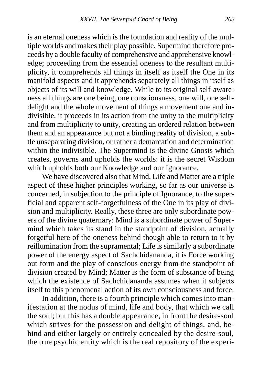is an eternal oneness which is the foundation and reality of the multiple worlds and makes their play possible. Supermind therefore proceeds by a double faculty of comprehensive and apprehensive knowledge; proceeding from the essential oneness to the resultant multiplicity, it comprehends all things in itself as itself the One in its manifold aspects and it apprehends separately all things in itself as objects of its will and knowledge. While to its original self-awareness all things are one being, one consciousness, one will, one selfdelight and the whole movement of things a movement one and indivisible, it proceeds in its action from the unity to the multiplicity and from multiplicity to unity, creating an ordered relation between them and an appearance but not a binding reality of division, a subtle unseparating division, or rather a demarcation and determination within the indivisible. The Supermind is the divine Gnosis which creates, governs and upholds the worlds: it is the secret Wisdom which upholds both our Knowledge and our Ignorance.

We have discovered also that Mind, Life and Matter are a triple aspect of these higher principles working, so far as our universe is concerned, in subjection to the principle of Ignorance, to the superficial and apparent self-forgetfulness of the One in its play of division and multiplicity. Really, these three are only subordinate powers of the divine quaternary: Mind is a subordinate power of Supermind which takes its stand in the standpoint of division, actually forgetful here of the oneness behind though able to return to it by reillumination from the supramental; Life is similarly a subordinate power of the energy aspect of Sachchidananda, it is Force working out form and the play of conscious energy from the standpoint of division created by Mind; Matter is the form of substance of being which the existence of Sachchidananda assumes when it subjects itself to this phenomenal action of its own consciousness and force.

In addition, there is a fourth principle which comes into manifestation at the nodus of mind, life and body, that which we call the soul; but this has a double appearance, in front the desire-soul which strives for the possession and delight of things, and, behind and either largely or entirely concealed by the desire-soul, the true psychic entity which is the real repository of the experi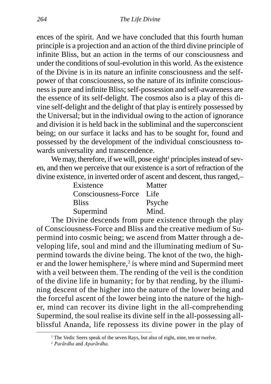ences of the spirit. And we have concluded that this fourth human principle is a projection and an action of the third divine principle of infinite Bliss, but an action in the terms of our consciousness and under the conditions of soul-evolution in this world. As the existence of the Divine is in its nature an infinite consciousness and the selfpower of that consciousness, so the nature of its infinite consciousness is pure and infinite Bliss; self-possession and self-awareness are the essence of its self-delight. The cosmos also is a play of this divine self-delight and the delight of that play is entirely possessed by the Universal; but in the individual owing to the action of ignorance and division it is held back in the subliminal and the superconscient being; on our surface it lacks and has to be sought for, found and possessed by the development of the individual consciousness towards universality and transcendence.

We may, therefore, if we will, pose eight<sup>1</sup> principles instead of seven, and then we perceive that our existence is a sort of refraction of the divine existence, in inverted order of ascent and descent, thus ranged,–

| Existence                | Matter |
|--------------------------|--------|
| Consciousness-Force Life |        |
| <b>Bliss</b>             | Psyche |
| Supermind                | Mind.  |

The Divine descends from pure existence through the play of Consciousness-Force and Bliss and the creative medium of Supermind into cosmic being; we ascend from Matter through a developing life, soul and mind and the illuminating medium of Supermind towards the divine being. The knot of the two, the higher and the lower hemisphere,<sup>2</sup> is where mind and Supermind meet with a veil between them. The rending of the veil is the condition of the divine life in humanity; for by that rending, by the illumining descent of the higher into the nature of the lower being and the forceful ascent of the lower being into the nature of the higher, mind can recover its divine light in the all-comprehending Supermind, the soul realise its divine self in the all-possessing allblissful Ananda, life repossess its divine power in the play of

<sup>&</sup>lt;sup>1</sup> The Vedic Seers speak of the seven Rays, but also of eight, nine, ten or twelve.

 $2$  Par $\bar{a}$ rdha and Apar $\bar{a}$ rdha.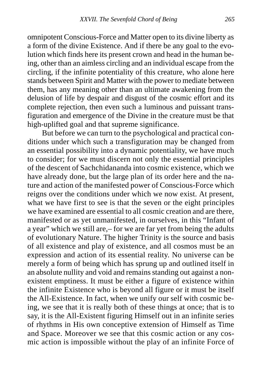omnipotent Conscious-Force and Matter open to its divine liberty as a form of the divine Existence. And if there be any goal to the evolution which finds here its present crown and head in the human being, other than an aimless circling and an individual escape from the circling, if the infinite potentiality of this creature, who alone here stands between Spirit and Matter with the power to mediate between them, has any meaning other than an ultimate awakening from the delusion of life by despair and disgust of the cosmic effort and its complete rejection, then even such a luminous and puissant transfiguration and emergence of the Divine in the creature must be that high-uplifted goal and that supreme significance.

But before we can turn to the psychological and practical conditions under which such a transfiguration may be changed from an essential possibility into a dynamic potentiality, we have much to consider; for we must discern not only the essential principles of the descent of Sachchidananda into cosmic existence, which we have already done, but the large plan of its order here and the nature and action of the manifested power of Conscious-Force which reigns over the conditions under which we now exist. At present, what we have first to see is that the seven or the eight principles we have examined are essential to all cosmic creation and are there, manifested or as yet unmanifested, in ourselves, in this "Infant of a year" which we still are,– for we are far yet from being the adults of evolutionary Nature. The higher Trinity is the source and basis of all existence and play of existence, and all cosmos must be an expression and action of its essential reality. No universe can be merely a form of being which has sprung up and outlined itself in an absolute nullity and void and remains standing out against a nonexistent emptiness. It must be either a figure of existence within the infinite Existence who is beyond all figure or it must be itself the All-Existence. In fact, when we unify our self with cosmic being, we see that it is really both of these things at once; that is to say, it is the All-Existent figuring Himself out in an infinite series of rhythms in His own conceptive extension of Himself as Time and Space. Moreover we see that this cosmic action or any cosmic action is impossible without the play of an infinite Force of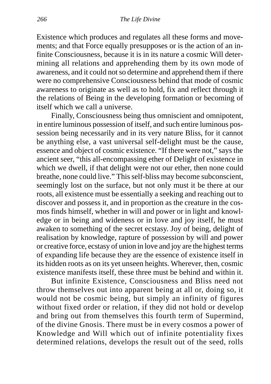Existence which produces and regulates all these forms and movements; and that Force equally presupposes or is the action of an infinite Consciousness, because it is in its nature a cosmic Will determining all relations and apprehending them by its own mode of awareness, and it could not so determine and apprehend them if there were no comprehensive Consciousness behind that mode of cosmic awareness to originate as well as to hold, fix and reflect through it the relations of Being in the developing formation or becoming of itself which we call a universe.

Finally, Consciousness being thus omniscient and omnipotent, in entire luminous possession of itself, and such entire luminous possession being necessarily and in its very nature Bliss, for it cannot be anything else, a vast universal self-delight must be the cause, essence and object of cosmic existence. "If there were not," says the ancient seer, "this all-encompassing ether of Delight of existence in which we dwell, if that delight were not our ether, then none could breathe, none could live." This self-bliss may become subconscient, seemingly lost on the surface, but not only must it be there at our roots, all existence must be essentially a seeking and reaching out to discover and possess it, and in proportion as the creature in the cosmos finds himself, whether in will and power or in light and knowledge or in being and wideness or in love and joy itself, he must awaken to something of the secret ecstasy. Joy of being, delight of realisation by knowledge, rapture of possession by will and power or creative force, ecstasy of union in love and joy are the highest terms of expanding life because they are the essence of existence itself in its hidden roots as on its yet unseen heights. Wherever, then, cosmic existence manifests itself, these three must be behind and within it.

But infinite Existence, Consciousness and Bliss need not throw themselves out into apparent being at all or, doing so, it would not be cosmic being, but simply an infinity of figures without fixed order or relation, if they did not hold or develop and bring out from themselves this fourth term of Supermind, of the divine Gnosis. There must be in every cosmos a power of Knowledge and Will which out of infinite potentiality fixes determined relations, develops the result out of the seed, rolls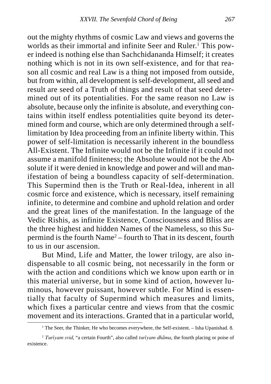out the mighty rhythms of cosmic Law and views and governs the worlds as their immortal and infinite Seer and Ruler.<sup>1</sup> This power indeed is nothing else than Sachchidananda Himself; it creates nothing which is not in its own self-existence, and for that reason all cosmic and real Law is a thing not imposed from outside, but from within, all development is self-development, all seed and result are seed of a Truth of things and result of that seed determined out of its potentialities. For the same reason no Law is absolute, because only the infinite is absolute, and everything contains within itself endless potentialities quite beyond its determined form and course, which are only determined through a selflimitation by Idea proceeding from an infinite liberty within. This power of self-limitation is necessarily inherent in the boundless All-Existent. The Infinite would not be the Infinite if it could not assume a manifold finiteness; the Absolute would not be the Absolute if it were denied in knowledge and power and will and manifestation of being a boundless capacity of self-determination. This Supermind then is the Truth or Real-Idea, inherent in all cosmic force and existence, which is necessary, itself remaining infinite, to determine and combine and uphold relation and order and the great lines of the manifestation. In the language of the Vedic Rishis, as infinite Existence, Consciousness and Bliss are the three highest and hidden Names of the Nameless, so this Supermind is the fourth Name<sup>2</sup> – fourth to That in its descent, fourth to us in our ascension.

But Mind, Life and Matter, the lower trilogy, are also indispensable to all cosmic being, not necessarily in the form or with the action and conditions which we know upon earth or in this material universe, but in some kind of action, however luminous, however puissant, however subtle. For Mind is essentially that faculty of Supermind which measures and limits, which fixes a particular centre and views from that the cosmic movement and its interactions. Granted that in a particular world,

<sup>&</sup>lt;sup>1</sup> The Seer, the Thinker, He who becomes everywhere, the Self-existent. – Isha Upanishad. 8.

 $2$  Turīyam svid, "a certain Fourth", also called turīyam dhāma, the fourth placing or poise of existence.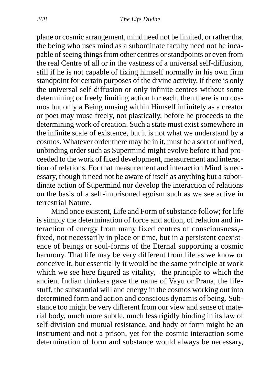plane or cosmic arrangement, mind need not be limited, or rather that the being who uses mind as a subordinate faculty need not be incapable of seeing things from other centres or standpoints or even from the real Centre of all or in the vastness of a universal self-diffusion, still if he is not capable of fixing himself normally in his own firm standpoint for certain purposes of the divine activity, if there is only the universal self-diffusion or only infinite centres without some determining or freely limiting action for each, then there is no cosmos but only a Being musing within Himself infinitely as a creator or poet may muse freely, not plastically, before he proceeds to the determining work of creation. Such a state must exist somewhere in the infinite scale of existence, but it is not what we understand by a cosmos. Whatever order there may be in it, must be a sort of unfixed, unbinding order such as Supermind might evolve before it had proceeded to the work of fixed development, measurement and interaction of relations. For that measurement and interaction Mind is necessary, though it need not be aware of itself as anything but a subordinate action of Supermind nor develop the interaction of relations on the basis of a self-imprisoned egoism such as we see active in terrestrial Nature.

Mind once existent, Life and Form of substance follow; for life is simply the determination of force and action, of relation and interaction of energy from many fixed centres of consciousness,– fixed, not necessarily in place or time, but in a persistent coexistence of beings or soul-forms of the Eternal supporting a cosmic harmony. That life may be very different from life as we know or conceive it, but essentially it would be the same principle at work which we see here figured as vitality, the principle to which the ancient Indian thinkers gave the name of Vayu or Prana, the lifestuff, the substantial will and energy in the cosmos working out into determined form and action and conscious dynamis of being. Substance too might be very different from our view and sense of material body, much more subtle, much less rigidly binding in its law of self-division and mutual resistance, and body or form might be an instrument and not a prison, yet for the cosmic interaction some determination of form and substance would always be necessary,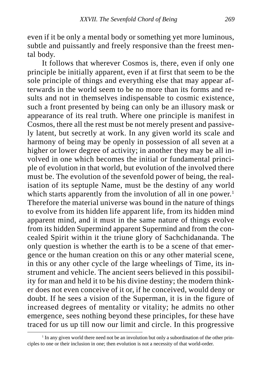even if it be only a mental body or something yet more luminous, subtle and puissantly and freely responsive than the freest mental body.

It follows that wherever Cosmos is, there, even if only one principle be initially apparent, even if at first that seem to be the sole principle of things and everything else that may appear afterwards in the world seem to be no more than its forms and results and not in themselves indispensable to cosmic existence, such a front presented by being can only be an illusory mask or appearance of its real truth. Where one principle is manifest in Cosmos, there all the rest must be not merely present and passively latent, but secretly at work. In any given world its scale and harmony of being may be openly in possession of all seven at a higher or lower degree of activity; in another they may be all involved in one which becomes the initial or fundamental principle of evolution in that world, but evolution of the involved there must be. The evolution of the sevenfold power of being, the realisation of its septuple Name, must be the destiny of any world which starts apparently from the involution of all in one power.<sup>1</sup> Therefore the material universe was bound in the nature of things to evolve from its hidden life apparent life, from its hidden mind apparent mind, and it must in the same nature of things evolve from its hidden Supermind apparent Supermind and from the concealed Spirit within it the triune glory of Sachchidananda. The only question is whether the earth is to be a scene of that emergence or the human creation on this or any other material scene, in this or any other cycle of the large wheelings of Time, its instrument and vehicle. The ancient seers believed in this possibility for man and held it to be his divine destiny; the modern thinker does not even conceive of it or, if he conceived, would deny or doubt. If he sees a vision of the Superman, it is in the figure of increased degrees of mentality or vitality; he admits no other emergence, sees nothing beyond these principles, for these have traced for us up till now our limit and circle. In this progressive

<sup>&</sup>lt;sup>1</sup> In any given world there need not be an involution but only a subordination of the other principles to one or their inclusion in one; then evolution is not a necessity of that world-order.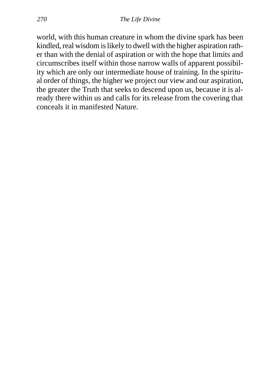world, with this human creature in whom the divine spark has been kindled, real wisdom is likely to dwell with the higher aspiration rather than with the denial of aspiration or with the hope that limits and circumscribes itself within those narrow walls of apparent possibility which are only our intermediate house of training. In the spiritual order of things, the higher we project our view and our aspiration, the greater the Truth that seeks to descend upon us, because it is already there within us and calls for its release from the covering that conceals it in manifested Nature.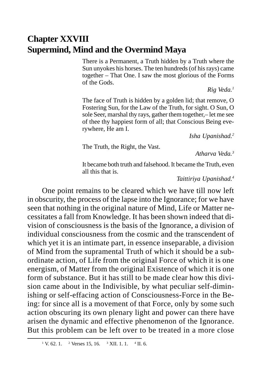## **Chapter XXVIII Supermind, Mind and the Overmind Maya**

There is a Permanent, a Truth hidden by a Truth where the Sun unyokes his horses. The ten hundreds (of his rays) came together – That One. I saw the most glorious of the Forms of the Gods.

*Rig Veda.1*

The face of Truth is hidden by a golden lid; that remove, O Fostering Sun, for the Law of the Truth, for sight. O Sun, O sole Seer, marshal thy rays, gather them together,– let me see of thee thy happiest form of all; that Conscious Being everywhere, He am I.

*Isha Upanishad.2*

The Truth, the Right, the Vast.

*Atharva Veda.3*

It became both truth and falsehood. It became the Truth, even all this that is.

*Taittiriya Upanishad.4*

One point remains to be cleared which we have till now left in obscurity, the process of the lapse into the Ignorance; for we have seen that nothing in the original nature of Mind, Life or Matter necessitates a fall from Knowledge. It has been shown indeed that division of consciousness is the basis of the Ignorance, a division of individual consciousness from the cosmic and the transcendent of which yet it is an intimate part, in essence inseparable, a division of Mind from the supramental Truth of which it should be a subordinate action, of Life from the original Force of which it is one energism, of Matter from the original Existence of which it is one form of substance. But it has still to be made clear how this division came about in the Indivisible, by what peculiar self-diminishing or self-effacing action of Consciousness-Force in the Being: for since all is a movement of that Force, only by some such action obscuring its own plenary light and power can there have arisen the dynamic and effective phenomenon of the Ignorance. But this problem can be left over to be treated in a more close

<sup>&</sup>lt;sup>1</sup> V. 62. 1. <sup>2</sup> Verses 15, 16. <sup>3</sup> XII. 1. 1. <sup>4</sup> II. 6.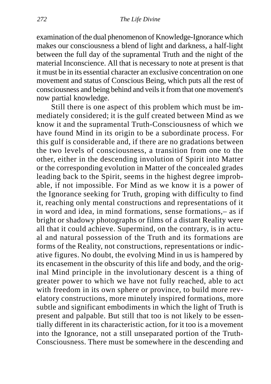examination of the dual phenomenon of Knowledge-Ignorance which makes our consciousness a blend of light and darkness, a half-light between the full day of the supramental Truth and the night of the material Inconscience. All that is necessary to note at present is that it must be in its essential character an exclusive concentration on one movement and status of Conscious Being, which puts all the rest of consciousness and being behind and veils it from that one movement's now partial knowledge.

Still there is one aspect of this problem which must be immediately considered; it is the gulf created between Mind as we know it and the supramental Truth-Consciousness of which we have found Mind in its origin to be a subordinate process. For this gulf is considerable and, if there are no gradations between the two levels of consciousness, a transition from one to the other, either in the descending involution of Spirit into Matter or the corresponding evolution in Matter of the concealed grades leading back to the Spirit, seems in the highest degree improbable, if not impossible. For Mind as we know it is a power of the Ignorance seeking for Truth, groping with difficulty to find it, reaching only mental constructions and representations of it in word and idea, in mind formations, sense formations,– as if bright or shadowy photographs or films of a distant Reality were all that it could achieve. Supermind, on the contrary, is in actual and natural possession of the Truth and its formations are forms of the Reality, not constructions, representations or indicative figures. No doubt, the evolving Mind in us is hampered by its encasement in the obscurity of this life and body, and the original Mind principle in the involutionary descent is a thing of greater power to which we have not fully reached, able to act with freedom in its own sphere or province, to build more revelatory constructions, more minutely inspired formations, more subtle and significant embodiments in which the light of Truth is present and palpable. But still that too is not likely to be essentially different in its characteristic action, for it too is a movement into the Ignorance, not a still unseparated portion of the Truth-Consciousness. There must be somewhere in the descending and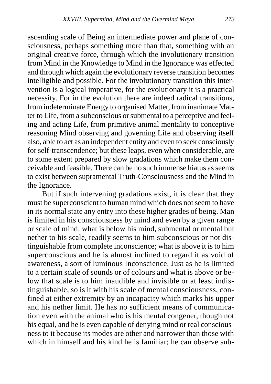ascending scale of Being an intermediate power and plane of consciousness, perhaps something more than that, something with an original creative force, through which the involutionary transition from Mind in the Knowledge to Mind in the Ignorance was effected and through which again the evolutionary reverse transition becomes intelligible and possible. For the involutionary transition this intervention is a logical imperative, for the evolutionary it is a practical necessity. For in the evolution there are indeed radical transitions, from indeterminate Energy to organised Matter, from inanimate Matter to Life, from a subconscious or submental to a perceptive and feeling and acting Life, from primitive animal mentality to conceptive reasoning Mind observing and governing Life and observing itself also, able to act as an independent entity and even to seek consciously for self-transcendence; but these leaps, even when considerable, are to some extent prepared by slow gradations which make them conceivable and feasible. There can be no such immense hiatus as seems to exist between supramental Truth-Consciousness and the Mind in the Ignorance.

But if such intervening gradations exist, it is clear that they must be superconscient to human mind which does not seem to have in its normal state any entry into these higher grades of being. Man is limited in his consciousness by mind and even by a given range or scale of mind: what is below his mind, submental or mental but nether to his scale, readily seems to him subconscious or not distinguishable from complete inconscience; what is above it is to him superconscious and he is almost inclined to regard it as void of awareness, a sort of luminous Inconscience. Just as he is limited to a certain scale of sounds or of colours and what is above or below that scale is to him inaudible and invisible or at least indistinguishable, so is it with his scale of mental consciousness, confined at either extremity by an incapacity which marks his upper and his nether limit. He has no sufficient means of communication even with the animal who is his mental congener, though not his equal, and he is even capable of denying mind or real consciousness to it because its modes are other and narrower than those with which in himself and his kind he is familiar; he can observe sub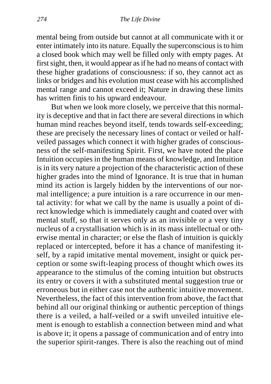mental being from outside but cannot at all communicate with it or enter intimately into its nature. Equally the superconscious is to him a closed book which may well be filled only with empty pages. At first sight, then, it would appear as if he had no means of contact with these higher gradations of consciousness: if so, they cannot act as links or bridges and his evolution must cease with his accomplished mental range and cannot exceed it; Nature in drawing these limits has written finis to his upward endeavour.

But when we look more closely, we perceive that this normality is deceptive and that in fact there are several directions in which human mind reaches beyond itself, tends towards self-exceeding; these are precisely the necessary lines of contact or veiled or halfveiled passages which connect it with higher grades of consciousness of the self-manifesting Spirit. First, we have noted the place Intuition occupies in the human means of knowledge, and Intuition is in its very nature a projection of the characteristic action of these higher grades into the mind of Ignorance. It is true that in human mind its action is largely hidden by the interventions of our normal intelligence; a pure intuition is a rare occurrence in our mental activity: for what we call by the name is usually a point of direct knowledge which is immediately caught and coated over with mental stuff, so that it serves only as an invisible or a very tiny nucleus of a crystallisation which is in its mass intellectual or otherwise mental in character; or else the flash of intuition is quickly replaced or intercepted, before it has a chance of manifesting itself, by a rapid imitative mental movement, insight or quick perception or some swift-leaping process of thought which owes its appearance to the stimulus of the coming intuition but obstructs its entry or covers it with a substituted mental suggestion true or erroneous but in either case not the authentic intuitive movement. Nevertheless, the fact of this intervention from above, the fact that behind all our original thinking or authentic perception of things there is a veiled, a half-veiled or a swift unveiled intuitive element is enough to establish a connection between mind and what is above it; it opens a passage of communication and of entry into the superior spirit-ranges. There is also the reaching out of mind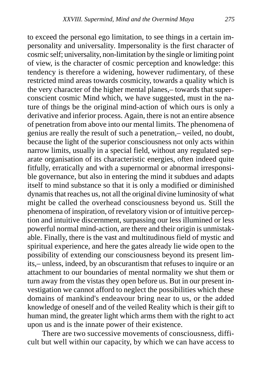to exceed the personal ego limitation, to see things in a certain impersonality and universality. Impersonality is the first character of cosmic self; universality, non-limitation by the single or limiting point of view, is the character of cosmic perception and knowledge: this tendency is therefore a widening, however rudimentary, of these restricted mind areas towards cosmicity, towards a quality which is the very character of the higher mental planes,– towards that superconscient cosmic Mind which, we have suggested, must in the nature of things be the original mind-action of which ours is only a derivative and inferior process. Again, there is not an entire absence of penetration from above into our mental limits. The phenomena of genius are really the result of such a penetration,– veiled, no doubt, because the light of the superior consciousness not only acts within narrow limits, usually in a special field, without any regulated separate organisation of its characteristic energies, often indeed quite fitfully, erratically and with a supernormal or abnormal irresponsible governance, but also in entering the mind it subdues and adapts itself to mind substance so that it is only a modified or diminished dynamis that reaches us, not all the original divine luminosity of what might be called the overhead consciousness beyond us. Still the phenomena of inspiration, of revelatory vision or of intuitive perception and intuitive discernment, surpassing our less illumined or less powerful normal mind-action, are there and their origin is unmistakable. Finally, there is the vast and multitudinous field of mystic and spiritual experience, and here the gates already lie wide open to the possibility of extending our consciousness beyond its present limits,– unless, indeed, by an obscurantism that refuses to inquire or an attachment to our boundaries of mental normality we shut them or turn away from the vistas they open before us. But in our present investigation we cannot afford to neglect the possibilities which these domains of mankind's endeavour bring near to us, or the added knowledge of oneself and of the veiled Reality which is their gift to human mind, the greater light which arms them with the right to act upon us and is the innate power of their existence.

There are two successive movements of consciousness, difficult but well within our capacity, by which we can have access to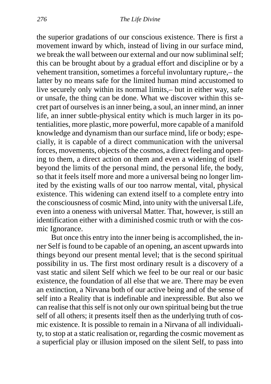the superior gradations of our conscious existence. There is first a movement inward by which, instead of living in our surface mind, we break the wall between our external and our now subliminal self; this can be brought about by a gradual effort and discipline or by a vehement transition, sometimes a forceful involuntary rupture,– the latter by no means safe for the limited human mind accustomed to live securely only within its normal limits,– but in either way, safe or unsafe, the thing can be done. What we discover within this secret part of ourselves is an inner being, a soul, an inner mind, an inner life, an inner subtle-physical entity which is much larger in its potentialities, more plastic, more powerful, more capable of a manifold knowledge and dynamism than our surface mind, life or body; especially, it is capable of a direct communication with the universal forces, movements, objects of the cosmos, a direct feeling and opening to them, a direct action on them and even a widening of itself beyond the limits of the personal mind, the personal life, the body, so that it feels itself more and more a universal being no longer limited by the existing walls of our too narrow mental, vital, physical existence. This widening can extend itself to a complete entry into the consciousness of cosmic Mind, into unity with the universal Life, even into a oneness with universal Matter. That, however, is still an identification either with a diminished cosmic truth or with the cosmic Ignorance.

But once this entry into the inner being is accomplished, the inner Self is found to be capable of an opening, an ascent upwards into things beyond our present mental level; that is the second spiritual possibility in us. The first most ordinary result is a discovery of a vast static and silent Self which we feel to be our real or our basic existence, the foundation of all else that we are. There may be even an extinction, a Nirvana both of our active being and of the sense of self into a Reality that is indefinable and inexpressible. But also we can realise that this self is not only our own spiritual being but the true self of all others; it presents itself then as the underlying truth of cosmic existence. It is possible to remain in a Nirvana of all individuality, to stop at a static realisation or, regarding the cosmic movement as a superficial play or illusion imposed on the silent Self, to pass into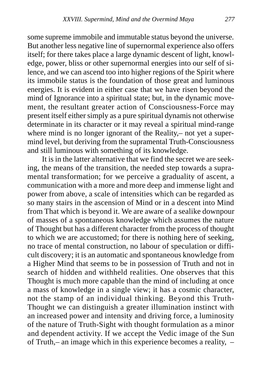some supreme immobile and immutable status beyond the universe. But another less negative line of supernormal experience also offers itself; for there takes place a large dynamic descent of light, knowledge, power, bliss or other supernormal energies into our self of silence, and we can ascend too into higher regions of the Spirit where its immobile status is the foundation of those great and luminous energies. It is evident in either case that we have risen beyond the mind of Ignorance into a spiritual state; but, in the dynamic movement, the resultant greater action of Consciousness-Force may present itself either simply as a pure spiritual dynamis not otherwise determinate in its character or it may reveal a spiritual mind-range where mind is no longer ignorant of the Reality,— not yet a supermind level, but deriving from the supramental Truth-Consciousness and still luminous with something of its knowledge.

It is in the latter alternative that we find the secret we are seeking, the means of the transition, the needed step towards a supramental transformation; for we perceive a graduality of ascent, a communication with a more and more deep and immense light and power from above, a scale of intensities which can be regarded as so many stairs in the ascension of Mind or in a descent into Mind from That which is beyond it. We are aware of a sealike downpour of masses of a spontaneous knowledge which assumes the nature of Thought but has a different character from the process of thought to which we are accustomed; for there is nothing here of seeking, no trace of mental construction, no labour of speculation or difficult discovery; it is an automatic and spontaneous knowledge from a Higher Mind that seems to be in possession of Truth and not in search of hidden and withheld realities. One observes that this Thought is much more capable than the mind of including at once a mass of knowledge in a single view; it has a cosmic character, not the stamp of an individual thinking. Beyond this Truth-Thought we can distinguish a greater illumination instinct with an increased power and intensity and driving force, a luminosity of the nature of Truth-Sight with thought formulation as a minor and dependent activity. If we accept the Vedic image of the Sun of Truth,– an image which in this experience becomes a reality, –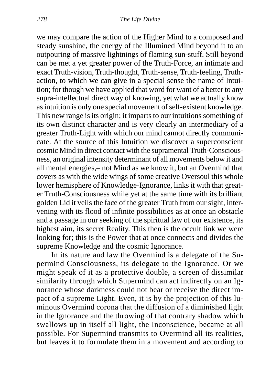we may compare the action of the Higher Mind to a composed and steady sunshine, the energy of the Illumined Mind beyond it to an outpouring of massive lightnings of flaming sun-stuff. Still beyond can be met a yet greater power of the Truth-Force, an intimate and exact Truth-vision, Truth-thought, Truth-sense, Truth-feeling, Truthaction, to which we can give in a special sense the name of Intuition; for though we have applied that word for want of a better to any supra-intellectual direct way of knowing, yet what we actually know as intuition is only one special movement of self-existent knowledge. This new range is its origin; it imparts to our intuitions something of its own distinct character and is very clearly an intermediary of a greater Truth-Light with which our mind cannot directly communicate. At the source of this Intuition we discover a superconscient cosmic Mind in direct contact with the supramental Truth-Consciousness, an original intensity determinant of all movements below it and all mental energies,– not Mind as we know it, but an Overmind that covers as with the wide wings of some creative Oversoul this whole lower hemisphere of Knowledge-Ignorance, links it with that greater Truth-Consciousness while yet at the same time with its brilliant golden Lid it veils the face of the greater Truth from our sight, intervening with its flood of infinite possibilities as at once an obstacle and a passage in our seeking of the spiritual law of our existence, its highest aim, its secret Reality. This then is the occult link we were looking for; this is the Power that at once connects and divides the supreme Knowledge and the cosmic Ignorance.

In its nature and law the Overmind is a delegate of the Supermind Consciousness, its delegate to the Ignorance. Or we might speak of it as a protective double, a screen of dissimilar similarity through which Supermind can act indirectly on an Ignorance whose darkness could not bear or receive the direct impact of a supreme Light. Even, it is by the projection of this luminous Overmind corona that the diffusion of a diminished light in the Ignorance and the throwing of that contrary shadow which swallows up in itself all light, the Inconscience, became at all possible. For Supermind transmits to Overmind all its realities, but leaves it to formulate them in a movement and according to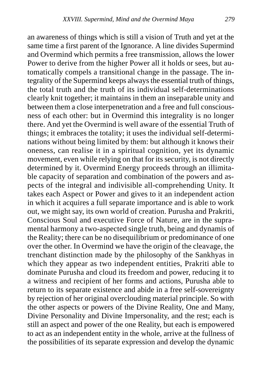an awareness of things which is still a vision of Truth and yet at the same time a first parent of the Ignorance. A line divides Supermind and Overmind which permits a free transmission, allows the lower Power to derive from the higher Power all it holds or sees, but automatically compels a transitional change in the passage. The integrality of the Supermind keeps always the essential truth of things, the total truth and the truth of its individual self-determinations clearly knit together; it maintains in them an inseparable unity and between them a close interpenetration and a free and full consciousness of each other: but in Overmind this integrality is no longer there. And yet the Overmind is well aware of the essential Truth of things; it embraces the totality; it uses the individual self-determinations without being limited by them: but although it knows their oneness, can realise it in a spiritual cognition, yet its dynamic movement, even while relying on that for its security, is not directly determined by it. Overmind Energy proceeds through an illimitable capacity of separation and combination of the powers and aspects of the integral and indivisible all-comprehending Unity. It takes each Aspect or Power and gives to it an independent action in which it acquires a full separate importance and is able to work out, we might say, its own world of creation. Purusha and Prakriti, Conscious Soul and executive Force of Nature, are in the supramental harmony a two-aspected single truth, being and dynamis of the Reality; there can be no disequilibrium or predominance of one over the other. In Overmind we have the origin of the cleavage, the trenchant distinction made by the philosophy of the Sankhyas in which they appear as two independent entities, Prakriti able to dominate Purusha and cloud its freedom and power, reducing it to a witness and recipient of her forms and actions, Purusha able to return to its separate existence and abide in a free self-sovereignty by rejection of her original overclouding material principle. So with the other aspects or powers of the Divine Reality, One and Many, Divine Personality and Divine Impersonality, and the rest; each is still an aspect and power of the one Reality, but each is empowered to act as an independent entity in the whole, arrive at the fullness of the possibilities of its separate expression and develop the dynamic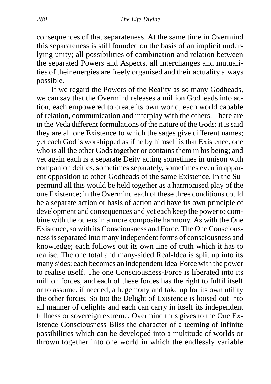consequences of that separateness. At the same time in Overmind this separateness is still founded on the basis of an implicit underlying unity; all possibilities of combination and relation between the separated Powers and Aspects, all interchanges and mutualities of their energies are freely organised and their actuality always possible.

If we regard the Powers of the Reality as so many Godheads, we can say that the Overmind releases a million Godheads into action, each empowered to create its own world, each world capable of relation, communication and interplay with the others. There are in the Veda different formulations of the nature of the Gods: it is said they are all one Existence to which the sages give different names; yet each God is worshipped as if he by himself is that Existence, one who is all the other Gods together or contains them in his being; and yet again each is a separate Deity acting sometimes in unison with companion deities, sometimes separately, sometimes even in apparent opposition to other Godheads of the same Existence. In the Supermind all this would be held together as a harmonised play of the one Existence; in the Overmind each of these three conditions could be a separate action or basis of action and have its own principle of development and consequences and yet each keep the power to combine with the others in a more composite harmony. As with the One Existence, so with its Consciousness and Force. The One Consciousness is separated into many independent forms of consciousness and knowledge; each follows out its own line of truth which it has to realise. The one total and many-sided Real-Idea is split up into its many sides; each becomes an independent Idea-Force with the power to realise itself. The one Consciousness-Force is liberated into its million forces, and each of these forces has the right to fulfil itself or to assume, if needed, a hegemony and take up for its own utility the other forces. So too the Delight of Existence is loosed out into all manner of delights and each can carry in itself its independent fullness or sovereign extreme. Overmind thus gives to the One Existence-Consciousness-Bliss the character of a teeming of infinite possibilities which can be developed into a multitude of worlds or thrown together into one world in which the endlessly variable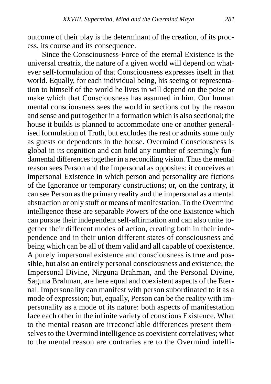outcome of their play is the determinant of the creation, of its process, its course and its consequence.

Since the Consciousness-Force of the eternal Existence is the universal creatrix, the nature of a given world will depend on whatever self-formulation of that Consciousness expresses itself in that world. Equally, for each individual being, his seeing or representation to himself of the world he lives in will depend on the poise or make which that Consciousness has assumed in him. Our human mental consciousness sees the world in sections cut by the reason and sense and put together in a formation which is also sectional; the house it builds is planned to accommodate one or another generalised formulation of Truth, but excludes the rest or admits some only as guests or dependents in the house. Overmind Consciousness is global in its cognition and can hold any number of seemingly fundamental differences together in a reconciling vision. Thus the mental reason sees Person and the Impersonal as opposites: it conceives an impersonal Existence in which person and personality are fictions of the Ignorance or temporary constructions; or, on the contrary, it can see Person as the primary reality and the impersonal as a mental abstraction or only stuff or means of manifestation. To the Overmind intelligence these are separable Powers of the one Existence which can pursue their independent self-affirmation and can also unite together their different modes of action, creating both in their independence and in their union different states of consciousness and being which can be all of them valid and all capable of coexistence. A purely impersonal existence and consciousness is true and possible, but also an entirely personal consciousness and existence; the Impersonal Divine, Nirguna Brahman, and the Personal Divine, Saguna Brahman, are here equal and coexistent aspects of the Eternal. Impersonality can manifest with person subordinated to it as a mode of expression; but, equally, Person can be the reality with impersonality as a mode of its nature: both aspects of manifestation face each other in the infinite variety of conscious Existence. What to the mental reason are irreconcilable differences present themselves to the Overmind intelligence as coexistent correlatives; what to the mental reason are contraries are to the Overmind intelli-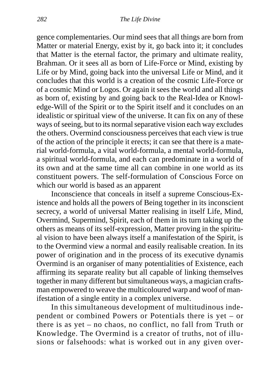gence complementaries. Our mind sees that all things are born from Matter or material Energy, exist by it, go back into it; it concludes that Matter is the eternal factor, the primary and ultimate reality, Brahman. Or it sees all as born of Life-Force or Mind, existing by Life or by Mind, going back into the universal Life or Mind, and it concludes that this world is a creation of the cosmic Life-Force or of a cosmic Mind or Logos. Or again it sees the world and all things as born of, existing by and going back to the Real-Idea or Knowledge-Will of the Spirit or to the Spirit itself and it concludes on an idealistic or spiritual view of the universe. It can fix on any of these ways of seeing, but to its normal separative vision each way excludes the others. Overmind consciousness perceives that each view is true of the action of the principle it erects; it can see that there is a material world-formula, a vital world-formula, a mental world-formula, a spiritual world-formula, and each can predominate in a world of its own and at the same time all can combine in one world as its constituent powers. The self-formulation of Conscious Force on which our world is based as an apparent

Inconscience that conceals in itself a supreme Conscious-Existence and holds all the powers of Being together in its inconscient secrecy, a world of universal Matter realising in itself Life, Mind, Overmind, Supermind, Spirit, each of them in its turn taking up the others as means of its self-expression, Matter proving in the spiritual vision to have been always itself a manifestation of the Spirit, is to the Overmind view a normal and easily realisable creation. In its power of origination and in the process of its executive dynamis Overmind is an organiser of many potentialities of Existence, each affirming its separate reality but all capable of linking themselves together in many different but simultaneous ways, a magician craftsman empowered to weave the multicoloured warp and woof of manifestation of a single entity in a complex universe.

In this simultaneous development of multitudinous independent or combined Powers or Potentials there is yet – or there is as yet – no chaos, no conflict, no fall from Truth or Knowledge. The Overmind is a creator of truths, not of illusions or falsehoods: what is worked out in any given over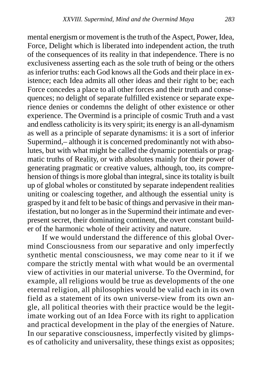mental energism or movement is the truth of the Aspect, Power, Idea, Force, Delight which is liberated into independent action, the truth of the consequences of its reality in that independence. There is no exclusiveness asserting each as the sole truth of being or the others as inferior truths: each God knows all the Gods and their place in existence; each Idea admits all other ideas and their right to be; each Force concedes a place to all other forces and their truth and consequences; no delight of separate fulfilled existence or separate experience denies or condemns the delight of other existence or other experience. The Overmind is a principle of cosmic Truth and a vast and endless catholicity is its very spirit; its energy is an all-dynamism as well as a principle of separate dynamisms: it is a sort of inferior Supermind,– although it is concerned predominantly not with absolutes, but with what might be called the dynamic potentials or pragmatic truths of Reality, or with absolutes mainly for their power of generating pragmatic or creative values, although, too, its comprehension of things is more global than integral, since its totality is built up of global wholes or constituted by separate independent realities uniting or coalescing together, and although the essential unity is grasped by it and felt to be basic of things and pervasive in their manifestation, but no longer as in the Supermind their intimate and everpresent secret, their dominating continent, the overt constant builder of the harmonic whole of their activity and nature.

If we would understand the difference of this global Overmind Consciousness from our separative and only imperfectly synthetic mental consciousness, we may come near to it if we compare the strictly mental with what would be an overmental view of activities in our material universe. To the Overmind, for example, all religions would be true as developments of the one eternal religion, all philosophies would be valid each in its own field as a statement of its own universe-view from its own angle, all political theories with their practice would be the legitimate working out of an Idea Force with its right to application and practical development in the play of the energies of Nature. In our separative consciousness, imperfectly visited by glimpses of catholicity and universality, these things exist as opposites;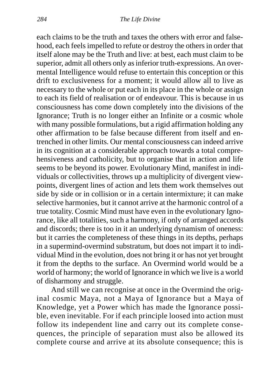each claims to be the truth and taxes the others with error and falsehood, each feels impelled to refute or destroy the others in order that itself alone may be the Truth and live: at best, each must claim to be superior, admit all others only as inferior truth-expressions. An overmental Intelligence would refuse to entertain this conception or this drift to exclusiveness for a moment; it would allow all to live as necessary to the whole or put each in its place in the whole or assign to each its field of realisation or of endeavour. This is because in us consciousness has come down completely into the divisions of the Ignorance; Truth is no longer either an Infinite or a cosmic whole with many possible formulations, but a rigid affirmation holding any other affirmation to be false because different from itself and entrenched in other limits. Our mental consciousness can indeed arrive in its cognition at a considerable approach towards a total comprehensiveness and catholicity, but to organise that in action and life seems to be beyond its power. Evolutionary Mind, manifest in individuals or collectivities, throws up a multiplicity of divergent viewpoints, divergent lines of action and lets them work themselves out side by side or in collision or in a certain intermixture; it can make selective harmonies, but it cannot arrive at the harmonic control of a true totality. Cosmic Mind must have even in the evolutionary Ignorance, like all totalities, such a harmony, if only of arranged accords and discords; there is too in it an underlying dynamism of oneness: but it carries the completeness of these things in its depths, perhaps in a supermind-overmind substratum, but does not impart it to individual Mind in the evolution, does not bring it or has not yet brought it from the depths to the surface. An Overmind world would be a world of harmony; the world of Ignorance in which we live is a world of disharmony and struggle.

And still we can recognise at once in the Overmind the original cosmic Maya, not a Maya of Ignorance but a Maya of Knowledge, yet a Power which has made the Ignorance possible, even inevitable. For if each principle loosed into action must follow its independent line and carry out its complete consequences, the principle of separation must also be allowed its complete course and arrive at its absolute consequence; this is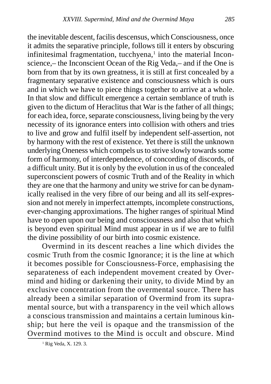the inevitable descent, facilis descensus, which Consciousness, once it admits the separative principle, follows till it enters by obscuring infinitesimal fragmentation, tucchyena, $<sup>1</sup>$  into the material Incon-</sup> science,– the Inconscient Ocean of the Rig Veda,– and if the One is born from that by its own greatness, it is still at first concealed by a fragmentary separative existence and consciousness which is ours and in which we have to piece things together to arrive at a whole. In that slow and difficult emergence a certain semblance of truth is given to the dictum of Heraclitus that War is the father of all things; for each idea, force, separate consciousness, living being by the very necessity of its ignorance enters into collision with others and tries to live and grow and fulfil itself by independent self-assertion, not by harmony with the rest of existence. Yet there is still the unknown underlying Oneness which compels us to strive slowly towards some form of harmony, of interdependence, of concording of discords, of a difficult unity. But it is only by the evolution in us of the concealed superconscient powers of cosmic Truth and of the Reality in which they are one that the harmony and unity we strive for can be dynamically realised in the very fibre of our being and all its self-expression and not merely in imperfect attempts, incomplete constructions, ever-changing approximations. The higher ranges of spiritual Mind have to open upon our being and consciousness and also that which is beyond even spiritual Mind must appear in us if we are to fulfil the divine possibility of our birth into cosmic existence.

Overmind in its descent reaches a line which divides the cosmic Truth from the cosmic Ignorance; it is the line at which it becomes possible for Consciousness-Force, emphasising the separateness of each independent movement created by Overmind and hiding or darkening their unity, to divide Mind by an exclusive concentration from the overmental source. There has already been a similar separation of Overmind from its supramental source, but with a transparency in the veil which allows a conscious transmission and maintains a certain luminous kinship; but here the veil is opaque and the transmission of the Overmind motives to the Mind is occult and obscure. Mind

<sup>&</sup>lt;sup>1</sup> Rig Veda, X. 129. 3.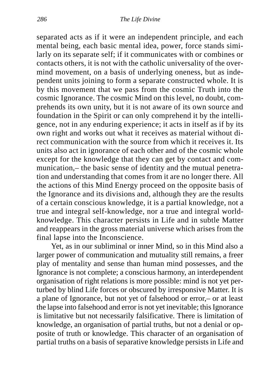separated acts as if it were an independent principle, and each mental being, each basic mental idea, power, force stands similarly on its separate self; if it communicates with or combines or contacts others, it is not with the catholic universality of the overmind movement, on a basis of underlying oneness, but as independent units joining to form a separate constructed whole. It is by this movement that we pass from the cosmic Truth into the cosmic Ignorance. The cosmic Mind on this level, no doubt, comprehends its own unity, but it is not aware of its own source and foundation in the Spirit or can only comprehend it by the intelligence, not in any enduring experience; it acts in itself as if by its own right and works out what it receives as material without direct communication with the source from which it receives it. Its units also act in ignorance of each other and of the cosmic whole except for the knowledge that they can get by contact and communication,– the basic sense of identity and the mutual penetration and understanding that comes from it are no longer there. All the actions of this Mind Energy proceed on the opposite basis of the Ignorance and its divisions and, although they are the results of a certain conscious knowledge, it is a partial knowledge, not a true and integral self-knowledge, nor a true and integral worldknowledge. This character persists in Life and in subtle Matter and reappears in the gross material universe which arises from the final lapse into the Inconscience.

Yet, as in our subliminal or inner Mind, so in this Mind also a larger power of communication and mutuality still remains, a freer play of mentality and sense than human mind possesses, and the Ignorance is not complete; a conscious harmony, an interdependent organisation of right relations is more possible: mind is not yet perturbed by blind Life forces or obscured by irresponsive Matter. It is a plane of Ignorance, but not yet of falsehood or error,– or at least the lapse into falsehood and error is not yet inevitable; this Ignorance is limitative but not necessarily falsificative. There is limitation of knowledge, an organisation of partial truths, but not a denial or opposite of truth or knowledge. This character of an organisation of partial truths on a basis of separative knowledge persists in Life and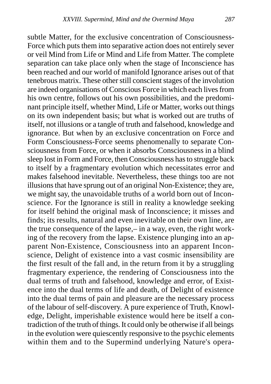subtle Matter, for the exclusive concentration of Consciousness-Force which puts them into separative action does not entirely sever or veil Mind from Life or Mind and Life from Matter. The complete separation can take place only when the stage of Inconscience has been reached and our world of manifold Ignorance arises out of that tenebrous matrix. These other still conscient stages of the involution are indeed organisations of Conscious Force in which each lives from his own centre, follows out his own possibilities, and the predominant principle itself, whether Mind, Life or Matter, works out things on its own independent basis; but what is worked out are truths of itself, not illusions or a tangle of truth and falsehood, knowledge and ignorance. But when by an exclusive concentration on Force and Form Consciousness-Force seems phenomenally to separate Consciousness from Force, or when it absorbs Consciousness in a blind sleep lost in Form and Force, then Consciousness has to struggle back to itself by a fragmentary evolution which necessitates error and makes falsehood inevitable. Nevertheless, these things too are not illusions that have sprung out of an original Non-Existence; they are, we might say, the unavoidable truths of a world born out of Inconscience. For the Ignorance is still in reality a knowledge seeking for itself behind the original mask of Inconscience; it misses and finds; its results, natural and even inevitable on their own line, are the true consequence of the lapse,– in a way, even, the right working of the recovery from the lapse. Existence plunging into an apparent Non-Existence, Consciousness into an apparent Inconscience, Delight of existence into a vast cosmic insensibility are the first result of the fall and, in the return from it by a struggling fragmentary experience, the rendering of Consciousness into the dual terms of truth and falsehood, knowledge and error, of Existence into the dual terms of life and death, of Delight of existence into the dual terms of pain and pleasure are the necessary process of the labour of self-discovery. A pure experience of Truth, Knowledge, Delight, imperishable existence would here be itself a contradiction of the truth of things. It could only be otherwise if all beings in the evolution were quiescently responsive to the psychic elements within them and to the Supermind underlying Nature's opera-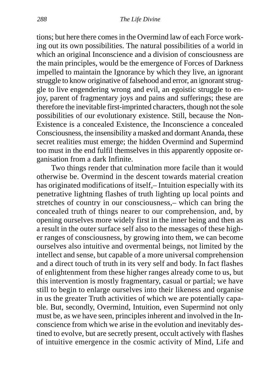tions; but here there comes in the Overmind law of each Force working out its own possibilities. The natural possibilities of a world in which an original Inconscience and a division of consciousness are the main principles, would be the emergence of Forces of Darkness impelled to maintain the Ignorance by which they live, an ignorant struggle to know originative of falsehood and error, an ignorant struggle to live engendering wrong and evil, an egoistic struggle to enjoy, parent of fragmentary joys and pains and sufferings; these are therefore the inevitable first-imprinted characters, though not the sole possibilities of our evolutionary existence. Still, because the Non-Existence is a concealed Existence, the Inconscience a concealed Consciousness, the insensibility a masked and dormant Ananda, these secret realities must emerge; the hidden Overmind and Supermind too must in the end fulfil themselves in this apparently opposite organisation from a dark Infinite.

Two things render that culmination more facile than it would otherwise be. Overmind in the descent towards material creation has originated modifications of itself,– Intuition especially with its penetrative lightning flashes of truth lighting up local points and stretches of country in our consciousness,– which can bring the concealed truth of things nearer to our comprehension, and, by opening ourselves more widely first in the inner being and then as a result in the outer surface self also to the messages of these higher ranges of consciousness, by growing into them, we can become ourselves also intuitive and overmental beings, not limited by the intellect and sense, but capable of a more universal comprehension and a direct touch of truth in its very self and body. In fact flashes of enlightenment from these higher ranges already come to us, but this intervention is mostly fragmentary, casual or partial; we have still to begin to enlarge ourselves into their likeness and organise in us the greater Truth activities of which we are potentially capable. But, secondly, Overmind, Intuition, even Supermind not only must be, as we have seen, principles inherent and involved in the Inconscience from which we arise in the evolution and inevitably destined to evolve, but are secretly present, occult actively with flashes of intuitive emergence in the cosmic activity of Mind, Life and